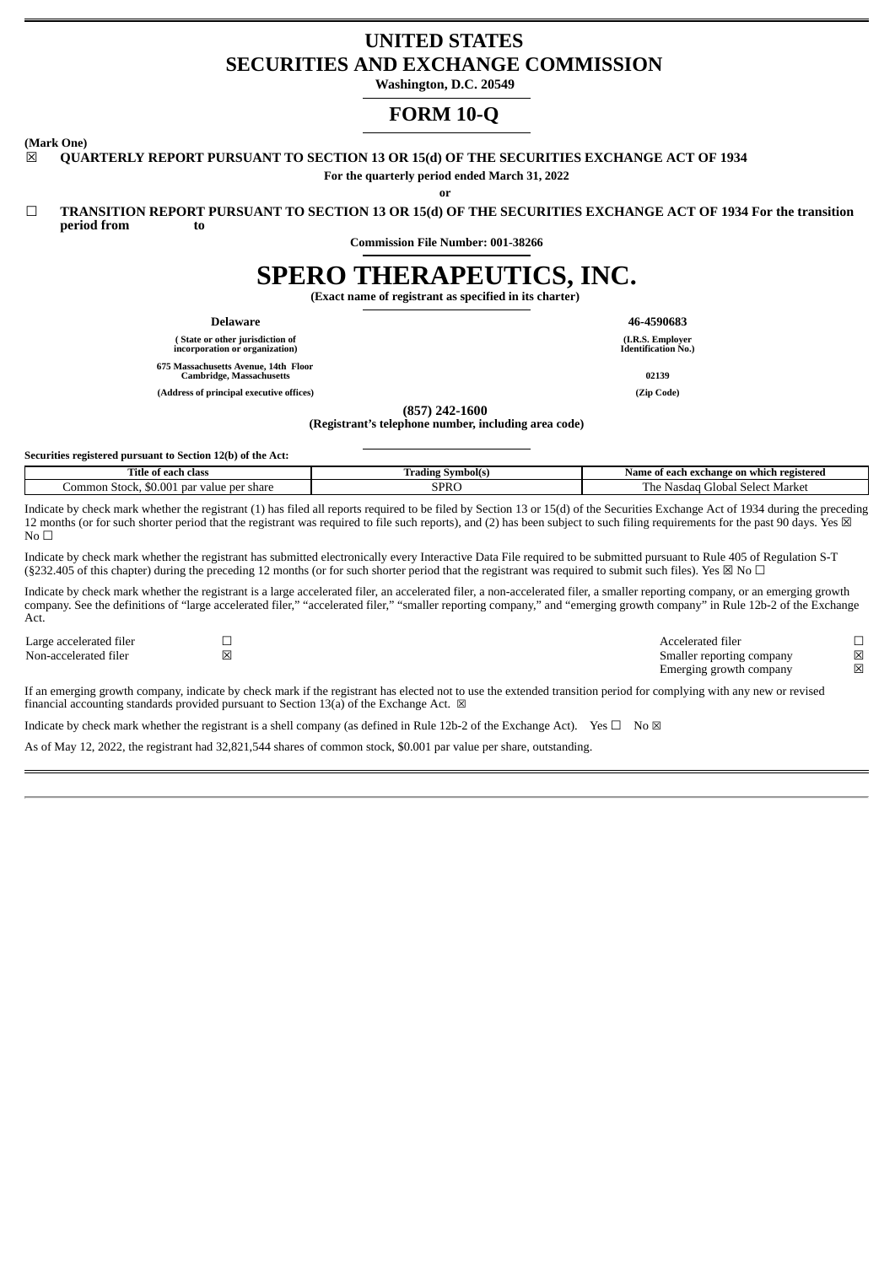# **UNITED STATES SECURITIES AND EXCHANGE COMMISSION**

**Washington, D.C. 20549**

# **FORM 10-Q**

**(Mark One)**

| $\boxtimes$ QUARTERLY REPORT PURSUANT TO SECTION 13 OR 15(d) OF THE SECURITIES EXCHANGE ACT OF 1934 |  |
|-----------------------------------------------------------------------------------------------------|--|
|-----------------------------------------------------------------------------------------------------|--|

**For the quarterly period ended March 31, 2022**

**or**

□ TRANSITION REPORT PURSUANT TO SECTION 13 OR 15(d) OF THE SECURITIES EXCHANGE ACT OF 1934 For the transition **period from to**

**Commission File Number: 001-38266**

# **SPERO THERAPEUTICS, INC.**

**(Exact name of registrant as specified in its charter)**

**Delaware 46-4590683**

**( State or other jurisdiction of incorporation or organization)**

**675 Massachusetts Avenue, 14th Floor Cambridge, Massachusetts 02139**

**(Address of principal executive offices) (Zip Code)**

**(857) 242-1600**

**(Registrant's telephone number, including area code)**

**Securities registered pursuant to Section 12(b) of the Act:**

| Titl<br>0Ť<br>each<br>cias                                          | <b>Symbol</b> s<br>ıradın | `registereo<br>.sam<br>-on<br>. which<br>° each<br>exchange<br>nt. |
|---------------------------------------------------------------------|---------------------------|--------------------------------------------------------------------|
| nar<br>$. \nmax$<br>ommon<br>alue<br>.sharr<br>›t<br>,,,,,<br>11.ET | <b>SDD</b>                | Marke<br>tobal<br>. he<br>$\sqrt{2}$<br>งส.รเ                      |

Indicate by check mark whether the registrant (1) has filed all reports required to be filed by Section 13 or 15(d) of the Securities Exchange Act of 1934 during the preceding 12 months (or for such shorter period that the registrant was required to file such reports), and (2) has been subject to such filing requirements for the past 90 days. Yes  $\boxtimes$  $No<sub>1</sub>$ 

Indicate by check mark whether the registrant has submitted electronically every Interactive Data File required to be submitted pursuant to Rule 405 of Regulation S-T (§232.405 of this chapter) during the preceding 12 months (or for such shorter period that the registrant was required to submit such files). Yes  $\boxtimes$  No  $\Box$ 

Indicate by check mark whether the registrant is a large accelerated filer, an accelerated filer, a non-accelerated filer, a smaller reporting company, or an emerging growth company. See the definitions of "large accelerated filer," "accelerated filer," "smaller reporting company," and "emerging growth company" in Rule 12b-2 of the Exchange Act.

Large accelerated filer ☐ Accelerated filer ☐ Non-accelerated filer  $\boxtimes$   $\boxtimes$ Emerging growth company  $\boxtimes$ 

**(I.R.S. Employer Identification No.)**

If an emerging growth company, indicate by check mark if the registrant has elected not to use the extended transition period for complying with any new or revised financial accounting standards provided pursuant to Section 13(a) of the Exchange Act.  $\boxtimes$ 

Indicate by check mark whether the registrant is a shell company (as defined in Rule 12b-2 of the Exchange Act). Yes  $\Box$  No  $\boxtimes$ 

As of May 12, 2022, the registrant had 32,821,544 shares of common stock, \$0.001 par value per share, outstanding.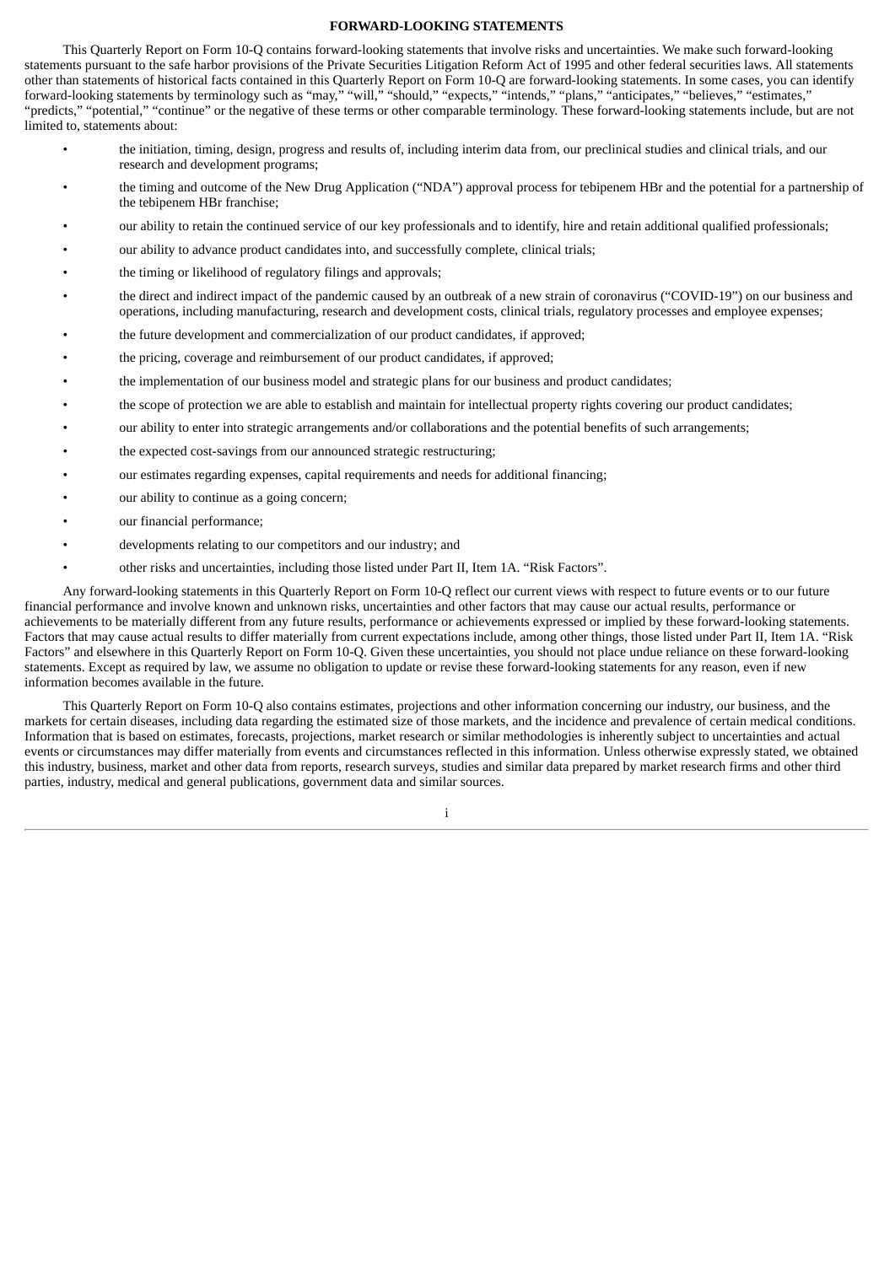## **FORWARD-LOOKING STATEMENTS**

This Quarterly Report on Form 10-Q contains forward-looking statements that involve risks and uncertainties. We make such forward-looking statements pursuant to the safe harbor provisions of the Private Securities Litigation Reform Act of 1995 and other federal securities laws. All statements other than statements of historical facts contained in this Quarterly Report on Form 10-Q are forward-looking statements. In some cases, you can identify forward-looking statements by terminology such as "may," "will," "should," "expects," "intends," "plans," "anticipates," "believes," "estimates," "predicts," "potential," "continue" or the negative of these terms or other comparable terminology. These forward-looking statements include, but are not limited to, statements about:

- the initiation, timing, design, progress and results of, including interim data from, our preclinical studies and clinical trials, and our research and development programs;
- the timing and outcome of the New Drug Application ("NDA") approval process for tebipenem HBr and the potential for a partnership of the tebipenem HBr franchise;
- our ability to retain the continued service of our key professionals and to identify, hire and retain additional qualified professionals;
- our ability to advance product candidates into, and successfully complete, clinical trials;
- the timing or likelihood of regulatory filings and approvals;
- the direct and indirect impact of the pandemic caused by an outbreak of a new strain of coronavirus ("COVID-19") on our business and operations, including manufacturing, research and development costs, clinical trials, regulatory processes and employee expenses;
- the future development and commercialization of our product candidates, if approved;
- the pricing, coverage and reimbursement of our product candidates, if approved;
- the implementation of our business model and strategic plans for our business and product candidates;
- the scope of protection we are able to establish and maintain for intellectual property rights covering our product candidates;
- our ability to enter into strategic arrangements and/or collaborations and the potential benefits of such arrangements;
- the expected cost-savings from our announced strategic restructuring;
- our estimates regarding expenses, capital requirements and needs for additional financing;
- our ability to continue as a going concern;
- our financial performance;
- developments relating to our competitors and our industry; and
- other risks and uncertainties, including those listed under Part II, Item 1A. "Risk Factors".

Any forward-looking statements in this Quarterly Report on Form 10-Q reflect our current views with respect to future events or to our future financial performance and involve known and unknown risks, uncertainties and other factors that may cause our actual results, performance or achievements to be materially different from any future results, performance or achievements expressed or implied by these forward-looking statements. Factors that may cause actual results to differ materially from current expectations include, among other things, those listed under Part II, Item 1A. "Risk Factors" and elsewhere in this Quarterly Report on Form 10-Q. Given these uncertainties, you should not place undue reliance on these forward-looking statements. Except as required by law, we assume no obligation to update or revise these forward-looking statements for any reason, even if new information becomes available in the future.

This Quarterly Report on Form 10-Q also contains estimates, projections and other information concerning our industry, our business, and the markets for certain diseases, including data regarding the estimated size of those markets, and the incidence and prevalence of certain medical conditions. Information that is based on estimates, forecasts, projections, market research or similar methodologies is inherently subject to uncertainties and actual events or circumstances may differ materially from events and circumstances reflected in this information. Unless otherwise expressly stated, we obtained this industry, business, market and other data from reports, research surveys, studies and similar data prepared by market research firms and other third parties, industry, medical and general publications, government data and similar sources.

i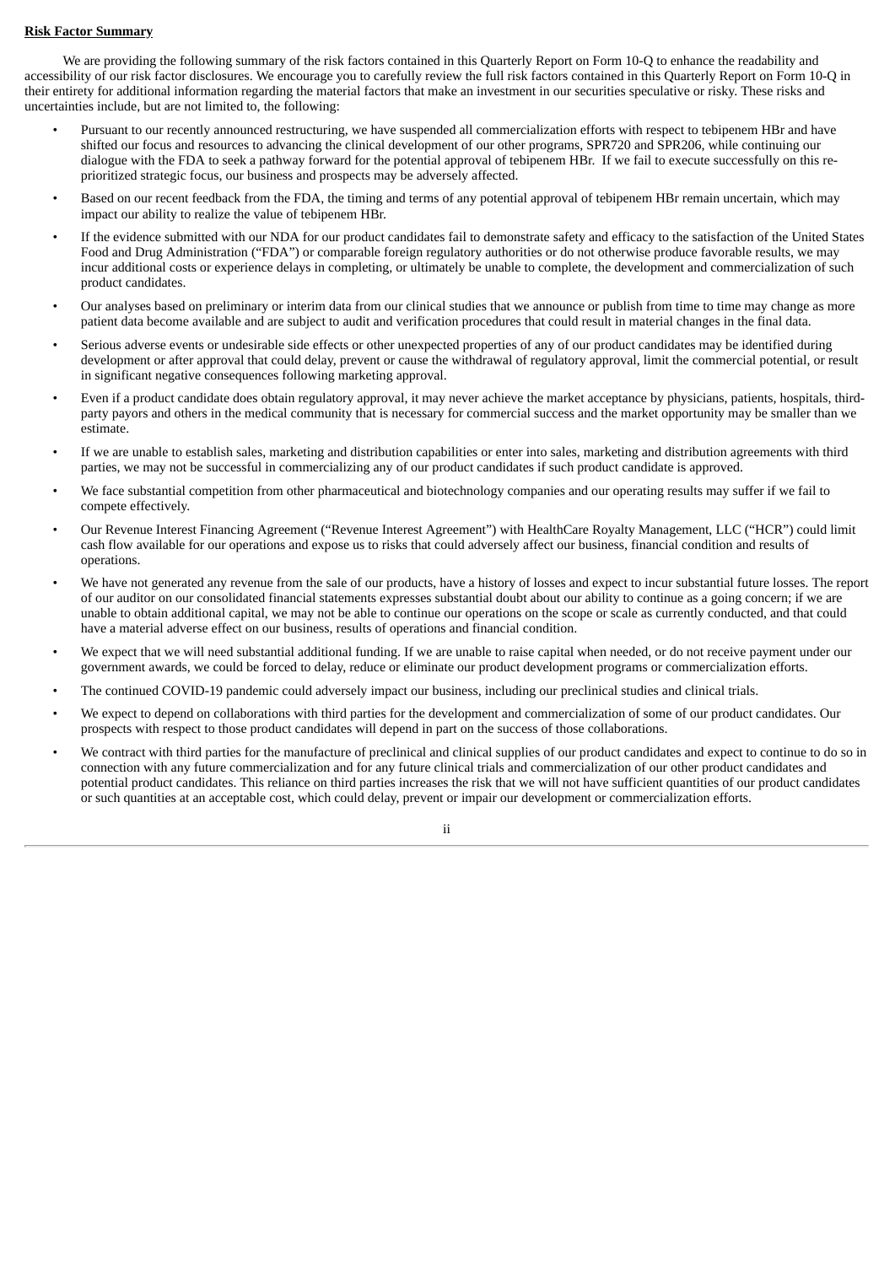# **Risk Factor Summary**

We are providing the following summary of the risk factors contained in this Quarterly Report on Form 10-Q to enhance the readability and accessibility of our risk factor disclosures. We encourage you to carefully review the full risk factors contained in this Quarterly Report on Form 10-Q in their entirety for additional information regarding the material factors that make an investment in our securities speculative or risky. These risks and uncertainties include, but are not limited to, the following:

- Pursuant to our recently announced restructuring, we have suspended all commercialization efforts with respect to tebipenem HBr and have shifted our focus and resources to advancing the clinical development of our other programs, SPR720 and SPR206, while continuing our dialogue with the FDA to seek a pathway forward for the potential approval of tebipenem HBr. If we fail to execute successfully on this reprioritized strategic focus, our business and prospects may be adversely affected.
- Based on our recent feedback from the FDA, the timing and terms of any potential approval of tebipenem HBr remain uncertain, which may impact our ability to realize the value of tebipenem HBr.
- If the evidence submitted with our NDA for our product candidates fail to demonstrate safety and efficacy to the satisfaction of the United States Food and Drug Administration ("FDA") or comparable foreign regulatory authorities or do not otherwise produce favorable results, we may incur additional costs or experience delays in completing, or ultimately be unable to complete, the development and commercialization of such product candidates.
- Our analyses based on preliminary or interim data from our clinical studies that we announce or publish from time to time may change as more patient data become available and are subject to audit and verification procedures that could result in material changes in the final data.
- Serious adverse events or undesirable side effects or other unexpected properties of any of our product candidates may be identified during development or after approval that could delay, prevent or cause the withdrawal of regulatory approval, limit the commercial potential, or result in significant negative consequences following marketing approval.
- Even if a product candidate does obtain regulatory approval, it may never achieve the market acceptance by physicians, patients, hospitals, thirdparty payors and others in the medical community that is necessary for commercial success and the market opportunity may be smaller than we estimate.
- If we are unable to establish sales, marketing and distribution capabilities or enter into sales, marketing and distribution agreements with third parties, we may not be successful in commercializing any of our product candidates if such product candidate is approved.
- We face substantial competition from other pharmaceutical and biotechnology companies and our operating results may suffer if we fail to compete effectively.
- Our Revenue Interest Financing Agreement ("Revenue Interest Agreement") with HealthCare Royalty Management, LLC ("HCR") could limit cash flow available for our operations and expose us to risks that could adversely affect our business, financial condition and results of operations.
- We have not generated any revenue from the sale of our products, have a history of losses and expect to incur substantial future losses. The report of our auditor on our consolidated financial statements expresses substantial doubt about our ability to continue as a going concern; if we are unable to obtain additional capital, we may not be able to continue our operations on the scope or scale as currently conducted, and that could have a material adverse effect on our business, results of operations and financial condition.
- We expect that we will need substantial additional funding. If we are unable to raise capital when needed, or do not receive payment under our government awards, we could be forced to delay, reduce or eliminate our product development programs or commercialization efforts.
- The continued COVID-19 pandemic could adversely impact our business, including our preclinical studies and clinical trials.
- We expect to depend on collaborations with third parties for the development and commercialization of some of our product candidates. Our prospects with respect to those product candidates will depend in part on the success of those collaborations.

ii

• We contract with third parties for the manufacture of preclinical and clinical supplies of our product candidates and expect to continue to do so in connection with any future commercialization and for any future clinical trials and commercialization of our other product candidates and potential product candidates. This reliance on third parties increases the risk that we will not have sufficient quantities of our product candidates or such quantities at an acceptable cost, which could delay, prevent or impair our development or commercialization efforts.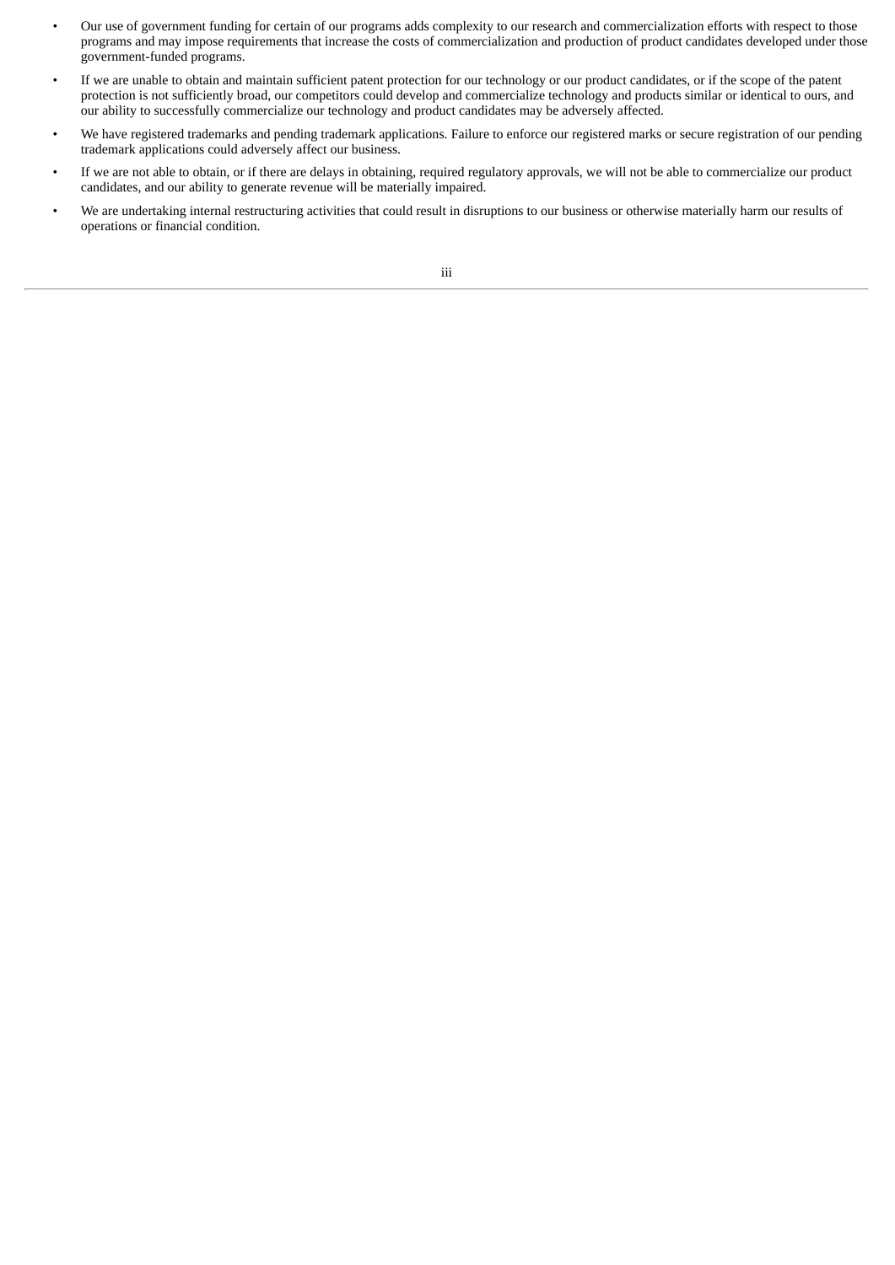- Our use of government funding for certain of our programs adds complexity to our research and commercialization efforts with respect to those programs and may impose requirements that increase the costs of commercialization and production of product candidates developed under those government-funded programs.
- If we are unable to obtain and maintain sufficient patent protection for our technology or our product candidates, or if the scope of the patent protection is not sufficiently broad, our competitors could develop and commercialize technology and products similar or identical to ours, and our ability to successfully commercialize our technology and product candidates may be adversely affected.
- We have registered trademarks and pending trademark applications. Failure to enforce our registered marks or secure registration of our pending trademark applications could adversely affect our business.
- If we are not able to obtain, or if there are delays in obtaining, required regulatory approvals, we will not be able to commercialize our product candidates, and our ability to generate revenue will be materially impaired.
- We are undertaking internal restructuring activities that could result in disruptions to our business or otherwise materially harm our results of operations or financial condition.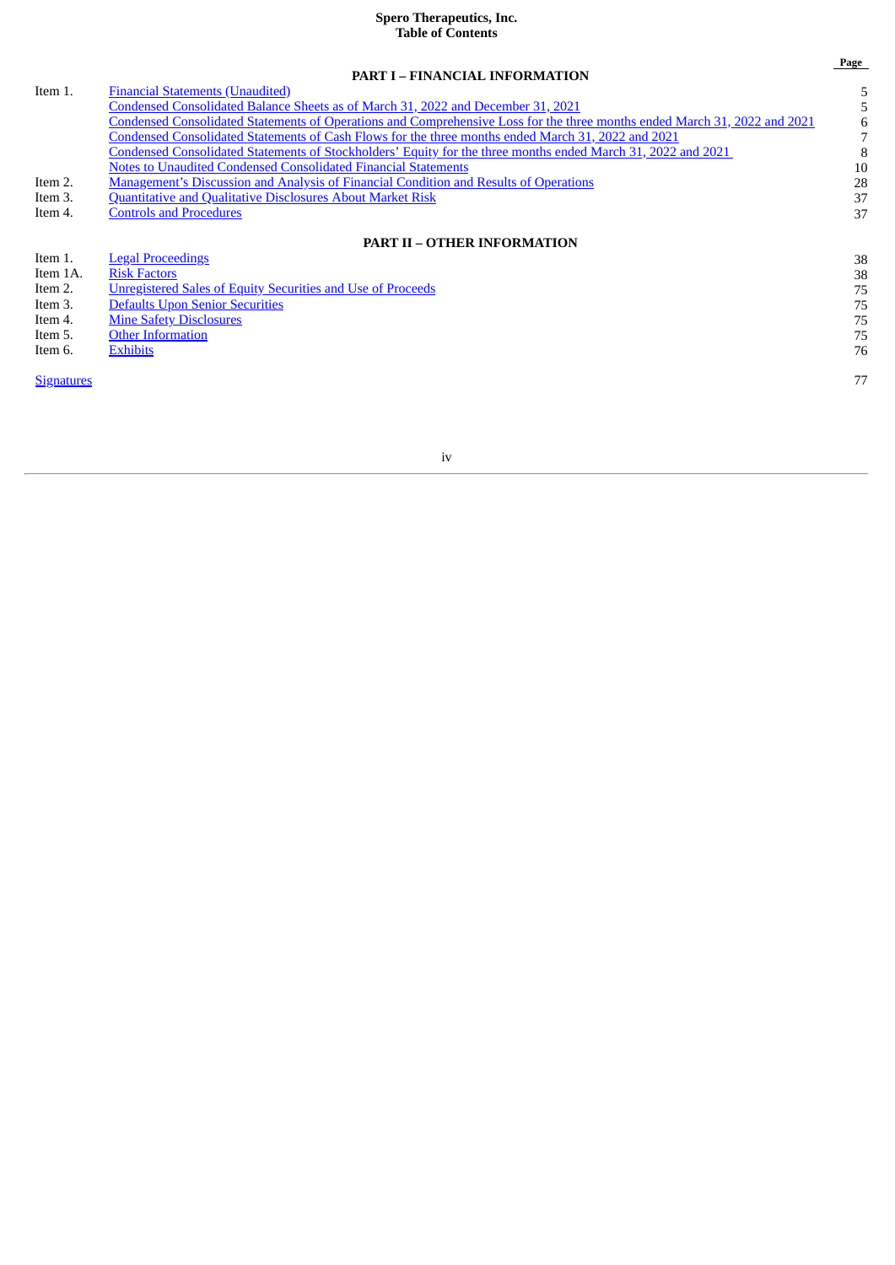## **Spero Therapeutics, Inc. Table of Contents**

# **PART I – FINANCIAL INFORMATION**

| Item 1.           | <b>Financial Statements (Unaudited)</b>                                                                                   |    |
|-------------------|---------------------------------------------------------------------------------------------------------------------------|----|
|                   | Condensed Consolidated Balance Sheets as of March 31, 2022 and December 31, 2021                                          | ., |
|                   | Condensed Consolidated Statements of Operations and Comprehensive Loss for the three months ended March 31, 2022 and 2021 | 6  |
|                   | Condensed Consolidated Statements of Cash Flows for the three months ended March 31, 2022 and 2021                        |    |
|                   | Condensed Consolidated Statements of Stockholders' Equity for the three months ended March 31, 2022 and 2021              | 8  |
|                   | <b>Notes to Unaudited Condensed Consolidated Financial Statements</b>                                                     | 10 |
| Item 2.           | <b>Management's Discussion and Analysis of Financial Condition and Results of Operations</b>                              | 28 |
| Item 3.           | <b>Quantitative and Qualitative Disclosures About Market Risk</b>                                                         | 37 |
| Item 4.           | <b>Controls and Procedures</b>                                                                                            | 37 |
|                   | <b>PART II - OTHER INFORMATION</b>                                                                                        |    |
| Item 1.           | <b>Legal Proceedings</b>                                                                                                  | 38 |
| Item 1A.          | <b>Risk Factors</b>                                                                                                       | 38 |
| Item 2.           | <b>Unregistered Sales of Equity Securities and Use of Proceeds</b>                                                        | 75 |
| Item 3.           | <b>Defaults Upon Senior Securities</b>                                                                                    | 75 |
| Item 4.           | <b>Mine Safety Disclosures</b>                                                                                            | 75 |
| Item 5.           | <b>Other Information</b>                                                                                                  | 75 |
| Item 6.           | <b>Exhibits</b>                                                                                                           | 76 |
| <b>Signatures</b> |                                                                                                                           | 77 |

iv

**Page**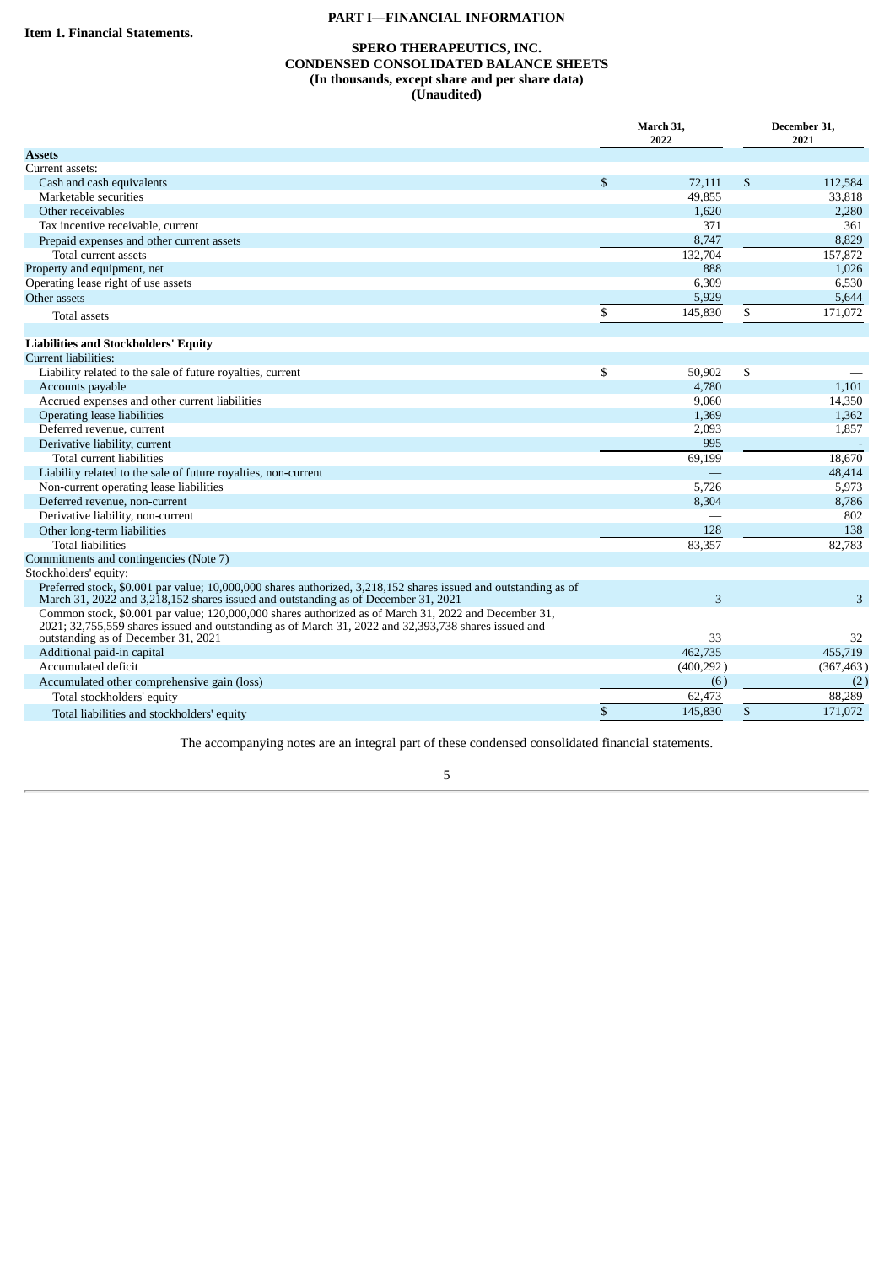# **PART I—FINANCIAL INFORMATION**

# **SPERO THERAPEUTICS, INC. CONDENSED CONSOLIDATED BALANCE SHEETS (In thousands, except share and per share data) (Unaudited)**

<span id="page-5-1"></span><span id="page-5-0"></span>

|                                                                                                                                                                                                              | March 31,<br>2022 | December 31,<br>2021 |            |  |
|--------------------------------------------------------------------------------------------------------------------------------------------------------------------------------------------------------------|-------------------|----------------------|------------|--|
| <b>Assets</b>                                                                                                                                                                                                |                   |                      |            |  |
| Current assets:                                                                                                                                                                                              |                   |                      |            |  |
| Cash and cash equivalents                                                                                                                                                                                    | \$<br>72,111      | \$                   | 112,584    |  |
| Marketable securities                                                                                                                                                                                        | 49,855            |                      | 33,818     |  |
| Other receivables                                                                                                                                                                                            | 1,620             |                      | 2,280      |  |
| Tax incentive receivable, current                                                                                                                                                                            | 371               |                      | 361        |  |
| Prepaid expenses and other current assets                                                                                                                                                                    | 8,747             |                      | 8,829      |  |
| Total current assets                                                                                                                                                                                         | 132,704           |                      | 157,872    |  |
| Property and equipment, net                                                                                                                                                                                  | 888               |                      | 1,026      |  |
| Operating lease right of use assets                                                                                                                                                                          | 6.309             |                      | 6.530      |  |
| Other assets                                                                                                                                                                                                 | 5,929             |                      | 5,644      |  |
| <b>Total assets</b>                                                                                                                                                                                          | \$<br>145,830     | \$                   | 171,072    |  |
|                                                                                                                                                                                                              |                   |                      |            |  |
| <b>Liabilities and Stockholders' Equity</b>                                                                                                                                                                  |                   |                      |            |  |
| <b>Current liabilities:</b>                                                                                                                                                                                  |                   |                      |            |  |
| Liability related to the sale of future royalties, current                                                                                                                                                   | \$<br>50,902      | \$                   |            |  |
| Accounts payable                                                                                                                                                                                             | 4,780             |                      | 1,101      |  |
| Accrued expenses and other current liabilities                                                                                                                                                               | 9,060             |                      | 14,350     |  |
| Operating lease liabilities                                                                                                                                                                                  | 1,369             |                      | 1,362      |  |
| Deferred revenue, current                                                                                                                                                                                    | 2,093             |                      | 1,857      |  |
| Derivative liability, current                                                                                                                                                                                | 995               |                      |            |  |
| <b>Total current liabilities</b>                                                                                                                                                                             | 69,199            |                      | 18,670     |  |
| Liability related to the sale of future royalties, non-current                                                                                                                                               |                   |                      | 48,414     |  |
| Non-current operating lease liabilities                                                                                                                                                                      | 5,726             |                      | 5,973      |  |
| Deferred revenue, non-current                                                                                                                                                                                | 8,304             |                      | 8,786      |  |
| Derivative liability, non-current                                                                                                                                                                            |                   |                      | 802        |  |
| Other long-term liabilities                                                                                                                                                                                  | 128               |                      | 138        |  |
| <b>Total liabilities</b>                                                                                                                                                                                     | 83,357            |                      | 82,783     |  |
| Commitments and contingencies (Note 7)                                                                                                                                                                       |                   |                      |            |  |
| Stockholders' equity:                                                                                                                                                                                        |                   |                      |            |  |
| Preferred stock, \$0.001 par value; 10,000,000 shares authorized, 3,218,152 shares issued and outstanding as of<br>March 31, 2022 and 3,218,152 shares issued and outstanding as of December 31, 2021        | 3                 |                      | 3          |  |
| Common stock, \$0.001 par value; 120,000,000 shares authorized as of March 31, 2022 and December 31,<br>2021; 32,755,559 shares issued and outstanding as of March 31, 2022 and 32,393,738 shares issued and |                   |                      |            |  |
| outstanding as of December 31, 2021                                                                                                                                                                          | 33                |                      | 32         |  |
| Additional paid-in capital                                                                                                                                                                                   | 462,735           |                      | 455,719    |  |
| Accumulated deficit                                                                                                                                                                                          | (400, 292)        |                      | (367, 463) |  |
| Accumulated other comprehensive gain (loss)                                                                                                                                                                  | (6)               |                      | (2)        |  |
| Total stockholders' equity                                                                                                                                                                                   | 62,473            |                      | 88,289     |  |
| Total liabilities and stockholders' equity                                                                                                                                                                   | \$<br>145,830     | \$                   | 171,072    |  |

The accompanying notes are an integral part of these condensed consolidated financial statements.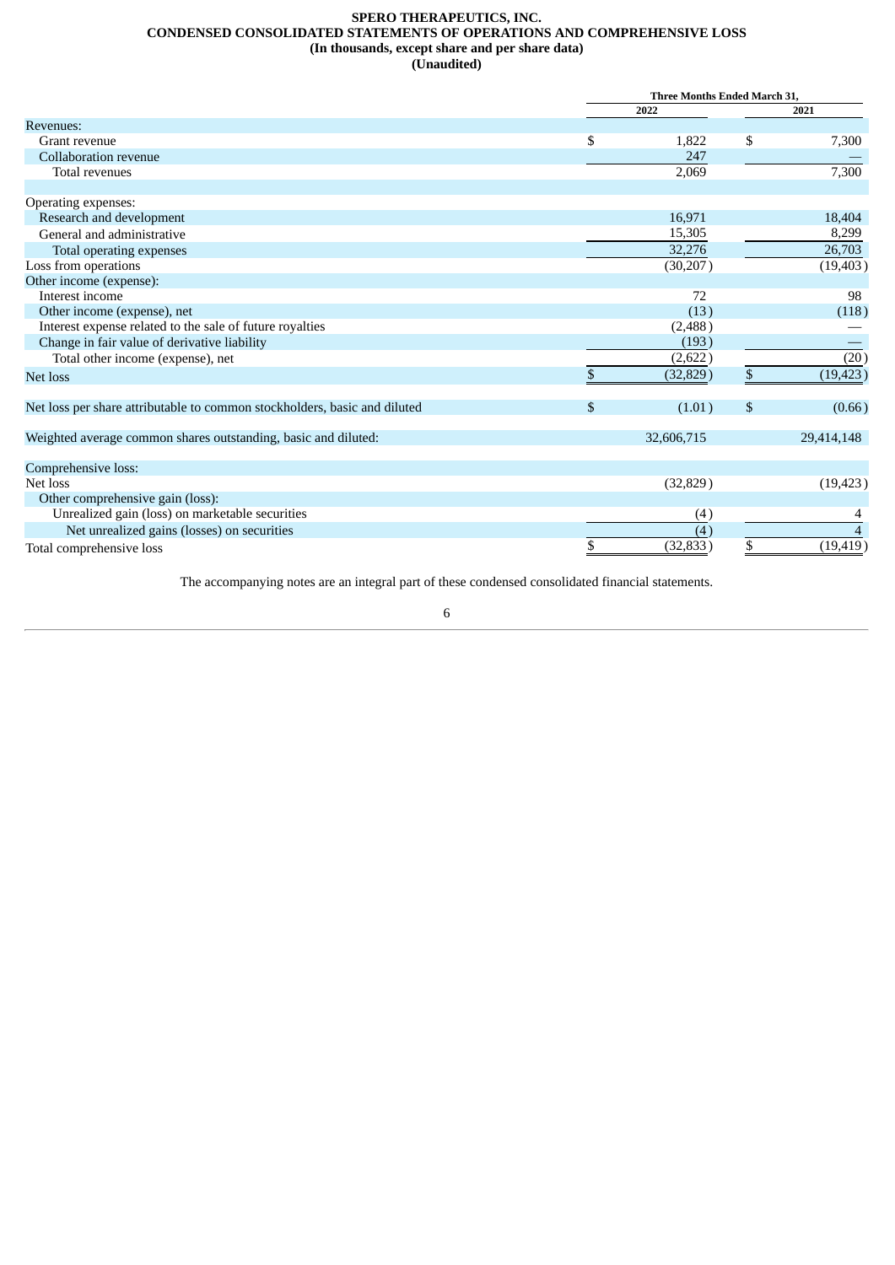### **SPERO THERAPEUTICS, INC. CONDENSED CONSOLIDATED STATEMENTS OF OPERATIONS AND COMPREHENSIVE LOSS (In thousands, except share and per share data) (Unaudited)**

<span id="page-6-0"></span>

|                                                                           | <b>Three Months Ended March 31.</b> |     |                |  |
|---------------------------------------------------------------------------|-------------------------------------|-----|----------------|--|
|                                                                           | 2022                                |     | 2021           |  |
| <b>Revenues:</b>                                                          |                                     |     |                |  |
| Grant revenue                                                             | \$<br>1,822                         | \$  | 7,300          |  |
| Collaboration revenue                                                     | 247                                 |     |                |  |
| <b>Total revenues</b>                                                     | 2,069                               |     | 7,300          |  |
| Operating expenses:                                                       |                                     |     |                |  |
| Research and development                                                  | 16,971                              |     | 18,404         |  |
| General and administrative                                                | 15,305                              |     | 8,299          |  |
| Total operating expenses                                                  | 32,276                              |     | 26,703         |  |
| Loss from operations                                                      | (30,207)                            |     | (19, 403)      |  |
| Other income (expense):                                                   |                                     |     |                |  |
| Interest income                                                           | 72                                  |     | 98             |  |
| Other income (expense), net                                               | (13)                                |     | (118)          |  |
| Interest expense related to the sale of future royalties                  | (2,488)                             |     |                |  |
| Change in fair value of derivative liability                              | (193)                               |     |                |  |
| Total other income (expense), net                                         | (2,622)                             |     | (20)           |  |
| <b>Net loss</b>                                                           | \$<br>(32, 829)                     | \$  | (19, 423)      |  |
| Net loss per share attributable to common stockholders, basic and diluted | \$<br>(1.01)                        | \$  | (0.66)         |  |
|                                                                           |                                     |     |                |  |
| Weighted average common shares outstanding, basic and diluted:            | 32,606,715                          |     | 29,414,148     |  |
| Comprehensive loss:                                                       |                                     |     |                |  |
| Net loss                                                                  | (32, 829)                           |     | (19, 423)      |  |
| Other comprehensive gain (loss):                                          |                                     |     |                |  |
| Unrealized gain (loss) on marketable securities                           | (4)                                 |     |                |  |
| Net unrealized gains (losses) on securities                               | (4)                                 |     | $\overline{4}$ |  |
| Total comprehensive loss                                                  | \$<br>(32, 833)                     | \$. | (19, 419)      |  |

The accompanying notes are an integral part of these condensed consolidated financial statements.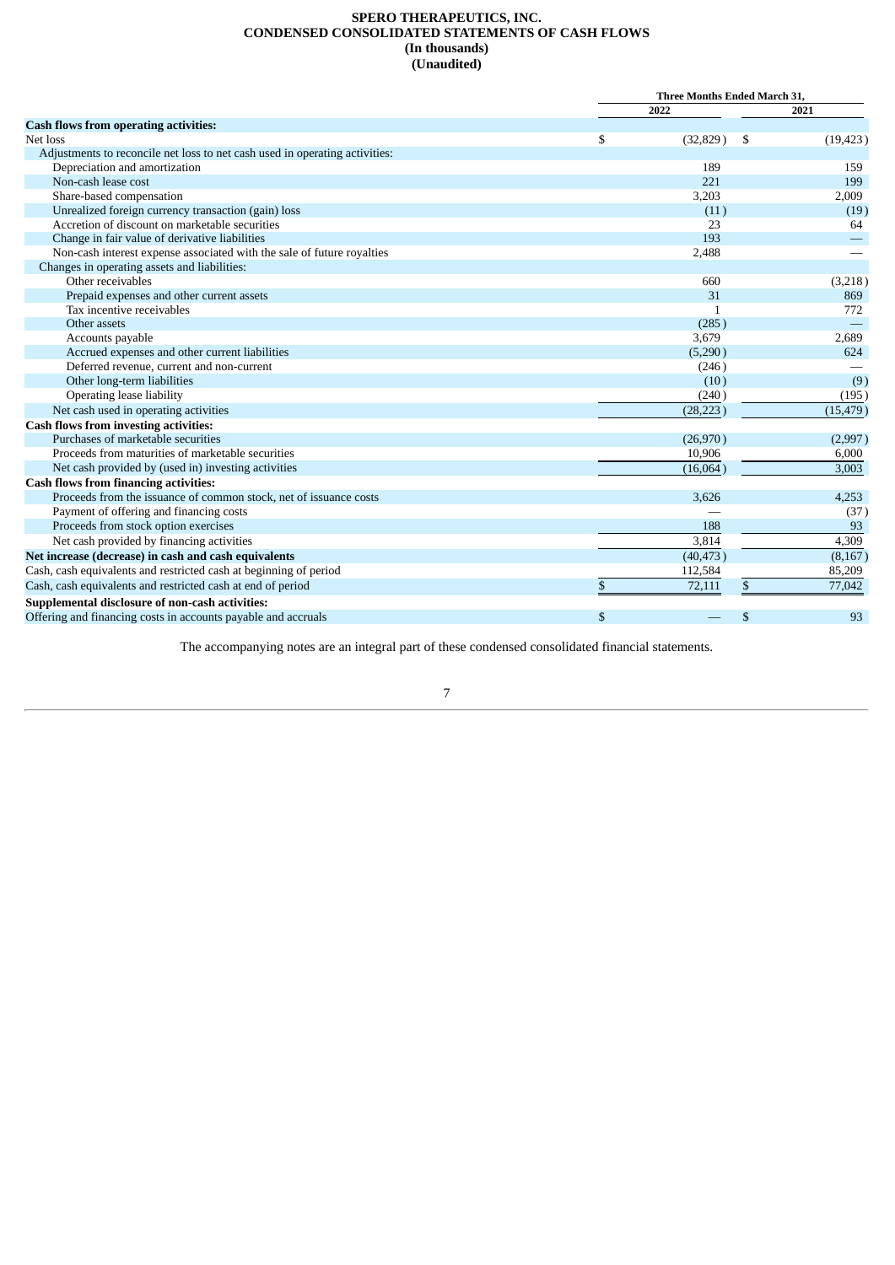# **SPERO THERAPEUTICS, INC. CONDENSED CONSOLIDATED STATEMENTS OF CASH FLOWS (In thousands) (Unaudited)**

<span id="page-7-0"></span>

|                                                                             | Three Months Ended March 31, |      |           |  |  |
|-----------------------------------------------------------------------------|------------------------------|------|-----------|--|--|
|                                                                             | 2022                         |      | 2021      |  |  |
| <b>Cash flows from operating activities:</b>                                |                              |      |           |  |  |
| Net loss                                                                    | \$<br>(32, 829)              | - \$ | (19, 423) |  |  |
| Adjustments to reconcile net loss to net cash used in operating activities: |                              |      |           |  |  |
| Depreciation and amortization                                               | 189                          |      | 159       |  |  |
| Non-cash lease cost                                                         | 221                          |      | 199       |  |  |
| Share-based compensation                                                    | 3,203                        |      | 2,009     |  |  |
| Unrealized foreign currency transaction (gain) loss                         | (11)                         |      | (19)      |  |  |
| Accretion of discount on marketable securities                              | 23                           |      | 64        |  |  |
| Change in fair value of derivative liabilities                              | 193                          |      |           |  |  |
| Non-cash interest expense associated with the sale of future royalties      | 2,488                        |      |           |  |  |
| Changes in operating assets and liabilities:                                |                              |      |           |  |  |
| Other receivables                                                           | 660                          |      | (3,218)   |  |  |
| Prepaid expenses and other current assets                                   | 31                           |      | 869       |  |  |
| Tax incentive receivables                                                   |                              |      | 772       |  |  |
| Other assets                                                                | (285)                        |      |           |  |  |
| Accounts payable                                                            | 3,679                        |      | 2,689     |  |  |
| Accrued expenses and other current liabilities                              | (5,290)                      |      | 624       |  |  |
| Deferred revenue, current and non-current                                   | (246)                        |      |           |  |  |
| Other long-term liabilities                                                 | (10)                         |      | (9)       |  |  |
| Operating lease liability                                                   | (240)                        |      | (195)     |  |  |
| Net cash used in operating activities                                       | (28, 223)                    |      | (15, 479) |  |  |
| <b>Cash flows from investing activities:</b>                                |                              |      |           |  |  |
| Purchases of marketable securities                                          | (26,970)                     |      | (2,997)   |  |  |
| Proceeds from maturities of marketable securities                           | 10,906                       |      | 6,000     |  |  |
| Net cash provided by (used in) investing activities                         | (16,064)                     |      | 3,003     |  |  |
| <b>Cash flows from financing activities:</b>                                |                              |      |           |  |  |
| Proceeds from the issuance of common stock, net of issuance costs           | 3,626                        |      | 4,253     |  |  |
| Payment of offering and financing costs                                     |                              |      | (37)      |  |  |
| Proceeds from stock option exercises                                        | 188                          |      | 93        |  |  |
| Net cash provided by financing activities                                   | 3,814                        |      | 4,309     |  |  |
| Net increase (decrease) in cash and cash equivalents                        | (40, 473)                    |      | (8, 167)  |  |  |
| Cash, cash equivalents and restricted cash at beginning of period           | 112,584                      |      | 85,209    |  |  |
| Cash, cash equivalents and restricted cash at end of period                 | \$<br>72,111                 | S.   | 77,042    |  |  |
| Supplemental disclosure of non-cash activities:                             |                              |      |           |  |  |
| Offering and financing costs in accounts payable and accruals               | \$                           | \$   | 93        |  |  |
|                                                                             |                              |      |           |  |  |

The accompanying notes are an integral part of these condensed consolidated financial statements.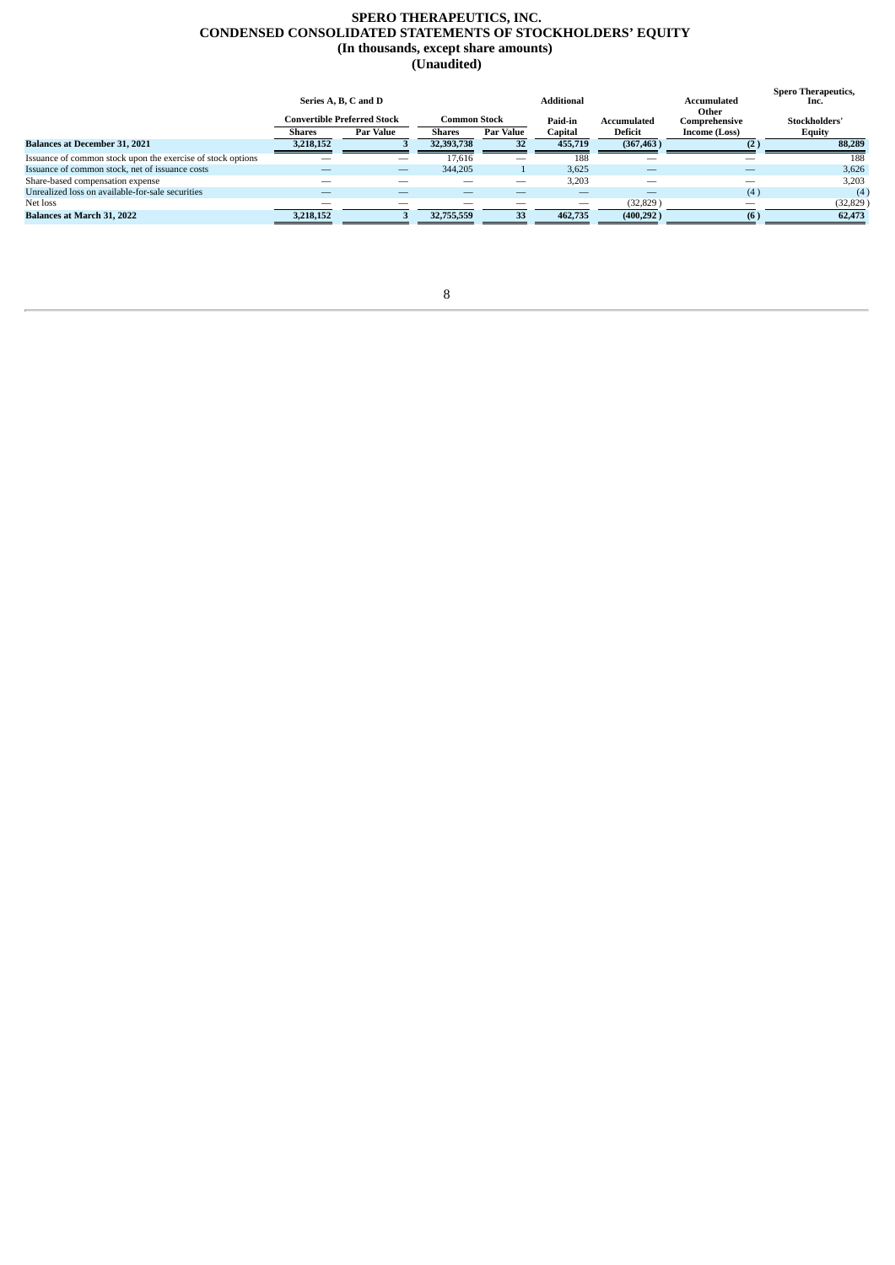# **SPERO THERAPEUTICS, INC. CONDENSED CONSOLIDATED STATEMENTS OF STOCKHOLDERS' EQUITY (In thousands, except share amounts) (Unaudited)**

<span id="page-8-0"></span>

|                                                             |               | Series A, B, C and D               |                     |           | <b>Additional</b> |             | Accumulated<br>Other | <b>Spero Therapeutics,</b><br>Inc. |
|-------------------------------------------------------------|---------------|------------------------------------|---------------------|-----------|-------------------|-------------|----------------------|------------------------------------|
|                                                             |               | <b>Convertible Preferred Stock</b> | <b>Common Stock</b> |           | Paid-in           | Accumulated | Comprehensive        | <b>Stockholders'</b>               |
|                                                             | <b>Shares</b> | Par Value                          | Shares              | Par Value | Capital           | Deficit     | Income (Loss)        | Equity                             |
| <b>Balances at December 31, 2021</b>                        | 3,218,152     |                                    | 32,393,738          | 32        | 455,719           | (367, 463)  | (2)                  | 88,289                             |
| Issuance of common stock upon the exercise of stock options |               | _                                  | 17.616              |           | 188               | _           |                      | 188                                |
| Issuance of common stock, net of issuance costs             |               | –                                  | 344,205             |           | 3.625             | _           |                      | 3,626                              |
| Share-based compensation expense                            |               |                                    |                     |           | 3,203             | _           |                      | 3,203                              |
| Unrealized loss on available-for-sale securities            |               |                                    |                     |           |                   |             | (4)                  | (4)                                |
| Net loss                                                    |               |                                    |                     |           | _                 | (32, 829)   | --                   | (32, 829)                          |
| <b>Balances at March 31, 2022</b>                           | 3,218,152     |                                    | 32,755,559          | 33        | 462,735           | (400, 292)  | (6)                  | 62,473                             |

| ٠  |   |   |
|----|---|---|
| ۰  |   | ٦ |
| H. |   |   |
|    | ٦ |   |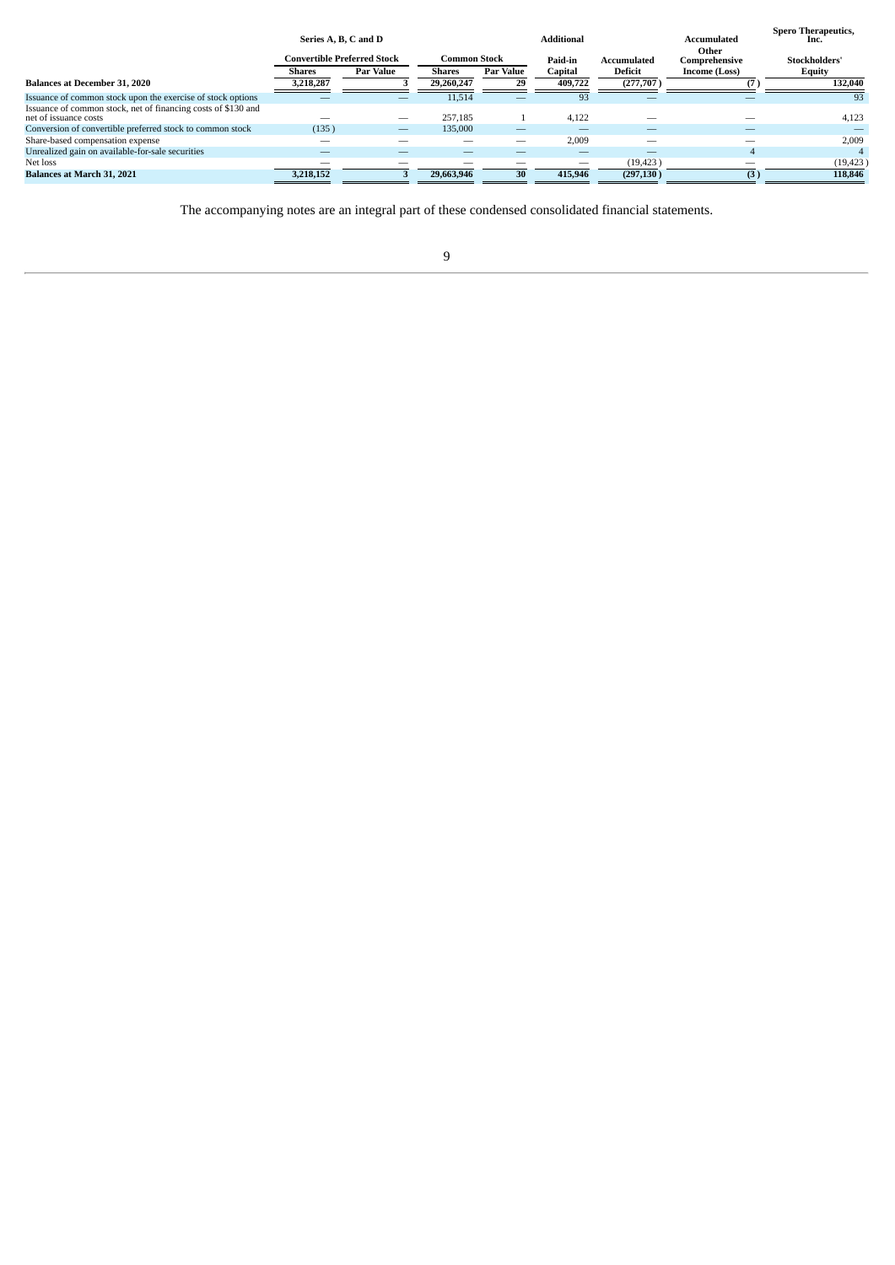|                                                                                        |               | Series A, B, C and D<br><b>Convertible Preferred Stock</b> | <b>Common Stock</b> |                  | <b>Additional</b><br>Paid-in<br>Accumulated |                          | Accumulated<br>Other<br>Comprehensive | <b>Spero Therapeutics,</b><br>Inc.<br><b>Stockholders</b> |
|----------------------------------------------------------------------------------------|---------------|------------------------------------------------------------|---------------------|------------------|---------------------------------------------|--------------------------|---------------------------------------|-----------------------------------------------------------|
|                                                                                        | <b>Shares</b> | <b>Par Value</b>                                           | <b>Shares</b>       | <b>Par Value</b> | Capital                                     | Deficit                  | Income (Loss)                         | <b>Equity</b>                                             |
| <b>Balances at December 31, 2020</b>                                                   | 3,218,287     |                                                            | 29,260,247          | 29               | 409,722                                     | (277,707)                |                                       | 132,040                                                   |
| Issuance of common stock upon the exercise of stock options                            |               |                                                            | 11,514              |                  | 93                                          | _                        |                                       | 93                                                        |
| Issuance of common stock, net of financing costs of \$130 and<br>net of issuance costs |               | $\overline{\phantom{a}}$                                   | 257,185             |                  | 4.122                                       | $\overline{\phantom{a}}$ |                                       | 4,123                                                     |
| Conversion of convertible preferred stock to common stock                              | (135)         |                                                            | 135,000             |                  | $\overline{\phantom{a}}$                    | $\overline{\phantom{a}}$ | –                                     |                                                           |
| Share-based compensation expense                                                       |               |                                                            |                     | _                | 2,009                                       | $\overline{\phantom{a}}$ |                                       | 2,009                                                     |
| Unrealized gain on available-for-sale securities                                       | –             | _                                                          | __                  |                  | $\overline{\phantom{a}}$                    | $\overline{\phantom{a}}$ | $\overline{4}$                        |                                                           |
| Net loss                                                                               |               |                                                            |                     |                  | _                                           | (19, 423)                | _                                     | (19, 423)                                                 |
| <b>Balances at March 31, 2021</b>                                                      | 3,218,152     |                                                            | 29,663,946          | 30               | 415,946                                     | (297, 130)               | (3)                                   | 118,846                                                   |

The accompanying notes are an integral part of these condensed consolidated financial statements.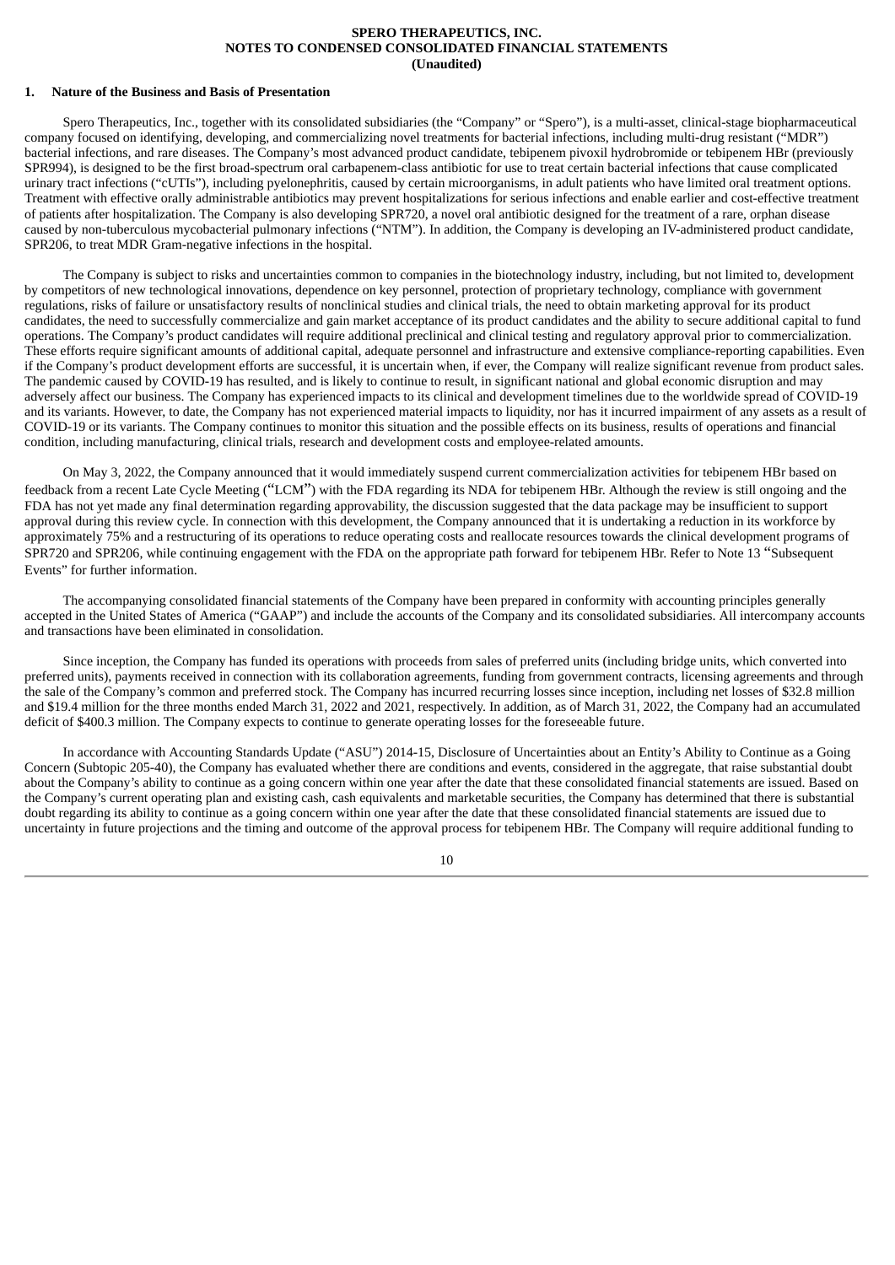# **SPERO THERAPEUTICS, INC. NOTES TO CONDENSED CONSOLIDATED FINANCIAL STATEMENTS (Unaudited)**

# <span id="page-10-0"></span>**1. Nature of the Business and Basis of Presentation**

Spero Therapeutics, Inc., together with its consolidated subsidiaries (the "Company" or "Spero"), is a multi-asset, clinical-stage biopharmaceutical company focused on identifying, developing, and commercializing novel treatments for bacterial infections, including multi-drug resistant ("MDR") bacterial infections, and rare diseases. The Company's most advanced product candidate, tebipenem pivoxil hydrobromide or tebipenem HBr (previously SPR994), is designed to be the first broad-spectrum oral carbapenem-class antibiotic for use to treat certain bacterial infections that cause complicated urinary tract infections ("cUTIs"), including pyelonephritis, caused by certain microorganisms, in adult patients who have limited oral treatment options. Treatment with effective orally administrable antibiotics may prevent hospitalizations for serious infections and enable earlier and cost-effective treatment of patients after hospitalization. The Company is also developing SPR720, a novel oral antibiotic designed for the treatment of a rare, orphan disease caused by non-tuberculous mycobacterial pulmonary infections ("NTM"). In addition, the Company is developing an IV-administered product candidate, SPR206, to treat MDR Gram-negative infections in the hospital.

The Company is subject to risks and uncertainties common to companies in the biotechnology industry, including, but not limited to, development by competitors of new technological innovations, dependence on key personnel, protection of proprietary technology, compliance with government regulations, risks of failure or unsatisfactory results of nonclinical studies and clinical trials, the need to obtain marketing approval for its product candidates, the need to successfully commercialize and gain market acceptance of its product candidates and the ability to secure additional capital to fund operations. The Company's product candidates will require additional preclinical and clinical testing and regulatory approval prior to commercialization. These efforts require significant amounts of additional capital, adequate personnel and infrastructure and extensive compliance-reporting capabilities. Even if the Company's product development efforts are successful, it is uncertain when, if ever, the Company will realize significant revenue from product sales. The pandemic caused by COVID-19 has resulted, and is likely to continue to result, in significant national and global economic disruption and may adversely affect our business. The Company has experienced impacts to its clinical and development timelines due to the worldwide spread of COVID-19 and its variants. However, to date, the Company has not experienced material impacts to liquidity, nor has it incurred impairment of any assets as a result of COVID-19 or its variants. The Company continues to monitor this situation and the possible effects on its business, results of operations and financial condition, including manufacturing, clinical trials, research and development costs and employee-related amounts.

On May 3, 2022, the Company announced that it would immediately suspend current commercialization activities for tebipenem HBr based on feedback from a recent Late Cycle Meeting ("LCM") with the FDA regarding its NDA for tebipenem HBr. Although the review is still ongoing and the FDA has not yet made any final determination regarding approvability, the discussion suggested that the data package may be insufficient to support approval during this review cycle. In connection with this development, the Company announced that it is undertaking a reduction in its workforce by approximately 75% and a restructuring of its operations to reduce operating costs and reallocate resources towards the clinical development programs of SPR720 and SPR206, while continuing engagement with the FDA on the appropriate path forward for tebipenem HBr. Refer to Note 13 "Subsequent Events" for further information.

The accompanying consolidated financial statements of the Company have been prepared in conformity with accounting principles generally accepted in the United States of America ("GAAP") and include the accounts of the Company and its consolidated subsidiaries. All intercompany accounts and transactions have been eliminated in consolidation.

Since inception, the Company has funded its operations with proceeds from sales of preferred units (including bridge units, which converted into preferred units), payments received in connection with its collaboration agreements, funding from government contracts, licensing agreements and through the sale of the Company's common and preferred stock. The Company has incurred recurring losses since inception, including net losses of \$32.8 million and \$19.4 million for the three months ended March 31, 2022 and 2021, respectively. In addition, as of March 31, 2022, the Company had an accumulated deficit of \$400.3 million. The Company expects to continue to generate operating losses for the foreseeable future.

In accordance with Accounting Standards Update ("ASU") 2014-15, Disclosure of Uncertainties about an Entity's Ability to Continue as a Going Concern (Subtopic 205-40), the Company has evaluated whether there are conditions and events, considered in the aggregate, that raise substantial doubt about the Company's ability to continue as a going concern within one year after the date that these consolidated financial statements are issued. Based on the Company's current operating plan and existing cash, cash equivalents and marketable securities, the Company has determined that there is substantial doubt regarding its ability to continue as a going concern within one year after the date that these consolidated financial statements are issued due to uncertainty in future projections and the timing and outcome of the approval process for tebipenem HBr. The Company will require additional funding to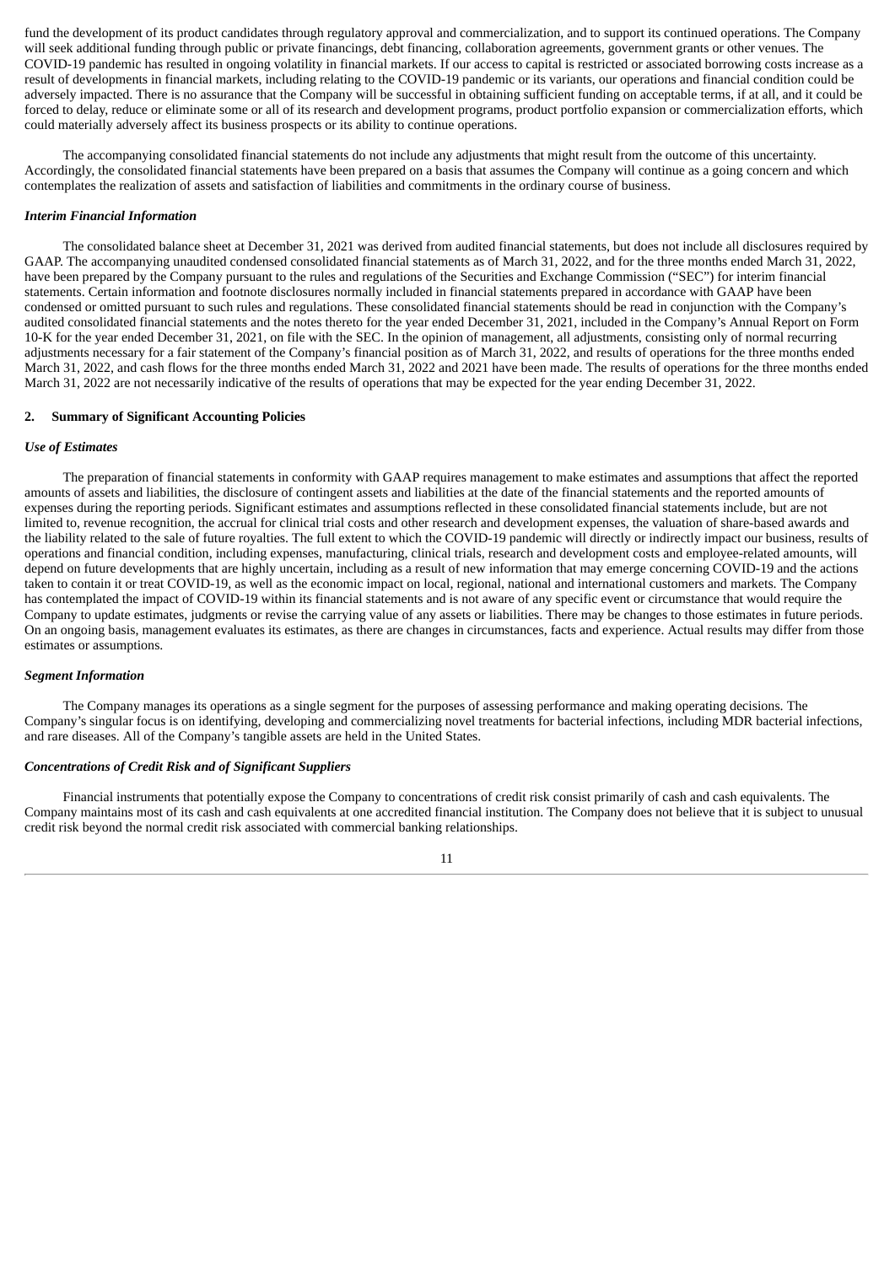fund the development of its product candidates through regulatory approval and commercialization, and to support its continued operations. The Company will seek additional funding through public or private financings, debt financing, collaboration agreements, government grants or other venues. The COVID-19 pandemic has resulted in ongoing volatility in financial markets. If our access to capital is restricted or associated borrowing costs increase as a result of developments in financial markets, including relating to the COVID-19 pandemic or its variants, our operations and financial condition could be adversely impacted. There is no assurance that the Company will be successful in obtaining sufficient funding on acceptable terms, if at all, and it could be forced to delay, reduce or eliminate some or all of its research and development programs, product portfolio expansion or commercialization efforts, which could materially adversely affect its business prospects or its ability to continue operations.

The accompanying consolidated financial statements do not include any adjustments that might result from the outcome of this uncertainty. Accordingly, the consolidated financial statements have been prepared on a basis that assumes the Company will continue as a going concern and which contemplates the realization of assets and satisfaction of liabilities and commitments in the ordinary course of business.

#### *Interim Financial Information*

The consolidated balance sheet at December 31, 2021 was derived from audited financial statements, but does not include all disclosures required by GAAP. The accompanying unaudited condensed consolidated financial statements as of March 31, 2022, and for the three months ended March 31, 2022, have been prepared by the Company pursuant to the rules and regulations of the Securities and Exchange Commission ("SEC") for interim financial statements. Certain information and footnote disclosures normally included in financial statements prepared in accordance with GAAP have been condensed or omitted pursuant to such rules and regulations. These consolidated financial statements should be read in conjunction with the Company's audited consolidated financial statements and the notes thereto for the year ended December 31, 2021, included in the Company's Annual Report on Form 10-K for the year ended December 31, 2021, on file with the SEC. In the opinion of management, all adjustments, consisting only of normal recurring adjustments necessary for a fair statement of the Company's financial position as of March 31, 2022, and results of operations for the three months ended March 31, 2022, and cash flows for the three months ended March 31, 2022 and 2021 have been made. The results of operations for the three months ended March 31, 2022 are not necessarily indicative of the results of operations that may be expected for the year ending December 31, 2022.

# **2. Summary of Significant Accounting Policies**

#### *Use of Estimates*

The preparation of financial statements in conformity with GAAP requires management to make estimates and assumptions that affect the reported amounts of assets and liabilities, the disclosure of contingent assets and liabilities at the date of the financial statements and the reported amounts of expenses during the reporting periods. Significant estimates and assumptions reflected in these consolidated financial statements include, but are not limited to, revenue recognition, the accrual for clinical trial costs and other research and development expenses, the valuation of share-based awards and the liability related to the sale of future royalties. The full extent to which the COVID-19 pandemic will directly or indirectly impact our business, results of operations and financial condition, including expenses, manufacturing, clinical trials, research and development costs and employee-related amounts, will depend on future developments that are highly uncertain, including as a result of new information that may emerge concerning COVID-19 and the actions taken to contain it or treat COVID-19, as well as the economic impact on local, regional, national and international customers and markets. The Company has contemplated the impact of COVID-19 within its financial statements and is not aware of any specific event or circumstance that would require the Company to update estimates, judgments or revise the carrying value of any assets or liabilities. There may be changes to those estimates in future periods. On an ongoing basis, management evaluates its estimates, as there are changes in circumstances, facts and experience. Actual results may differ from those estimates or assumptions.

#### *Segment Information*

The Company manages its operations as a single segment for the purposes of assessing performance and making operating decisions. The Company's singular focus is on identifying, developing and commercializing novel treatments for bacterial infections, including MDR bacterial infections, and rare diseases. All of the Company's tangible assets are held in the United States.

# *Concentrations of Credit Risk and of Significant Suppliers*

Financial instruments that potentially expose the Company to concentrations of credit risk consist primarily of cash and cash equivalents. The Company maintains most of its cash and cash equivalents at one accredited financial institution. The Company does not believe that it is subject to unusual credit risk beyond the normal credit risk associated with commercial banking relationships.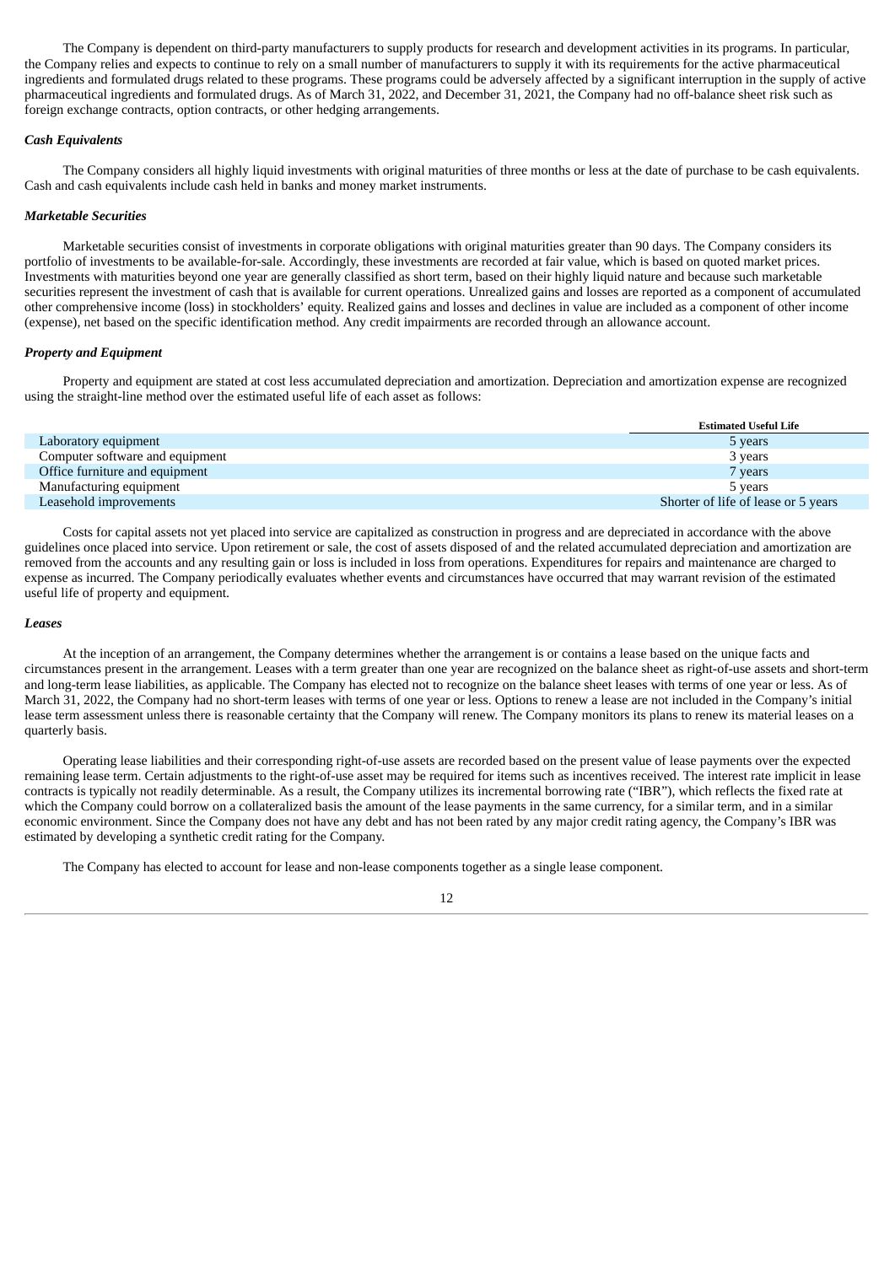The Company is dependent on third-party manufacturers to supply products for research and development activities in its programs. In particular, the Company relies and expects to continue to rely on a small number of manufacturers to supply it with its requirements for the active pharmaceutical ingredients and formulated drugs related to these programs. These programs could be adversely affected by a significant interruption in the supply of active pharmaceutical ingredients and formulated drugs. As of March 31, 2022, and December 31, 2021, the Company had no off-balance sheet risk such as foreign exchange contracts, option contracts, or other hedging arrangements.

# *Cash Equivalents*

The Company considers all highly liquid investments with original maturities of three months or less at the date of purchase to be cash equivalents. Cash and cash equivalents include cash held in banks and money market instruments.

# *Marketable Securities*

Marketable securities consist of investments in corporate obligations with original maturities greater than 90 days. The Company considers its portfolio of investments to be available-for-sale. Accordingly, these investments are recorded at fair value, which is based on quoted market prices. Investments with maturities beyond one year are generally classified as short term, based on their highly liquid nature and because such marketable securities represent the investment of cash that is available for current operations. Unrealized gains and losses are reported as a component of accumulated other comprehensive income (loss) in stockholders' equity. Realized gains and losses and declines in value are included as a component of other income (expense), net based on the specific identification method. Any credit impairments are recorded through an allowance account.

# *Property and Equipment*

Property and equipment are stated at cost less accumulated depreciation and amortization. Depreciation and amortization expense are recognized using the straight-line method over the estimated useful life of each asset as follows:

|                                 | <b>Estimated Useful Life</b>        |
|---------------------------------|-------------------------------------|
| Laboratory equipment            | 5 years                             |
| Computer software and equipment | 3 years                             |
| Office furniture and equipment  | 7 years                             |
| Manufacturing equipment         | 5 years                             |
| Leasehold improvements          | Shorter of life of lease or 5 years |
|                                 |                                     |

Costs for capital assets not yet placed into service are capitalized as construction in progress and are depreciated in accordance with the above guidelines once placed into service. Upon retirement or sale, the cost of assets disposed of and the related accumulated depreciation and amortization are removed from the accounts and any resulting gain or loss is included in loss from operations. Expenditures for repairs and maintenance are charged to expense as incurred. The Company periodically evaluates whether events and circumstances have occurred that may warrant revision of the estimated useful life of property and equipment.

## *Leases*

At the inception of an arrangement, the Company determines whether the arrangement is or contains a lease based on the unique facts and circumstances present in the arrangement. Leases with a term greater than one year are recognized on the balance sheet as right-of-use assets and short-term and long-term lease liabilities, as applicable. The Company has elected not to recognize on the balance sheet leases with terms of one year or less. As of March 31, 2022, the Company had no short-term leases with terms of one year or less. Options to renew a lease are not included in the Company's initial lease term assessment unless there is reasonable certainty that the Company will renew. The Company monitors its plans to renew its material leases on a quarterly basis.

Operating lease liabilities and their corresponding right-of-use assets are recorded based on the present value of lease payments over the expected remaining lease term. Certain adjustments to the right-of-use asset may be required for items such as incentives received. The interest rate implicit in lease contracts is typically not readily determinable. As a result, the Company utilizes its incremental borrowing rate ("IBR"), which reflects the fixed rate at which the Company could borrow on a collateralized basis the amount of the lease payments in the same currency, for a similar term, and in a similar economic environment. Since the Company does not have any debt and has not been rated by any major credit rating agency, the Company's IBR was estimated by developing a synthetic credit rating for the Company.

The Company has elected to account for lease and non-lease components together as a single lease component.

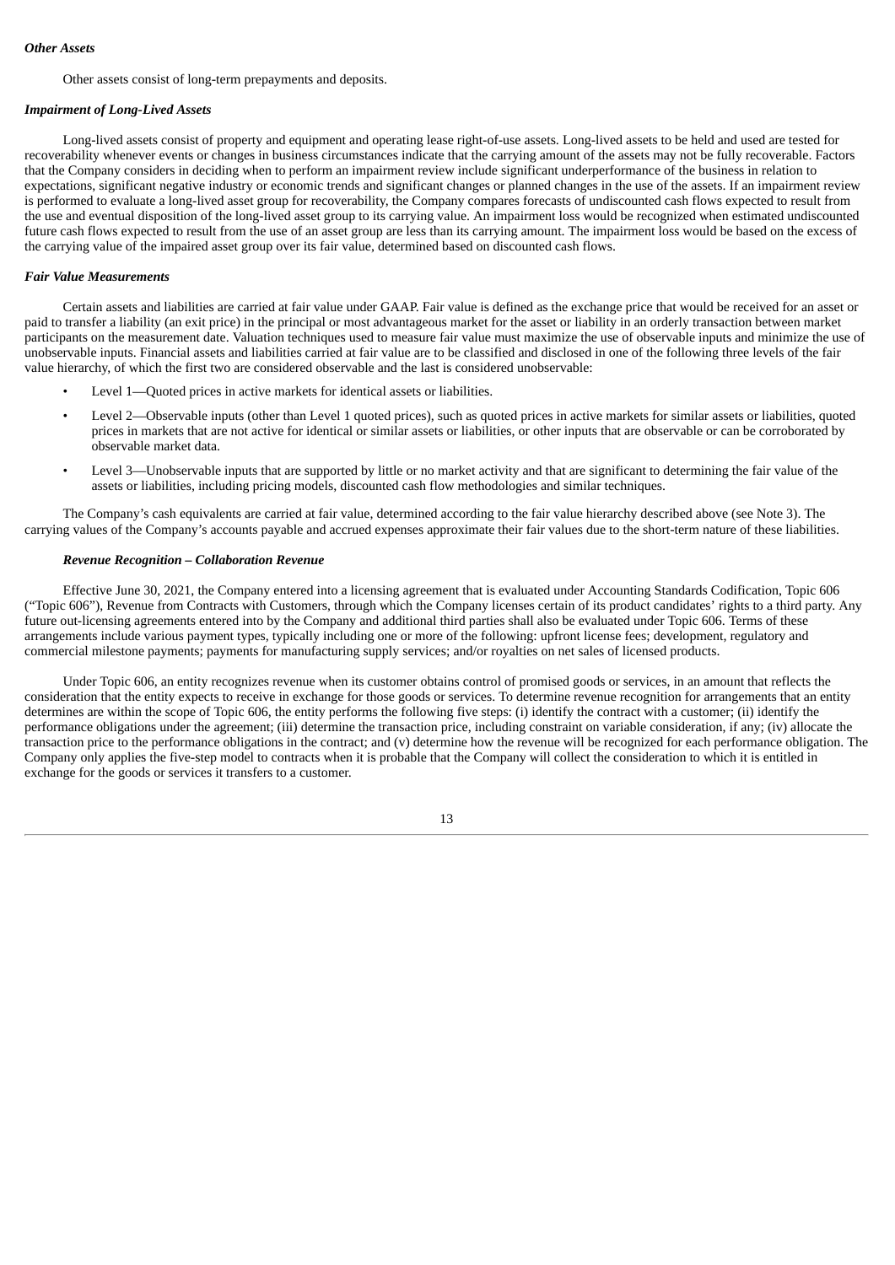## *Other Assets*

Other assets consist of long-term prepayments and deposits.

# *Impairment of Long-Lived Assets*

Long-lived assets consist of property and equipment and operating lease right-of-use assets. Long-lived assets to be held and used are tested for recoverability whenever events or changes in business circumstances indicate that the carrying amount of the assets may not be fully recoverable. Factors that the Company considers in deciding when to perform an impairment review include significant underperformance of the business in relation to expectations, significant negative industry or economic trends and significant changes or planned changes in the use of the assets. If an impairment review is performed to evaluate a long-lived asset group for recoverability, the Company compares forecasts of undiscounted cash flows expected to result from the use and eventual disposition of the long-lived asset group to its carrying value. An impairment loss would be recognized when estimated undiscounted future cash flows expected to result from the use of an asset group are less than its carrying amount. The impairment loss would be based on the excess of the carrying value of the impaired asset group over its fair value, determined based on discounted cash flows.

## *Fair Value Measurements*

Certain assets and liabilities are carried at fair value under GAAP. Fair value is defined as the exchange price that would be received for an asset or paid to transfer a liability (an exit price) in the principal or most advantageous market for the asset or liability in an orderly transaction between market participants on the measurement date. Valuation techniques used to measure fair value must maximize the use of observable inputs and minimize the use of unobservable inputs. Financial assets and liabilities carried at fair value are to be classified and disclosed in one of the following three levels of the fair value hierarchy, of which the first two are considered observable and the last is considered unobservable:

- Level 1—Quoted prices in active markets for identical assets or liabilities.
- Level 2—Observable inputs (other than Level 1 quoted prices), such as quoted prices in active markets for similar assets or liabilities, quoted prices in markets that are not active for identical or similar assets or liabilities, or other inputs that are observable or can be corroborated by observable market data.
- Level 3—Unobservable inputs that are supported by little or no market activity and that are significant to determining the fair value of the assets or liabilities, including pricing models, discounted cash flow methodologies and similar techniques.

The Company's cash equivalents are carried at fair value, determined according to the fair value hierarchy described above (see Note 3). The carrying values of the Company's accounts payable and accrued expenses approximate their fair values due to the short-term nature of these liabilities.

# *Revenue Recognition – Collaboration Revenue*

Effective June 30, 2021, the Company entered into a licensing agreement that is evaluated under Accounting Standards Codification, Topic 606 ("Topic 606"), Revenue from Contracts with Customers, through which the Company licenses certain of its product candidates' rights to a third party. Any future out-licensing agreements entered into by the Company and additional third parties shall also be evaluated under Topic 606. Terms of these arrangements include various payment types, typically including one or more of the following: upfront license fees; development, regulatory and commercial milestone payments; payments for manufacturing supply services; and/or royalties on net sales of licensed products.

Under Topic 606, an entity recognizes revenue when its customer obtains control of promised goods or services, in an amount that reflects the consideration that the entity expects to receive in exchange for those goods or services. To determine revenue recognition for arrangements that an entity determines are within the scope of Topic 606, the entity performs the following five steps: (i) identify the contract with a customer; (ii) identify the performance obligations under the agreement; (iii) determine the transaction price, including constraint on variable consideration, if any; (iv) allocate the transaction price to the performance obligations in the contract; and (v) determine how the revenue will be recognized for each performance obligation. The Company only applies the five-step model to contracts when it is probable that the Company will collect the consideration to which it is entitled in exchange for the goods or services it transfers to a customer.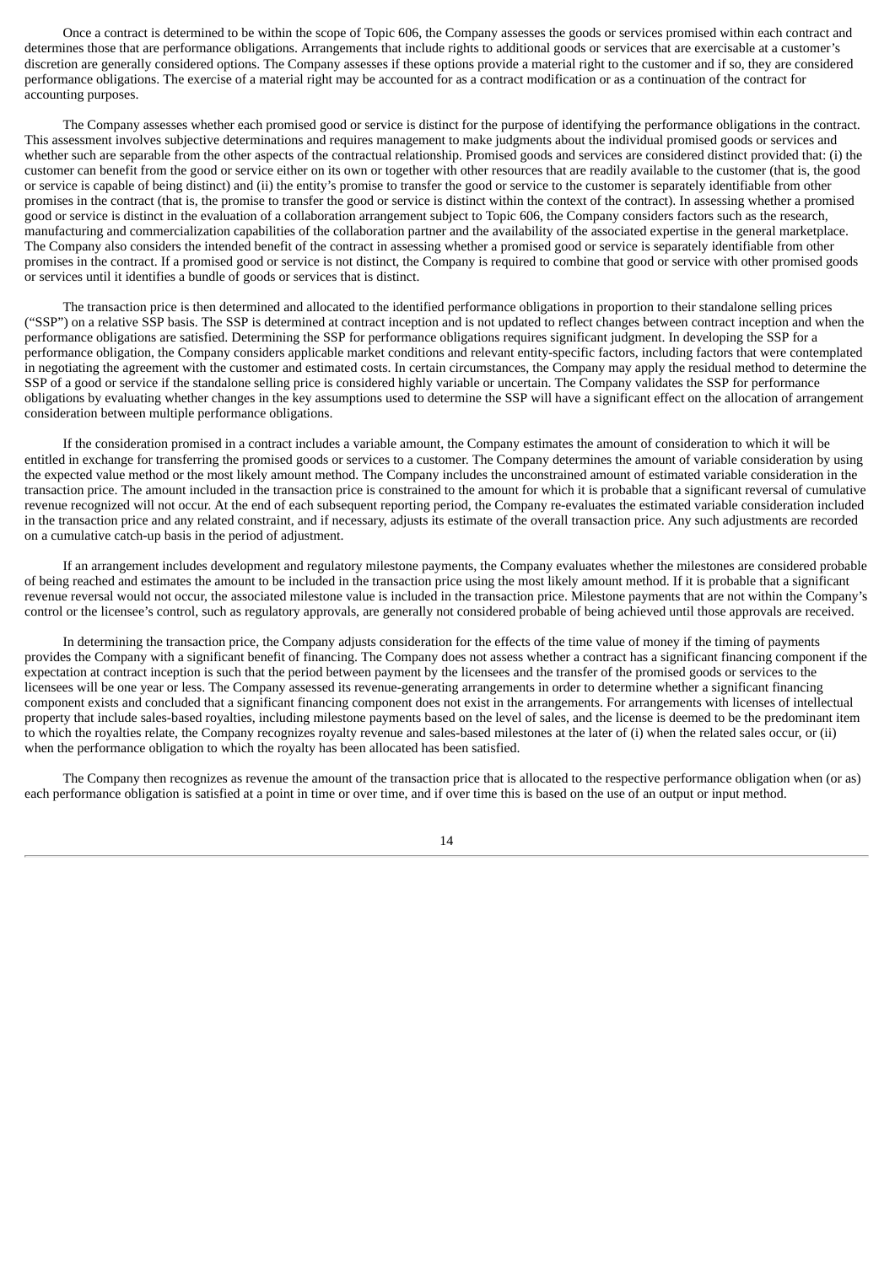Once a contract is determined to be within the scope of Topic 606, the Company assesses the goods or services promised within each contract and determines those that are performance obligations. Arrangements that include rights to additional goods or services that are exercisable at a customer's discretion are generally considered options. The Company assesses if these options provide a material right to the customer and if so, they are considered performance obligations. The exercise of a material right may be accounted for as a contract modification or as a continuation of the contract for accounting purposes.

The Company assesses whether each promised good or service is distinct for the purpose of identifying the performance obligations in the contract. This assessment involves subjective determinations and requires management to make judgments about the individual promised goods or services and whether such are separable from the other aspects of the contractual relationship. Promised goods and services are considered distinct provided that: (i) the customer can benefit from the good or service either on its own or together with other resources that are readily available to the customer (that is, the good or service is capable of being distinct) and (ii) the entity's promise to transfer the good or service to the customer is separately identifiable from other promises in the contract (that is, the promise to transfer the good or service is distinct within the context of the contract). In assessing whether a promised good or service is distinct in the evaluation of a collaboration arrangement subject to Topic 606, the Company considers factors such as the research, manufacturing and commercialization capabilities of the collaboration partner and the availability of the associated expertise in the general marketplace. The Company also considers the intended benefit of the contract in assessing whether a promised good or service is separately identifiable from other promises in the contract. If a promised good or service is not distinct, the Company is required to combine that good or service with other promised goods or services until it identifies a bundle of goods or services that is distinct.

The transaction price is then determined and allocated to the identified performance obligations in proportion to their standalone selling prices ("SSP") on a relative SSP basis. The SSP is determined at contract inception and is not updated to reflect changes between contract inception and when the performance obligations are satisfied. Determining the SSP for performance obligations requires significant judgment. In developing the SSP for a performance obligation, the Company considers applicable market conditions and relevant entity-specific factors, including factors that were contemplated in negotiating the agreement with the customer and estimated costs. In certain circumstances, the Company may apply the residual method to determine the SSP of a good or service if the standalone selling price is considered highly variable or uncertain. The Company validates the SSP for performance obligations by evaluating whether changes in the key assumptions used to determine the SSP will have a significant effect on the allocation of arrangement consideration between multiple performance obligations.

If the consideration promised in a contract includes a variable amount, the Company estimates the amount of consideration to which it will be entitled in exchange for transferring the promised goods or services to a customer. The Company determines the amount of variable consideration by using the expected value method or the most likely amount method. The Company includes the unconstrained amount of estimated variable consideration in the transaction price. The amount included in the transaction price is constrained to the amount for which it is probable that a significant reversal of cumulative revenue recognized will not occur. At the end of each subsequent reporting period, the Company re-evaluates the estimated variable consideration included in the transaction price and any related constraint, and if necessary, adjusts its estimate of the overall transaction price. Any such adjustments are recorded on a cumulative catch-up basis in the period of adjustment.

If an arrangement includes development and regulatory milestone payments, the Company evaluates whether the milestones are considered probable of being reached and estimates the amount to be included in the transaction price using the most likely amount method. If it is probable that a significant revenue reversal would not occur, the associated milestone value is included in the transaction price. Milestone payments that are not within the Company's control or the licensee's control, such as regulatory approvals, are generally not considered probable of being achieved until those approvals are received.

In determining the transaction price, the Company adjusts consideration for the effects of the time value of money if the timing of payments provides the Company with a significant benefit of financing. The Company does not assess whether a contract has a significant financing component if the expectation at contract inception is such that the period between payment by the licensees and the transfer of the promised goods or services to the licensees will be one year or less. The Company assessed its revenue-generating arrangements in order to determine whether a significant financing component exists and concluded that a significant financing component does not exist in the arrangements. For arrangements with licenses of intellectual property that include sales-based royalties, including milestone payments based on the level of sales, and the license is deemed to be the predominant item to which the royalties relate, the Company recognizes royalty revenue and sales-based milestones at the later of (i) when the related sales occur, or (ii) when the performance obligation to which the royalty has been allocated has been satisfied.

The Company then recognizes as revenue the amount of the transaction price that is allocated to the respective performance obligation when (or as) each performance obligation is satisfied at a point in time or over time, and if over time this is based on the use of an output or input method.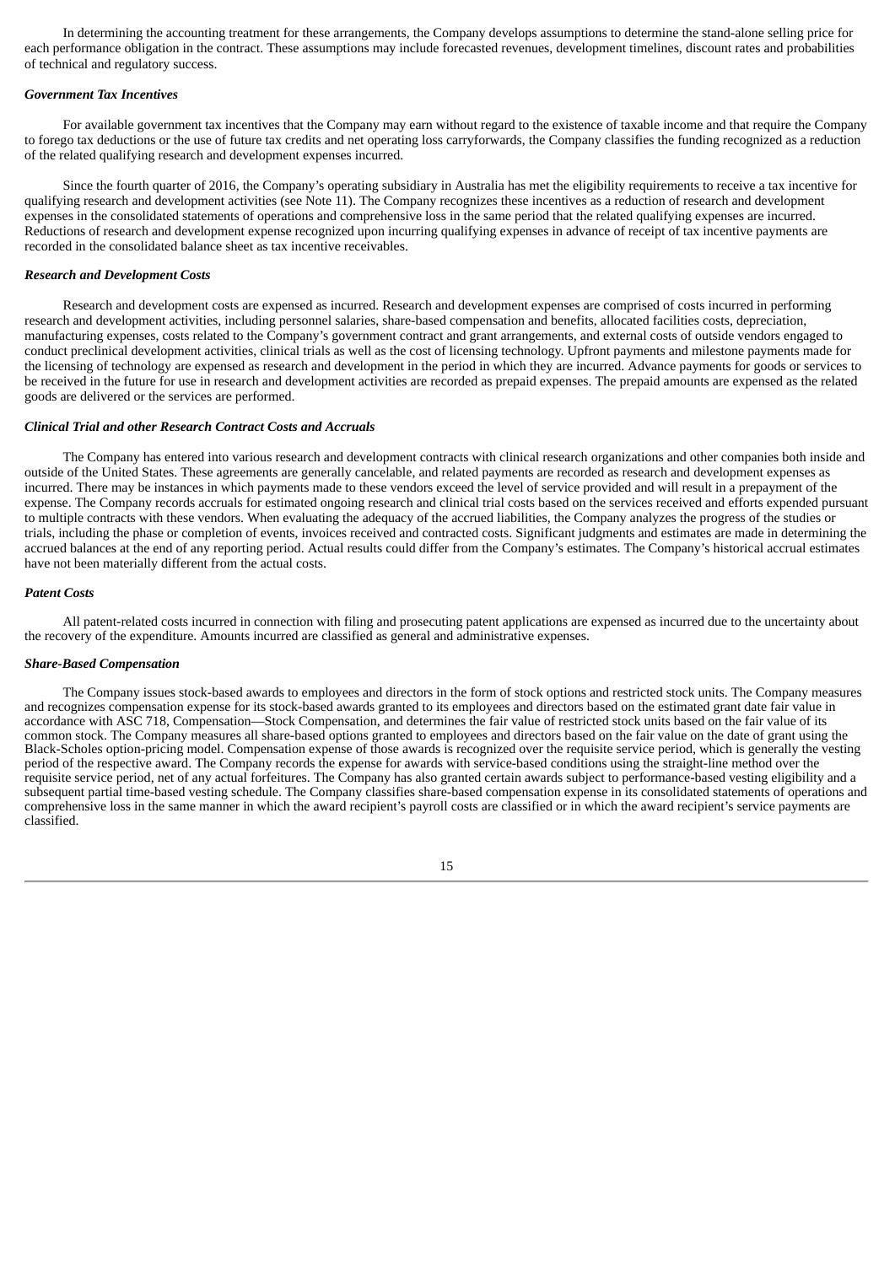In determining the accounting treatment for these arrangements, the Company develops assumptions to determine the stand-alone selling price for each performance obligation in the contract. These assumptions may include forecasted revenues, development timelines, discount rates and probabilities of technical and regulatory success.

# *Government Tax Incentives*

For available government tax incentives that the Company may earn without regard to the existence of taxable income and that require the Company to forego tax deductions or the use of future tax credits and net operating loss carryforwards, the Company classifies the funding recognized as a reduction of the related qualifying research and development expenses incurred.

Since the fourth quarter of 2016, the Company's operating subsidiary in Australia has met the eligibility requirements to receive a tax incentive for qualifying research and development activities (see Note 11). The Company recognizes these incentives as a reduction of research and development expenses in the consolidated statements of operations and comprehensive loss in the same period that the related qualifying expenses are incurred. Reductions of research and development expense recognized upon incurring qualifying expenses in advance of receipt of tax incentive payments are recorded in the consolidated balance sheet as tax incentive receivables.

# *Research and Development Costs*

Research and development costs are expensed as incurred. Research and development expenses are comprised of costs incurred in performing research and development activities, including personnel salaries, share-based compensation and benefits, allocated facilities costs, depreciation, manufacturing expenses, costs related to the Company's government contract and grant arrangements, and external costs of outside vendors engaged to conduct preclinical development activities, clinical trials as well as the cost of licensing technology. Upfront payments and milestone payments made for the licensing of technology are expensed as research and development in the period in which they are incurred. Advance payments for goods or services to be received in the future for use in research and development activities are recorded as prepaid expenses. The prepaid amounts are expensed as the related goods are delivered or the services are performed.

#### *Clinical Trial and other Research Contract Costs and Accruals*

The Company has entered into various research and development contracts with clinical research organizations and other companies both inside and outside of the United States. These agreements are generally cancelable, and related payments are recorded as research and development expenses as incurred. There may be instances in which payments made to these vendors exceed the level of service provided and will result in a prepayment of the expense. The Company records accruals for estimated ongoing research and clinical trial costs based on the services received and efforts expended pursuant to multiple contracts with these vendors. When evaluating the adequacy of the accrued liabilities, the Company analyzes the progress of the studies or trials, including the phase or completion of events, invoices received and contracted costs. Significant judgments and estimates are made in determining the accrued balances at the end of any reporting period. Actual results could differ from the Company's estimates. The Company's historical accrual estimates have not been materially different from the actual costs.

#### *Patent Costs*

All patent-related costs incurred in connection with filing and prosecuting patent applications are expensed as incurred due to the uncertainty about the recovery of the expenditure. Amounts incurred are classified as general and administrative expenses.

#### *Share-Based Compensation*

The Company issues stock-based awards to employees and directors in the form of stock options and restricted stock units. The Company measures and recognizes compensation expense for its stock-based awards granted to its employees and directors based on the estimated grant date fair value in accordance with ASC 718, Compensation—Stock Compensation, and determines the fair value of restricted stock units based on the fair value of its common stock. The Company measures all share-based options granted to employees and directors based on the fair value on the date of grant using the Black-Scholes option-pricing model. Compensation expense of those awards is recognized over the requisite service period, which is generally the vesting period of the respective award. The Company records the expense for awards with service-based conditions using the straight-line method over the requisite service period, net of any actual forfeitures. The Company has also granted certain awards subject to performance-based vesting eligibility and a subsequent partial time-based vesting schedule. The Company classifies share-based compensation expense in its consolidated statements of operations and comprehensive loss in the same manner in which the award recipient's payroll costs are classified or in which the award recipient's service payments are classified.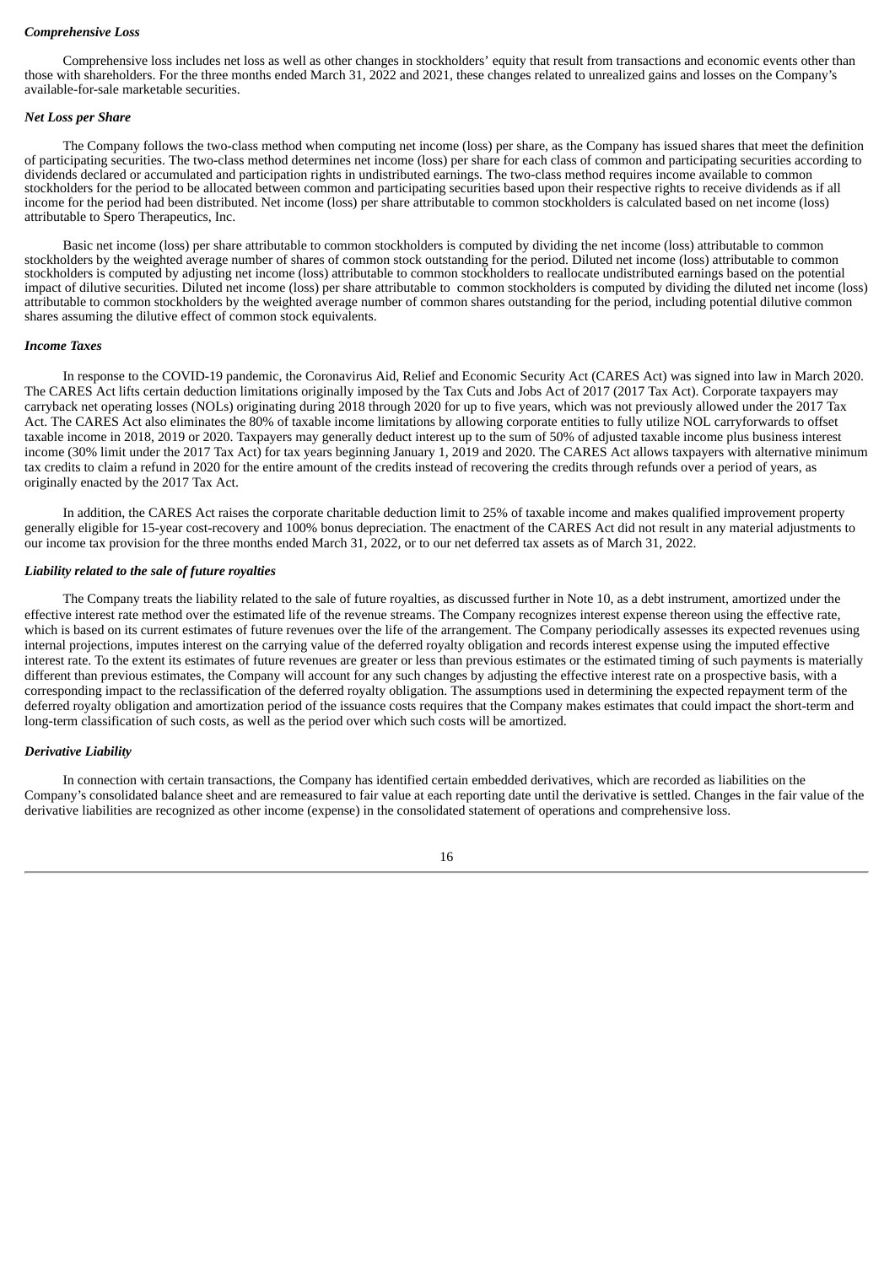#### *Comprehensive Loss*

Comprehensive loss includes net loss as well as other changes in stockholders' equity that result from transactions and economic events other than those with shareholders. For the three months ended March 31, 2022 and 2021, these changes related to unrealized gains and losses on the Company's available-for-sale marketable securities.

#### *Net Loss per Share*

The Company follows the two-class method when computing net income (loss) per share, as the Company has issued shares that meet the definition of participating securities. The two-class method determines net income (loss) per share for each class of common and participating securities according to dividends declared or accumulated and participation rights in undistributed earnings. The two-class method requires income available to common stockholders for the period to be allocated between common and participating securities based upon their respective rights to receive dividends as if all income for the period had been distributed. Net income (loss) per share attributable to common stockholders is calculated based on net income (loss) attributable to Spero Therapeutics, Inc.

Basic net income (loss) per share attributable to common stockholders is computed by dividing the net income (loss) attributable to common stockholders by the weighted average number of shares of common stock outstanding for the period. Diluted net income (loss) attributable to common stockholders is computed by adjusting net income (loss) attributable to common stockholders to reallocate undistributed earnings based on the potential impact of dilutive securities. Diluted net income (loss) per share attributable to common stockholders is computed by dividing the diluted net income (loss) attributable to common stockholders by the weighted average number of common shares outstanding for the period, including potential dilutive common shares assuming the dilutive effect of common stock equivalents.

#### *Income Taxes*

In response to the COVID-19 pandemic, the Coronavirus Aid, Relief and Economic Security Act (CARES Act) was signed into law in March 2020. The CARES Act lifts certain deduction limitations originally imposed by the Tax Cuts and Jobs Act of 2017 (2017 Tax Act). Corporate taxpayers may carryback net operating losses (NOLs) originating during 2018 through 2020 for up to five years, which was not previously allowed under the 2017 Tax Act. The CARES Act also eliminates the 80% of taxable income limitations by allowing corporate entities to fully utilize NOL carryforwards to offset taxable income in 2018, 2019 or 2020. Taxpayers may generally deduct interest up to the sum of 50% of adjusted taxable income plus business interest income (30% limit under the 2017 Tax Act) for tax years beginning January 1, 2019 and 2020. The CARES Act allows taxpayers with alternative minimum tax credits to claim a refund in 2020 for the entire amount of the credits instead of recovering the credits through refunds over a period of years, as originally enacted by the 2017 Tax Act.

In addition, the CARES Act raises the corporate charitable deduction limit to 25% of taxable income and makes qualified improvement property generally eligible for 15-year cost-recovery and 100% bonus depreciation. The enactment of the CARES Act did not result in any material adjustments to our income tax provision for the three months ended March 31, 2022, or to our net deferred tax assets as of March 31, 2022.

#### *Liability related to the sale of future royalties*

The Company treats the liability related to the sale of future royalties, as discussed further in Note 10, as a debt instrument, amortized under the effective interest rate method over the estimated life of the revenue streams. The Company recognizes interest expense thereon using the effective rate, which is based on its current estimates of future revenues over the life of the arrangement. The Company periodically assesses its expected revenues using internal projections, imputes interest on the carrying value of the deferred royalty obligation and records interest expense using the imputed effective interest rate. To the extent its estimates of future revenues are greater or less than previous estimates or the estimated timing of such payments is materially different than previous estimates, the Company will account for any such changes by adjusting the effective interest rate on a prospective basis, with a corresponding impact to the reclassification of the deferred royalty obligation. The assumptions used in determining the expected repayment term of the deferred royalty obligation and amortization period of the issuance costs requires that the Company makes estimates that could impact the short-term and long-term classification of such costs, as well as the period over which such costs will be amortized.

# *Derivative Liability*

In connection with certain transactions, the Company has identified certain embedded derivatives, which are recorded as liabilities on the Company's consolidated balance sheet and are remeasured to fair value at each reporting date until the derivative is settled. Changes in the fair value of the derivative liabilities are recognized as other income (expense) in the consolidated statement of operations and comprehensive loss.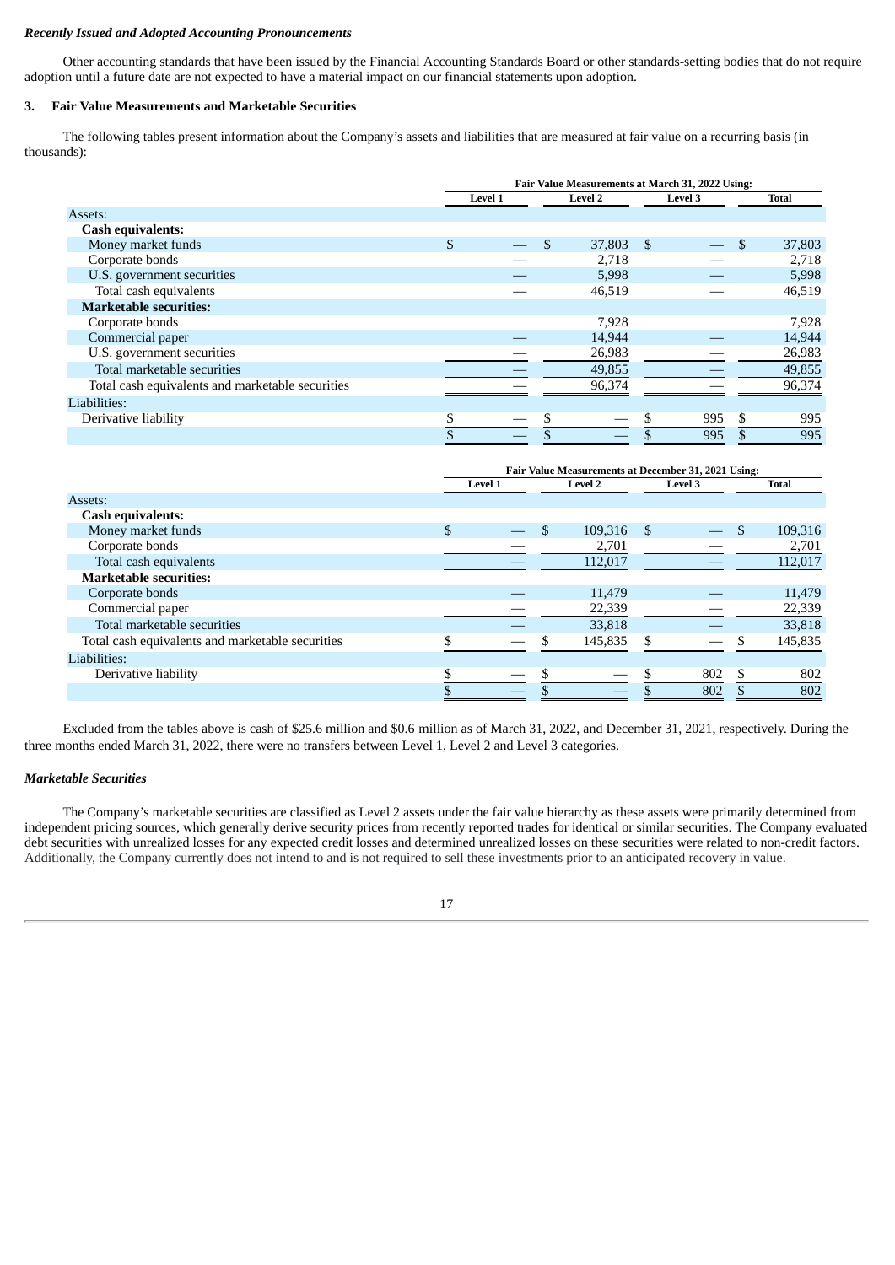# *Recently Issued and Adopted Accounting Pronouncements*

Other accounting standards that have been issued by the Financial Accounting Standards Board or other standards-setting bodies that do not require adoption until a future date are not expected to have a material impact on our financial statements upon adoption.

# **3. Fair Value Measurements and Marketable Securities**

The following tables present information about the Company's assets and liabilities that are measured at fair value on a recurring basis (in thousands):

|                                                  | Fair Value Measurements at March 31, 2022 Using: |                |                |        |                |     |  |        |
|--------------------------------------------------|--------------------------------------------------|----------------|----------------|--------|----------------|-----|--|--------|
|                                                  |                                                  | <b>Level 1</b> | <b>Level 2</b> |        | <b>Level 3</b> |     |  | Total  |
| Assets:                                          |                                                  |                |                |        |                |     |  |        |
| <b>Cash equivalents:</b>                         |                                                  |                |                |        |                |     |  |        |
| Money market funds                               | \$                                               |                |                | 37,803 | <sup>\$</sup>  |     |  | 37,803 |
| Corporate bonds                                  |                                                  |                |                | 2,718  |                |     |  | 2,718  |
| U.S. government securities                       |                                                  |                |                | 5,998  |                |     |  | 5,998  |
| Total cash equivalents                           |                                                  |                |                | 46,519 |                |     |  | 46,519 |
| <b>Marketable securities:</b>                    |                                                  |                |                |        |                |     |  |        |
| Corporate bonds                                  |                                                  |                |                | 7,928  |                |     |  | 7,928  |
| Commercial paper                                 |                                                  |                |                | 14,944 |                |     |  | 14,944 |
| U.S. government securities                       |                                                  |                |                | 26,983 |                |     |  | 26,983 |
| Total marketable securities                      |                                                  |                |                | 49,855 |                |     |  | 49,855 |
| Total cash equivalents and marketable securities |                                                  |                |                | 96,374 |                |     |  | 96,374 |
| Liabilities:                                     |                                                  |                |                |        |                |     |  |        |
| Derivative liability                             |                                                  |                |                |        |                | 995 |  | 995    |
|                                                  |                                                  |                |                |        |                | 995 |  | 995    |

|                                                  | Fair Value Measurements at December 31, 2021 Using: |                |                |         |                |     |    |         |
|--------------------------------------------------|-----------------------------------------------------|----------------|----------------|---------|----------------|-----|----|---------|
|                                                  |                                                     | <b>Level 1</b> | <b>Level 2</b> |         | <b>Level 3</b> |     |    | Total   |
| Assets:                                          |                                                     |                |                |         |                |     |    |         |
| <b>Cash equivalents:</b>                         |                                                     |                |                |         |                |     |    |         |
| Money market funds                               | \$                                                  |                |                | 109.316 | - \$           |     | \$ | 109,316 |
| Corporate bonds                                  |                                                     |                |                | 2,701   |                |     |    | 2,701   |
| Total cash equivalents                           |                                                     |                |                | 112,017 |                |     |    | 112,017 |
| <b>Marketable securities:</b>                    |                                                     |                |                |         |                |     |    |         |
| Corporate bonds                                  |                                                     |                |                | 11,479  |                |     |    | 11,479  |
| Commercial paper                                 |                                                     |                |                | 22,339  |                |     |    | 22,339  |
| Total marketable securities                      |                                                     |                |                | 33,818  |                |     |    | 33,818  |
| Total cash equivalents and marketable securities |                                                     |                |                | 145,835 |                |     |    | 145,835 |
| Liabilities:                                     |                                                     |                |                |         |                |     |    |         |
| Derivative liability                             |                                                     |                |                |         |                | 802 | \$ | 802     |
|                                                  |                                                     |                |                |         |                | 802 |    | 802     |

Excluded from the tables above is cash of \$25.6 million and \$0.6 million as of March 31, 2022, and December 31, 2021, respectively. During the three months ended March 31, 2022, there were no transfers between Level 1, Level 2 and Level 3 categories.

# *Marketable Securities*

The Company's marketable securities are classified as Level 2 assets under the fair value hierarchy as these assets were primarily determined from independent pricing sources, which generally derive security prices from recently reported trades for identical or similar securities. The Company evaluated debt securities with unrealized losses for any expected credit losses and determined unrealized losses on these securities were related to non-credit factors. Additionally, the Company currently does not intend to and is not required to sell these investments prior to an anticipated recovery in value.

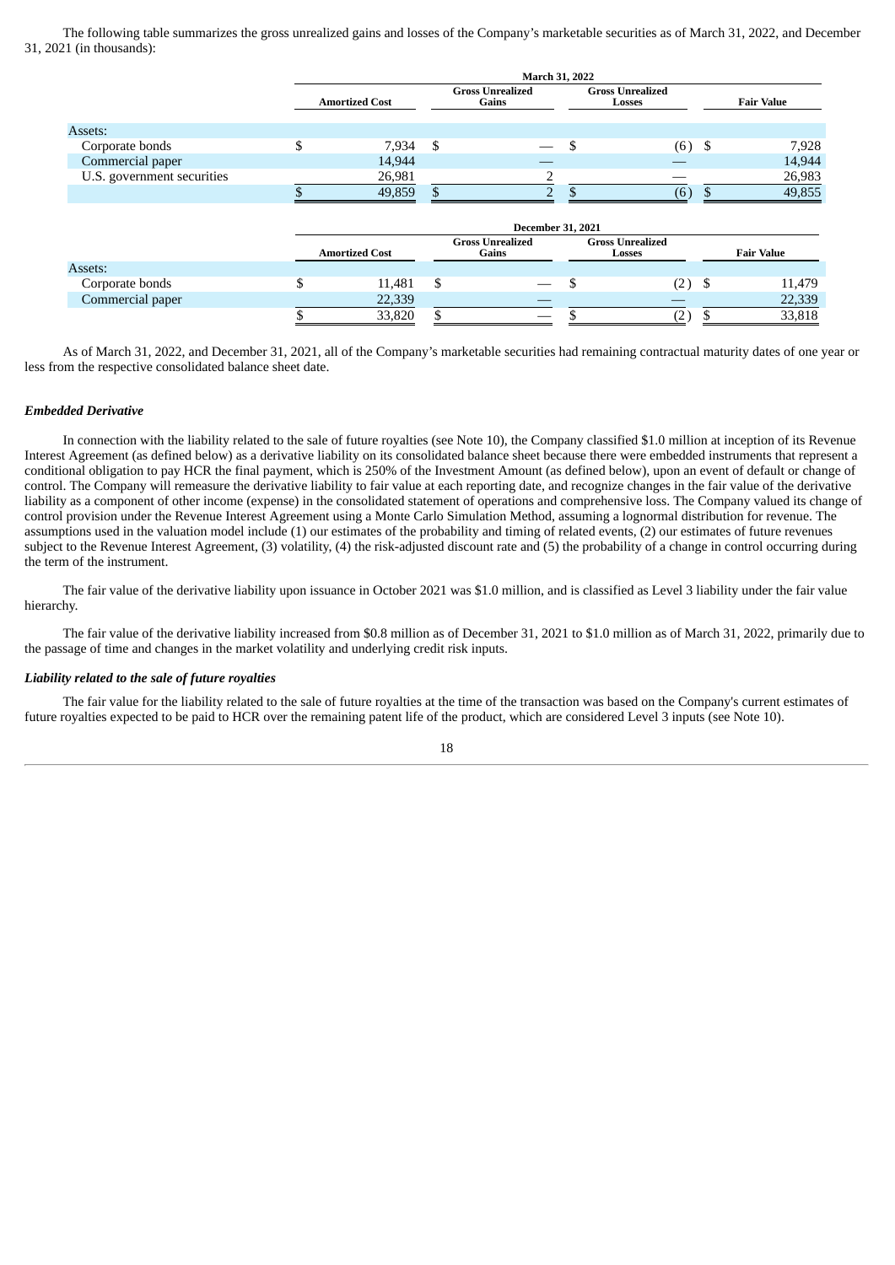The following table summarizes the gross unrealized gains and losses of the Company's marketable securities as of March 31, 2022, and December 31, 2021 (in thousands):

|                            | March 31, 2022 |                       |    |                                  |    |                                   |     |                   |
|----------------------------|----------------|-----------------------|----|----------------------------------|----|-----------------------------------|-----|-------------------|
|                            |                | <b>Amortized Cost</b> |    | <b>Gross Unrealized</b><br>Gains |    | <b>Gross Unrealized</b><br>Losses |     | <b>Fair Value</b> |
| Assets:                    |                |                       |    |                                  |    |                                   |     |                   |
| Corporate bonds            | \$             | 7,934                 | \$ |                                  | \$ | (6)                               | -\$ | 7,928             |
| Commercial paper           |                | 14,944                |    |                                  |    |                                   |     | 14,944            |
| U.S. government securities |                | 26,981                |    |                                  |    |                                   |     | 26,983            |
|                            |                | 49,859                | \$ |                                  | ď  | (6)                               |     | 49,855            |
|                            |                |                       |    | <b>December 31, 2021</b>         |    |                                   |     |                   |
|                            |                |                       |    | <b>Gross Unrealized</b>          |    | <b>Gross Unrealized</b>           |     |                   |
|                            |                | <b>Amortized Cost</b> |    | Gains                            |    | Losses                            |     | <b>Fair Value</b> |
| Assets:                    |                |                       |    |                                  |    |                                   |     |                   |
| Corporate bonds            | \$             | 11,481                | \$ |                                  | \$ | (2)                               | -\$ | 11,479            |
| Commercial paper           |                | 22,339                |    |                                  |    |                                   |     | 22,339            |
|                            |                | 33,820                |    |                                  |    | (2)                               |     | 33,818            |

As of March 31, 2022, and December 31, 2021, all of the Company's marketable securities had remaining contractual maturity dates of one year or less from the respective consolidated balance sheet date.

#### *Embedded Derivative*

In connection with the liability related to the sale of future royalties (see Note 10), the Company classified \$1.0 million at inception of its Revenue Interest Agreement (as defined below) as a derivative liability on its consolidated balance sheet because there were embedded instruments that represent a conditional obligation to pay HCR the final payment, which is 250% of the Investment Amount (as defined below), upon an event of default or change of control. The Company will remeasure the derivative liability to fair value at each reporting date, and recognize changes in the fair value of the derivative liability as a component of other income (expense) in the consolidated statement of operations and comprehensive loss. The Company valued its change of control provision under the Revenue Interest Agreement using a Monte Carlo Simulation Method, assuming a lognormal distribution for revenue. The assumptions used in the valuation model include (1) our estimates of the probability and timing of related events, (2) our estimates of future revenues subject to the Revenue Interest Agreement, (3) volatility, (4) the risk-adjusted discount rate and (5) the probability of a change in control occurring during the term of the instrument.

The fair value of the derivative liability upon issuance in October 2021 was \$1.0 million, and is classified as Level 3 liability under the fair value hierarchy.

The fair value of the derivative liability increased from \$0.8 million as of December 31, 2021 to \$1.0 million as of March 31, 2022, primarily due to the passage of time and changes in the market volatility and underlying credit risk inputs.

#### *Liability related to the sale of future royalties*

The fair value for the liability related to the sale of future royalties at the time of the transaction was based on the Company's current estimates of future royalties expected to be paid to HCR over the remaining patent life of the product, which are considered Level 3 inputs (see Note 10).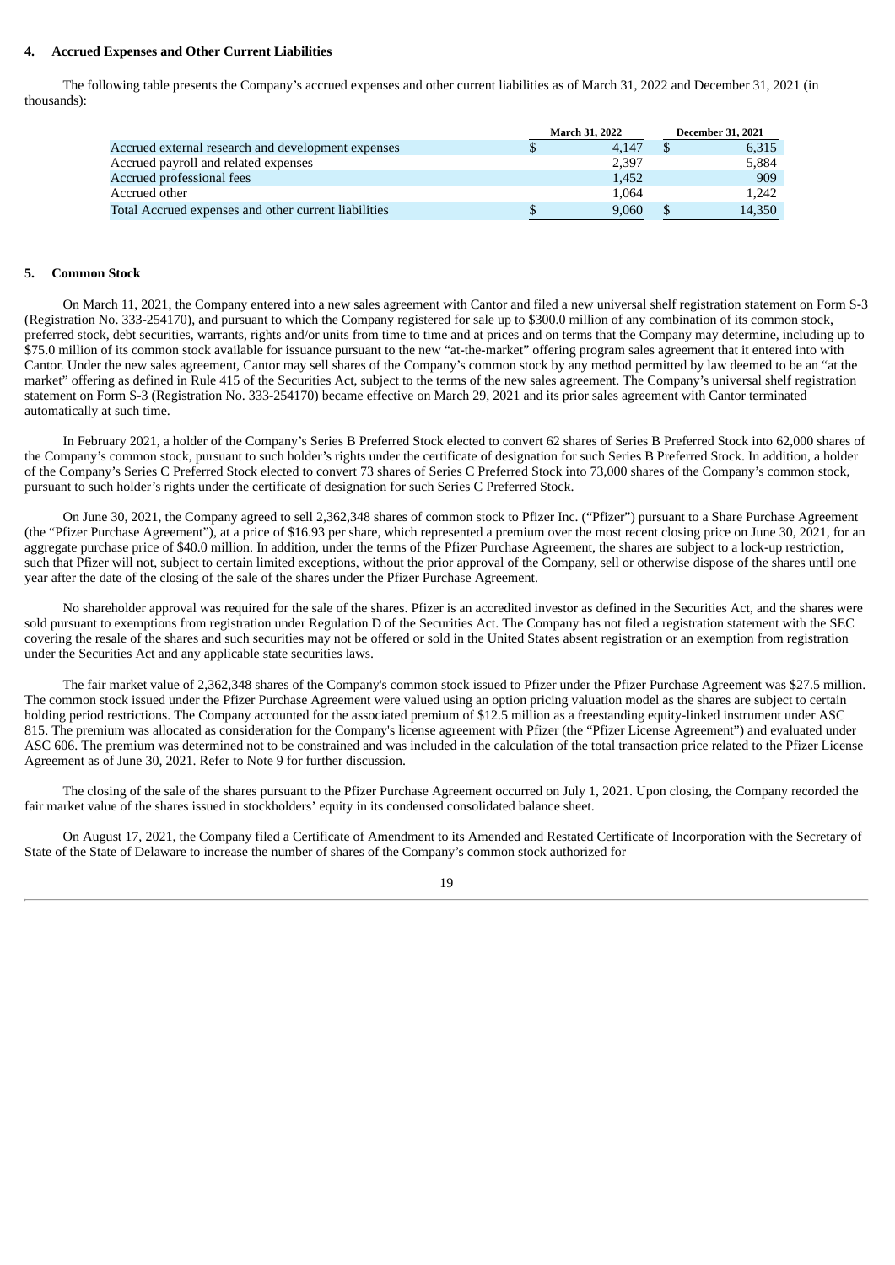# **4. Accrued Expenses and Other Current Liabilities**

The following table presents the Company's accrued expenses and other current liabilities as of March 31, 2022 and December 31, 2021 (in thousands):

|                                                      | <b>March 31, 2022</b> |   | <b>December 31, 2021</b> |
|------------------------------------------------------|-----------------------|---|--------------------------|
| Accrued external research and development expenses   | 4.147                 |   | 6,315                    |
| Accrued payroll and related expenses                 | 2,397                 |   | 5.884                    |
| Accrued professional fees                            | 1,452                 |   | 909                      |
| Accrued other                                        | 1,064                 |   | 1.242                    |
| Total Accrued expenses and other current liabilities | 9.060                 | S | 14.350                   |

# **5. Common Stock**

On March 11, 2021, the Company entered into a new sales agreement with Cantor and filed a new universal shelf registration statement on Form S-3 (Registration No. 333-254170), and pursuant to which the Company registered for sale up to \$300.0 million of any combination of its common stock, preferred stock, debt securities, warrants, rights and/or units from time to time and at prices and on terms that the Company may determine, including up to \$75.0 million of its common stock available for issuance pursuant to the new "at-the-market" offering program sales agreement that it entered into with Cantor. Under the new sales agreement, Cantor may sell shares of the Company's common stock by any method permitted by law deemed to be an "at the market" offering as defined in Rule 415 of the Securities Act, subject to the terms of the new sales agreement. The Company's universal shelf registration statement on Form S-3 (Registration No. 333-254170) became effective on March 29, 2021 and its prior sales agreement with Cantor terminated automatically at such time.

In February 2021, a holder of the Company's Series B Preferred Stock elected to convert 62 shares of Series B Preferred Stock into 62,000 shares of the Company's common stock, pursuant to such holder's rights under the certificate of designation for such Series B Preferred Stock. In addition, a holder of the Company's Series C Preferred Stock elected to convert 73 shares of Series C Preferred Stock into 73,000 shares of the Company's common stock, pursuant to such holder's rights under the certificate of designation for such Series C Preferred Stock.

On June 30, 2021, the Company agreed to sell 2,362,348 shares of common stock to Pfizer Inc. ("Pfizer") pursuant to a Share Purchase Agreement (the "Pfizer Purchase Agreement"), at a price of \$16.93 per share, which represented a premium over the most recent closing price on June 30, 2021, for an aggregate purchase price of \$40.0 million. In addition, under the terms of the Pfizer Purchase Agreement, the shares are subject to a lock-up restriction, such that Pfizer will not, subject to certain limited exceptions, without the prior approval of the Company, sell or otherwise dispose of the shares until one year after the date of the closing of the sale of the shares under the Pfizer Purchase Agreement.

No shareholder approval was required for the sale of the shares. Pfizer is an accredited investor as defined in the Securities Act, and the shares were sold pursuant to exemptions from registration under Regulation D of the Securities Act. The Company has not filed a registration statement with the SEC covering the resale of the shares and such securities may not be offered or sold in the United States absent registration or an exemption from registration under the Securities Act and any applicable state securities laws.

The fair market value of 2,362,348 shares of the Company's common stock issued to Pfizer under the Pfizer Purchase Agreement was \$27.5 million. The common stock issued under the Pfizer Purchase Agreement were valued using an option pricing valuation model as the shares are subject to certain holding period restrictions. The Company accounted for the associated premium of \$12.5 million as a freestanding equity-linked instrument under ASC 815. The premium was allocated as consideration for the Company's license agreement with Pfizer (the "Pfizer License Agreement") and evaluated under ASC 606. The premium was determined not to be constrained and was included in the calculation of the total transaction price related to the Pfizer License Agreement as of June 30, 2021. Refer to Note 9 for further discussion.

The closing of the sale of the shares pursuant to the Pfizer Purchase Agreement occurred on July 1, 2021. Upon closing, the Company recorded the fair market value of the shares issued in stockholders' equity in its condensed consolidated balance sheet.

On August 17, 2021, the Company filed a Certificate of Amendment to its Amended and Restated Certificate of Incorporation with the Secretary of State of the State of Delaware to increase the number of shares of the Company's common stock authorized for

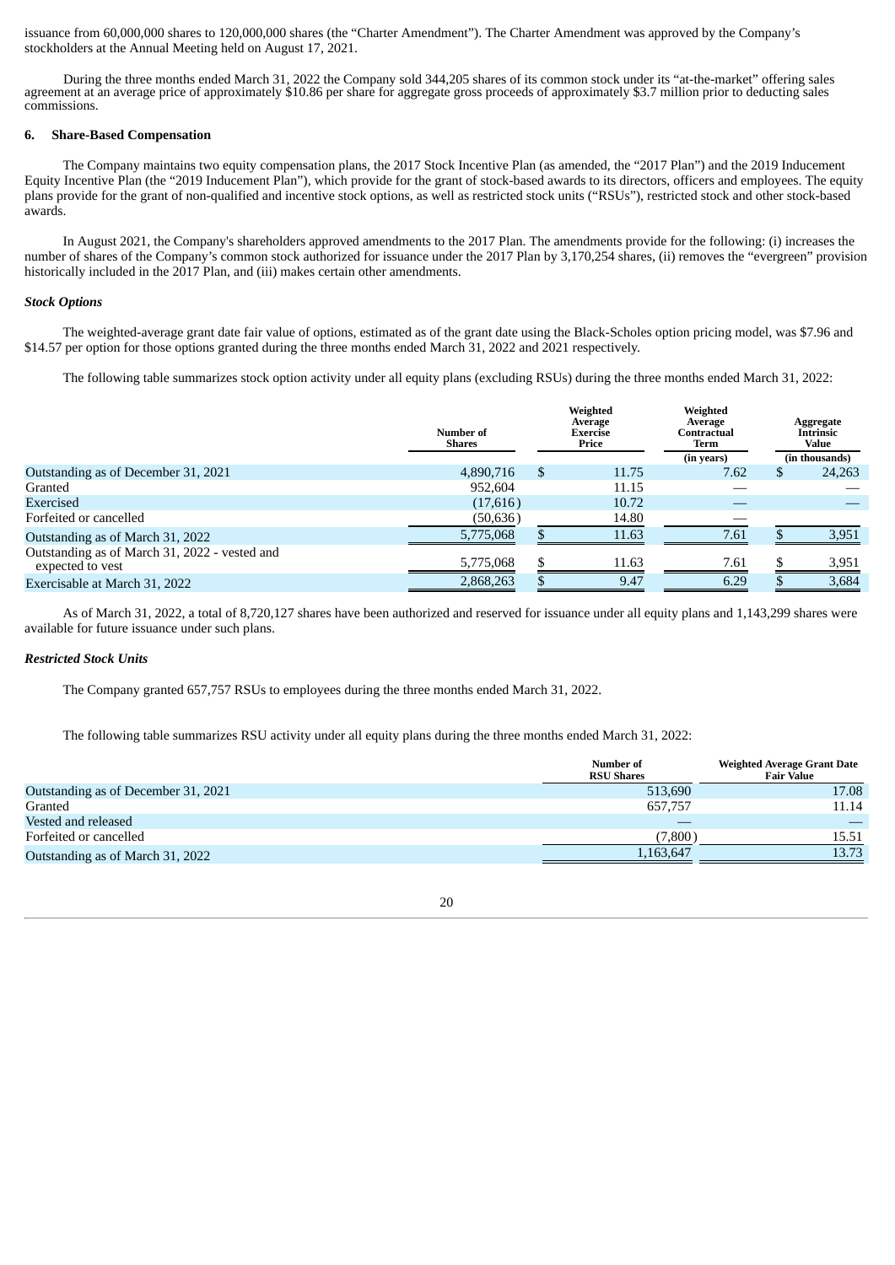issuance from 60,000,000 shares to 120,000,000 shares (the "Charter Amendment"). The Charter Amendment was approved by the Company's stockholders at the Annual Meeting held on August 17, 2021.

During the three months ended March 31, 2022 the Company sold 344,205 shares of its common stock under its "at-the-market" offering sales agreement at an average price of approximately \$10.86 per share for aggregate gross proceeds of approximately \$3.7 million prior to deducting sales commissions.

#### **6. Share-Based Compensation**

The Company maintains two equity compensation plans, the 2017 Stock Incentive Plan (as amended, the "2017 Plan") and the 2019 Inducement Equity Incentive Plan (the "2019 Inducement Plan"), which provide for the grant of stock-based awards to its directors, officers and employees. The equity plans provide for the grant of non-qualified and incentive stock options, as well as restricted stock units ("RSUs"), restricted stock and other stock-based awards.

In August 2021, the Company's shareholders approved amendments to the 2017 Plan. The amendments provide for the following: (i) increases the number of shares of the Company's common stock authorized for issuance under the 2017 Plan by 3,170,254 shares, (ii) removes the "evergreen" provision historically included in the 2017 Plan, and (iii) makes certain other amendments.

# *Stock Options*

The weighted-average grant date fair value of options, estimated as of the grant date using the Black-Scholes option pricing model, was \$7.96 and \$14.57 per option for those options granted during the three months ended March 31, 2022 and 2021 respectively.

The following table summarizes stock option activity under all equity plans (excluding RSUs) during the three months ended March 31, 2022:

|                                                                   | Number of<br><b>Shares</b> | Weighted<br>Average<br>Exercise<br>Price |       | Weighted<br>Average<br>Contractual<br>Term<br>(in years) | Aggregate<br><b>Intrinsic</b><br>Value<br>(in thousands) |        |
|-------------------------------------------------------------------|----------------------------|------------------------------------------|-------|----------------------------------------------------------|----------------------------------------------------------|--------|
| Outstanding as of December 31, 2021                               | 4,890,716                  | \$                                       | 11.75 | 7.62                                                     | Œ                                                        | 24,263 |
| Granted                                                           | 952,604                    |                                          | 11.15 |                                                          |                                                          |        |
| Exercised                                                         | (17,616)                   |                                          | 10.72 |                                                          |                                                          |        |
| Forfeited or cancelled                                            | (50, 636)                  |                                          | 14.80 |                                                          |                                                          |        |
| Outstanding as of March 31, 2022                                  | 5,775,068                  |                                          | 11.63 | 7.61                                                     |                                                          | 3,951  |
| Outstanding as of March 31, 2022 - vested and<br>expected to yest | 5,775,068                  |                                          | 11.63 | 7.61                                                     |                                                          | 3,951  |
| Exercisable at March 31, 2022                                     | 2,868,263                  |                                          | 9.47  | 6.29                                                     |                                                          | 3,684  |

As of March 31, 2022, a total of 8,720,127 shares have been authorized and reserved for issuance under all equity plans and 1,143,299 shares were available for future issuance under such plans.

## *Restricted Stock Units*

The Company granted 657,757 RSUs to employees during the three months ended March 31, 2022.

The following table summarizes RSU activity under all equity plans during the three months ended March 31, 2022:

|                                     | Number of<br><b>RSU Shares</b> | <b>Weighted Average Grant Date</b><br>Fair Value |
|-------------------------------------|--------------------------------|--------------------------------------------------|
| Outstanding as of December 31, 2021 | 513,690                        | 17.08                                            |
| Granted                             | 657,757                        | 11.14                                            |
| Vested and released                 |                                |                                                  |
| Forfeited or cancelled              | (7,800)                        | 15.51                                            |
| Outstanding as of March 31, 2022    | 1,163,647                      | 13.73                                            |

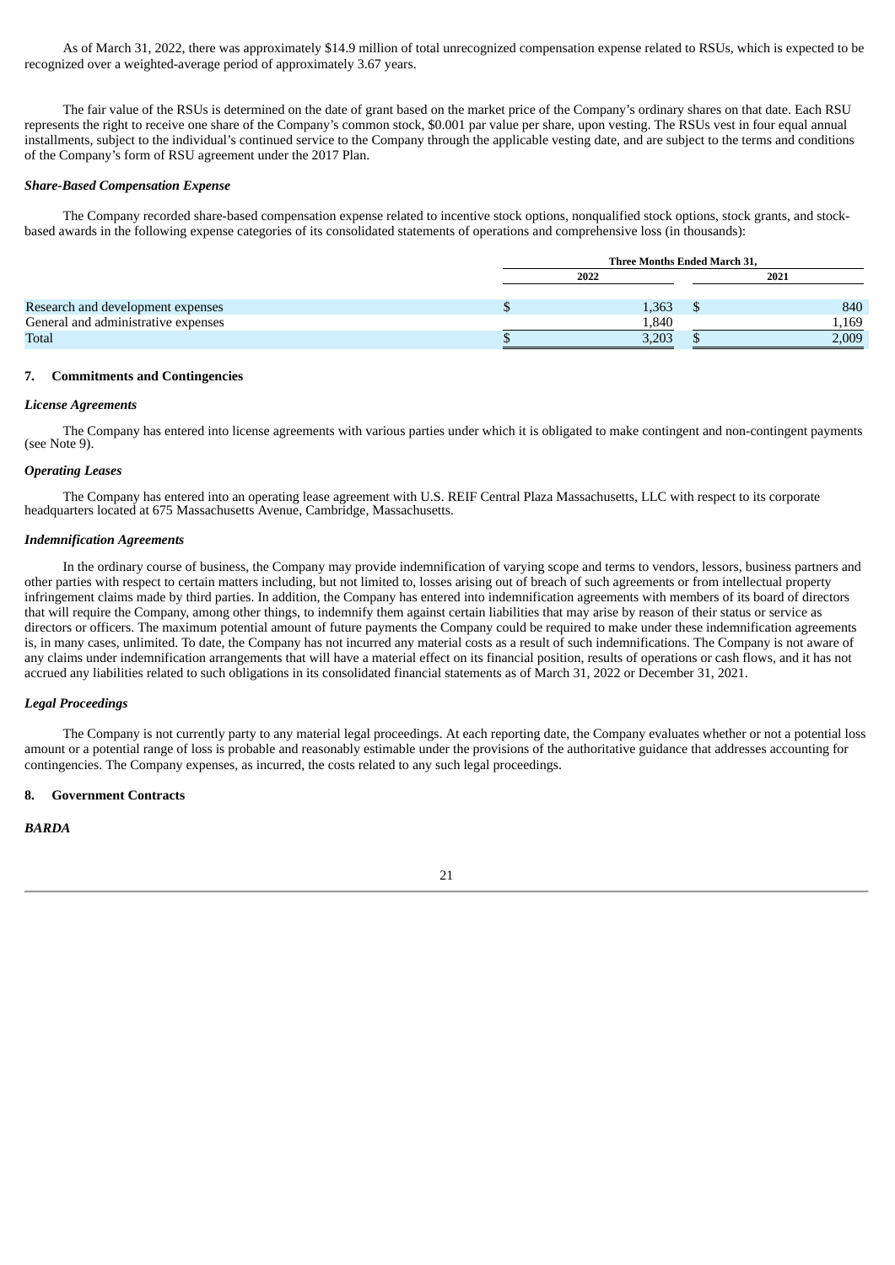As of March 31, 2022, there was approximately \$14.9 million of total unrecognized compensation expense related to RSUs, which is expected to be recognized over a weighted-average period of approximately 3.67 years.

The fair value of the RSUs is determined on the date of grant based on the market price of the Company's ordinary shares on that date. Each RSU represents the right to receive one share of the Company's common stock, \$0.001 par value per share, upon vesting. The RSUs vest in four equal annual installments, subject to the individual's continued service to the Company through the applicable vesting date, and are subject to the terms and conditions of the Company's form of RSU agreement under the 2017 Plan.

#### *Share-Based Compensation Expense*

The Company recorded share-based compensation expense related to incentive stock options, nonqualified stock options, stock grants, and stockbased awards in the following expense categories of its consolidated statements of operations and comprehensive loss (in thousands):

|                                     | Three Months Ended March 31, |      |       |  |  |  |  |
|-------------------------------------|------------------------------|------|-------|--|--|--|--|
|                                     | 2022                         | 2021 |       |  |  |  |  |
|                                     |                              |      |       |  |  |  |  |
| Research and development expenses   | 1,363                        |      | 840   |  |  |  |  |
| General and administrative expenses | 1,840                        |      | 1,169 |  |  |  |  |
| Total                               | 3,203                        |      | 2,009 |  |  |  |  |

#### **7. Commitments and Contingencies**

#### *License Agreements*

The Company has entered into license agreements with various parties under which it is obligated to make contingent and non-contingent payments (see Note 9).

#### *Operating Leases*

The Company has entered into an operating lease agreement with U.S. REIF Central Plaza Massachusetts, LLC with respect to its corporate headquarters located at 675 Massachusetts Avenue, Cambridge, Massachusetts.

#### *Indemnification Agreements*

In the ordinary course of business, the Company may provide indemnification of varying scope and terms to vendors, lessors, business partners and other parties with respect to certain matters including, but not limited to, losses arising out of breach of such agreements or from intellectual property infringement claims made by third parties. In addition, the Company has entered into indemnification agreements with members of its board of directors that will require the Company, among other things, to indemnify them against certain liabilities that may arise by reason of their status or service as directors or officers. The maximum potential amount of future payments the Company could be required to make under these indemnification agreements is, in many cases, unlimited. To date, the Company has not incurred any material costs as a result of such indemnifications. The Company is not aware of any claims under indemnification arrangements that will have a material effect on its financial position, results of operations or cash flows, and it has not accrued any liabilities related to such obligations in its consolidated financial statements as of March 31, 2022 or December 31, 2021.

#### *Legal Proceedings*

The Company is not currently party to any material legal proceedings. At each reporting date, the Company evaluates whether or not a potential loss amount or a potential range of loss is probable and reasonably estimable under the provisions of the authoritative guidance that addresses accounting for contingencies. The Company expenses, as incurred, the costs related to any such legal proceedings.

#### **8. Government Contracts**

*BARDA*

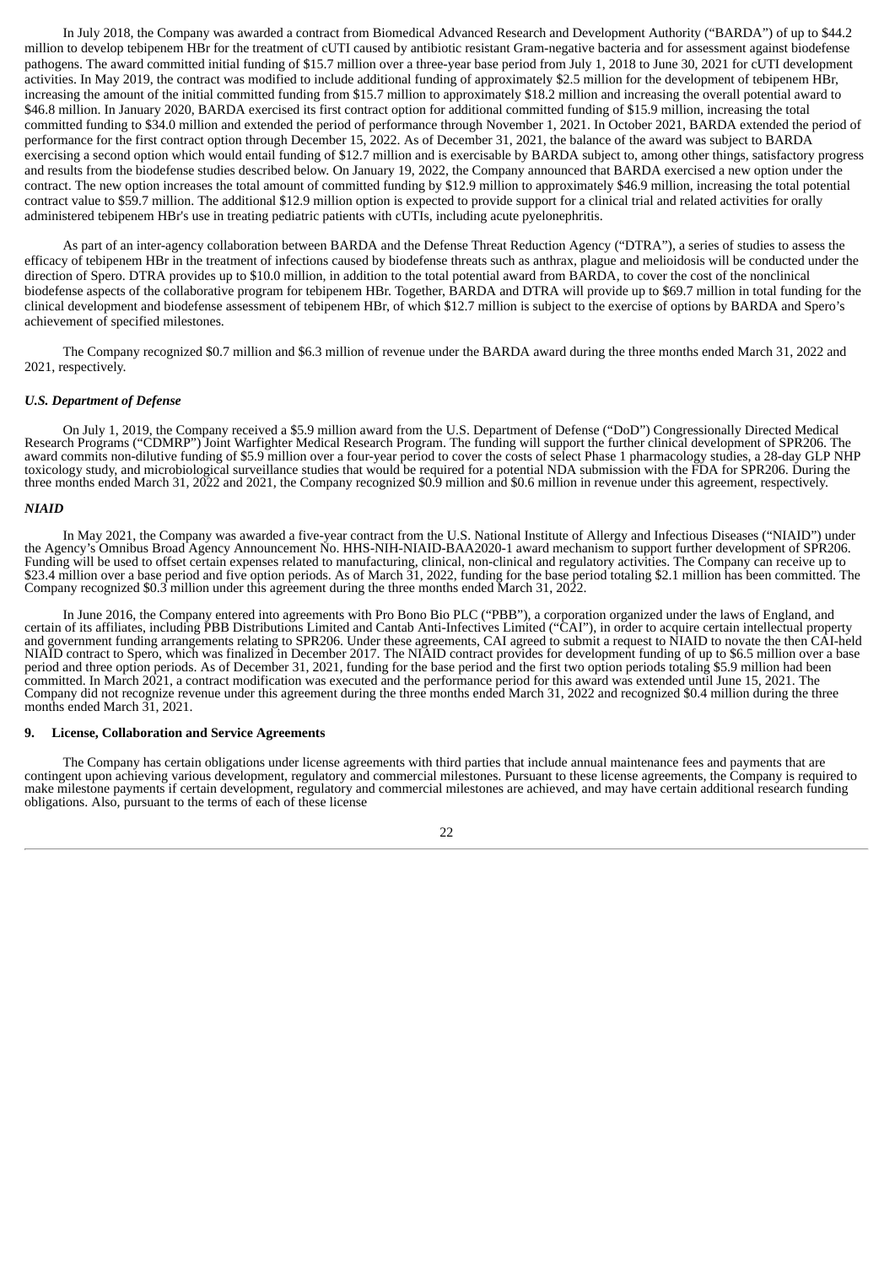In July 2018, the Company was awarded a contract from Biomedical Advanced Research and Development Authority ("BARDA") of up to \$44.2 million to develop tebipenem HBr for the treatment of cUTI caused by antibiotic resistant Gram-negative bacteria and for assessment against biodefense pathogens. The award committed initial funding of \$15.7 million over a three-year base period from July 1, 2018 to June 30, 2021 for cUTI development activities. In May 2019, the contract was modified to include additional funding of approximately \$2.5 million for the development of tebipenem HBr, increasing the amount of the initial committed funding from \$15.7 million to approximately \$18.2 million and increasing the overall potential award to \$46.8 million. In January 2020, BARDA exercised its first contract option for additional committed funding of \$15.9 million, increasing the total committed funding to \$34.0 million and extended the period of performance through November 1, 2021. In October 2021, BARDA extended the period of performance for the first contract option through December 15, 2022. As of December 31, 2021, the balance of the award was subject to BARDA exercising a second option which would entail funding of \$12.7 million and is exercisable by BARDA subject to, among other things, satisfactory progress and results from the biodefense studies described below. On January 19, 2022, the Company announced that BARDA exercised a new option under the contract. The new option increases the total amount of committed funding by \$12.9 million to approximately \$46.9 million, increasing the total potential contract value to \$59.7 million. The additional \$12.9 million option is expected to provide support for a clinical trial and related activities for orally administered tebipenem HBr's use in treating pediatric patients with cUTIs, including acute pyelonephritis.

As part of an inter-agency collaboration between BARDA and the Defense Threat Reduction Agency ("DTRA"), a series of studies to assess the efficacy of tebipenem HBr in the treatment of infections caused by biodefense threats such as anthrax, plague and melioidosis will be conducted under the direction of Spero. DTRA provides up to \$10.0 million, in addition to the total potential award from BARDA, to cover the cost of the nonclinical biodefense aspects of the collaborative program for tebipenem HBr. Together, BARDA and DTRA will provide up to \$69.7 million in total funding for the clinical development and biodefense assessment of tebipenem HBr, of which \$12.7 million is subject to the exercise of options by BARDA and Spero's achievement of specified milestones.

The Company recognized \$0.7 million and \$6.3 million of revenue under the BARDA award during the three months ended March 31, 2022 and 2021, respectively.

# *U.S. Department of Defense*

On July 1, 2019, the Company received a \$5.9 million award from the U.S. Department of Defense ("DoD") Congressionally Directed Medical Research Programs ("CDMRP") Joint Warfighter Medical Research Program. The funding will support the further clinical development of SPR206. The award commits non-dilutive funding of \$5.9 million over a four-year period to cover the costs of select Phase 1 pharmacology studies, a 28-day GLP NHP toxicology study, and microbiological surveillance studies that would be required for a potential NDA submission with the FDA for SPR206. During the three months ended March 31, 2022 and 2021, the Company recognized \$0.9 million and \$0.6 million in revenue under this agreement, respectively.

#### *NIAID*

In May 2021, the Company was awarded a five-year contract from the U.S. National Institute of Allergy and Infectious Diseases ("NIAID") under the Agency's Omnibus Broad Agency Announcement No. HHS-NIH-NIAID-BAA2020-1 award mechanism to support further development of SPR206. Funding will be used to offset certain expenses related to manufacturing, clinical, non-clinical and regulatory activities. The Company can receive up to \$23.4 million over a base period and five option periods. As of March 31, 2022, funding for the base period totaling \$2.1 million has been committed. The Company recognized \$0.3 million under this agreement during the three months ended March 31, 2022.

In June 2016, the Company entered into agreements with Pro Bono Bio PLC ("PBB"), a corporation organized under the laws of England, and certain of its affiliates, including PBB Distributions Limited and Cantab Anti-Infectives Limited ("CAI"), in order to acquire certain intellectual property and government funding arrangements relating to SPR206. Under these agreements, CAI agreed to submit a request to NIAID to novate the then CAI-held NIAID contract to Spero, which was finalized in December 2017. The NIAID contract provides for development funding of up to \$6.5 million over a base period and three option periods. As of December 31, 2021, funding for the base period and the first two option periods totaling \$5.9 million had been committed. In March 2021, a contract modification was executed and the performance period for this award was extended until June 15, 2021. The Company did not recognize revenue under this agreement during the three months ended March 31, 2022 and recognized \$0.4 million during the three months ended March 31, 2021.

# **9. License, Collaboration and Service Agreements**

The Company has certain obligations under license agreements with third parties that include annual maintenance fees and payments that are contingent upon achieving various development, regulatory and commercial milestones. Pursuant to these license agreements, the Company is required to make milestone payments if certain development, regulatory and commercial milestones are achieved, and may have certain additional research funding obligations. Also, pursuant to the terms of each of these license

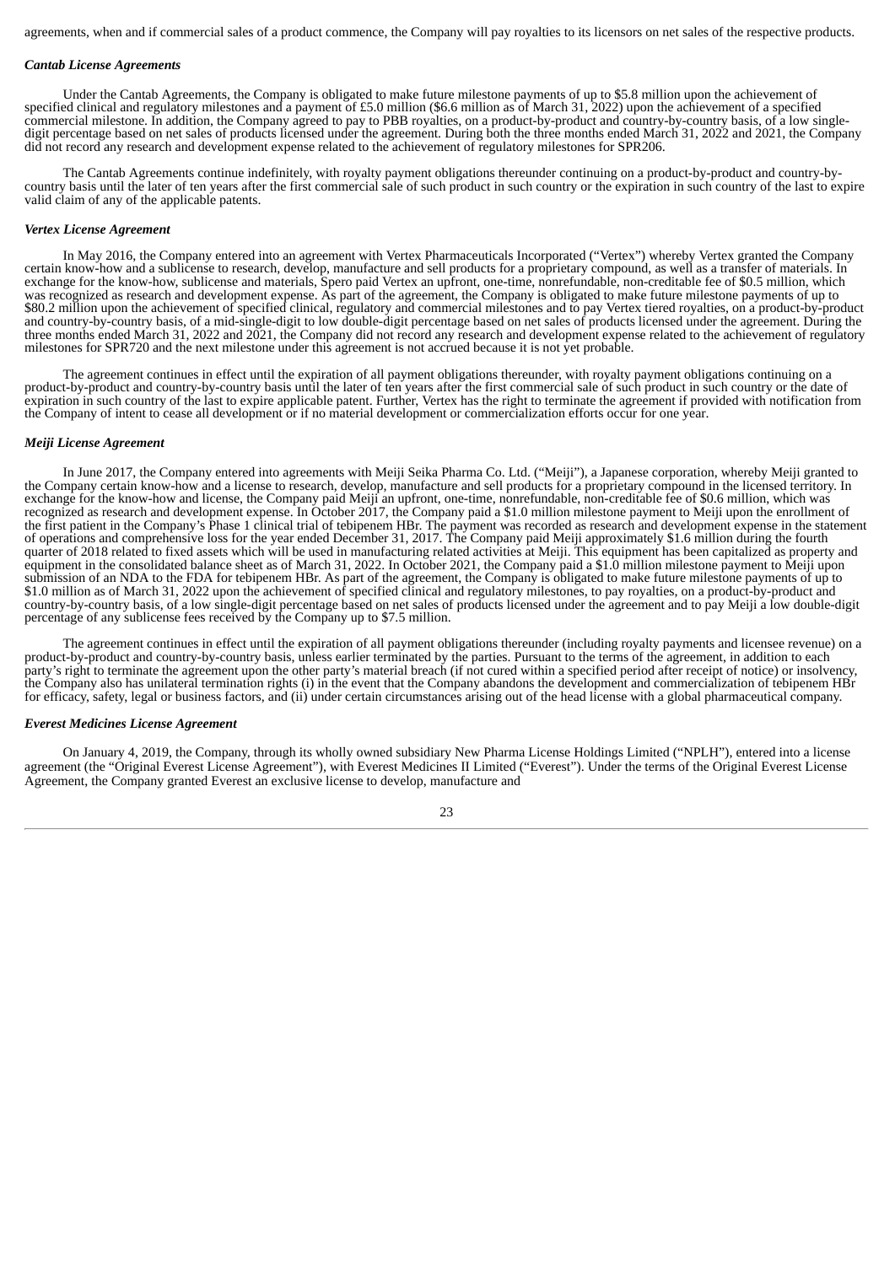agreements, when and if commercial sales of a product commence, the Company will pay royalties to its licensors on net sales of the respective products.

# *Cantab License Agreements*

Under the Cantab Agreements, the Company is obligated to make future milestone payments of up to \$5.8 million upon the achievement of specified clinical and regulatory milestones and a payment of £5.0 million (\$6.6 million as of March 31, 2022) upon the achievement of a specified commercial milestone. In addition, the Company agreed to pay to PBB royalties, on a product-by-product and country-by-country basis, of a low singledigit percentage based on net sales of products licensed under the agreement. During both the three months ended March 31, 2022 and 2021, the Company did not record any research and development expense related to the achievement of regulatory milestones for SPR206.

The Cantab Agreements continue indefinitely, with royalty payment obligations thereunder continuing on a product-by-product and country-bycountry basis until the later of ten years after the first commercial sale of such product in such country or the expiration in such country of the last to expire valid claim of any of the applicable patents.

#### *Vertex License Agreement*

In May 2016, the Company entered into an agreement with Vertex Pharmaceuticals Incorporated ("Vertex") whereby Vertex granted the Company certain know-how and a sublicense to research, develop, manufacture and sell products for a proprietary compound, as well as a transfer of materials. In exchange for the know-how, sublicense and materials, Spero paid Vertex an upfront, one-time, nonrefundable, non-creditable fee of \$0.5 million, which was recognized as research and development expense. As part of the agreement, the Company is obligated to make future milestone payments of up to \$80.2 million upon the achievement of specified clinical, regulatory and commercial milestones and to pay Vertex tiered royalties, on a product-by-product and country-by-country basis, of a mid-single-digit to low double-digit percentage based on net sales of products licensed under the agreement. During the three months ended March 31, 2022 and 2021, the Company did not record any research and development expense related to the achievement of regulatory milestones for SPR720 and the next milestone under this agreement is not accrued because it is not yet probable.

The agreement continues in effect until the expiration of all payment obligations thereunder, with royalty payment obligations continuing on a product-by-product and country-by-country basis until the later of ten years after the first commercial sale of such product in such country or the date of expiration in such country of the last to expire applicable patent. Further, Vertex has the right to terminate the agreement if provided with notification from the Company of intent to cease all development or if no material development or commercialization efforts occur for one year.

#### *Meiji License Agreement*

In June 2017, the Company entered into agreements with Meiji Seika Pharma Co. Ltd. ("Meiji"), a Japanese corporation, whereby Meiji granted to the Company certain know-how and a license to research, develop, manufacture and sell products for a proprietary compound in the licensed territory. In exchange for the know-how and license, the Company paid Meiji an upfront, one-time, nonrefundable, non-creditable fee of \$0.6 million, which was recognized as research and development expense. In October 2017, the Company paid a \$1.0 million milestone payment to Meiji upon the enrollment of the first patient in the Company's Phase 1 clinical trial of tebipenem HBr. The payment was recorded as research and development expense in the statement of operations and comprehensive loss for the year ended December 31, 2017. The Company paid Meiji approximately \$1.6 million during the fourth quarter of 2018 related to fixed assets which will be used in manufacturing related activities at Meiji. This equipment has been capitalized as property and equipment in the consolidated balance sheet as of March 31, 2022. In October 2021, the Company paid a \$1.0 million milestone payment to Meiji upon submission of an NDA to the FDA for tebipenem HBr. As part of the agreement, the Company is obligated to make future milestone payments of up to \$1.0 million as of March 31, 2022 upon the achievement of specified clinical and regulatory milestones, to pay royalties, on a product-by-product and country-by-country basis, of a low single-digit percentage based on net sales of products licensed under the agreement and to pay Meiji a low double-digit percentage of any sublicense fees received by the Company up to \$7.5 million.

The agreement continues in effect until the expiration of all payment obligations thereunder (including royalty payments and licensee revenue) on a product-by-product and country-by-country basis, unless earlier terminated by the parties. Pursuant to the terms of the agreement, in addition to each party's right to terminate the agreement upon the other party's material breach (if not cured within a specified period after receipt of notice) or insolvency, the Company also has unilateral termination rights (i) in the event that the Company abandons the development and commercialization of tebipenem HBr for efficacy, safety, legal or business factors, and (ii) under certain circumstances arising out of the head license with a global pharmaceutical company.

#### *Everest Medicines License Agreement*

On January 4, 2019, the Company, through its wholly owned subsidiary New Pharma License Holdings Limited ("NPLH"), entered into a license agreement (the "Original Everest License Agreement"), with Everest Medicines II Limited ("Everest"). Under the terms of the Original Everest License Agreement, the Company granted Everest an exclusive license to develop, manufacture and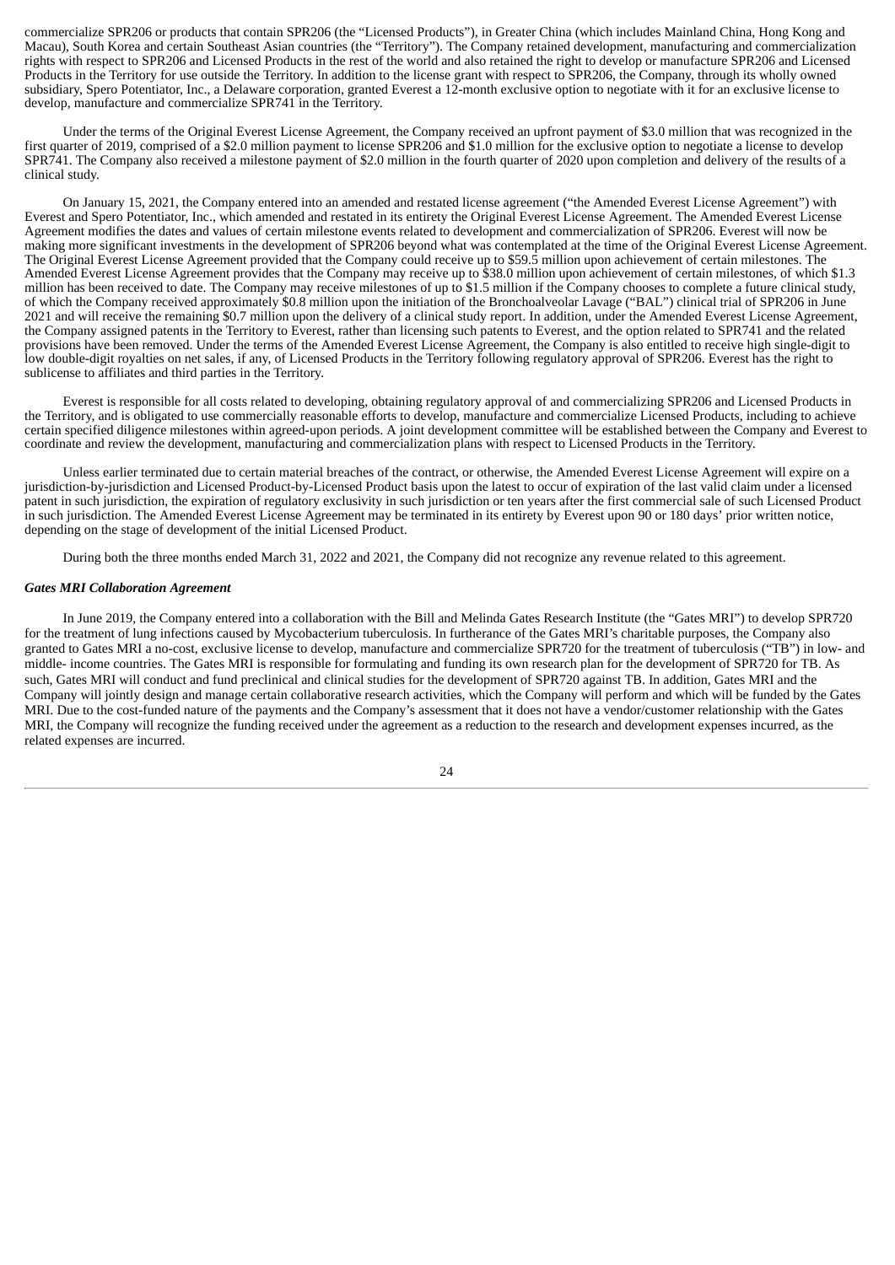commercialize SPR206 or products that contain SPR206 (the "Licensed Products"), in Greater China (which includes Mainland China, Hong Kong and Macau), South Korea and certain Southeast Asian countries (the "Territory"). The Company retained development, manufacturing and commercialization rights with respect to SPR206 and Licensed Products in the rest of the world and also retained the right to develop or manufacture SPR206 and Licensed Products in the Territory for use outside the Territory. In addition to the license grant with respect to SPR206, the Company, through its wholly owned subsidiary, Spero Potentiator, Inc., a Delaware corporation, granted Everest a 12-month exclusive option to negotiate with it for an exclusive license to develop, manufacture and commercialize SPR741 in the Territory.

Under the terms of the Original Everest License Agreement, the Company received an upfront payment of \$3.0 million that was recognized in the first quarter of 2019, comprised of a \$2.0 million payment to license SPR206 and \$1.0 million for the exclusive option to negotiate a license to develop SPR741. The Company also received a milestone payment of \$2.0 million in the fourth quarter of 2020 upon completion and delivery of the results of a clinical study.

On January 15, 2021, the Company entered into an amended and restated license agreement ("the Amended Everest License Agreement") with Everest and Spero Potentiator, Inc., which amended and restated in its entirety the Original Everest License Agreement. The Amended Everest License Agreement modifies the dates and values of certain milestone events related to development and commercialization of SPR206. Everest will now be making more significant investments in the development of SPR206 beyond what was contemplated at the time of the Original Everest License Agreement. The Original Everest License Agreement provided that the Company could receive up to \$59.5 million upon achievement of certain milestones. The Amended Everest License Agreement provides that the Company may receive up to \$38.0 million upon achievement of certain milestones, of which \$1.3 million has been received to date. The Company may receive milestones of up to \$1.5 million if the Company chooses to complete a future clinical study, of which the Company received approximately \$0.8 million upon the initiation of the Bronchoalveolar Lavage ("BAL") clinical trial of SPR206 in June 2021 and will receive the remaining \$0.7 million upon the delivery of a clinical study report. In addition, under the Amended Everest License Agreement, the Company assigned patents in the Territory to Everest, rather than licensing such patents to Everest, and the option related to SPR741 and the related provisions have been removed. Under the terms of the Amended Everest License Agreement, the Company is also entitled to receive high single-digit to low double-digit royalties on net sales, if any, of Licensed Products in the Territory following regulatory approval of SPR206. Everest has the right to sublicense to affiliates and third parties in the Territory.

Everest is responsible for all costs related to developing, obtaining regulatory approval of and commercializing SPR206 and Licensed Products in the Territory, and is obligated to use commercially reasonable efforts to develop, manufacture and commercialize Licensed Products, including to achieve certain specified diligence milestones within agreed-upon periods. A joint development committee will be established between the Company and Everest to coordinate and review the development, manufacturing and commercialization plans with respect to Licensed Products in the Territory.

Unless earlier terminated due to certain material breaches of the contract, or otherwise, the Amended Everest License Agreement will expire on a jurisdiction-by-jurisdiction and Licensed Product-by-Licensed Product basis upon the latest to occur of expiration of the last valid claim under a licensed patent in such jurisdiction, the expiration of regulatory exclusivity in such jurisdiction or ten years after the first commercial sale of such Licensed Product in such jurisdiction. The Amended Everest License Agreement may be terminated in its entirety by Everest upon 90 or 180 days' prior written notice, depending on the stage of development of the initial Licensed Product.

During both the three months ended March 31, 2022 and 2021, the Company did not recognize any revenue related to this agreement.

#### *Gates MRI Collaboration Agreement*

In June 2019, the Company entered into a collaboration with the Bill and Melinda Gates Research Institute (the "Gates MRI") to develop SPR720 for the treatment of lung infections caused by Mycobacterium tuberculosis. In furtherance of the Gates MRI's charitable purposes, the Company also granted to Gates MRI a no-cost, exclusive license to develop, manufacture and commercialize SPR720 for the treatment of tuberculosis ("TB") in low- and middle- income countries. The Gates MRI is responsible for formulating and funding its own research plan for the development of SPR720 for TB. As such, Gates MRI will conduct and fund preclinical and clinical studies for the development of SPR720 against TB. In addition, Gates MRI and the Company will jointly design and manage certain collaborative research activities, which the Company will perform and which will be funded by the Gates MRI. Due to the cost-funded nature of the payments and the Company's assessment that it does not have a vendor/customer relationship with the Gates MRI, the Company will recognize the funding received under the agreement as a reduction to the research and development expenses incurred, as the related expenses are incurred.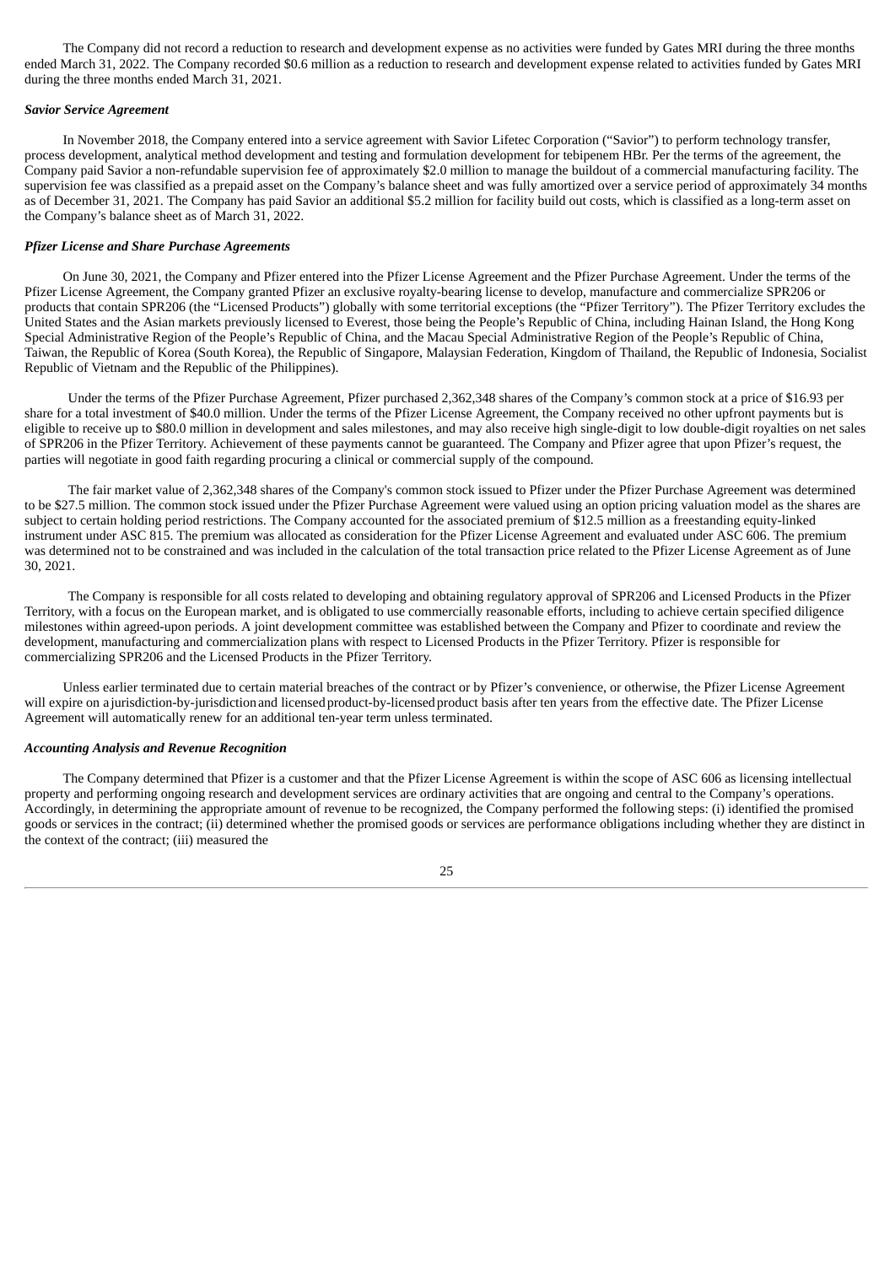The Company did not record a reduction to research and development expense as no activities were funded by Gates MRI during the three months ended March 31, 2022. The Company recorded \$0.6 million as a reduction to research and development expense related to activities funded by Gates MRI during the three months ended March 31, 2021.

#### *Savior Service Agreement*

In November 2018, the Company entered into a service agreement with Savior Lifetec Corporation ("Savior") to perform technology transfer, process development, analytical method development and testing and formulation development for tebipenem HBr. Per the terms of the agreement, the Company paid Savior a non-refundable supervision fee of approximately \$2.0 million to manage the buildout of a commercial manufacturing facility. The supervision fee was classified as a prepaid asset on the Company's balance sheet and was fully amortized over a service period of approximately 34 months as of December 31, 2021. The Company has paid Savior an additional \$5.2 million for facility build out costs, which is classified as a long-term asset on the Company's balance sheet as of March 31, 2022.

#### *Pfizer License and Share Purchase Agreements*

On June 30, 2021, the Company and Pfizer entered into the Pfizer License Agreement and the Pfizer Purchase Agreement. Under the terms of the Pfizer License Agreement, the Company granted Pfizer an exclusive royalty-bearing license to develop, manufacture and commercialize SPR206 or products that contain SPR206 (the "Licensed Products") globally with some territorial exceptions (the "Pfizer Territory"). The Pfizer Territory excludes the United States and the Asian markets previously licensed to Everest, those being the People's Republic of China, including Hainan Island, the Hong Kong Special Administrative Region of the People's Republic of China, and the Macau Special Administrative Region of the People's Republic of China, Taiwan, the Republic of Korea (South Korea), the Republic of Singapore, Malaysian Federation, Kingdom of Thailand, the Republic of Indonesia, Socialist Republic of Vietnam and the Republic of the Philippines).

Under the terms of the Pfizer Purchase Agreement, Pfizer purchased 2,362,348 shares of the Company's common stock at a price of \$16.93 per share for a total investment of \$40.0 million. Under the terms of the Pfizer License Agreement, the Company received no other upfront payments but is eligible to receive up to \$80.0 million in development and sales milestones, and may also receive high single-digit to low double-digit royalties on net sales of SPR206 in the Pfizer Territory. Achievement of these payments cannot be guaranteed. The Company and Pfizer agree that upon Pfizer's request, the parties will negotiate in good faith regarding procuring a clinical or commercial supply of the compound.

The fair market value of 2,362,348 shares of the Company's common stock issued to Pfizer under the Pfizer Purchase Agreement was determined to be \$27.5 million. The common stock issued under the Pfizer Purchase Agreement were valued using an option pricing valuation model as the shares are subject to certain holding period restrictions. The Company accounted for the associated premium of \$12.5 million as a freestanding equity-linked instrument under ASC 815. The premium was allocated as consideration for the Pfizer License Agreement and evaluated under ASC 606. The premium was determined not to be constrained and was included in the calculation of the total transaction price related to the Pfizer License Agreement as of June 30, 2021.

The Company is responsible for all costs related to developing and obtaining regulatory approval of SPR206 and Licensed Products in the Pfizer Territory, with a focus on the European market, and is obligated to use commercially reasonable efforts, including to achieve certain specified diligence milestones within agreed-upon periods. A joint development committee was established between the Company and Pfizer to coordinate and review the development, manufacturing and commercialization plans with respect to Licensed Products in the Pfizer Territory. Pfizer is responsible for commercializing SPR206 and the Licensed Products in the Pfizer Territory.

Unless earlier terminated due to certain material breaches of the contract or by Pfizer's convenience, or otherwise, the Pfizer License Agreement will expire on a jurisdiction-by-jurisdictionand licensedproduct-by-licensedproduct basis after ten years from the effective date. The Pfizer License Agreement will automatically renew for an additional ten-year term unless terminated.

#### *Accounting Analysis and Revenue Recognition*

The Company determined that Pfizer is a customer and that the Pfizer License Agreement is within the scope of ASC 606 as licensing intellectual property and performing ongoing research and development services are ordinary activities that are ongoing and central to the Company's operations. Accordingly, in determining the appropriate amount of revenue to be recognized, the Company performed the following steps: (i) identified the promised goods or services in the contract; (ii) determined whether the promised goods or services are performance obligations including whether they are distinct in the context of the contract; (iii) measured the

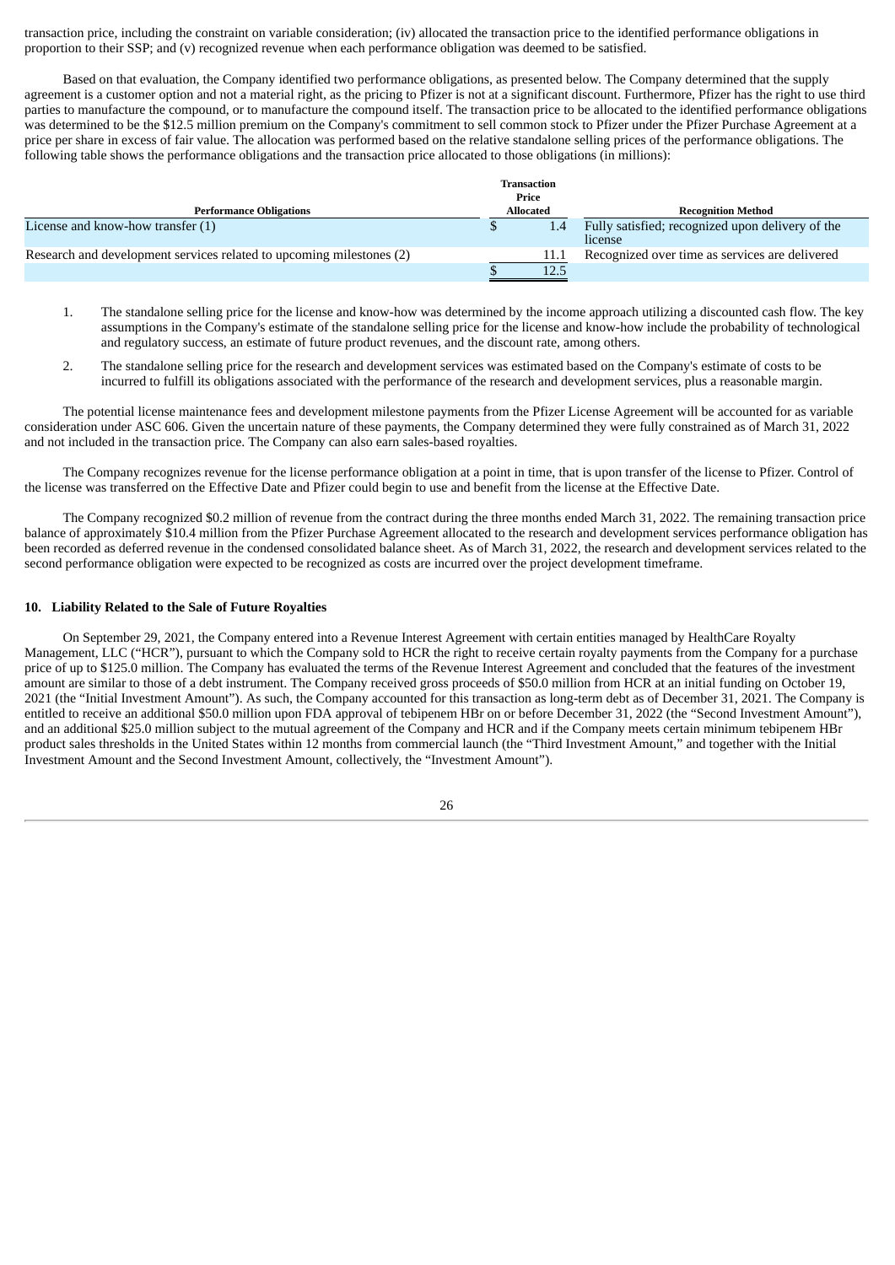transaction price, including the constraint on variable consideration; (iv) allocated the transaction price to the identified performance obligations in proportion to their SSP; and (v) recognized revenue when each performance obligation was deemed to be satisfied.

Based on that evaluation, the Company identified two performance obligations, as presented below. The Company determined that the supply agreement is a customer option and not a material right, as the pricing to Pfizer is not at a significant discount. Furthermore, Pfizer has the right to use third parties to manufacture the compound, or to manufacture the compound itself. The transaction price to be allocated to the identified performance obligations was determined to be the \$12.5 million premium on the Company's commitment to sell common stock to Pfizer under the Pfizer Purchase Agreement at a price per share in excess of fair value. The allocation was performed based on the relative standalone selling prices of the performance obligations. The following table shows the performance obligations and the transaction price allocated to those obligations (in millions):

|                                                                      | Transaction<br>Price |                                                             |
|----------------------------------------------------------------------|----------------------|-------------------------------------------------------------|
| <b>Performance Obligations</b>                                       | Allocated            | <b>Recognition Method</b>                                   |
| License and know-how transfer (1)                                    | 1.4                  | Fully satisfied; recognized upon delivery of the<br>license |
| Research and development services related to upcoming milestones (2) | 11.1                 | Recognized over time as services are delivered              |
|                                                                      | 12.5                 |                                                             |

- 1. The standalone selling price for the license and know-how was determined by the income approach utilizing a discounted cash flow. The key assumptions in the Company's estimate of the standalone selling price for the license and know-how include the probability of technological and regulatory success, an estimate of future product revenues, and the discount rate, among others.
- 2. The standalone selling price for the research and development services was estimated based on the Company's estimate of costs to be incurred to fulfill its obligations associated with the performance of the research and development services, plus a reasonable margin.

The potential license maintenance fees and development milestone payments from the Pfizer License Agreement will be accounted for as variable consideration under ASC 606. Given the uncertain nature of these payments, the Company determined they were fully constrained as of March 31, 2022 and not included in the transaction price. The Company can also earn sales-based royalties.

The Company recognizes revenue for the license performance obligation at a point in time, that is upon transfer of the license to Pfizer. Control of the license was transferred on the Effective Date and Pfizer could begin to use and benefit from the license at the Effective Date.

The Company recognized \$0.2 million of revenue from the contract during the three months ended March 31, 2022. The remaining transaction price balance of approximately \$10.4 million from the Pfizer Purchase Agreement allocated to the research and development services performance obligation has been recorded as deferred revenue in the condensed consolidated balance sheet. As of March 31, 2022, the research and development services related to the second performance obligation were expected to be recognized as costs are incurred over the project development timeframe.

## **10. Liability Related to the Sale of Future Royalties**

On September 29, 2021, the Company entered into a Revenue Interest Agreement with certain entities managed by HealthCare Royalty Management, LLC ("HCR"), pursuant to which the Company sold to HCR the right to receive certain royalty payments from the Company for a purchase price of up to \$125.0 million. The Company has evaluated the terms of the Revenue Interest Agreement and concluded that the features of the investment amount are similar to those of a debt instrument. The Company received gross proceeds of \$50.0 million from HCR at an initial funding on October 19, 2021 (the "Initial Investment Amount"). As such, the Company accounted for this transaction as long-term debt as of December 31, 2021. The Company is entitled to receive an additional \$50.0 million upon FDA approval of tebipenem HBr on or before December 31, 2022 (the "Second Investment Amount"), and an additional \$25.0 million subject to the mutual agreement of the Company and HCR and if the Company meets certain minimum tebipenem HBr product sales thresholds in the United States within 12 months from commercial launch (the "Third Investment Amount," and together with the Initial Investment Amount and the Second Investment Amount, collectively, the "Investment Amount").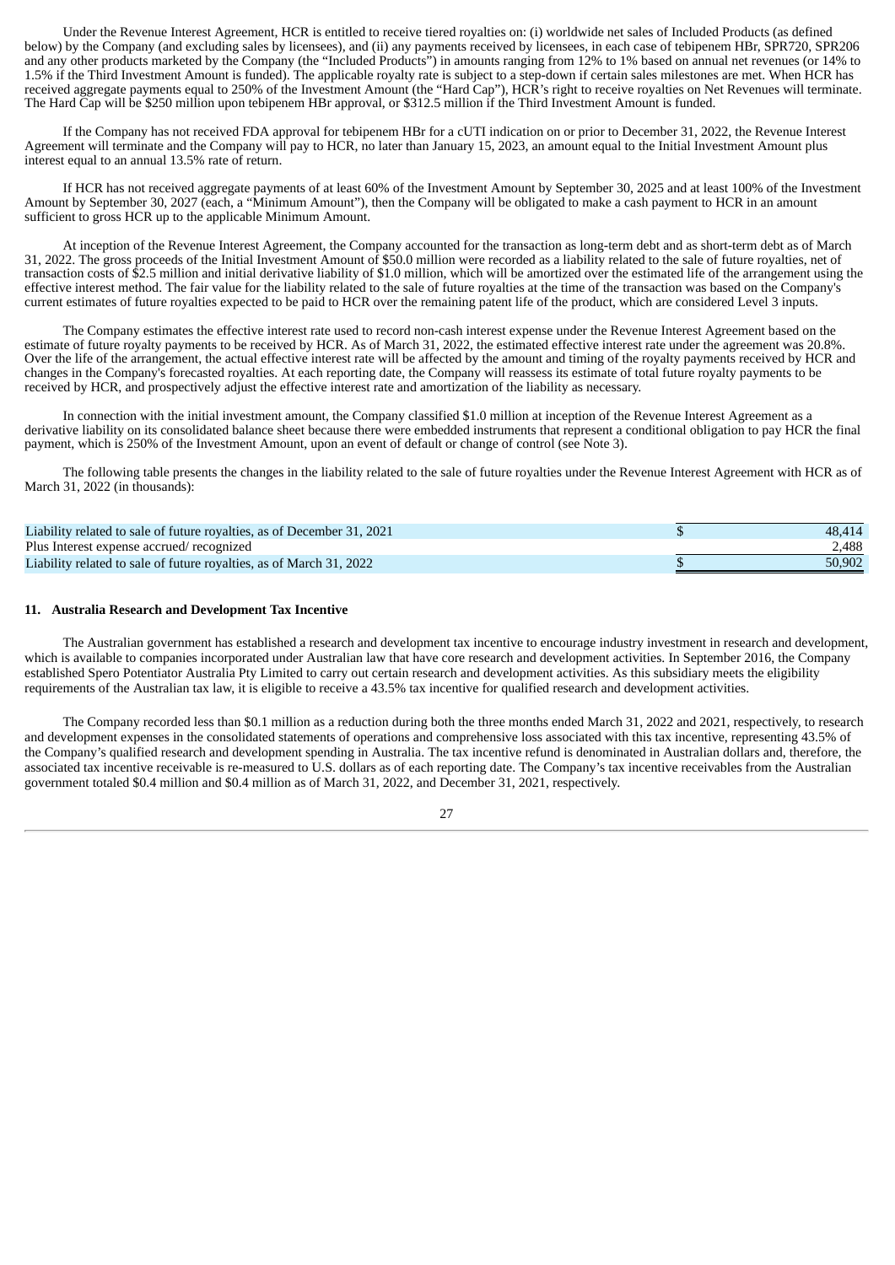Under the Revenue Interest Agreement, HCR is entitled to receive tiered royalties on: (i) worldwide net sales of Included Products (as defined below) by the Company (and excluding sales by licensees), and (ii) any payments received by licensees, in each case of tebipenem HBr, SPR720, SPR206 and any other products marketed by the Company (the "Included Products") in amounts ranging from 12% to 1% based on annual net revenues (or 14% to 1.5% if the Third Investment Amount is funded). The applicable royalty rate is subject to a step-down if certain sales milestones are met. When HCR has received aggregate payments equal to 250% of the Investment Amount (the "Hard Cap"), HCR's right to receive royalties on Net Revenues will terminate. The Hard Cap will be \$250 million upon tebipenem HBr approval, or \$312.5 million if the Third Investment Amount is funded.

If the Company has not received FDA approval for tebipenem HBr for a cUTI indication on or prior to December 31, 2022, the Revenue Interest Agreement will terminate and the Company will pay to HCR, no later than January 15, 2023, an amount equal to the Initial Investment Amount plus interest equal to an annual 13.5% rate of return.

If HCR has not received aggregate payments of at least 60% of the Investment Amount by September 30, 2025 and at least 100% of the Investment Amount by September 30, 2027 (each, a "Minimum Amount"), then the Company will be obligated to make a cash payment to HCR in an amount sufficient to gross HCR up to the applicable Minimum Amount.

At inception of the Revenue Interest Agreement, the Company accounted for the transaction as long-term debt and as short-term debt as of March 31, 2022. The gross proceeds of the Initial Investment Amount of \$50.0 million were recorded as a liability related to the sale of future royalties, net of transaction costs of \$2.5 million and initial derivative liability of \$1.0 million, which will be amortized over the estimated life of the arrangement using the effective interest method. The fair value for the liability related to the sale of future royalties at the time of the transaction was based on the Company's current estimates of future royalties expected to be paid to HCR over the remaining patent life of the product, which are considered Level 3 inputs.

The Company estimates the effective interest rate used to record non-cash interest expense under the Revenue Interest Agreement based on the estimate of future royalty payments to be received by HCR. As of March 31, 2022, the estimated effective interest rate under the agreement was 20.8%. Over the life of the arrangement, the actual effective interest rate will be affected by the amount and timing of the royalty payments received by HCR and changes in the Company's forecasted royalties. At each reporting date, the Company will reassess its estimate of total future royalty payments to be received by HCR, and prospectively adjust the effective interest rate and amortization of the liability as necessary.

In connection with the initial investment amount, the Company classified \$1.0 million at inception of the Revenue Interest Agreement as a derivative liability on its consolidated balance sheet because there were embedded instruments that represent a conditional obligation to pay HCR the final payment, which is 250% of the Investment Amount, upon an event of default or change of control (see Note 3).

The following table presents the changes in the liability related to the sale of future royalties under the Revenue Interest Agreement with HCR as of March 31, 2022 (in thousands):

| Liability related to sale of future royalties, as of December 31, 2021 | 48.414 |
|------------------------------------------------------------------------|--------|
| Plus Interest expense accrued/recognized                               | 2.488  |
| Liability related to sale of future royalties, as of March 31, 2022    | 50,902 |

# **11. Australia Research and Development Tax Incentive**

The Australian government has established a research and development tax incentive to encourage industry investment in research and development, which is available to companies incorporated under Australian law that have core research and development activities. In September 2016, the Company established Spero Potentiator Australia Pty Limited to carry out certain research and development activities. As this subsidiary meets the eligibility requirements of the Australian tax law, it is eligible to receive a 43.5% tax incentive for qualified research and development activities.

The Company recorded less than \$0.1 million as a reduction during both the three months ended March 31, 2022 and 2021, respectively, to research and development expenses in the consolidated statements of operations and comprehensive loss associated with this tax incentive, representing 43.5% of the Company's qualified research and development spending in Australia. The tax incentive refund is denominated in Australian dollars and, therefore, the associated tax incentive receivable is re-measured to U.S. dollars as of each reporting date. The Company's tax incentive receivables from the Australian government totaled \$0.4 million and \$0.4 million as of March 31, 2022, and December 31, 2021, respectively.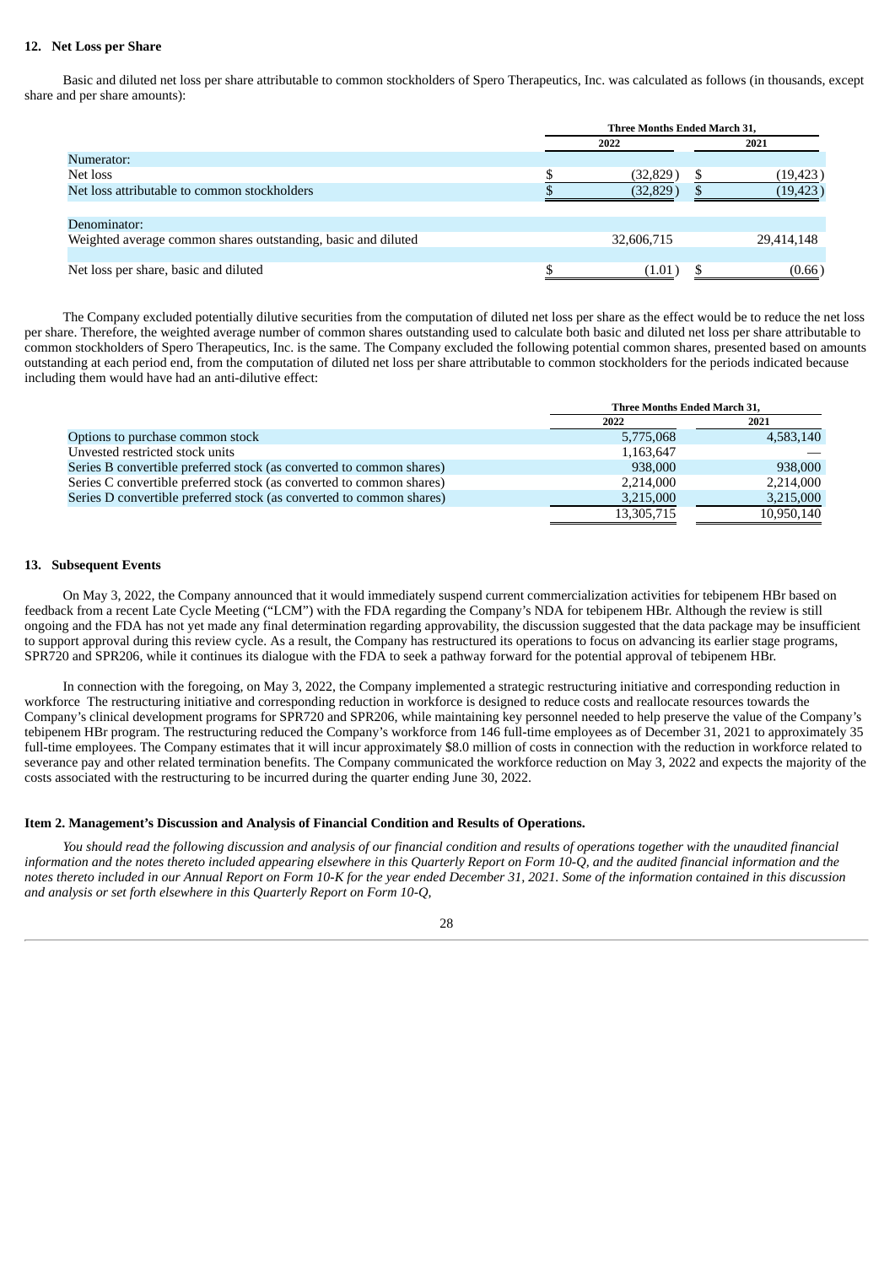# **12. Net Loss per Share**

Basic and diluted net loss per share attributable to common stockholders of Spero Therapeutics, Inc. was calculated as follows (in thousands, except share and per share amounts):

|                                                               | <b>Three Months Ended March 31.</b> |            |  |            |  |
|---------------------------------------------------------------|-------------------------------------|------------|--|------------|--|
|                                                               |                                     | 2022       |  | 2021       |  |
| Numerator:                                                    |                                     |            |  |            |  |
| Net loss                                                      |                                     | (32,829    |  | (19,423)   |  |
| Net loss attributable to common stockholders                  |                                     | (32,829)   |  | (19, 423)  |  |
|                                                               |                                     |            |  |            |  |
| Denominator:                                                  |                                     |            |  |            |  |
| Weighted average common shares outstanding, basic and diluted |                                     | 32,606,715 |  | 29,414,148 |  |
| Net loss per share, basic and diluted                         |                                     | (1.01      |  | (0.66)     |  |

The Company excluded potentially dilutive securities from the computation of diluted net loss per share as the effect would be to reduce the net loss per share. Therefore, the weighted average number of common shares outstanding used to calculate both basic and diluted net loss per share attributable to common stockholders of Spero Therapeutics, Inc. is the same. The Company excluded the following potential common shares, presented based on amounts outstanding at each period end, from the computation of diluted net loss per share attributable to common stockholders for the periods indicated because including them would have had an anti-dilutive effect:

|                                                                      | Three Months Ended March 31, |            |
|----------------------------------------------------------------------|------------------------------|------------|
|                                                                      | 2022                         | 2021       |
| Options to purchase common stock                                     | 5,775,068                    | 4,583,140  |
| Unvested restricted stock units                                      | 1,163,647                    |            |
| Series B convertible preferred stock (as converted to common shares) | 938,000                      | 938,000    |
| Series C convertible preferred stock (as converted to common shares) | 2.214,000                    | 2.214,000  |
| Series D convertible preferred stock (as converted to common shares) | 3,215,000                    | 3,215,000  |
|                                                                      | 13,305,715                   | 10,950,140 |

# **13. Subsequent Events**

On May 3, 2022, the Company announced that it would immediately suspend current commercialization activities for tebipenem HBr based on feedback from a recent Late Cycle Meeting ("LCM") with the FDA regarding the Company's NDA for tebipenem HBr. Although the review is still ongoing and the FDA has not yet made any final determination regarding approvability, the discussion suggested that the data package may be insufficient to support approval during this review cycle. As a result, the Company has restructured its operations to focus on advancing its earlier stage programs, SPR720 and SPR206, while it continues its dialogue with the FDA to seek a pathway forward for the potential approval of tebipenem HBr.

In connection with the foregoing, on May 3, 2022, the Company implemented a strategic restructuring initiative and corresponding reduction in workforce The restructuring initiative and corresponding reduction in workforce is designed to reduce costs and reallocate resources towards the Company's clinical development programs for SPR720 and SPR206, while maintaining key personnel needed to help preserve the value of the Company's tebipenem HBr program. The restructuring reduced the Company's workforce from 146 full-time employees as of December 31, 2021 to approximately 35 full-time employees. The Company estimates that it will incur approximately \$8.0 million of costs in connection with the reduction in workforce related to severance pay and other related termination benefits. The Company communicated the workforce reduction on May 3, 2022 and expects the majority of the costs associated with the restructuring to be incurred during the quarter ending June 30, 2022.

# <span id="page-28-0"></span>**Item 2. Management's Discussion and Analysis of Financial Condition and Results of Operations.**

You should read the following discussion and analysis of our financial condition and results of operations together with the unaudited financial information and the notes thereto included appearing elsewhere in this Quarterly Report on Form 10-Q, and the audited financial information and the notes thereto included in our Annual Report on Form 10-K for the year ended December 31, 2021. Some of the information contained in this discussion *and analysis or set forth elsewhere in this Quarterly Report on Form 10-Q,*

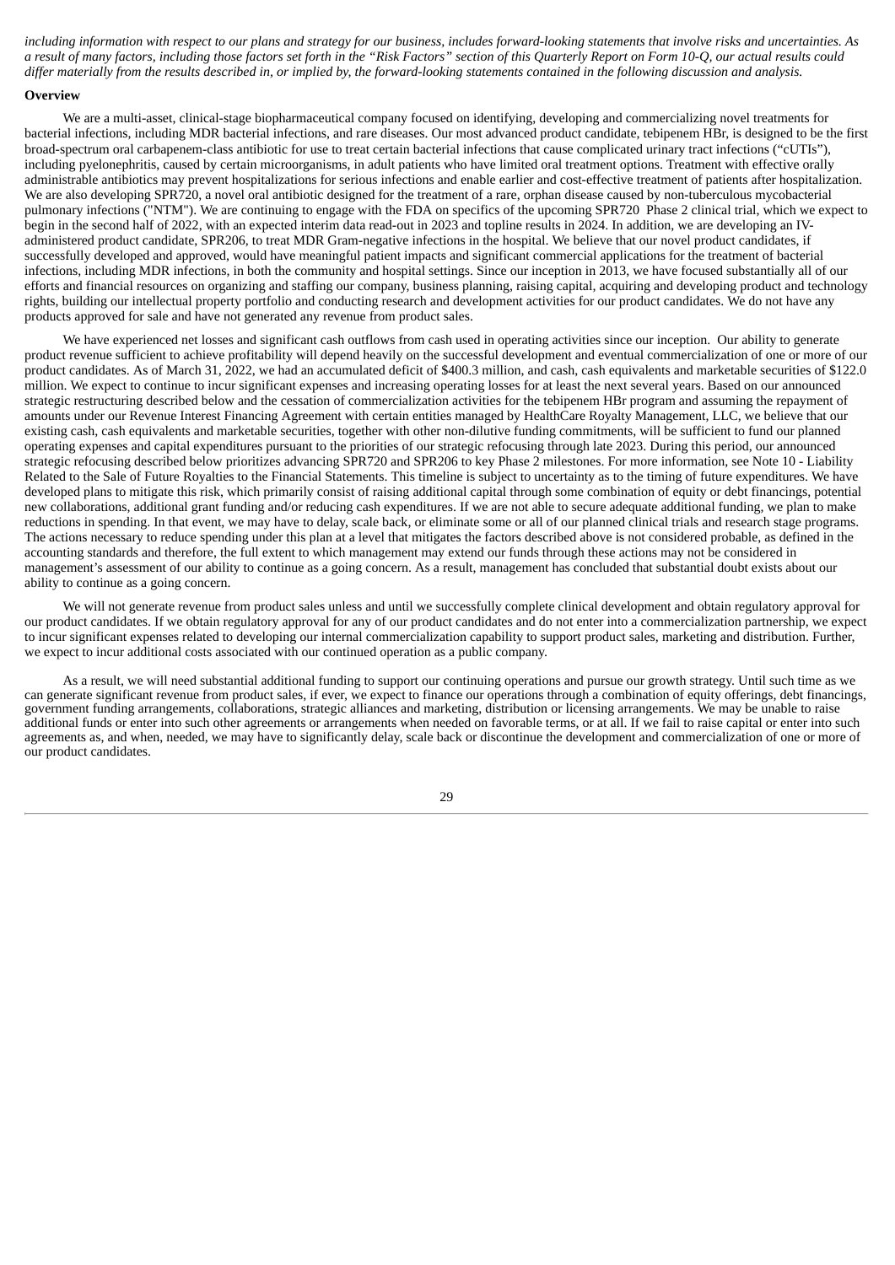including information with respect to our plans and strategy for our business, includes forward-looking statements that involve risks and uncertainties. As a result of many factors, including those factors set forth in the "Risk Factors" section of this Quarterly Report on Form 10-Q, our actual results could differ materially from the results described in, or implied by, the forward-looking statements contained in the following discussion and analysis.

#### **Overview**

We are a multi-asset, clinical-stage biopharmaceutical company focused on identifying, developing and commercializing novel treatments for bacterial infections, including MDR bacterial infections, and rare diseases. Our most advanced product candidate, tebipenem HBr, is designed to be the first broad-spectrum oral carbapenem-class antibiotic for use to treat certain bacterial infections that cause complicated urinary tract infections ("cUTIs"), including pyelonephritis, caused by certain microorganisms, in adult patients who have limited oral treatment options. Treatment with effective orally administrable antibiotics may prevent hospitalizations for serious infections and enable earlier and cost-effective treatment of patients after hospitalization. We are also developing SPR720, a novel oral antibiotic designed for the treatment of a rare, orphan disease caused by non-tuberculous mycobacterial pulmonary infections ("NTM"). We are continuing to engage with the FDA on specifics of the upcoming SPR720 Phase 2 clinical trial, which we expect to begin in the second half of 2022, with an expected interim data read-out in 2023 and topline results in 2024. In addition, we are developing an IVadministered product candidate, SPR206, to treat MDR Gram-negative infections in the hospital. We believe that our novel product candidates, if successfully developed and approved, would have meaningful patient impacts and significant commercial applications for the treatment of bacterial infections, including MDR infections, in both the community and hospital settings. Since our inception in 2013, we have focused substantially all of our efforts and financial resources on organizing and staffing our company, business planning, raising capital, acquiring and developing product and technology rights, building our intellectual property portfolio and conducting research and development activities for our product candidates. We do not have any products approved for sale and have not generated any revenue from product sales.

We have experienced net losses and significant cash outflows from cash used in operating activities since our inception. Our ability to generate product revenue sufficient to achieve profitability will depend heavily on the successful development and eventual commercialization of one or more of our product candidates. As of March 31, 2022, we had an accumulated deficit of \$400.3 million, and cash, cash equivalents and marketable securities of \$122.0 million. We expect to continue to incur significant expenses and increasing operating losses for at least the next several years. Based on our announced strategic restructuring described below and the cessation of commercialization activities for the tebipenem HBr program and assuming the repayment of amounts under our Revenue Interest Financing Agreement with certain entities managed by HealthCare Royalty Management, LLC, we believe that our existing cash, cash equivalents and marketable securities, together with other non-dilutive funding commitments, will be sufficient to fund our planned operating expenses and capital expenditures pursuant to the priorities of our strategic refocusing through late 2023. During this period, our announced strategic refocusing described below prioritizes advancing SPR720 and SPR206 to key Phase 2 milestones. For more information, see Note 10 - Liability Related to the Sale of Future Royalties to the Financial Statements. This timeline is subject to uncertainty as to the timing of future expenditures. We have developed plans to mitigate this risk, which primarily consist of raising additional capital through some combination of equity or debt financings, potential new collaborations, additional grant funding and/or reducing cash expenditures. If we are not able to secure adequate additional funding, we plan to make reductions in spending. In that event, we may have to delay, scale back, or eliminate some or all of our planned clinical trials and research stage programs. The actions necessary to reduce spending under this plan at a level that mitigates the factors described above is not considered probable, as defined in the accounting standards and therefore, the full extent to which management may extend our funds through these actions may not be considered in management's assessment of our ability to continue as a going concern. As a result, management has concluded that substantial doubt exists about our ability to continue as a going concern.

We will not generate revenue from product sales unless and until we successfully complete clinical development and obtain regulatory approval for our product candidates. If we obtain regulatory approval for any of our product candidates and do not enter into a commercialization partnership, we expect to incur significant expenses related to developing our internal commercialization capability to support product sales, marketing and distribution. Further, we expect to incur additional costs associated with our continued operation as a public company.

As a result, we will need substantial additional funding to support our continuing operations and pursue our growth strategy. Until such time as we can generate significant revenue from product sales, if ever, we expect to finance our operations through a combination of equity offerings, debt financings, government funding arrangements, collaborations, strategic alliances and marketing, distribution or licensing arrangements. We may be unable to raise additional funds or enter into such other agreements or arrangements when needed on favorable terms, or at all. If we fail to raise capital or enter into such agreements as, and when, needed, we may have to significantly delay, scale back or discontinue the development and commercialization of one or more of our product candidates.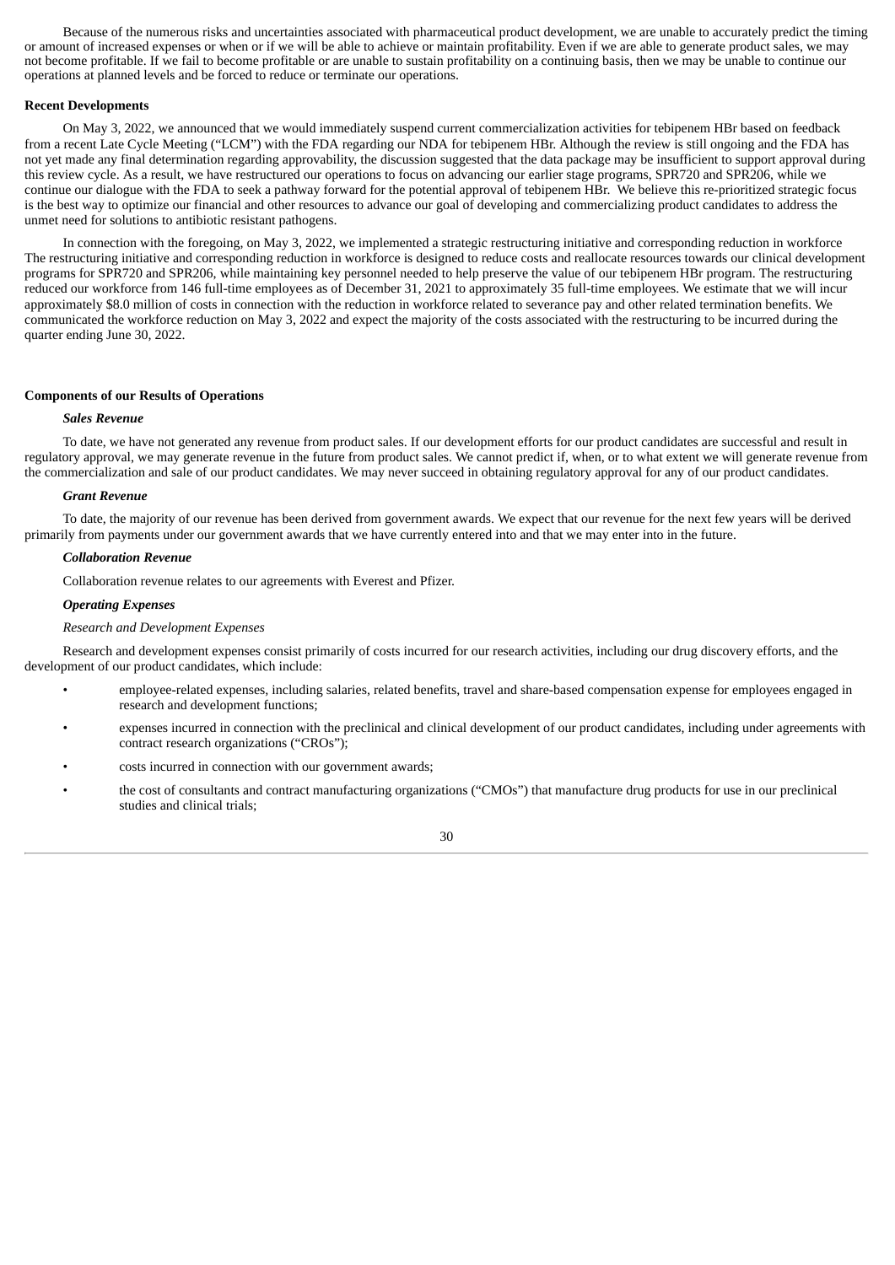Because of the numerous risks and uncertainties associated with pharmaceutical product development, we are unable to accurately predict the timing or amount of increased expenses or when or if we will be able to achieve or maintain profitability. Even if we are able to generate product sales, we may not become profitable. If we fail to become profitable or are unable to sustain profitability on a continuing basis, then we may be unable to continue our operations at planned levels and be forced to reduce or terminate our operations.

# **Recent Developments**

On May 3, 2022, we announced that we would immediately suspend current commercialization activities for tebipenem HBr based on feedback from a recent Late Cycle Meeting ("LCM") with the FDA regarding our NDA for tebipenem HBr. Although the review is still ongoing and the FDA has not yet made any final determination regarding approvability, the discussion suggested that the data package may be insufficient to support approval during this review cycle. As a result, we have restructured our operations to focus on advancing our earlier stage programs, SPR720 and SPR206, while we continue our dialogue with the FDA to seek a pathway forward for the potential approval of tebipenem HBr. We believe this re-prioritized strategic focus is the best way to optimize our financial and other resources to advance our goal of developing and commercializing product candidates to address the unmet need for solutions to antibiotic resistant pathogens.

In connection with the foregoing, on May 3, 2022, we implemented a strategic restructuring initiative and corresponding reduction in workforce The restructuring initiative and corresponding reduction in workforce is designed to reduce costs and reallocate resources towards our clinical development programs for SPR720 and SPR206, while maintaining key personnel needed to help preserve the value of our tebipenem HBr program. The restructuring reduced our workforce from 146 full-time employees as of December 31, 2021 to approximately 35 full-time employees. We estimate that we will incur approximately \$8.0 million of costs in connection with the reduction in workforce related to severance pay and other related termination benefits. We communicated the workforce reduction on May 3, 2022 and expect the majority of the costs associated with the restructuring to be incurred during the quarter ending June 30, 2022.

# **Components of our Results of Operations**

## *Sales Revenue*

To date, we have not generated any revenue from product sales. If our development efforts for our product candidates are successful and result in regulatory approval, we may generate revenue in the future from product sales. We cannot predict if, when, or to what extent we will generate revenue from the commercialization and sale of our product candidates. We may never succeed in obtaining regulatory approval for any of our product candidates.

#### *Grant Revenue*

To date, the majority of our revenue has been derived from government awards. We expect that our revenue for the next few years will be derived primarily from payments under our government awards that we have currently entered into and that we may enter into in the future.

#### *Collaboration Revenue*

Collaboration revenue relates to our agreements with Everest and Pfizer.

#### *Operating Expenses*

#### *Research and Development Expenses*

Research and development expenses consist primarily of costs incurred for our research activities, including our drug discovery efforts, and the development of our product candidates, which include:

- employee-related expenses, including salaries, related benefits, travel and share-based compensation expense for employees engaged in research and development functions;
- expenses incurred in connection with the preclinical and clinical development of our product candidates, including under agreements with contract research organizations ("CROs");
- costs incurred in connection with our government awards;
- the cost of consultants and contract manufacturing organizations ("CMOs") that manufacture drug products for use in our preclinical studies and clinical trials;

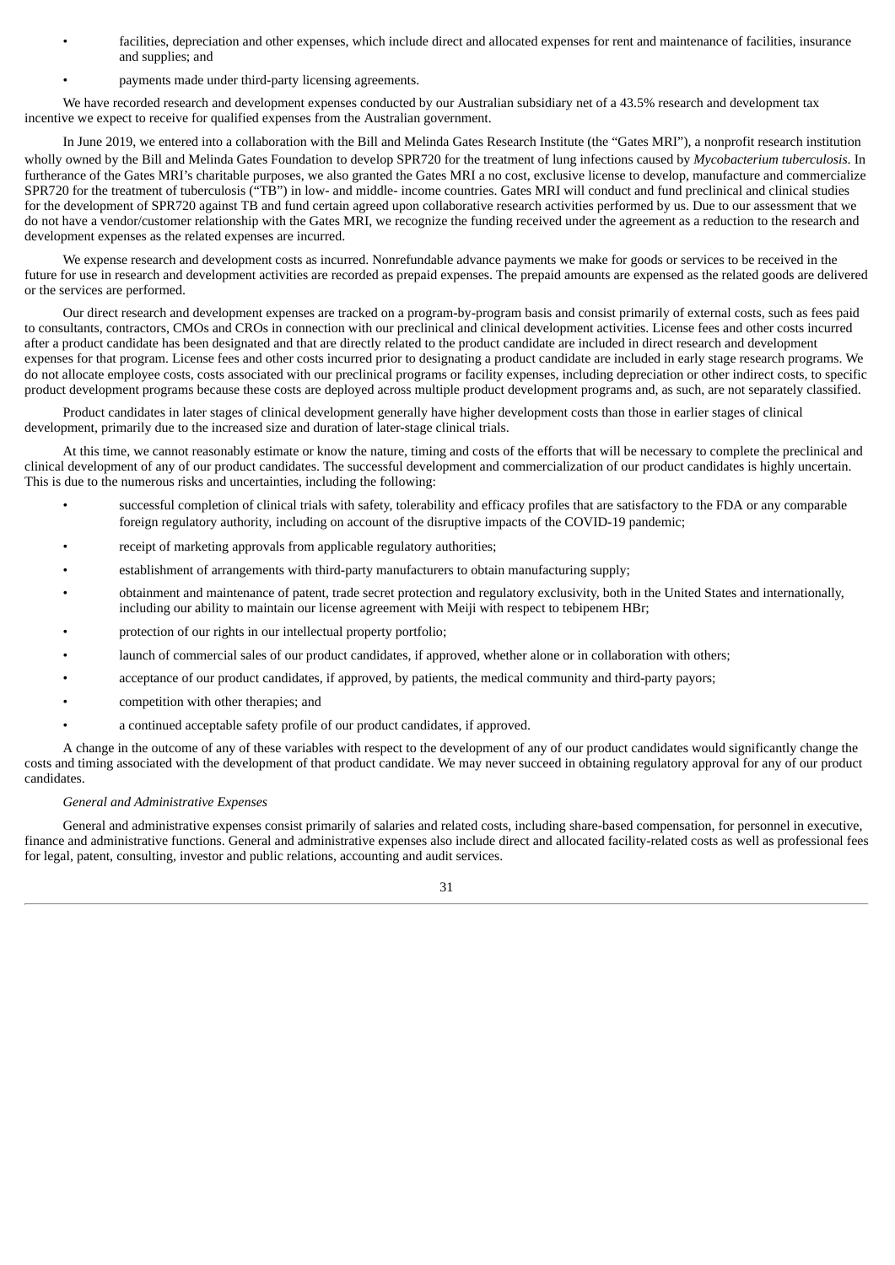- facilities, depreciation and other expenses, which include direct and allocated expenses for rent and maintenance of facilities, insurance and supplies; and
- payments made under third-party licensing agreements.

We have recorded research and development expenses conducted by our Australian subsidiary net of a 43.5% research and development tax incentive we expect to receive for qualified expenses from the Australian government.

In June 2019, we entered into a collaboration with the Bill and Melinda Gates Research Institute (the "Gates MRI"), a nonprofit research institution wholly owned by the Bill and Melinda Gates Foundation to develop SPR720 for the treatment of lung infections caused by *Mycobacterium tuberculosis*. In furtherance of the Gates MRI's charitable purposes, we also granted the Gates MRI a no cost, exclusive license to develop, manufacture and commercialize SPR720 for the treatment of tuberculosis ("TB") in low- and middle- income countries. Gates MRI will conduct and fund preclinical and clinical studies for the development of SPR720 against TB and fund certain agreed upon collaborative research activities performed by us. Due to our assessment that we do not have a vendor/customer relationship with the Gates MRI, we recognize the funding received under the agreement as a reduction to the research and development expenses as the related expenses are incurred.

We expense research and development costs as incurred. Nonrefundable advance payments we make for goods or services to be received in the future for use in research and development activities are recorded as prepaid expenses. The prepaid amounts are expensed as the related goods are delivered or the services are performed.

Our direct research and development expenses are tracked on a program-by-program basis and consist primarily of external costs, such as fees paid to consultants, contractors, CMOs and CROs in connection with our preclinical and clinical development activities. License fees and other costs incurred after a product candidate has been designated and that are directly related to the product candidate are included in direct research and development expenses for that program. License fees and other costs incurred prior to designating a product candidate are included in early stage research programs. We do not allocate employee costs, costs associated with our preclinical programs or facility expenses, including depreciation or other indirect costs, to specific product development programs because these costs are deployed across multiple product development programs and, as such, are not separately classified.

Product candidates in later stages of clinical development generally have higher development costs than those in earlier stages of clinical development, primarily due to the increased size and duration of later-stage clinical trials.

At this time, we cannot reasonably estimate or know the nature, timing and costs of the efforts that will be necessary to complete the preclinical and clinical development of any of our product candidates. The successful development and commercialization of our product candidates is highly uncertain. This is due to the numerous risks and uncertainties, including the following:

- successful completion of clinical trials with safety, tolerability and efficacy profiles that are satisfactory to the FDA or any comparable foreign regulatory authority, including on account of the disruptive impacts of the COVID-19 pandemic;
- receipt of marketing approvals from applicable regulatory authorities;
- establishment of arrangements with third-party manufacturers to obtain manufacturing supply;
- obtainment and maintenance of patent, trade secret protection and regulatory exclusivity, both in the United States and internationally, including our ability to maintain our license agreement with Meiji with respect to tebipenem HBr;
- protection of our rights in our intellectual property portfolio;
- launch of commercial sales of our product candidates, if approved, whether alone or in collaboration with others;
- acceptance of our product candidates, if approved, by patients, the medical community and third-party payors;
- competition with other therapies; and
- a continued acceptable safety profile of our product candidates, if approved.

A change in the outcome of any of these variables with respect to the development of any of our product candidates would significantly change the costs and timing associated with the development of that product candidate. We may never succeed in obtaining regulatory approval for any of our product candidates.

# *General and Administrative Expenses*

General and administrative expenses consist primarily of salaries and related costs, including share-based compensation, for personnel in executive, finance and administrative functions. General and administrative expenses also include direct and allocated facility-related costs as well as professional fees for legal, patent, consulting, investor and public relations, accounting and audit services.

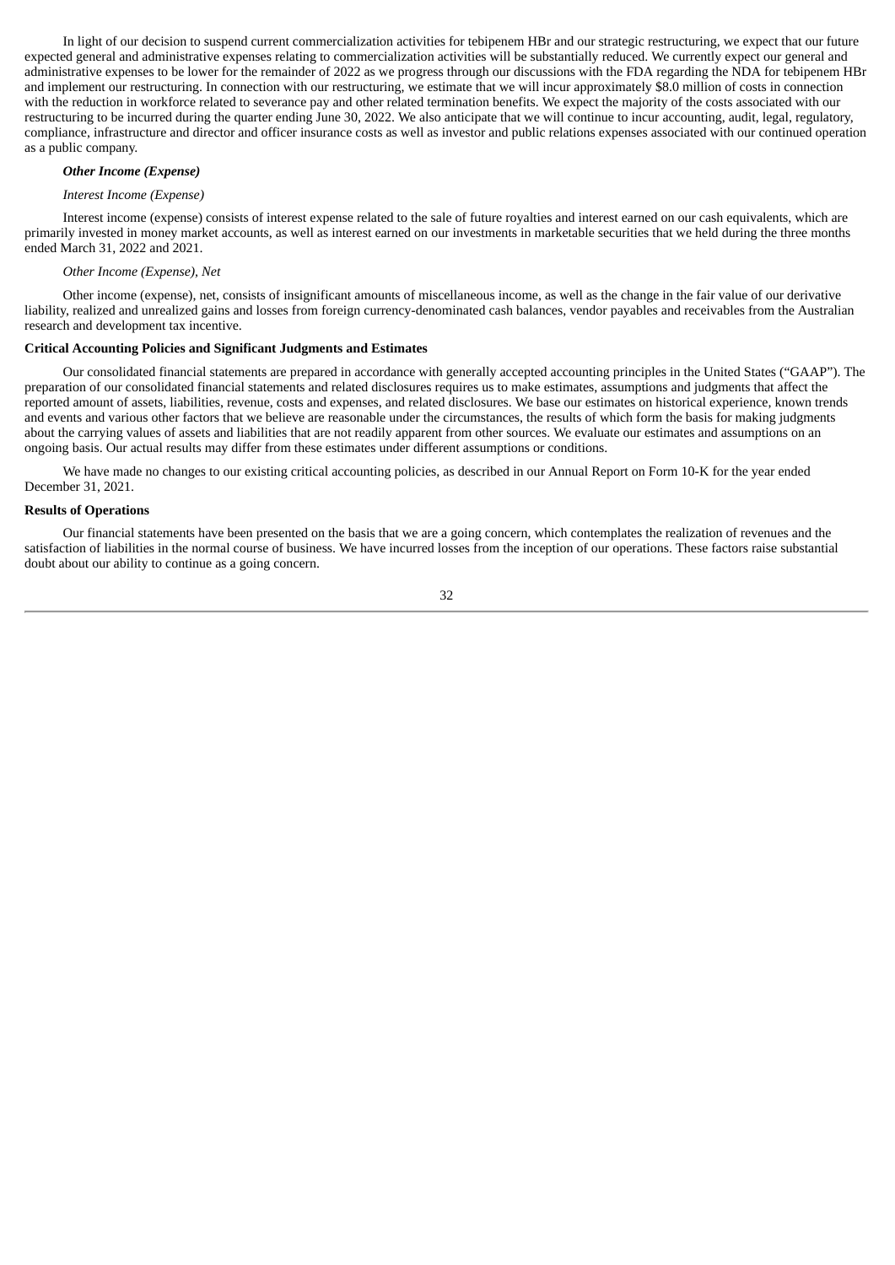In light of our decision to suspend current commercialization activities for tebipenem HBr and our strategic restructuring, we expect that our future expected general and administrative expenses relating to commercialization activities will be substantially reduced. We currently expect our general and administrative expenses to be lower for the remainder of 2022 as we progress through our discussions with the FDA regarding the NDA for tebipenem HBr and implement our restructuring. In connection with our restructuring, we estimate that we will incur approximately \$8.0 million of costs in connection with the reduction in workforce related to severance pay and other related termination benefits. We expect the majority of the costs associated with our restructuring to be incurred during the quarter ending June 30, 2022. We also anticipate that we will continue to incur accounting, audit, legal, regulatory, compliance, infrastructure and director and officer insurance costs as well as investor and public relations expenses associated with our continued operation as a public company.

#### *Other Income (Expense)*

#### *Interest Income (Expense)*

Interest income (expense) consists of interest expense related to the sale of future royalties and interest earned on our cash equivalents, which are primarily invested in money market accounts, as well as interest earned on our investments in marketable securities that we held during the three months ended March 31, 2022 and 2021.

#### *Other Income (Expense), Net*

Other income (expense), net, consists of insignificant amounts of miscellaneous income, as well as the change in the fair value of our derivative liability, realized and unrealized gains and losses from foreign currency-denominated cash balances, vendor payables and receivables from the Australian research and development tax incentive.

#### **Critical Accounting Policies and Significant Judgments and Estimates**

Our consolidated financial statements are prepared in accordance with generally accepted accounting principles in the United States ("GAAP"). The preparation of our consolidated financial statements and related disclosures requires us to make estimates, assumptions and judgments that affect the reported amount of assets, liabilities, revenue, costs and expenses, and related disclosures. We base our estimates on historical experience, known trends and events and various other factors that we believe are reasonable under the circumstances, the results of which form the basis for making judgments about the carrying values of assets and liabilities that are not readily apparent from other sources. We evaluate our estimates and assumptions on an ongoing basis. Our actual results may differ from these estimates under different assumptions or conditions.

We have made no changes to our existing critical accounting policies, as described in our Annual Report on Form 10-K for the year ended December 31, 2021.

#### **Results of Operations**

Our financial statements have been presented on the basis that we are a going concern, which contemplates the realization of revenues and the satisfaction of liabilities in the normal course of business. We have incurred losses from the inception of our operations. These factors raise substantial doubt about our ability to continue as a going concern.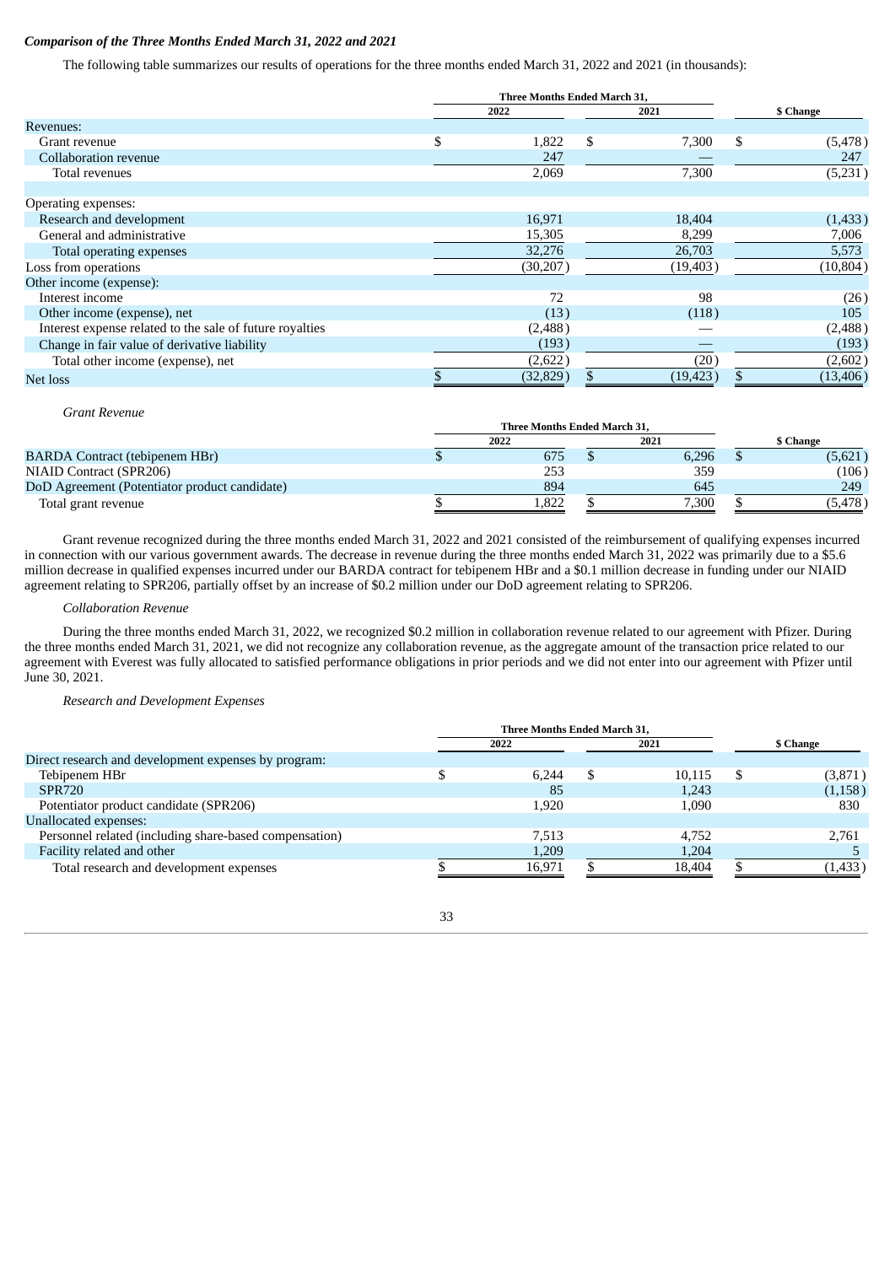# *Comparison of the Three Months Ended March 31, 2022 and 2021*

The following table summarizes our results of operations for the three months ended March 31, 2022 and 2021 (in thousands):

|                                                          | <b>Three Months Ended March 31.</b> |           |    |           |           |           |
|----------------------------------------------------------|-------------------------------------|-----------|----|-----------|-----------|-----------|
|                                                          | 2022                                |           |    | 2021      | \$ Change |           |
| <b>Revenues:</b>                                         |                                     |           |    |           |           |           |
| Grant revenue                                            | \$                                  | 1,822     | \$ | 7,300     | \$        | (5, 478)  |
| Collaboration revenue                                    |                                     | 247       |    |           |           | 247       |
| Total revenues                                           |                                     | 2,069     |    | 7,300     |           | (5,231)   |
|                                                          |                                     |           |    |           |           |           |
| Operating expenses:                                      |                                     |           |    |           |           |           |
| Research and development                                 |                                     | 16,971    |    | 18,404    |           | (1,433)   |
| General and administrative                               |                                     | 15,305    |    | 8,299     |           | 7,006     |
| Total operating expenses                                 |                                     | 32,276    |    | 26,703    |           | 5,573     |
| Loss from operations                                     |                                     | (30, 207) |    | (19, 403) |           | (10, 804) |
| Other income (expense):                                  |                                     |           |    |           |           |           |
| Interest income                                          |                                     | 72        |    | 98        |           | (26)      |
| Other income (expense), net                              |                                     | (13)      |    | (118)     |           | 105       |
| Interest expense related to the sale of future royalties |                                     | (2,488)   |    |           |           | (2,488)   |
| Change in fair value of derivative liability             |                                     | (193)     |    |           |           | (193)     |
| Total other income (expense), net                        |                                     | (2,622)   |    | (20)      |           | (2,602)   |
| Net loss                                                 |                                     | (32, 829) |    | (19, 423) |           | (13, 406) |

*Grant Revenue*

|                                               | Three Months Ended March 31. |  |       |  |           |
|-----------------------------------------------|------------------------------|--|-------|--|-----------|
|                                               | 2022                         |  | 2021  |  | \$ Change |
| BARDA Contract (tebipenem HBr)                | 675                          |  | 6.296 |  | (5,621)   |
| NIAID Contract (SPR206)                       | 253                          |  | 359   |  | (106)     |
| DoD Agreement (Potentiator product candidate) | 894                          |  | 645   |  | 249       |
| Total grant revenue                           | 1,822                        |  | 7,300 |  | (5,478)   |

Grant revenue recognized during the three months ended March 31, 2022 and 2021 consisted of the reimbursement of qualifying expenses incurred in connection with our various government awards. The decrease in revenue during the three months ended March 31, 2022 was primarily due to a \$5.6 million decrease in qualified expenses incurred under our BARDA contract for tebipenem HBr and a \$0.1 million decrease in funding under our NIAID agreement relating to SPR206, partially offset by an increase of \$0.2 million under our DoD agreement relating to SPR206.

# *Collaboration Revenue*

During the three months ended March 31, 2022, we recognized \$0.2 million in collaboration revenue related to our agreement with Pfizer. During the three months ended March 31, 2021, we did not recognize any collaboration revenue, as the aggregate amount of the transaction price related to our agreement with Everest was fully allocated to satisfied performance obligations in prior periods and we did not enter into our agreement with Pfizer until June 30, 2021.

*Research and Development Expenses*

|                                                        | Three Months Ended March 31, |   |        |           |          |
|--------------------------------------------------------|------------------------------|---|--------|-----------|----------|
|                                                        | 2022                         |   | 2021   | \$ Change |          |
| Direct research and development expenses by program:   |                              |   |        |           |          |
| Tebipenem HBr                                          | 6.244                        | S | 10,115 |           | (3,871)  |
| <b>SPR720</b>                                          | 85                           |   | 1,243  |           | (1,158)  |
| Potentiator product candidate (SPR206)                 | 1,920                        |   | 1,090  |           | 830      |
| Unallocated expenses:                                  |                              |   |        |           |          |
| Personnel related (including share-based compensation) | 7,513                        |   | 4,752  |           | 2,761    |
| Facility related and other                             | 1,209                        |   | 1,204  |           |          |
| Total research and development expenses                | 16.971                       |   | 18.404 |           | (1, 433) |
|                                                        |                              |   |        |           |          |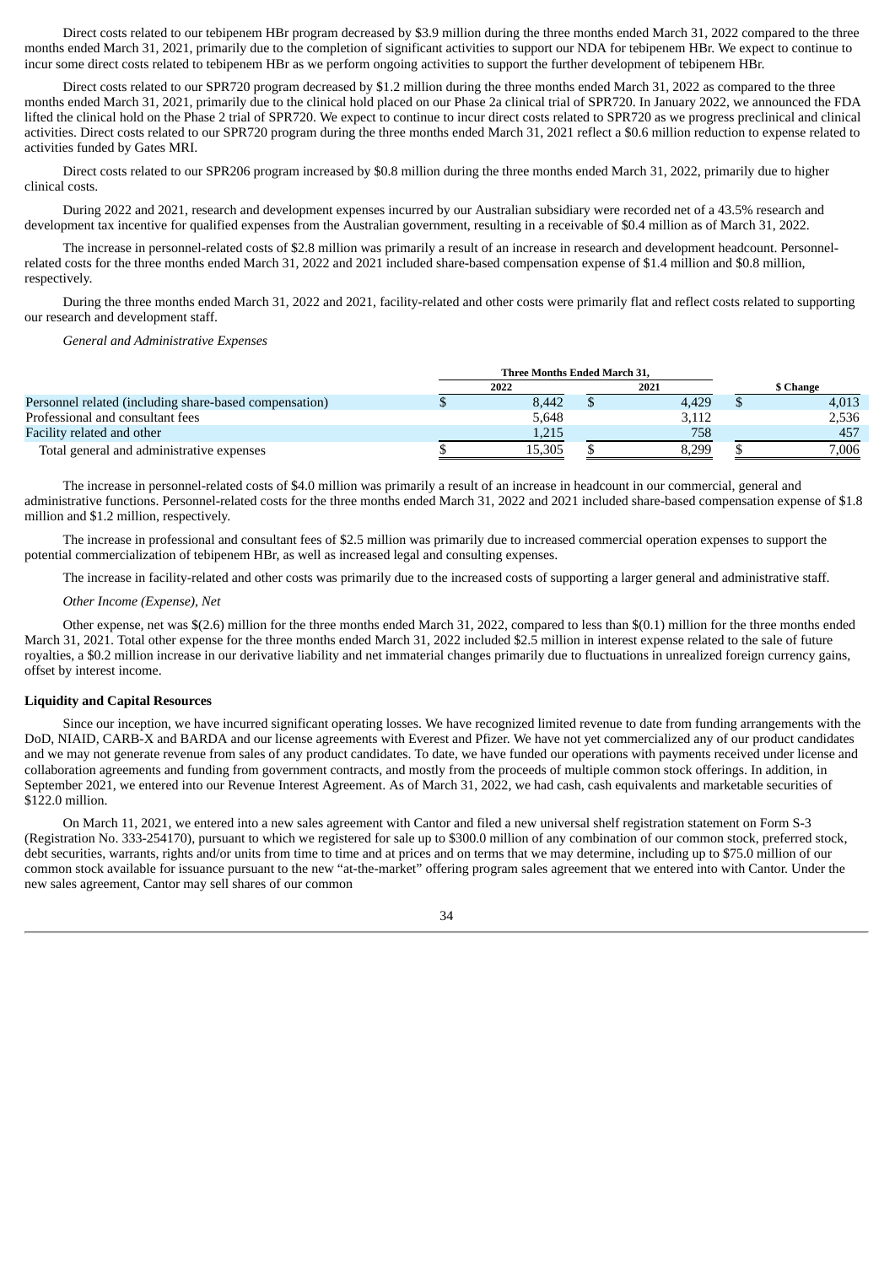Direct costs related to our tebipenem HBr program decreased by \$3.9 million during the three months ended March 31, 2022 compared to the three months ended March 31, 2021, primarily due to the completion of significant activities to support our NDA for tebipenem HBr. We expect to continue to incur some direct costs related to tebipenem HBr as we perform ongoing activities to support the further development of tebipenem HBr.

Direct costs related to our SPR720 program decreased by \$1.2 million during the three months ended March 31, 2022 as compared to the three months ended March 31, 2021, primarily due to the clinical hold placed on our Phase 2a clinical trial of SPR720. In January 2022, we announced the FDA lifted the clinical hold on the Phase 2 trial of SPR720. We expect to continue to incur direct costs related to SPR720 as we progress preclinical and clinical activities. Direct costs related to our SPR720 program during the three months ended March 31, 2021 reflect a \$0.6 million reduction to expense related to activities funded by Gates MRI.

Direct costs related to our SPR206 program increased by \$0.8 million during the three months ended March 31, 2022, primarily due to higher clinical costs.

During 2022 and 2021, research and development expenses incurred by our Australian subsidiary were recorded net of a 43.5% research and development tax incentive for qualified expenses from the Australian government, resulting in a receivable of \$0.4 million as of March 31, 2022.

The increase in personnel-related costs of \$2.8 million was primarily a result of an increase in research and development headcount. Personnelrelated costs for the three months ended March 31, 2022 and 2021 included share-based compensation expense of \$1.4 million and \$0.8 million, respectively.

During the three months ended March 31, 2022 and 2021, facility-related and other costs were primarily flat and reflect costs related to supporting our research and development staff.

*General and Administrative Expenses*

|                                                        | Three Months Ended March 31, |  |       |  |           |
|--------------------------------------------------------|------------------------------|--|-------|--|-----------|
|                                                        | 2022                         |  | 2021  |  | \$ Change |
| Personnel related (including share-based compensation) | 8.442                        |  | 4.429 |  | 4,013     |
| Professional and consultant fees                       | 5.648                        |  | 3,112 |  | 2,536     |
| Facility related and other                             | 1,215                        |  | 758   |  | 457       |
| Total general and administrative expenses              | 15,305                       |  | 8.299 |  | 7.006     |

The increase in personnel-related costs of \$4.0 million was primarily a result of an increase in headcount in our commercial, general and administrative functions. Personnel-related costs for the three months ended March 31, 2022 and 2021 included share-based compensation expense of \$1.8 million and \$1.2 million, respectively.

The increase in professional and consultant fees of \$2.5 million was primarily due to increased commercial operation expenses to support the potential commercialization of tebipenem HBr, as well as increased legal and consulting expenses.

The increase in facility-related and other costs was primarily due to the increased costs of supporting a larger general and administrative staff.

#### *Other Income (Expense), Net*

Other expense, net was \$(2.6) million for the three months ended March 31, 2022, compared to less than \$(0.1) million for the three months ended March 31, 2021. Total other expense for the three months ended March 31, 2022 included \$2.5 million in interest expense related to the sale of future royalties, a \$0.2 million increase in our derivative liability and net immaterial changes primarily due to fluctuations in unrealized foreign currency gains, offset by interest income.

# **Liquidity and Capital Resources**

Since our inception, we have incurred significant operating losses. We have recognized limited revenue to date from funding arrangements with the DoD, NIAID, CARB-X and BARDA and our license agreements with Everest and Pfizer. We have not yet commercialized any of our product candidates and we may not generate revenue from sales of any product candidates. To date, we have funded our operations with payments received under license and collaboration agreements and funding from government contracts, and mostly from the proceeds of multiple common stock offerings. In addition, in September 2021, we entered into our Revenue Interest Agreement. As of March 31, 2022, we had cash, cash equivalents and marketable securities of \$122.0 million.

On March 11, 2021, we entered into a new sales agreement with Cantor and filed a new universal shelf registration statement on Form S-3 (Registration No. 333-254170), pursuant to which we registered for sale up to \$300.0 million of any combination of our common stock, preferred stock, debt securities, warrants, rights and/or units from time to time and at prices and on terms that we may determine, including up to \$75.0 million of our common stock available for issuance pursuant to the new "at-the-market" offering program sales agreement that we entered into with Cantor. Under the new sales agreement, Cantor may sell shares of our common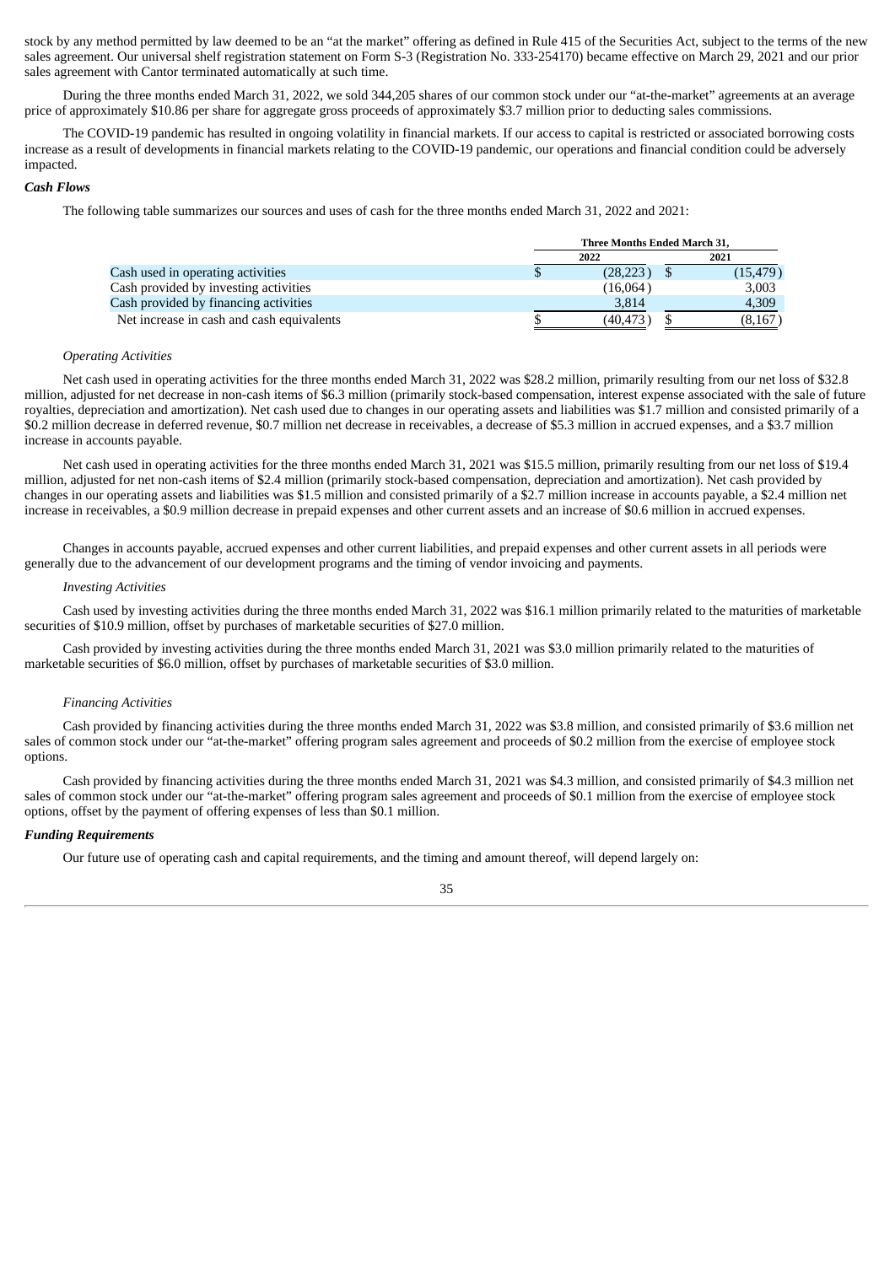stock by any method permitted by law deemed to be an "at the market" offering as defined in Rule 415 of the Securities Act, subject to the terms of the new sales agreement. Our universal shelf registration statement on Form S-3 (Registration No. 333-254170) became effective on March 29, 2021 and our prior sales agreement with Cantor terminated automatically at such time.

During the three months ended March 31, 2022, we sold 344,205 shares of our common stock under our "at-the-market" agreements at an average price of approximately \$10.86 per share for aggregate gross proceeds of approximately \$3.7 million prior to deducting sales commissions.

The COVID-19 pandemic has resulted in ongoing volatility in financial markets. If our access to capital is restricted or associated borrowing costs increase as a result of developments in financial markets relating to the COVID-19 pandemic, our operations and financial condition could be adversely impacted.

# *Cash Flows*

The following table summarizes our sources and uses of cash for the three months ended March 31, 2022 and 2021:

|                                           | Three Months Ended March 31, |           |  |  |
|-------------------------------------------|------------------------------|-----------|--|--|
|                                           | 2022                         | 2021      |  |  |
| Cash used in operating activities         | (28, 223)                    | (15, 479) |  |  |
| Cash provided by investing activities     | (16,064)                     | 3,003     |  |  |
| Cash provided by financing activities     | 3.814                        | 4,309     |  |  |
| Net increase in cash and cash equivalents | (40.473)                     | (8,167    |  |  |

# *Operating Activities*

Net cash used in operating activities for the three months ended March 31, 2022 was \$28.2 million, primarily resulting from our net loss of \$32.8 million, adjusted for net decrease in non-cash items of \$6.3 million (primarily stock-based compensation, interest expense associated with the sale of future royalties, depreciation and amortization). Net cash used due to changes in our operating assets and liabilities was \$1.7 million and consisted primarily of a \$0.2 million decrease in deferred revenue, \$0.7 million net decrease in receivables, a decrease of \$5.3 million in accrued expenses, and a \$3.7 million increase in accounts payable.

Net cash used in operating activities for the three months ended March 31, 2021 was \$15.5 million, primarily resulting from our net loss of \$19.4 million, adjusted for net non-cash items of \$2.4 million (primarily stock-based compensation, depreciation and amortization). Net cash provided by changes in our operating assets and liabilities was \$1.5 million and consisted primarily of a \$2.7 million increase in accounts payable, a \$2.4 million net increase in receivables, a \$0.9 million decrease in prepaid expenses and other current assets and an increase of \$0.6 million in accrued expenses.

Changes in accounts payable, accrued expenses and other current liabilities, and prepaid expenses and other current assets in all periods were generally due to the advancement of our development programs and the timing of vendor invoicing and payments.

#### *Investing Activities*

Cash used by investing activities during the three months ended March 31, 2022 was \$16.1 million primarily related to the maturities of marketable securities of \$10.9 million, offset by purchases of marketable securities of \$27.0 million.

Cash provided by investing activities during the three months ended March 31, 2021 was \$3.0 million primarily related to the maturities of marketable securities of \$6.0 million, offset by purchases of marketable securities of \$3.0 million.

#### *Financing Activities*

Cash provided by financing activities during the three months ended March 31, 2022 was \$3.8 million, and consisted primarily of \$3.6 million net sales of common stock under our "at-the-market" offering program sales agreement and proceeds of \$0.2 million from the exercise of employee stock options.

Cash provided by financing activities during the three months ended March 31, 2021 was \$4.3 million, and consisted primarily of \$4.3 million net sales of common stock under our "at-the-market" offering program sales agreement and proceeds of \$0.1 million from the exercise of employee stock options, offset by the payment of offering expenses of less than \$0.1 million.

#### *Funding Requirements*

Our future use of operating cash and capital requirements, and the timing and amount thereof, will depend largely on: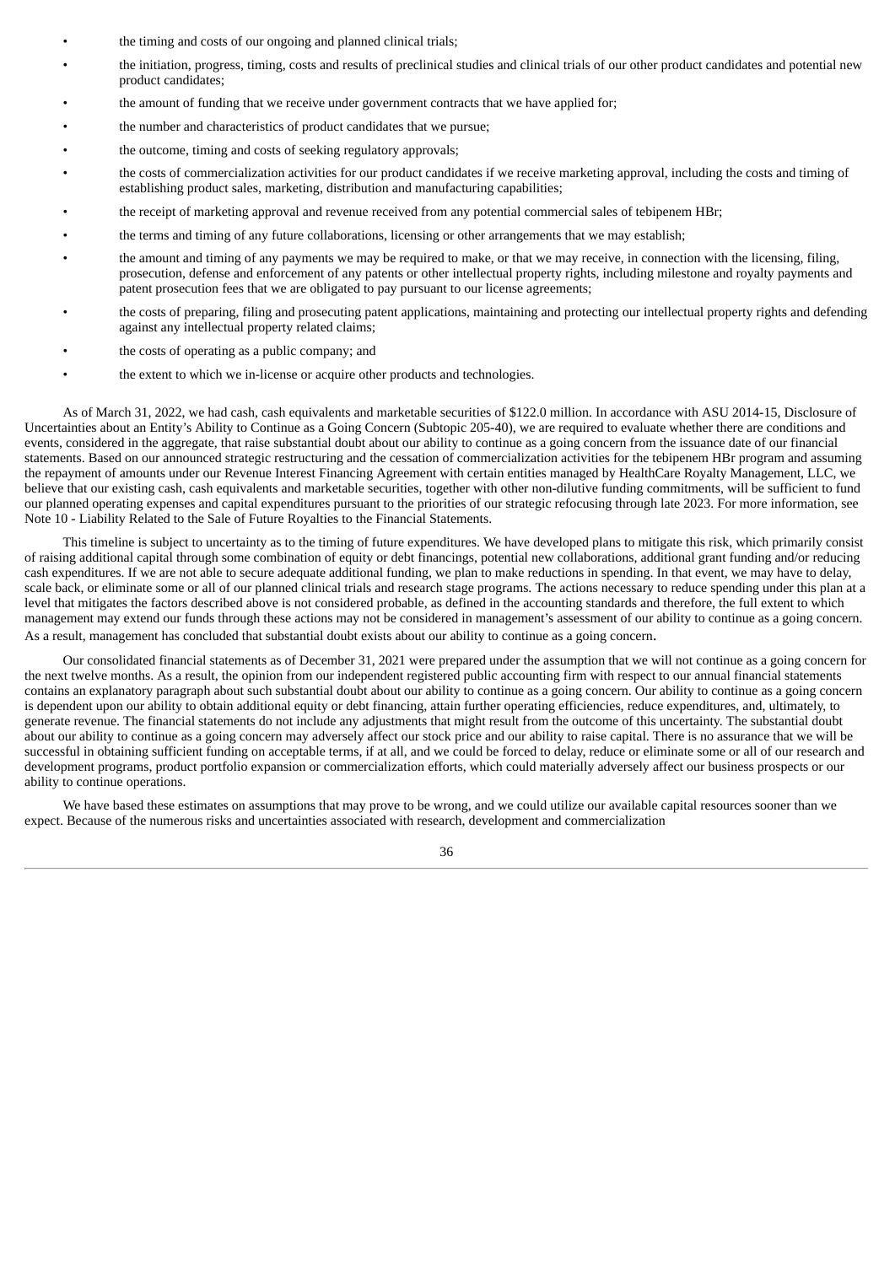- the timing and costs of our ongoing and planned clinical trials;
- the initiation, progress, timing, costs and results of preclinical studies and clinical trials of our other product candidates and potential new product candidates;
- the amount of funding that we receive under government contracts that we have applied for;
- the number and characteristics of product candidates that we pursue;
- the outcome, timing and costs of seeking regulatory approvals;
- the costs of commercialization activities for our product candidates if we receive marketing approval, including the costs and timing of establishing product sales, marketing, distribution and manufacturing capabilities;
- the receipt of marketing approval and revenue received from any potential commercial sales of tebipenem HBr;
- the terms and timing of any future collaborations, licensing or other arrangements that we may establish;
- the amount and timing of any payments we may be required to make, or that we may receive, in connection with the licensing, filing, prosecution, defense and enforcement of any patents or other intellectual property rights, including milestone and royalty payments and patent prosecution fees that we are obligated to pay pursuant to our license agreements;
- the costs of preparing, filing and prosecuting patent applications, maintaining and protecting our intellectual property rights and defending against any intellectual property related claims;
- the costs of operating as a public company; and
- the extent to which we in-license or acquire other products and technologies.

As of March 31, 2022, we had cash, cash equivalents and marketable securities of \$122.0 million. In accordance with ASU 2014-15, Disclosure of Uncertainties about an Entity's Ability to Continue as a Going Concern (Subtopic 205-40), we are required to evaluate whether there are conditions and events, considered in the aggregate, that raise substantial doubt about our ability to continue as a going concern from the issuance date of our financial statements. Based on our announced strategic restructuring and the cessation of commercialization activities for the tebipenem HBr program and assuming the repayment of amounts under our Revenue Interest Financing Agreement with certain entities managed by HealthCare Royalty Management, LLC, we believe that our existing cash, cash equivalents and marketable securities, together with other non-dilutive funding commitments, will be sufficient to fund our planned operating expenses and capital expenditures pursuant to the priorities of our strategic refocusing through late 2023. For more information, see Note 10 - Liability Related to the Sale of Future Royalties to the Financial Statements.

This timeline is subject to uncertainty as to the timing of future expenditures. We have developed plans to mitigate this risk, which primarily consist of raising additional capital through some combination of equity or debt financings, potential new collaborations, additional grant funding and/or reducing cash expenditures. If we are not able to secure adequate additional funding, we plan to make reductions in spending. In that event, we may have to delay, scale back, or eliminate some or all of our planned clinical trials and research stage programs. The actions necessary to reduce spending under this plan at a level that mitigates the factors described above is not considered probable, as defined in the accounting standards and therefore, the full extent to which management may extend our funds through these actions may not be considered in management's assessment of our ability to continue as a going concern. As a result, management has concluded that substantial doubt exists about our ability to continue as a going concern.

Our consolidated financial statements as of December 31, 2021 were prepared under the assumption that we will not continue as a going concern for the next twelve months. As a result, the opinion from our independent registered public accounting firm with respect to our annual financial statements contains an explanatory paragraph about such substantial doubt about our ability to continue as a going concern. Our ability to continue as a going concern is dependent upon our ability to obtain additional equity or debt financing, attain further operating efficiencies, reduce expenditures, and, ultimately, to generate revenue. The financial statements do not include any adjustments that might result from the outcome of this uncertainty. The substantial doubt about our ability to continue as a going concern may adversely affect our stock price and our ability to raise capital. There is no assurance that we will be successful in obtaining sufficient funding on acceptable terms, if at all, and we could be forced to delay, reduce or eliminate some or all of our research and development programs, product portfolio expansion or commercialization efforts, which could materially adversely affect our business prospects or our ability to continue operations.

We have based these estimates on assumptions that may prove to be wrong, and we could utilize our available capital resources sooner than we expect. Because of the numerous risks and uncertainties associated with research, development and commercialization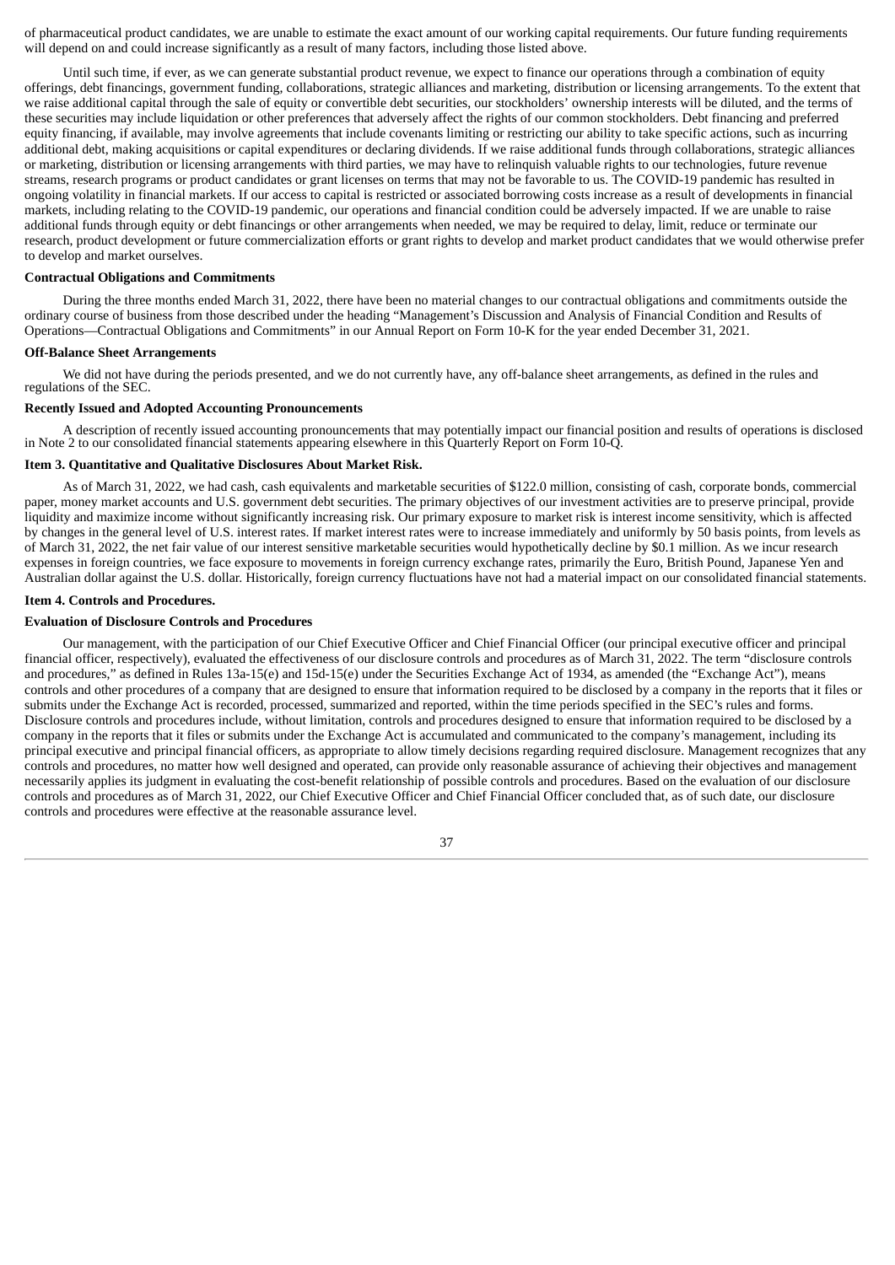of pharmaceutical product candidates, we are unable to estimate the exact amount of our working capital requirements. Our future funding requirements will depend on and could increase significantly as a result of many factors, including those listed above.

Until such time, if ever, as we can generate substantial product revenue, we expect to finance our operations through a combination of equity offerings, debt financings, government funding, collaborations, strategic alliances and marketing, distribution or licensing arrangements. To the extent that we raise additional capital through the sale of equity or convertible debt securities, our stockholders' ownership interests will be diluted, and the terms of these securities may include liquidation or other preferences that adversely affect the rights of our common stockholders. Debt financing and preferred equity financing, if available, may involve agreements that include covenants limiting or restricting our ability to take specific actions, such as incurring additional debt, making acquisitions or capital expenditures or declaring dividends. If we raise additional funds through collaborations, strategic alliances or marketing, distribution or licensing arrangements with third parties, we may have to relinquish valuable rights to our technologies, future revenue streams, research programs or product candidates or grant licenses on terms that may not be favorable to us. The COVID-19 pandemic has resulted in ongoing volatility in financial markets. If our access to capital is restricted or associated borrowing costs increase as a result of developments in financial markets, including relating to the COVID-19 pandemic, our operations and financial condition could be adversely impacted. If we are unable to raise additional funds through equity or debt financings or other arrangements when needed, we may be required to delay, limit, reduce or terminate our research, product development or future commercialization efforts or grant rights to develop and market product candidates that we would otherwise prefer to develop and market ourselves.

#### **Contractual Obligations and Commitments**

During the three months ended March 31, 2022, there have been no material changes to our contractual obligations and commitments outside the ordinary course of business from those described under the heading "Management's Discussion and Analysis of Financial Condition and Results of Operations—Contractual Obligations and Commitments" in our Annual Report on Form 10-K for the year ended December 31, 2021.

#### **Off-Balance Sheet Arrangements**

We did not have during the periods presented, and we do not currently have, any off-balance sheet arrangements, as defined in the rules and regulations of the SEC.

#### **Recently Issued and Adopted Accounting Pronouncements**

A description of recently issued accounting pronouncements that may potentially impact our financial position and results of operations is disclosed in Note 2 to our consolidated financial statements appearing elsewhere in this Quarterly Report on Form 10-Q.

### **Item 3. Quantitative and Qualitative Disclosures About Market Risk.**

As of March 31, 2022, we had cash, cash equivalents and marketable securities of \$122.0 million, consisting of cash, corporate bonds, commercial paper, money market accounts and U.S. government debt securities. The primary objectives of our investment activities are to preserve principal, provide liquidity and maximize income without significantly increasing risk. Our primary exposure to market risk is interest income sensitivity, which is affected by changes in the general level of U.S. interest rates. If market interest rates were to increase immediately and uniformly by 50 basis points, from levels as of March 31, 2022, the net fair value of our interest sensitive marketable securities would hypothetically decline by \$0.1 million. As we incur research expenses in foreign countries, we face exposure to movements in foreign currency exchange rates, primarily the Euro, British Pound, Japanese Yen and Australian dollar against the U.S. dollar. Historically, foreign currency fluctuations have not had a material impact on our consolidated financial statements.

#### **Item 4. Controls and Procedures.**

### **Evaluation of Disclosure Controls and Procedures**

Our management, with the participation of our Chief Executive Officer and Chief Financial Officer (our principal executive officer and principal financial officer, respectively), evaluated the effectiveness of our disclosure controls and procedures as of March 31, 2022. The term "disclosure controls and procedures," as defined in Rules 13a-15(e) and 15d-15(e) under the Securities Exchange Act of 1934, as amended (the "Exchange Act"), means controls and other procedures of a company that are designed to ensure that information required to be disclosed by a company in the reports that it files or submits under the Exchange Act is recorded, processed, summarized and reported, within the time periods specified in the SEC's rules and forms. Disclosure controls and procedures include, without limitation, controls and procedures designed to ensure that information required to be disclosed by a company in the reports that it files or submits under the Exchange Act is accumulated and communicated to the company's management, including its principal executive and principal financial officers, as appropriate to allow timely decisions regarding required disclosure. Management recognizes that any controls and procedures, no matter how well designed and operated, can provide only reasonable assurance of achieving their objectives and management necessarily applies its judgment in evaluating the cost-benefit relationship of possible controls and procedures. Based on the evaluation of our disclosure controls and procedures as of March 31, 2022, our Chief Executive Officer and Chief Financial Officer concluded that, as of such date, our disclosure controls and procedures were effective at the reasonable assurance level.

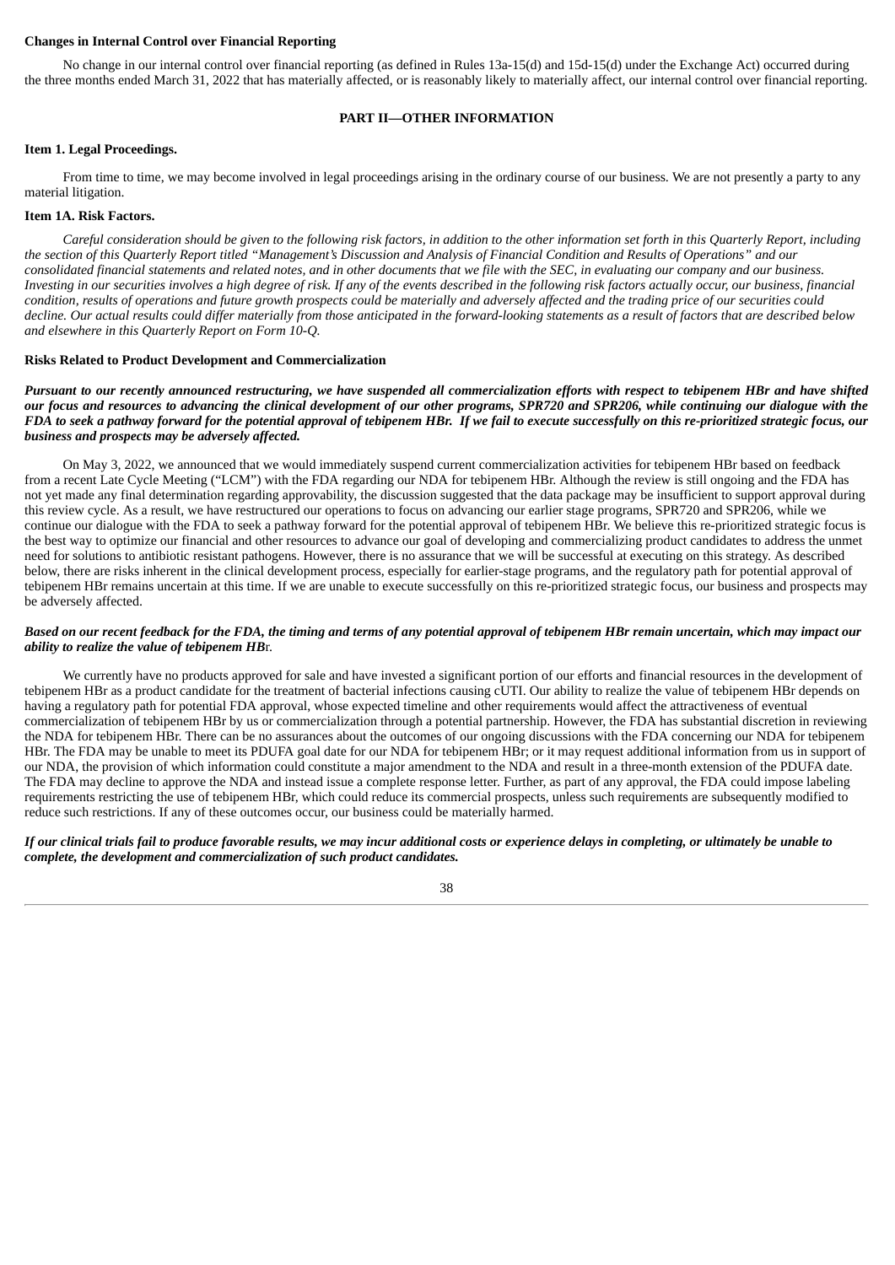## **Changes in Internal Control over Financial Reporting**

No change in our internal control over financial reporting (as defined in Rules 13a-15(d) and 15d-15(d) under the Exchange Act) occurred during the three months ended March 31, 2022 that has materially affected, or is reasonably likely to materially affect, our internal control over financial reporting.

## **PART II—OTHER INFORMATION**

#### **Item 1. Legal Proceedings.**

From time to time, we may become involved in legal proceedings arising in the ordinary course of our business. We are not presently a party to any material litigation.

#### **Item 1A. Risk Factors.**

Careful consideration should be given to the following risk factors, in addition to the other information set forth in this Quarterly Report, including the section of this Quarterly Report titled "Management's Discussion and Analysis of Financial Condition and Results of Operations" and our consolidated financial statements and related notes, and in other documents that we file with the SEC, in evaluating our company and our business. Investing in our securities involves a high degree of risk. If any of the events described in the following risk factors actually occur, our business, financial condition, results of operations and future growth prospects could be materially and adversely affected and the trading price of our securities could decline. Our actual results could differ materially from those anticipated in the forward-looking statements as a result of factors that are described below *and elsewhere in this Quarterly Report on Form 10-Q.*

#### **Risks Related to Product Development and Commercialization**

Pursuant to our recently announced restructuring, we have suspended all commercialization efforts with respect to tebipenem HBr and have shifted our focus and resources to advancing the clinical development of our other programs, SPR720 and SPR206, while continuing our dialogue with the FDA to seek a pathway forward for the potential approval of tebipenem HBr. If we fail to execute successfully on this re-prioritized strategic focus, our *business and prospects may be adversely affected.*

On May 3, 2022, we announced that we would immediately suspend current commercialization activities for tebipenem HBr based on feedback from a recent Late Cycle Meeting ("LCM") with the FDA regarding our NDA for tebipenem HBr. Although the review is still ongoing and the FDA has not yet made any final determination regarding approvability, the discussion suggested that the data package may be insufficient to support approval during this review cycle. As a result, we have restructured our operations to focus on advancing our earlier stage programs, SPR720 and SPR206, while we continue our dialogue with the FDA to seek a pathway forward for the potential approval of tebipenem HBr. We believe this re-prioritized strategic focus is the best way to optimize our financial and other resources to advance our goal of developing and commercializing product candidates to address the unmet need for solutions to antibiotic resistant pathogens. However, there is no assurance that we will be successful at executing on this strategy. As described below, there are risks inherent in the clinical development process, especially for earlier-stage programs, and the regulatory path for potential approval of tebipenem HBr remains uncertain at this time. If we are unable to execute successfully on this re-prioritized strategic focus, our business and prospects may be adversely affected.

## Based on our recent feedback for the FDA, the timing and terms of any potential approval of tebipenem HBr remain uncertain, which may impact our *ability to realize the value of tebipenem HB*r.

We currently have no products approved for sale and have invested a significant portion of our efforts and financial resources in the development of tebipenem HBr as a product candidate for the treatment of bacterial infections causing cUTI. Our ability to realize the value of tebipenem HBr depends on having a regulatory path for potential FDA approval, whose expected timeline and other requirements would affect the attractiveness of eventual commercialization of tebipenem HBr by us or commercialization through a potential partnership. However, the FDA has substantial discretion in reviewing the NDA for tebipenem HBr. There can be no assurances about the outcomes of our ongoing discussions with the FDA concerning our NDA for tebipenem HBr. The FDA may be unable to meet its PDUFA goal date for our NDA for tebipenem HBr; or it may request additional information from us in support of our NDA, the provision of which information could constitute a major amendment to the NDA and result in a three-month extension of the PDUFA date. The FDA may decline to approve the NDA and instead issue a complete response letter. Further, as part of any approval, the FDA could impose labeling requirements restricting the use of tebipenem HBr, which could reduce its commercial prospects, unless such requirements are subsequently modified to reduce such restrictions. If any of these outcomes occur, our business could be materially harmed.

#### If our clinical trials fail to produce favorable results, we may incur additional costs or experience delays in completing, or ultimately be unable to *complete, the development and commercialization of such product candidates.*

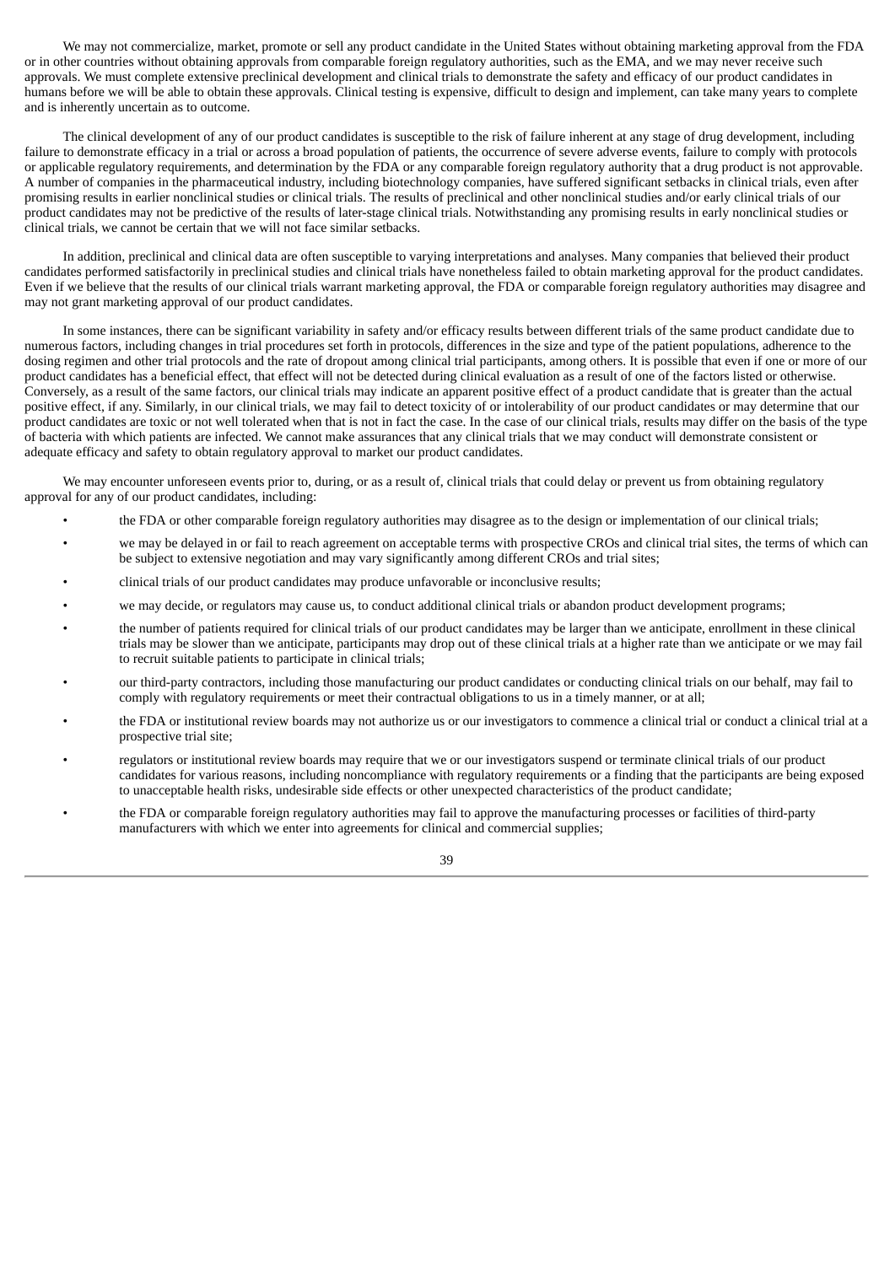We may not commercialize, market, promote or sell any product candidate in the United States without obtaining marketing approval from the FDA or in other countries without obtaining approvals from comparable foreign regulatory authorities, such as the EMA, and we may never receive such approvals. We must complete extensive preclinical development and clinical trials to demonstrate the safety and efficacy of our product candidates in humans before we will be able to obtain these approvals. Clinical testing is expensive, difficult to design and implement, can take many years to complete and is inherently uncertain as to outcome.

The clinical development of any of our product candidates is susceptible to the risk of failure inherent at any stage of drug development, including failure to demonstrate efficacy in a trial or across a broad population of patients, the occurrence of severe adverse events, failure to comply with protocols or applicable regulatory requirements, and determination by the FDA or any comparable foreign regulatory authority that a drug product is not approvable. A number of companies in the pharmaceutical industry, including biotechnology companies, have suffered significant setbacks in clinical trials, even after promising results in earlier nonclinical studies or clinical trials. The results of preclinical and other nonclinical studies and/or early clinical trials of our product candidates may not be predictive of the results of later-stage clinical trials. Notwithstanding any promising results in early nonclinical studies or clinical trials, we cannot be certain that we will not face similar setbacks.

In addition, preclinical and clinical data are often susceptible to varying interpretations and analyses. Many companies that believed their product candidates performed satisfactorily in preclinical studies and clinical trials have nonetheless failed to obtain marketing approval for the product candidates. Even if we believe that the results of our clinical trials warrant marketing approval, the FDA or comparable foreign regulatory authorities may disagree and may not grant marketing approval of our product candidates.

In some instances, there can be significant variability in safety and/or efficacy results between different trials of the same product candidate due to numerous factors, including changes in trial procedures set forth in protocols, differences in the size and type of the patient populations, adherence to the dosing regimen and other trial protocols and the rate of dropout among clinical trial participants, among others. It is possible that even if one or more of our product candidates has a beneficial effect, that effect will not be detected during clinical evaluation as a result of one of the factors listed or otherwise. Conversely, as a result of the same factors, our clinical trials may indicate an apparent positive effect of a product candidate that is greater than the actual positive effect, if any. Similarly, in our clinical trials, we may fail to detect toxicity of or intolerability of our product candidates or may determine that our product candidates are toxic or not well tolerated when that is not in fact the case. In the case of our clinical trials, results may differ on the basis of the type of bacteria with which patients are infected. We cannot make assurances that any clinical trials that we may conduct will demonstrate consistent or adequate efficacy and safety to obtain regulatory approval to market our product candidates.

We may encounter unforeseen events prior to, during, or as a result of, clinical trials that could delay or prevent us from obtaining regulatory approval for any of our product candidates, including:

- the FDA or other comparable foreign regulatory authorities may disagree as to the design or implementation of our clinical trials;
- we may be delayed in or fail to reach agreement on acceptable terms with prospective CROs and clinical trial sites, the terms of which can be subject to extensive negotiation and may vary significantly among different CROs and trial sites;
- clinical trials of our product candidates may produce unfavorable or inconclusive results;
- we may decide, or regulators may cause us, to conduct additional clinical trials or abandon product development programs;
- the number of patients required for clinical trials of our product candidates may be larger than we anticipate, enrollment in these clinical trials may be slower than we anticipate, participants may drop out of these clinical trials at a higher rate than we anticipate or we may fail to recruit suitable patients to participate in clinical trials;
- our third-party contractors, including those manufacturing our product candidates or conducting clinical trials on our behalf, may fail to comply with regulatory requirements or meet their contractual obligations to us in a timely manner, or at all;
- the FDA or institutional review boards may not authorize us or our investigators to commence a clinical trial or conduct a clinical trial at a prospective trial site;
- regulators or institutional review boards may require that we or our investigators suspend or terminate clinical trials of our product candidates for various reasons, including noncompliance with regulatory requirements or a finding that the participants are being exposed to unacceptable health risks, undesirable side effects or other unexpected characteristics of the product candidate;
- the FDA or comparable foreign regulatory authorities may fail to approve the manufacturing processes or facilities of third-party manufacturers with which we enter into agreements for clinical and commercial supplies;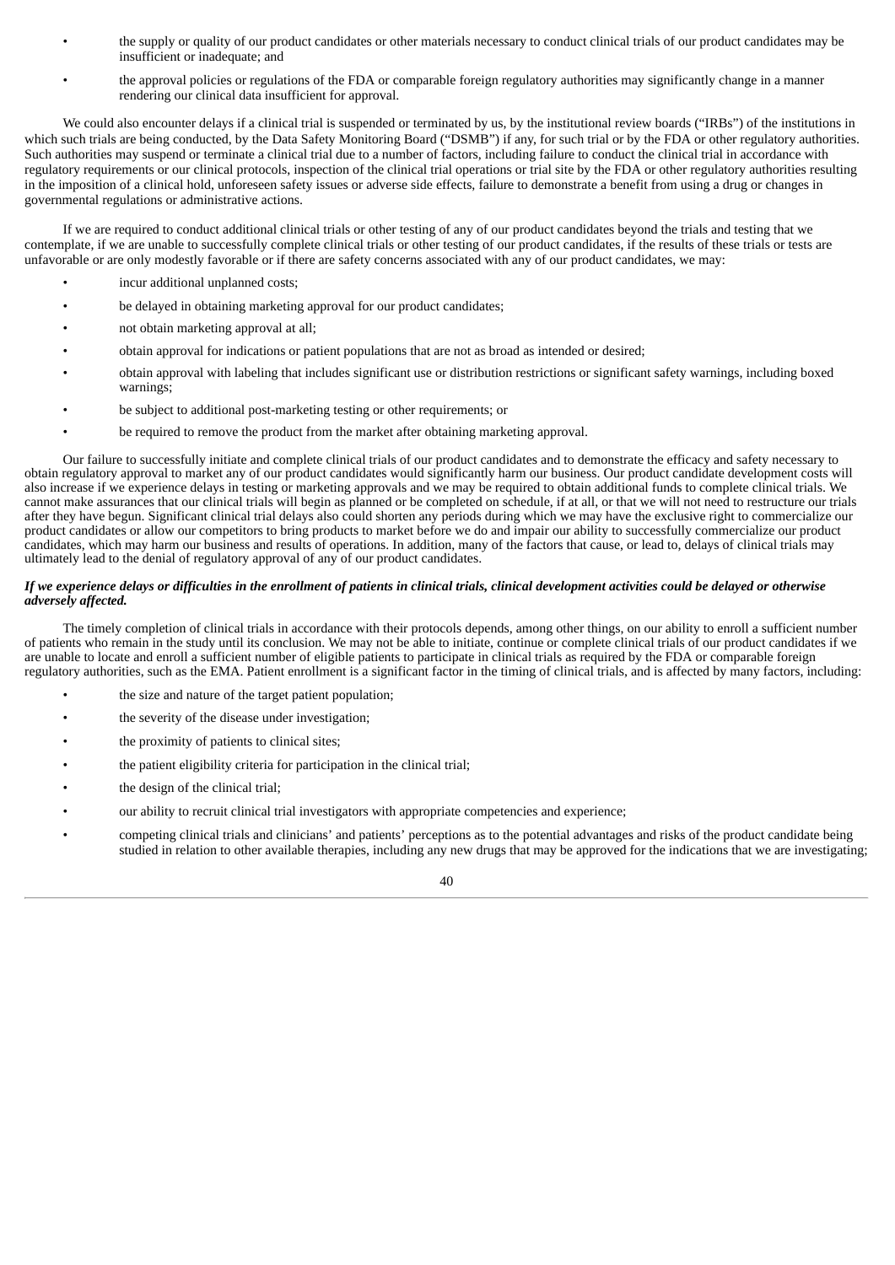- the supply or quality of our product candidates or other materials necessary to conduct clinical trials of our product candidates may be insufficient or inadequate; and
- the approval policies or regulations of the FDA or comparable foreign regulatory authorities may significantly change in a manner rendering our clinical data insufficient for approval.

We could also encounter delays if a clinical trial is suspended or terminated by us, by the institutional review boards ("IRBs") of the institutions in which such trials are being conducted, by the Data Safety Monitoring Board ("DSMB") if any, for such trial or by the FDA or other regulatory authorities. Such authorities may suspend or terminate a clinical trial due to a number of factors, including failure to conduct the clinical trial in accordance with regulatory requirements or our clinical protocols, inspection of the clinical trial operations or trial site by the FDA or other regulatory authorities resulting in the imposition of a clinical hold, unforeseen safety issues or adverse side effects, failure to demonstrate a benefit from using a drug or changes in governmental regulations or administrative actions.

If we are required to conduct additional clinical trials or other testing of any of our product candidates beyond the trials and testing that we contemplate, if we are unable to successfully complete clinical trials or other testing of our product candidates, if the results of these trials or tests are unfavorable or are only modestly favorable or if there are safety concerns associated with any of our product candidates, we may:

- incur additional unplanned costs;
- be delayed in obtaining marketing approval for our product candidates;
- not obtain marketing approval at all;
- obtain approval for indications or patient populations that are not as broad as intended or desired;
- obtain approval with labeling that includes significant use or distribution restrictions or significant safety warnings, including boxed warnings;
- be subject to additional post-marketing testing or other requirements; or
- be required to remove the product from the market after obtaining marketing approval.

Our failure to successfully initiate and complete clinical trials of our product candidates and to demonstrate the efficacy and safety necessary to obtain regulatory approval to market any of our product candidates would significantly harm our business. Our product candidate development costs will also increase if we experience delays in testing or marketing approvals and we may be required to obtain additional funds to complete clinical trials. We cannot make assurances that our clinical trials will begin as planned or be completed on schedule, if at all, or that we will not need to restructure our trials after they have begun. Significant clinical trial delays also could shorten any periods during which we may have the exclusive right to commercialize our product candidates or allow our competitors to bring products to market before we do and impair our ability to successfully commercialize our product candidates, which may harm our business and results of operations. In addition, many of the factors that cause, or lead to, delays of clinical trials may ultimately lead to the denial of regulatory approval of any of our product candidates.

## If we experience delays or difficulties in the enrollment of patients in clinical trials, clinical development activities could be delayed or otherwise *adversely affected.*

The timely completion of clinical trials in accordance with their protocols depends, among other things, on our ability to enroll a sufficient number of patients who remain in the study until its conclusion. We may not be able to initiate, continue or complete clinical trials of our product candidates if we are unable to locate and enroll a sufficient number of eligible patients to participate in clinical trials as required by the FDA or comparable foreign regulatory authorities, such as the EMA. Patient enrollment is a significant factor in the timing of clinical trials, and is affected by many factors, including:

- the size and nature of the target patient population;
- the severity of the disease under investigation:
- the proximity of patients to clinical sites;
- the patient eligibility criteria for participation in the clinical trial;
- the design of the clinical trial;
- our ability to recruit clinical trial investigators with appropriate competencies and experience;
- competing clinical trials and clinicians' and patients' perceptions as to the potential advantages and risks of the product candidate being studied in relation to other available therapies, including any new drugs that may be approved for the indications that we are investigating;

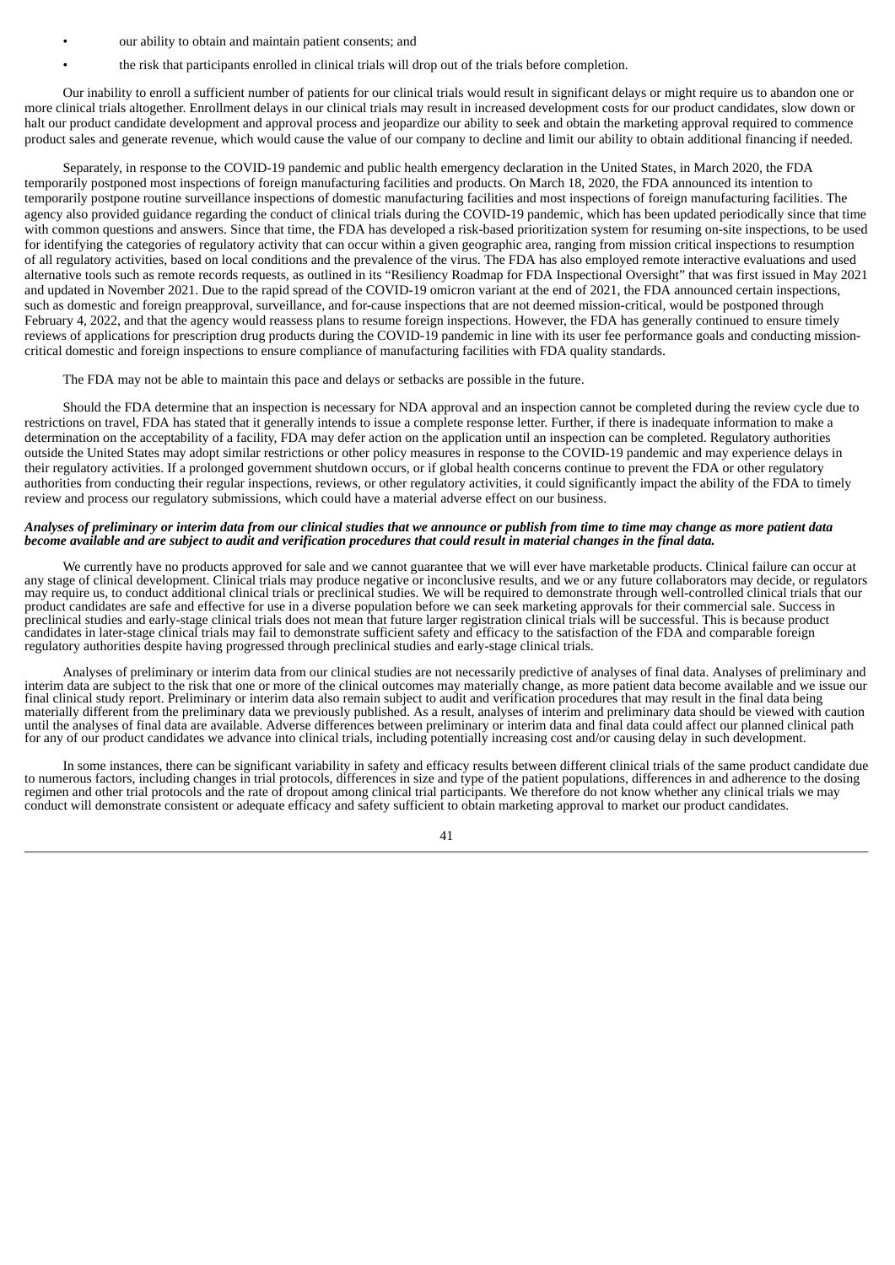- our ability to obtain and maintain patient consents; and
- the risk that participants enrolled in clinical trials will drop out of the trials before completion.

Our inability to enroll a sufficient number of patients for our clinical trials would result in significant delays or might require us to abandon one or more clinical trials altogether. Enrollment delays in our clinical trials may result in increased development costs for our product candidates, slow down or halt our product candidate development and approval process and jeopardize our ability to seek and obtain the marketing approval required to commence product sales and generate revenue, which would cause the value of our company to decline and limit our ability to obtain additional financing if needed.

Separately, in response to the COVID-19 pandemic and public health emergency declaration in the United States, in March 2020, the FDA temporarily postponed most inspections of foreign manufacturing facilities and products. On March 18, 2020, the FDA announced its intention to temporarily postpone routine surveillance inspections of domestic manufacturing facilities and most inspections of foreign manufacturing facilities. The agency also provided guidance regarding the conduct of clinical trials during the COVID-19 pandemic, which has been updated periodically since that time with common questions and answers. Since that time, the FDA has developed a risk-based prioritization system for resuming on-site inspections, to be used for identifying the categories of regulatory activity that can occur within a given geographic area, ranging from mission critical inspections to resumption of all regulatory activities, based on local conditions and the prevalence of the virus. The FDA has also employed remote interactive evaluations and used alternative tools such as remote records requests, as outlined in its "Resiliency Roadmap for FDA Inspectional Oversight" that was first issued in May 2021 and updated in November 2021. Due to the rapid spread of the COVID-19 omicron variant at the end of 2021, the FDA announced certain inspections, such as domestic and foreign preapproval, surveillance, and for-cause inspections that are not deemed mission-critical, would be postponed through February 4, 2022, and that the agency would reassess plans to resume foreign inspections. However, the FDA has generally continued to ensure timely reviews of applications for prescription drug products during the COVID-19 pandemic in line with its user fee performance goals and conducting missioncritical domestic and foreign inspections to ensure compliance of manufacturing facilities with FDA quality standards.

The FDA may not be able to maintain this pace and delays or setbacks are possible in the future.

Should the FDA determine that an inspection is necessary for NDA approval and an inspection cannot be completed during the review cycle due to restrictions on travel, FDA has stated that it generally intends to issue a complete response letter. Further, if there is inadequate information to make a determination on the acceptability of a facility, FDA may defer action on the application until an inspection can be completed. Regulatory authorities outside the United States may adopt similar restrictions or other policy measures in response to the COVID-19 pandemic and may experience delays in their regulatory activities. If a prolonged government shutdown occurs, or if global health concerns continue to prevent the FDA or other regulatory authorities from conducting their regular inspections, reviews, or other regulatory activities, it could significantly impact the ability of the FDA to timely review and process our regulatory submissions, which could have a material adverse effect on our business.

#### Analyses of preliminary or interim data from our clinical studies that we announce or publish from time to time may change as more patient data become available and are subject to audit and verification procedures that could result in material changes in the final data.

We currently have no products approved for sale and we cannot guarantee that we will ever have marketable products. Clinical failure can occur at any stage of clinical development. Clinical trials may produce negative or inconclusive results, and we or any future collaborators may decide, or regulators may require us, to conduct additional clinical trials or preclinical studies. We will be required to demonstrate through well-controlled clinical trials that our product candidates are safe and effective for use in a diverse population before we can seek marketing approvals for their commercial sale. Success in preclinical studies and early-stage clinical trials does not mean that future larger registration clinical trials will be successful. This is because product candidates in later-stage clinical trials may fail to demonstrate sufficient safety and efficacy to the satisfaction of the FDA and comparable foreign regulatory authorities despite having progressed through preclinical studies and early-stage clinical trials.

Analyses of preliminary or interim data from our clinical studies are not necessarily predictive of analyses of final data. Analyses of preliminary and interim data are subject to the risk that one or more of the clinical outcomes may materially change, as more patient data become available and we issue our final clinical study report. Preliminary or interim data also remain subject to audit and verification procedures that may result in the final data being materially different from the preliminary data we previously published. As a result, analyses of interim and preliminary data should be viewed with caution until the analyses of final data are available. Adverse differences between preliminary or interim data and final data could affect our planned clinical path for any of our product candidates we advance into clinical trials, including potentially increasing cost and/or causing delay in such development.

In some instances, there can be significant variability in safety and efficacy results between different clinical trials of the same product candidate due to numerous factors, including changes in trial protocols, differences in size and type of the patient populations, differences in and adherence to the dosing regimen and other trial protocols and the rate of dropout among clinical trial participants. We therefore do not know whether any clinical trials we may conduct will demonstrate consistent or adequate efficacy and safety sufficient to obtain marketing approval to market our product candidates.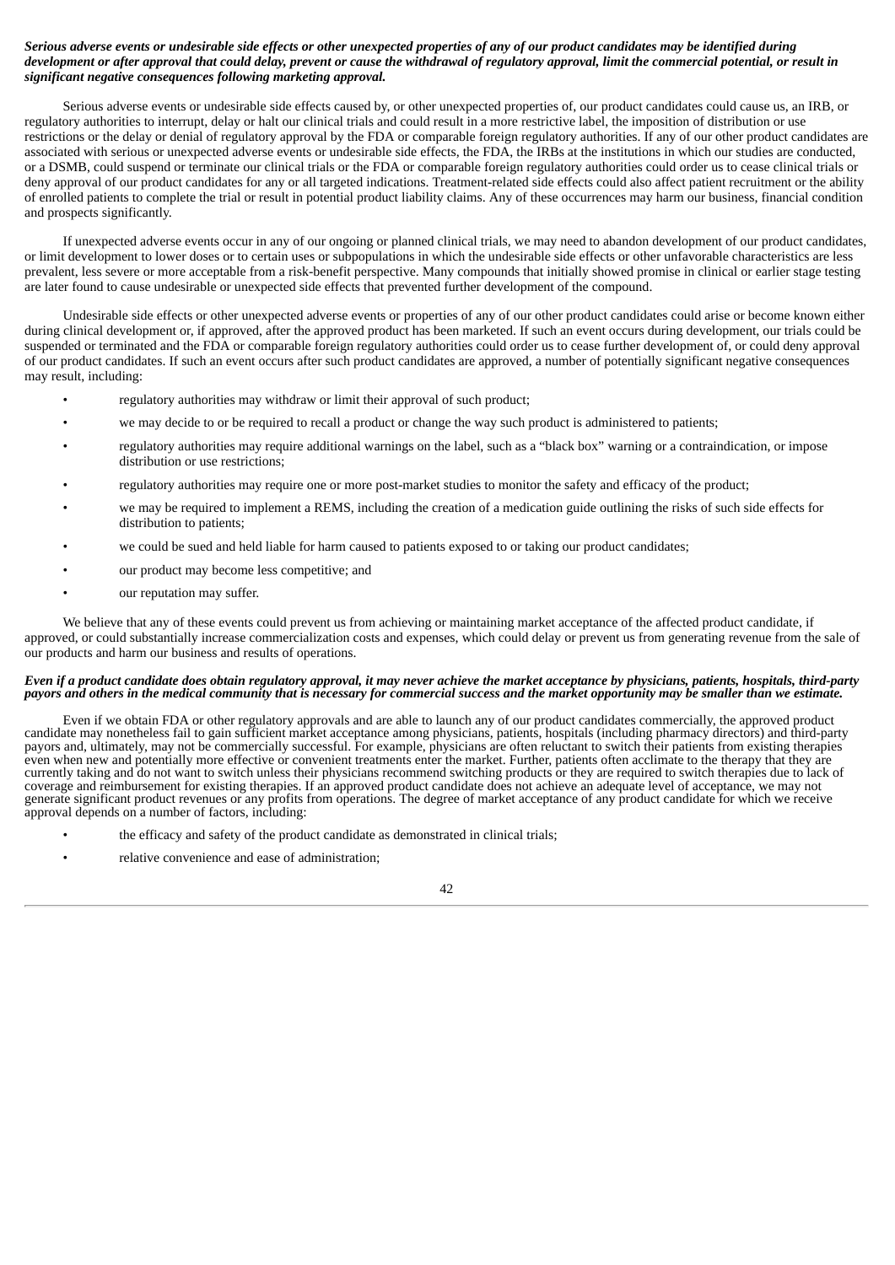## Serious adverse events or undesirable side effects or other unexpected properties of any of our product candidates may be identified durina development or after approval that could delay, prevent or cause the withdrawal of regulatory approval, limit the commercial potential, or result in *significant negative consequences following marketing approval.*

Serious adverse events or undesirable side effects caused by, or other unexpected properties of, our product candidates could cause us, an IRB, or regulatory authorities to interrupt, delay or halt our clinical trials and could result in a more restrictive label, the imposition of distribution or use restrictions or the delay or denial of regulatory approval by the FDA or comparable foreign regulatory authorities. If any of our other product candidates are associated with serious or unexpected adverse events or undesirable side effects, the FDA, the IRBs at the institutions in which our studies are conducted, or a DSMB, could suspend or terminate our clinical trials or the FDA or comparable foreign regulatory authorities could order us to cease clinical trials or deny approval of our product candidates for any or all targeted indications. Treatment-related side effects could also affect patient recruitment or the ability of enrolled patients to complete the trial or result in potential product liability claims. Any of these occurrences may harm our business, financial condition and prospects significantly.

If unexpected adverse events occur in any of our ongoing or planned clinical trials, we may need to abandon development of our product candidates, or limit development to lower doses or to certain uses or subpopulations in which the undesirable side effects or other unfavorable characteristics are less prevalent, less severe or more acceptable from a risk-benefit perspective. Many compounds that initially showed promise in clinical or earlier stage testing are later found to cause undesirable or unexpected side effects that prevented further development of the compound.

Undesirable side effects or other unexpected adverse events or properties of any of our other product candidates could arise or become known either during clinical development or, if approved, after the approved product has been marketed. If such an event occurs during development, our trials could be suspended or terminated and the FDA or comparable foreign regulatory authorities could order us to cease further development of, or could deny approval of our product candidates. If such an event occurs after such product candidates are approved, a number of potentially significant negative consequences may result, including:

- regulatory authorities may withdraw or limit their approval of such product;
- we may decide to or be required to recall a product or change the way such product is administered to patients;
- regulatory authorities may require additional warnings on the label, such as a "black box" warning or a contraindication, or impose distribution or use restrictions;
- regulatory authorities may require one or more post-market studies to monitor the safety and efficacy of the product;
- we may be required to implement a REMS, including the creation of a medication guide outlining the risks of such side effects for distribution to patients;
- we could be sued and held liable for harm caused to patients exposed to or taking our product candidates;
- our product may become less competitive; and
- our reputation may suffer.

We believe that any of these events could prevent us from achieving or maintaining market acceptance of the affected product candidate, if approved, or could substantially increase commercialization costs and expenses, which could delay or prevent us from generating revenue from the sale of our products and harm our business and results of operations.

### Even if a product candidate does obtain regulatory approval, it may never achieve the market acceptance by physicians, patients, hospitals, third-party payors and others in the medical community that is necessary for commercial success and the market opportunity may be smaller than we estimate.

Even if we obtain FDA or other regulatory approvals and are able to launch any of our product candidates commercially, the approved product candidate may nonetheless fail to gain sufficient market acceptance among physicians, patients, hospitals (including pharmacy directors) and third-party payors and, ultimately, may not be commercially successful. For example, physicians are often reluctant to switch their patients from existing therapies even when new and potentially more effective or convenient treatments enter the market. Further, patients often acclimate to the therapy that they are currently taking and do not want to switch unless their physicians recommend switching products or they are required to switch therapies due to lack of coverage and reimbursement for existing therapies. If an approved product candidate does not achieve an adequate level of acceptance, we may not generate significant product revenues or any profits from operations. The degree of market acceptance of any product candidate for which we receive approval depends on a number of factors, including:

- the efficacy and safety of the product candidate as demonstrated in clinical trials;
- relative convenience and ease of administration;

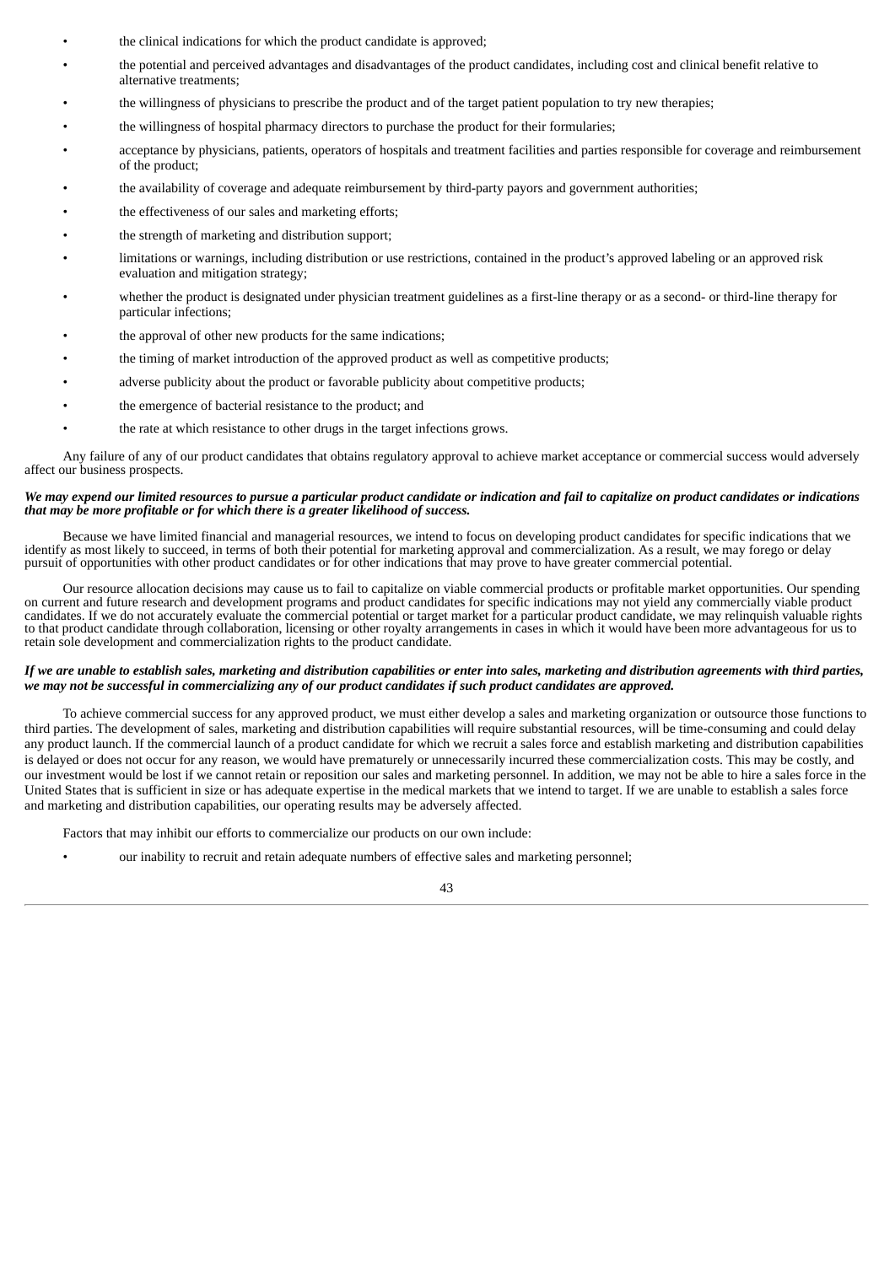- the clinical indications for which the product candidate is approved;
- the potential and perceived advantages and disadvantages of the product candidates, including cost and clinical benefit relative to alternative treatments;
- the willingness of physicians to prescribe the product and of the target patient population to try new therapies;
- the willingness of hospital pharmacy directors to purchase the product for their formularies;
- acceptance by physicians, patients, operators of hospitals and treatment facilities and parties responsible for coverage and reimbursement of the product;
- the availability of coverage and adequate reimbursement by third-party payors and government authorities;
- the effectiveness of our sales and marketing efforts;
- the strength of marketing and distribution support;
- limitations or warnings, including distribution or use restrictions, contained in the product's approved labeling or an approved risk evaluation and mitigation strategy;
- whether the product is designated under physician treatment guidelines as a first-line therapy or as a second- or third-line therapy for particular infections;
- the approval of other new products for the same indications;
- the timing of market introduction of the approved product as well as competitive products;
- adverse publicity about the product or favorable publicity about competitive products;
- the emergence of bacterial resistance to the product; and
- the rate at which resistance to other drugs in the target infections grows.

Any failure of any of our product candidates that obtains regulatory approval to achieve market acceptance or commercial success would adversely affect our business prospects.

### We may expend our limited resources to pursue a particular product candidate or indication and fail to capitalize on product candidates or indications *that may be more profitable or for which there is a greater likelihood of success.*

Because we have limited financial and managerial resources, we intend to focus on developing product candidates for specific indications that we identify as most likely to succeed, in terms of both their potential for marketing approval and commercialization. As a result, we may forego or delay pursuit of opportunities with other product candidates or for other indications that may prove to have greater commercial potential.

Our resource allocation decisions may cause us to fail to capitalize on viable commercial products or profitable market opportunities. Our spending on current and future research and development programs and product candidates for specific indications may not yield any commercially viable product candidates. If we do not accurately evaluate the commercial potential or target market for a particular product candidate, we may relinquish valuable rights to that product candidate through collaboration, licensing or other royalty arrangements in cases in which it would have been more advantageous for us to retain sole development and commercialization rights to the product candidate.

### If we are unable to establish sales, marketing and distribution capabilities or enter into sales, marketing and distribution agreements with third parties, we may not be successful in commercializing any of our product candidates if such product candidates are approved.

To achieve commercial success for any approved product, we must either develop a sales and marketing organization or outsource those functions to third parties. The development of sales, marketing and distribution capabilities will require substantial resources, will be time-consuming and could delay any product launch. If the commercial launch of a product candidate for which we recruit a sales force and establish marketing and distribution capabilities is delayed or does not occur for any reason, we would have prematurely or unnecessarily incurred these commercialization costs. This may be costly, and our investment would be lost if we cannot retain or reposition our sales and marketing personnel. In addition, we may not be able to hire a sales force in the United States that is sufficient in size or has adequate expertise in the medical markets that we intend to target. If we are unable to establish a sales force and marketing and distribution capabilities, our operating results may be adversely affected.

Factors that may inhibit our efforts to commercialize our products on our own include:

• our inability to recruit and retain adequate numbers of effective sales and marketing personnel;

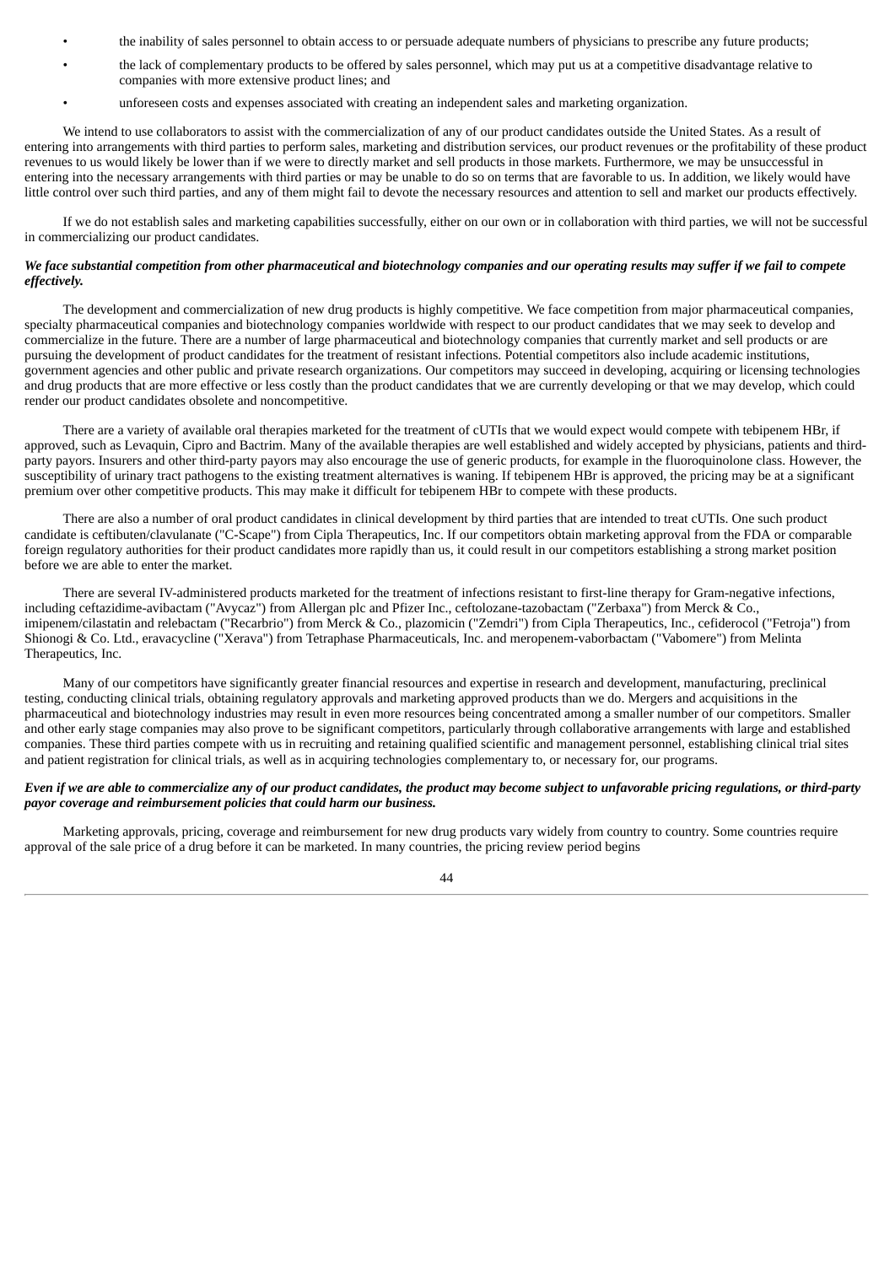- the inability of sales personnel to obtain access to or persuade adequate numbers of physicians to prescribe any future products;
- the lack of complementary products to be offered by sales personnel, which may put us at a competitive disadvantage relative to companies with more extensive product lines; and
- unforeseen costs and expenses associated with creating an independent sales and marketing organization.

We intend to use collaborators to assist with the commercialization of any of our product candidates outside the United States. As a result of entering into arrangements with third parties to perform sales, marketing and distribution services, our product revenues or the profitability of these product revenues to us would likely be lower than if we were to directly market and sell products in those markets. Furthermore, we may be unsuccessful in entering into the necessary arrangements with third parties or may be unable to do so on terms that are favorable to us. In addition, we likely would have little control over such third parties, and any of them might fail to devote the necessary resources and attention to sell and market our products effectively.

If we do not establish sales and marketing capabilities successfully, either on our own or in collaboration with third parties, we will not be successful in commercializing our product candidates.

### We face substantial competition from other pharmaceutical and biotechnology companies and our operating results may suffer if we fail to compete *effectively.*

The development and commercialization of new drug products is highly competitive. We face competition from major pharmaceutical companies, specialty pharmaceutical companies and biotechnology companies worldwide with respect to our product candidates that we may seek to develop and commercialize in the future. There are a number of large pharmaceutical and biotechnology companies that currently market and sell products or are pursuing the development of product candidates for the treatment of resistant infections. Potential competitors also include academic institutions, government agencies and other public and private research organizations. Our competitors may succeed in developing, acquiring or licensing technologies and drug products that are more effective or less costly than the product candidates that we are currently developing or that we may develop, which could render our product candidates obsolete and noncompetitive.

There are a variety of available oral therapies marketed for the treatment of cUTIs that we would expect would compete with tebipenem HBr, if approved, such as Levaquin, Cipro and Bactrim. Many of the available therapies are well established and widely accepted by physicians, patients and thirdparty payors. Insurers and other third-party payors may also encourage the use of generic products, for example in the fluoroquinolone class. However, the susceptibility of urinary tract pathogens to the existing treatment alternatives is waning. If tebipenem HBr is approved, the pricing may be at a significant premium over other competitive products. This may make it difficult for tebipenem HBr to compete with these products.

There are also a number of oral product candidates in clinical development by third parties that are intended to treat cUTIs. One such product candidate is ceftibuten/clavulanate ("C-Scape") from Cipla Therapeutics, Inc. If our competitors obtain marketing approval from the FDA or comparable foreign regulatory authorities for their product candidates more rapidly than us, it could result in our competitors establishing a strong market position before we are able to enter the market.

There are several IV-administered products marketed for the treatment of infections resistant to first-line therapy for Gram-negative infections, including ceftazidime-avibactam ("Avycaz") from Allergan plc and Pfizer Inc., ceftolozane-tazobactam ("Zerbaxa") from Merck & Co., imipenem/cilastatin and relebactam ("Recarbrio") from Merck & Co., plazomicin ("Zemdri") from Cipla Therapeutics, Inc., cefiderocol ("Fetroja") from Shionogi & Co. Ltd., eravacycline ("Xerava") from Tetraphase Pharmaceuticals, Inc. and meropenem-vaborbactam ("Vabomere") from Melinta Therapeutics, Inc.

Many of our competitors have significantly greater financial resources and expertise in research and development, manufacturing, preclinical testing, conducting clinical trials, obtaining regulatory approvals and marketing approved products than we do. Mergers and acquisitions in the pharmaceutical and biotechnology industries may result in even more resources being concentrated among a smaller number of our competitors. Smaller and other early stage companies may also prove to be significant competitors, particularly through collaborative arrangements with large and established companies. These third parties compete with us in recruiting and retaining qualified scientific and management personnel, establishing clinical trial sites and patient registration for clinical trials, as well as in acquiring technologies complementary to, or necessary for, our programs.

## Even if we are able to commercialize any of our product candidates, the product may become subject to unfavorable pricing regulations, or third-party *payor coverage and reimbursement policies that could harm our business.*

Marketing approvals, pricing, coverage and reimbursement for new drug products vary widely from country to country. Some countries require approval of the sale price of a drug before it can be marketed. In many countries, the pricing review period begins

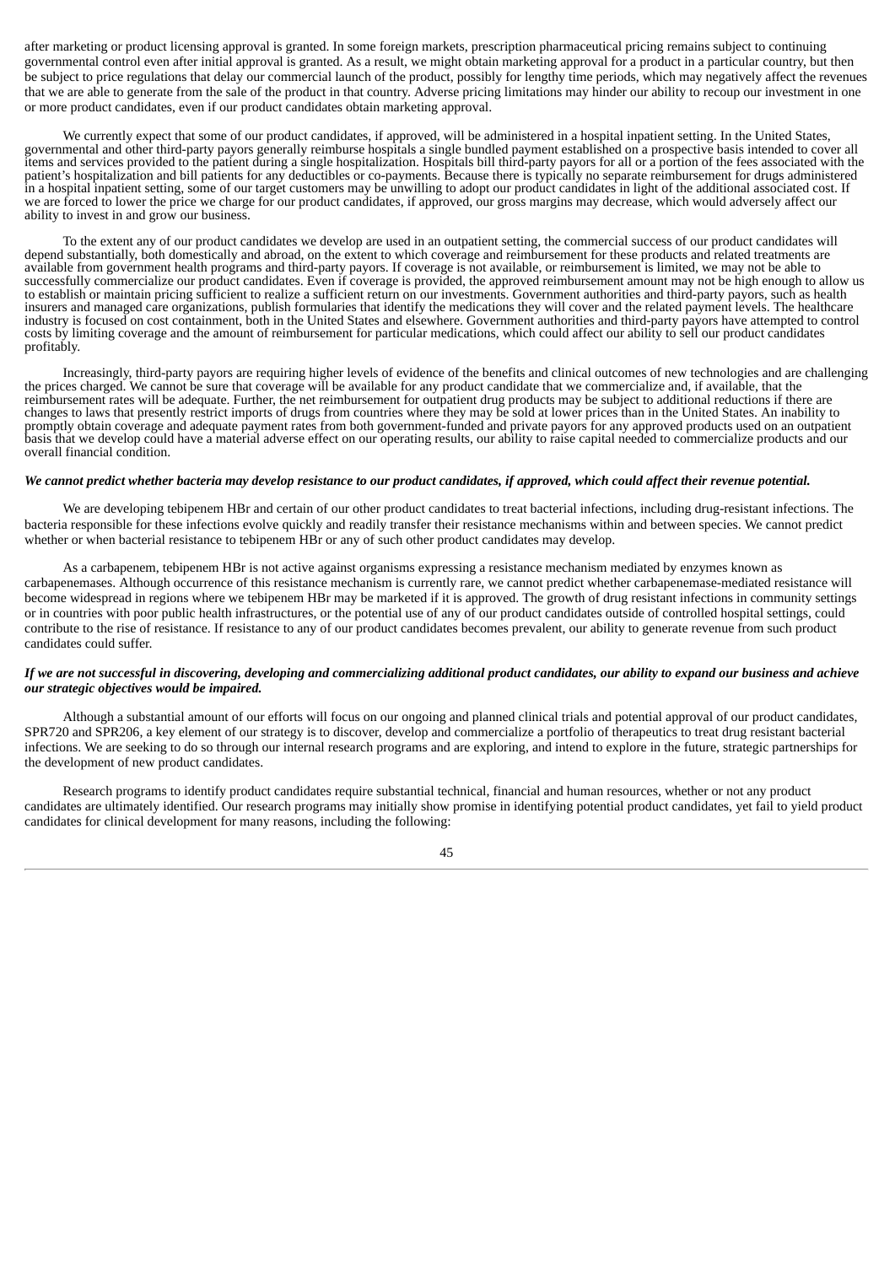after marketing or product licensing approval is granted. In some foreign markets, prescription pharmaceutical pricing remains subject to continuing governmental control even after initial approval is granted. As a result, we might obtain marketing approval for a product in a particular country, but then be subject to price regulations that delay our commercial launch of the product, possibly for lengthy time periods, which may negatively affect the revenues that we are able to generate from the sale of the product in that country. Adverse pricing limitations may hinder our ability to recoup our investment in one or more product candidates, even if our product candidates obtain marketing approval.

We currently expect that some of our product candidates, if approved, will be administered in a hospital inpatient setting. In the United States, governmental and other third-party payors generally reimburse hospitals a single bundled payment established on a prospective basis intended to cover all items and services provided to the patient during a single hospitalization. Hospitals bill third-party payors for all or a portion of the fees associated with the patient's hospitalization and bill patients for any deductibles or co-payments. Because there is typically no separate reimbursement for drugs administered in a hospital inpatient setting, some of our target customers may be unwilling to adopt our product candidates in light of the additional associated cost. If we are forced to lower the price we charge for our product candidates, if approved, our gross margins may decrease, which would adversely affect our ability to invest in and grow our business.

To the extent any of our product candidates we develop are used in an outpatient setting, the commercial success of our product candidates will depend substantially, both domestically and abroad, on the extent to which coverage and reimbursement for these products and related treatments are available from government health programs and third-party payors. If coverage is not available, or reimbursement is limited, we may not be able to successfully commercialize our product candidates. Even if coverage is provided, the approved reimbursement amount may not be high enough to allow us to establish or maintain pricing sufficient to realize a sufficient return on our investments. Government authorities and third-party payors, such as health insurers and managed care organizations, publish formularies that identify the medications they will cover and the related payment levels. The healthcare industry is focused on cost containment, both in the United States and elsewhere. Government authorities and third-party payors have attempted to control costs by limiting coverage and the amount of reimbursement for particular medications, which could affect our ability to sell our product candidates profitably.

Increasingly, third-party payors are requiring higher levels of evidence of the benefits and clinical outcomes of new technologies and are challenging the prices charged. We cannot be sure that coverage will be available for any product candidate that we commercialize and, if available, that the reimbursement rates will be adequate. Further, the net reimbursement for outpatient drug products may be subject to additional reductions if there are changes to laws that presently restrict imports of drugs from countries where they may be sold at lower prices than in the United States. An inability to promptly obtain coverage and adequate payment rates from both government-funded and private payors for any approved products used on an outpatient basis that we develop could have a material adverse effect on our operating results, our ability to raise capital needed to commercialize products and our overall financial condition.

#### We cannot predict whether bacteria may develop resistance to our product candidates, if approved, which could affect their revenue potential.

We are developing tebipenem HBr and certain of our other product candidates to treat bacterial infections, including drug-resistant infections. The bacteria responsible for these infections evolve quickly and readily transfer their resistance mechanisms within and between species. We cannot predict whether or when bacterial resistance to tebipenem HBr or any of such other product candidates may develop.

As a carbapenem, tebipenem HBr is not active against organisms expressing a resistance mechanism mediated by enzymes known as carbapenemases. Although occurrence of this resistance mechanism is currently rare, we cannot predict whether carbapenemase-mediated resistance will become widespread in regions where we tebipenem HBr may be marketed if it is approved. The growth of drug resistant infections in community settings or in countries with poor public health infrastructures, or the potential use of any of our product candidates outside of controlled hospital settings, could contribute to the rise of resistance. If resistance to any of our product candidates becomes prevalent, our ability to generate revenue from such product candidates could suffer.

#### If we are not successful in discovering, developing and commercializing additional product candidates, our ability to expand our business and achieve *our strategic objectives would be impaired.*

Although a substantial amount of our efforts will focus on our ongoing and planned clinical trials and potential approval of our product candidates, SPR720 and SPR206, a key element of our strategy is to discover, develop and commercialize a portfolio of therapeutics to treat drug resistant bacterial infections. We are seeking to do so through our internal research programs and are exploring, and intend to explore in the future, strategic partnerships for the development of new product candidates.

Research programs to identify product candidates require substantial technical, financial and human resources, whether or not any product candidates are ultimately identified. Our research programs may initially show promise in identifying potential product candidates, yet fail to yield product candidates for clinical development for many reasons, including the following: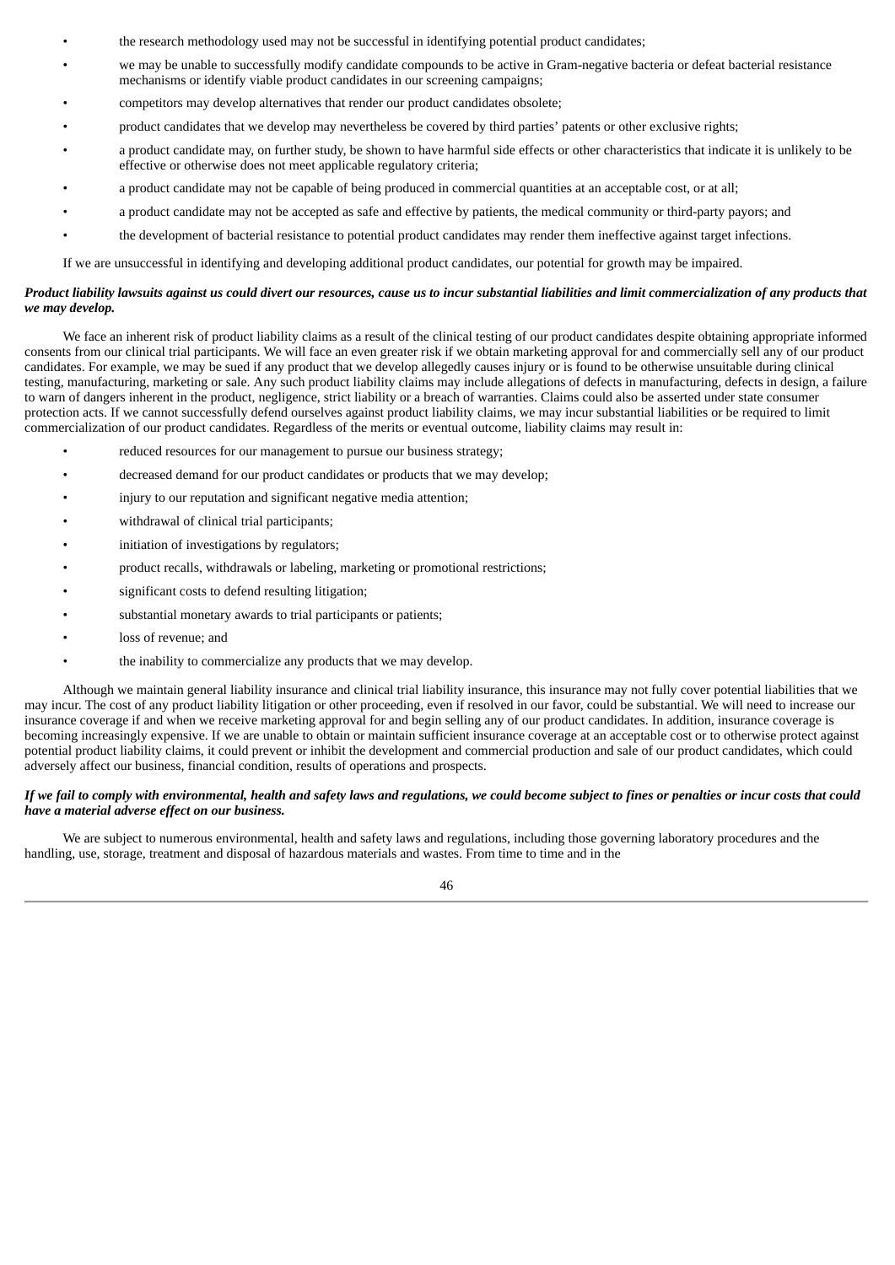- the research methodology used may not be successful in identifying potential product candidates;
- we may be unable to successfully modify candidate compounds to be active in Gram-negative bacteria or defeat bacterial resistance mechanisms or identify viable product candidates in our screening campaigns;
- competitors may develop alternatives that render our product candidates obsolete;
- product candidates that we develop may nevertheless be covered by third parties' patents or other exclusive rights;
- a product candidate may, on further study, be shown to have harmful side effects or other characteristics that indicate it is unlikely to be effective or otherwise does not meet applicable regulatory criteria;
- a product candidate may not be capable of being produced in commercial quantities at an acceptable cost, or at all;
- a product candidate may not be accepted as safe and effective by patients, the medical community or third-party payors; and
- the development of bacterial resistance to potential product candidates may render them ineffective against target infections.

If we are unsuccessful in identifying and developing additional product candidates, our potential for growth may be impaired.

# Product liability lawsuits against us could divert our resources, cause us to incur substantial liabilities and limit commercialization of any products that *we may develop.*

We face an inherent risk of product liability claims as a result of the clinical testing of our product candidates despite obtaining appropriate informed consents from our clinical trial participants. We will face an even greater risk if we obtain marketing approval for and commercially sell any of our product candidates. For example, we may be sued if any product that we develop allegedly causes injury or is found to be otherwise unsuitable during clinical testing, manufacturing, marketing or sale. Any such product liability claims may include allegations of defects in manufacturing, defects in design, a failure to warn of dangers inherent in the product, negligence, strict liability or a breach of warranties. Claims could also be asserted under state consumer protection acts. If we cannot successfully defend ourselves against product liability claims, we may incur substantial liabilities or be required to limit commercialization of our product candidates. Regardless of the merits or eventual outcome, liability claims may result in:

- reduced resources for our management to pursue our business strategy;
- decreased demand for our product candidates or products that we may develop;
- injury to our reputation and significant negative media attention;
- withdrawal of clinical trial participants;
- initiation of investigations by regulators;
- product recalls, withdrawals or labeling, marketing or promotional restrictions;
- significant costs to defend resulting litigation;
- substantial monetary awards to trial participants or patients;
- loss of revenue: and
- the inability to commercialize any products that we may develop.

Although we maintain general liability insurance and clinical trial liability insurance, this insurance may not fully cover potential liabilities that we may incur. The cost of any product liability litigation or other proceeding, even if resolved in our favor, could be substantial. We will need to increase our insurance coverage if and when we receive marketing approval for and begin selling any of our product candidates. In addition, insurance coverage is becoming increasingly expensive. If we are unable to obtain or maintain sufficient insurance coverage at an acceptable cost or to otherwise protect against potential product liability claims, it could prevent or inhibit the development and commercial production and sale of our product candidates, which could adversely affect our business, financial condition, results of operations and prospects.

## If we fail to comply with environmental, health and safety laws and regulations, we could become subject to fines or penalties or incur costs that could *have a material adverse effect on our business.*

We are subject to numerous environmental, health and safety laws and regulations, including those governing laboratory procedures and the handling, use, storage, treatment and disposal of hazardous materials and wastes. From time to time and in the

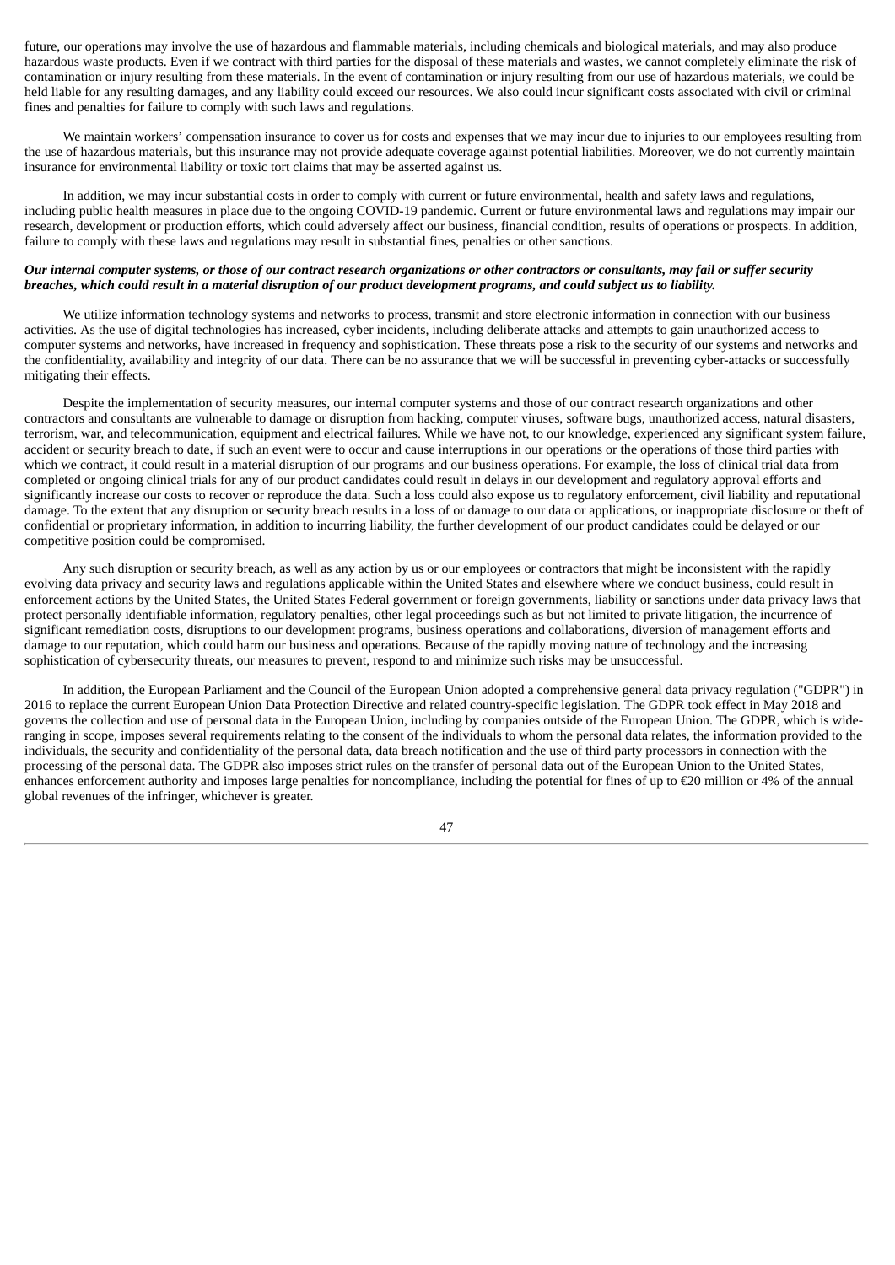future, our operations may involve the use of hazardous and flammable materials, including chemicals and biological materials, and may also produce hazardous waste products. Even if we contract with third parties for the disposal of these materials and wastes, we cannot completely eliminate the risk of contamination or injury resulting from these materials. In the event of contamination or injury resulting from our use of hazardous materials, we could be held liable for any resulting damages, and any liability could exceed our resources. We also could incur significant costs associated with civil or criminal fines and penalties for failure to comply with such laws and regulations.

We maintain workers' compensation insurance to cover us for costs and expenses that we may incur due to injuries to our employees resulting from the use of hazardous materials, but this insurance may not provide adequate coverage against potential liabilities. Moreover, we do not currently maintain insurance for environmental liability or toxic tort claims that may be asserted against us.

In addition, we may incur substantial costs in order to comply with current or future environmental, health and safety laws and regulations, including public health measures in place due to the ongoing COVID-19 pandemic. Current or future environmental laws and regulations may impair our research, development or production efforts, which could adversely affect our business, financial condition, results of operations or prospects. In addition, failure to comply with these laws and regulations may result in substantial fines, penalties or other sanctions.

# Our internal computer systems, or those of our contract research organizations or other contractors or consultants, may fail or suffer security breaches, which could result in a material disruption of our product development programs, and could subject us to liability.

We utilize information technology systems and networks to process, transmit and store electronic information in connection with our business activities. As the use of digital technologies has increased, cyber incidents, including deliberate attacks and attempts to gain unauthorized access to computer systems and networks, have increased in frequency and sophistication. These threats pose a risk to the security of our systems and networks and the confidentiality, availability and integrity of our data. There can be no assurance that we will be successful in preventing cyber-attacks or successfully mitigating their effects.

Despite the implementation of security measures, our internal computer systems and those of our contract research organizations and other contractors and consultants are vulnerable to damage or disruption from hacking, computer viruses, software bugs, unauthorized access, natural disasters, terrorism, war, and telecommunication, equipment and electrical failures. While we have not, to our knowledge, experienced any significant system failure, accident or security breach to date, if such an event were to occur and cause interruptions in our operations or the operations of those third parties with which we contract, it could result in a material disruption of our programs and our business operations. For example, the loss of clinical trial data from completed or ongoing clinical trials for any of our product candidates could result in delays in our development and regulatory approval efforts and significantly increase our costs to recover or reproduce the data. Such a loss could also expose us to regulatory enforcement, civil liability and reputational damage. To the extent that any disruption or security breach results in a loss of or damage to our data or applications, or inappropriate disclosure or theft of confidential or proprietary information, in addition to incurring liability, the further development of our product candidates could be delayed or our competitive position could be compromised.

Any such disruption or security breach, as well as any action by us or our employees or contractors that might be inconsistent with the rapidly evolving data privacy and security laws and regulations applicable within the United States and elsewhere where we conduct business, could result in enforcement actions by the United States, the United States Federal government or foreign governments, liability or sanctions under data privacy laws that protect personally identifiable information, regulatory penalties, other legal proceedings such as but not limited to private litigation, the incurrence of significant remediation costs, disruptions to our development programs, business operations and collaborations, diversion of management efforts and damage to our reputation, which could harm our business and operations. Because of the rapidly moving nature of technology and the increasing sophistication of cybersecurity threats, our measures to prevent, respond to and minimize such risks may be unsuccessful.

In addition, the European Parliament and the Council of the European Union adopted a comprehensive general data privacy regulation ("GDPR") in 2016 to replace the current European Union Data Protection Directive and related country-specific legislation. The GDPR took effect in May 2018 and governs the collection and use of personal data in the European Union, including by companies outside of the European Union. The GDPR, which is wideranging in scope, imposes several requirements relating to the consent of the individuals to whom the personal data relates, the information provided to the individuals, the security and confidentiality of the personal data, data breach notification and the use of third party processors in connection with the processing of the personal data. The GDPR also imposes strict rules on the transfer of personal data out of the European Union to the United States, enhances enforcement authority and imposes large penalties for noncompliance, including the potential for fines of up to €20 million or 4% of the annual global revenues of the infringer, whichever is greater.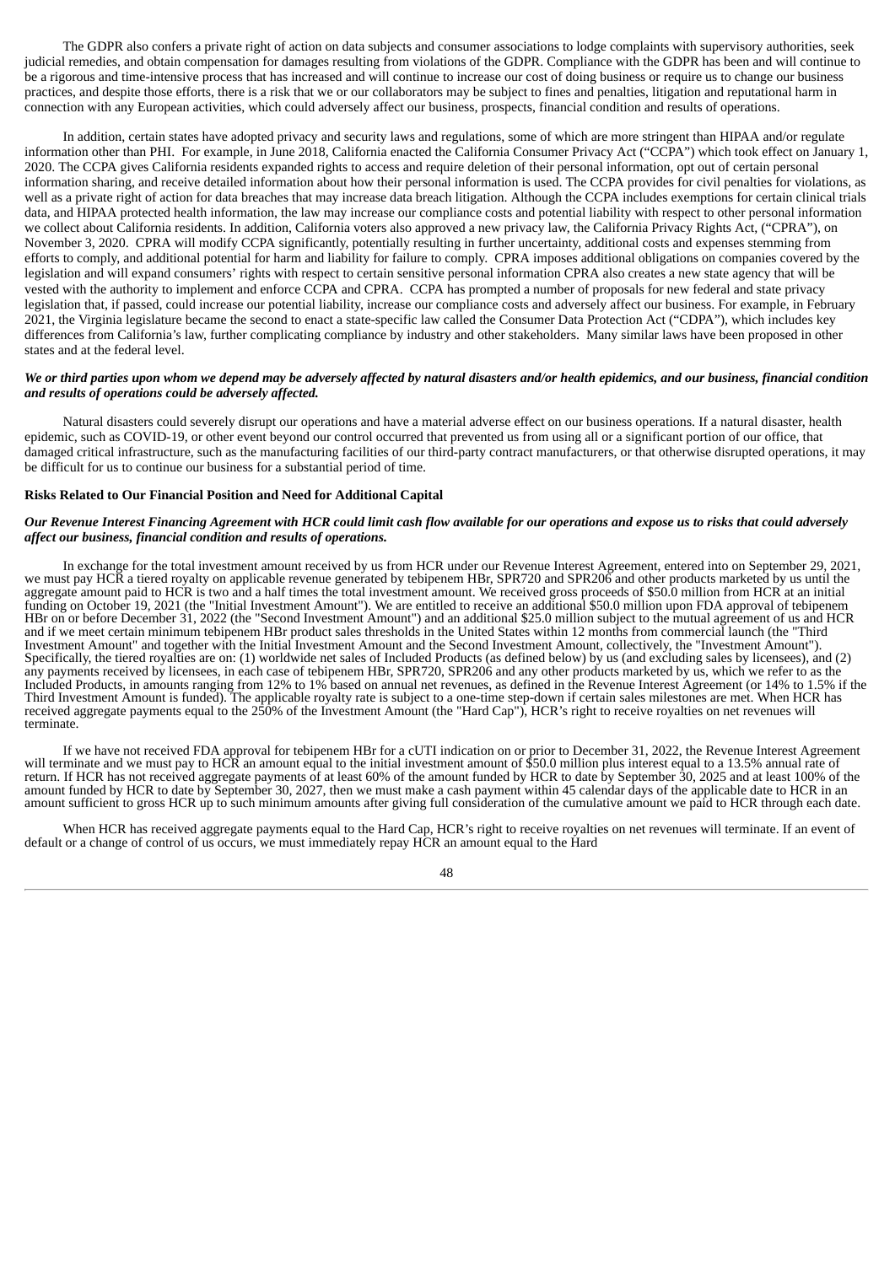The GDPR also confers a private right of action on data subjects and consumer associations to lodge complaints with supervisory authorities, seek judicial remedies, and obtain compensation for damages resulting from violations of the GDPR. Compliance with the GDPR has been and will continue to be a rigorous and time-intensive process that has increased and will continue to increase our cost of doing business or require us to change our business practices, and despite those efforts, there is a risk that we or our collaborators may be subject to fines and penalties, litigation and reputational harm in connection with any European activities, which could adversely affect our business, prospects, financial condition and results of operations.

In addition, certain states have adopted privacy and security laws and regulations, some of which are more stringent than HIPAA and/or regulate information other than PHI. For example, in June 2018, California enacted the California Consumer Privacy Act ("CCPA") which took effect on January 1, 2020. The CCPA gives California residents expanded rights to access and require deletion of their personal information, opt out of certain personal information sharing, and receive detailed information about how their personal information is used. The CCPA provides for civil penalties for violations, as well as a private right of action for data breaches that may increase data breach litigation. Although the CCPA includes exemptions for certain clinical trials data, and HIPAA protected health information, the law may increase our compliance costs and potential liability with respect to other personal information we collect about California residents. In addition, California voters also approved a new privacy law, the California Privacy Rights Act, ("CPRA"), on November 3, 2020. CPRA will modify CCPA significantly, potentially resulting in further uncertainty, additional costs and expenses stemming from efforts to comply, and additional potential for harm and liability for failure to comply. CPRA imposes additional obligations on companies covered by the legislation and will expand consumers' rights with respect to certain sensitive personal information CPRA also creates a new state agency that will be vested with the authority to implement and enforce CCPA and CPRA. CCPA has prompted a number of proposals for new federal and state privacy legislation that, if passed, could increase our potential liability, increase our compliance costs and adversely affect our business. For example, in February 2021, the Virginia legislature became the second to enact a state-specific law called the Consumer Data Protection Act ("CDPA"), which includes key differences from California's law, further complicating compliance by industry and other stakeholders. Many similar laws have been proposed in other states and at the federal level.

### We or third parties upon whom we depend may be adversely affected by natural disasters and/or health epidemics, and our business, financial condition *and results of operations could be adversely affected.*

Natural disasters could severely disrupt our operations and have a material adverse effect on our business operations. If a natural disaster, health epidemic, such as COVID-19, or other event beyond our control occurred that prevented us from using all or a significant portion of our office, that damaged critical infrastructure, such as the manufacturing facilities of our third-party contract manufacturers, or that otherwise disrupted operations, it may be difficult for us to continue our business for a substantial period of time.

### **Risks Related to Our Financial Position and Need for Additional Capital**

## Our Revenue Interest Financing Agreement with HCR could limit cash flow available for our operations and expose us to risks that could adversely *affect our business, financial condition and results of operations.*

In exchange for the total investment amount received by us from HCR under our Revenue Interest Agreement, entered into on September 29, 2021, we must pay HCR a tiered royalty on applicable revenue generated by tebipenem HBr, SPR720 and SPR206 and other products marketed by us until the aggregate amount paid to HCR is two and a half times the total investment amount. We received gross proceeds of \$50.0 million from HCR at an initial funding on October 19, 2021 (the "Initial Investment Amount"). We are entitled to receive an additional \$50.0 million upon FDA approval of tebipenem HBr on or before December 31, 2022 (the "Second Investment Amount") and an additional \$25.0 million subject to the mutual agreement of us and HCR and if we meet certain minimum tebipenem HBr product sales thresholds in the United States within 12 months from commercial launch (the "Third Investment Amount" and together with the Initial Investment Amount and the Second Investment Amount, collectively, the "Investment Amount"). Specifically, the tiered royalties are on: (1) worldwide net sales of Included Products (as defined below) by us (and excluding sales by licensees), and (2) any payments received by licensees, in each case of tebipenem HBr, SPR720, SPR206 and any other products marketed by us, which we refer to as the Included Products, in amounts ranging from 12% to 1% based on annual net revenues, as defined in the Revenue Interest Agreement (or 14% to 1.5% if the Third Investment Amount is funded). The applicable royalty rate is subject to a one-time step-down if certain sales milestones are met. When HCR has received aggregate payments equal to the 250% of the Investment Amount (the "Hard Cap"), HCR's right to receive royalties on net revenues will terminate.

If we have not received FDA approval for tebipenem HBr for a cUTI indication on or prior to December 31, 2022, the Revenue Interest Agreement will terminate and we must pay to HCR an amount equal to the initial investment amount of \$50.0 million plus interest equal to a 13.5% annual rate of return. If HCR has not received aggregate payments of at least 60% of the amount funded by HCR to date by September 30, 2025 and at least 100% of the amount funded by HCR to date by September 30, 2027, then we must make a cash payment within 45 calendar days of the applicable date to HCR in an amount sufficient to gross HCR up to such minimum amounts after giving full consideration of the cumulative amount we paid to HCR through each date.

When HCR has received aggregate payments equal to the Hard Cap, HCR's right to receive royalties on net revenues will terminate. If an event of default or a change of control of us occurs, we must immediately repay HCR an amount equal to the Hard

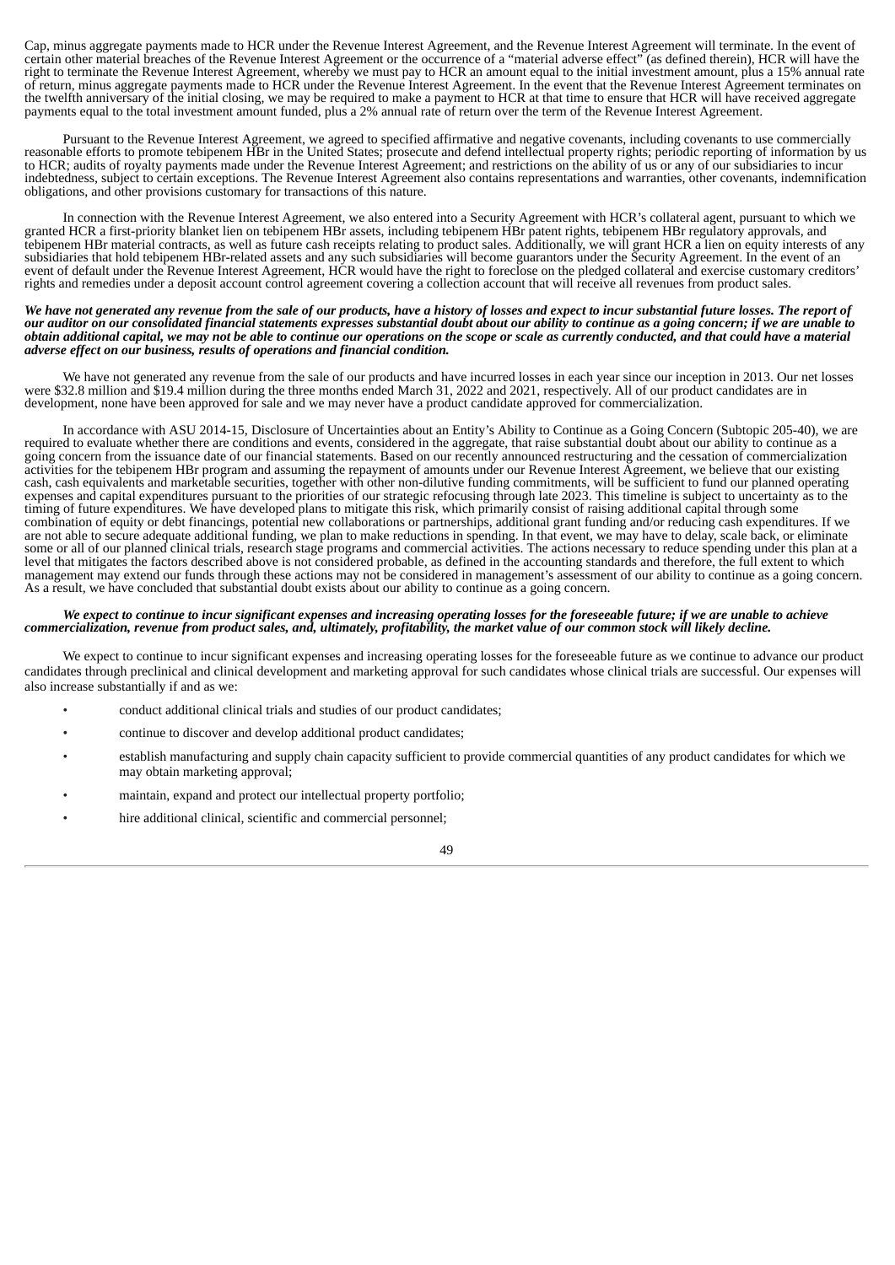Cap, minus aggregate payments made to HCR under the Revenue Interest Agreement, and the Revenue Interest Agreement will terminate. In the event of certain other material breaches of the Revenue Interest Agreement or the occurrence of a "material adverse effect" (as defined therein), HCR will have the right to terminate the Revenue Interest Agreement, whereby we must pay to HCR an amount equal to the initial investment amount, plus a 15% annual rate of return, minus aggregate payments made to HCR under the Revenue Interest Agreement. In the event that the Revenue Interest Agreement terminates on the twelfth anniversary of the initial closing, we may be required to make a payment to HCR at that time to ensure that HCR will have received aggregate payments equal to the total investment amount funded, plus a 2% annual rate of return over the term of the Revenue Interest Agreement.

Pursuant to the Revenue Interest Agreement, we agreed to specified affirmative and negative covenants, including covenants to use commercially reasonable efforts to promote tebipenem HBr in the United States; prosecute and defend intellectual property rights; periodic reporting of information by us to HCR; audits of royalty payments made under the Revenue Interest Agreement; and restrictions on the ability of us or any of our subsidiaries to incur indebtedness, subject to certain exceptions. The Revenue Interest Agreement also contains representations and warranties, other covenants, indemnification obligations, and other provisions customary for transactions of this nature.

In connection with the Revenue Interest Agreement, we also entered into a Security Agreement with HCR's collateral agent, pursuant to which we granted HCR a first-priority blanket lien on tebipenem HBr assets, including tebipenem HBr patent rights, tebipenem HBr regulatory approvals, and tebipenem HBr material contracts, as well as future cash receipts relating to product sales. Additionally, we will grant HCR a lien on equity interests of any subsidiaries that hold tebipenem HBr-related assets and any such subsidiaries will become guarantors under the Security Agreement. In the event of an event of default under the Revenue Interest Agreement, HCR would have the right to foreclose on the pledged collateral and exercise customary creditors' rights and remedies under a deposit account control agreement covering a collection account that will receive all revenues from product sales.

#### We have not generated any revenue from the sale of our products, have a history of losses and expect to incur substantial future losses. The report of our auditor on our consolidated financial statements expresses substantial doubt about our ability to continue as a going concern; if we are unable to obtain additional capital, we may not be able to continue our operations on the scope or scale as currently conducted, and that could have a material *adverse effect on our business, results of operations and financial condition.*

We have not generated any revenue from the sale of our products and have incurred losses in each year since our inception in 2013. Our net losses were \$32.8 million and \$19.4 million during the three months ended March 31, 2022 and 2021, respectively. All of our product candidates are in development, none have been approved for sale and we may never have a product candidate approved for commercialization.

In accordance with ASU 2014-15, Disclosure of Uncertainties about an Entity's Ability to Continue as a Going Concern (Subtopic 205-40), we are required to evaluate whether there are conditions and events, considered in the aggregate, that raise substantial doubt about our ability to continue as a going concern from the issuance date of our financial statements. Based on our recently announced restructuring and the cessation of commercialization activities for the tebipenem HBr program and assuming the repayment of amounts under our Revenue Interest Agreement, we believe that our existing cash, cash equivalents and marketable securities, together with other non-dilutive funding commitments, will be sufficient to fund our planned operating expenses and capital expenditures pursuant to the priorities of our strategic refocusing through late 2023. This timeline is subject to uncertainty as to the timing of future expenditures. We have developed plans to mitigate this risk, which primarily consist of raising additional capital through some combination of equity or debt financings, potential new collaborations or partnerships, additional grant funding and/or reducing cash expenditures. If we are not able to secure adequate additional funding, we plan to make reductions in spending. In that event, we may have to delay, scale back, or eliminate some or all of our planned clinical trials, research stage programs and commercial activities. The actions necessary to reduce spending under this plan at a level that mitigates the factors described above is not considered probable, as defined in the accounting standards and therefore, the full extent to which management may extend our funds through these actions may not be considered in management's assessment of our ability to continue as a going concern. As a result, we have concluded that substantial doubt exists about our ability to continue as a going concern.

#### We expect to continue to incur significant expenses and increasing operating losses for the foreseeable future; if we are unable to achieve commercialization, revenue from product sales, and, ultimately, profitability, the market value of our common stock will likely decline.

We expect to continue to incur significant expenses and increasing operating losses for the foreseeable future as we continue to advance our product candidates through preclinical and clinical development and marketing approval for such candidates whose clinical trials are successful. Our expenses will also increase substantially if and as we:

- conduct additional clinical trials and studies of our product candidates;
- continue to discover and develop additional product candidates;
- establish manufacturing and supply chain capacity sufficient to provide commercial quantities of any product candidates for which we may obtain marketing approval;
- maintain, expand and protect our intellectual property portfolio;
- hire additional clinical, scientific and commercial personnel;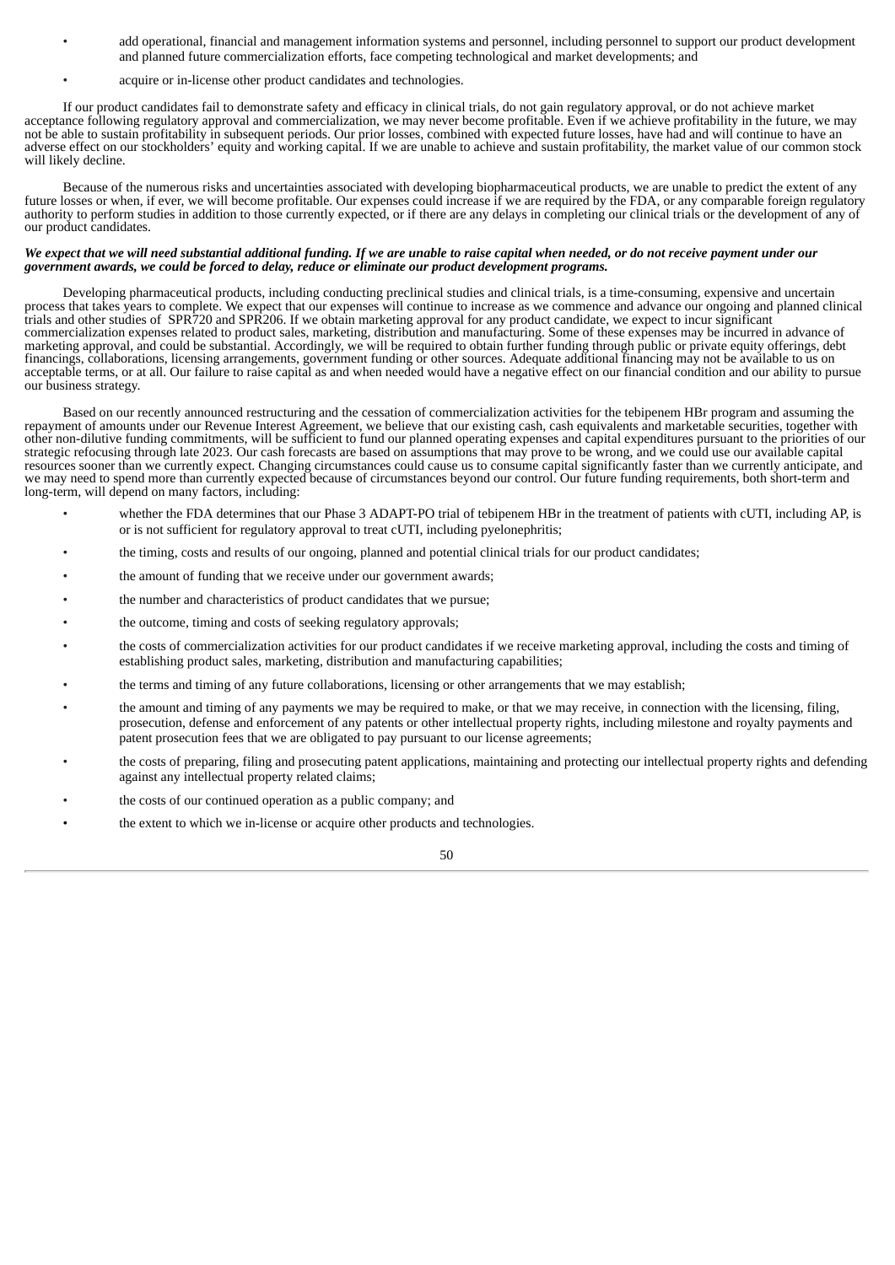- add operational, financial and management information systems and personnel, including personnel to support our product development and planned future commercialization efforts, face competing technological and market developments; and
- acquire or in-license other product candidates and technologies.

If our product candidates fail to demonstrate safety and efficacy in clinical trials, do not gain regulatory approval, or do not achieve market acceptance following regulatory approval and commercialization, we may never become profitable. Even if we achieve profitability in the future, we may not be able to sustain profitability in subsequent periods. Our prior losses, combined with expected future losses, have had and will continue to have an adverse effect on our stockholders' equity and working capital. If we are unable to achieve and sustain profitability, the market value of our common stock will likely decline.

Because of the numerous risks and uncertainties associated with developing biopharmaceutical products, we are unable to predict the extent of any future losses or when, if ever, we will become profitable. Our expenses could increase if we are required by the FDA, or any comparable foreign regulatory authority to perform studies in addition to those currently expected, or if there are any delays in completing our clinical trials or the development of any of our product candidates.

#### We expect that we will need substantial additional funding. If we are unable to raise capital when needed, or do not receive payment under our *government awards, we could be forced to delay, reduce or eliminate our product development programs.*

Developing pharmaceutical products, including conducting preclinical studies and clinical trials, is a time-consuming, expensive and uncertain process that takes years to complete. We expect that our expenses will continue to increase as we commence and advance our ongoing and planned clinical trials and other studies of SPR720 and SPR206. If we obtain marketing approval for any product candidate, we expect to incur significant commercialization expenses related to product sales, marketing, distribution and manufacturing. Some of these expenses may be incurred in advance of marketing approval, and could be substantial. Accordingly, we will be required to obtain further funding through public or private equity offerings, debt financings, collaborations, licensing arrangements, government funding or other sources. Adequate additional financing may not be available to us on acceptable terms, or at all. Our failure to raise capital as and when needed would have a negative effect on our financial condition and our ability to pursue our business strategy.

Based on our recently announced restructuring and the cessation of commercialization activities for the tebipenem HBr program and assuming the repayment of amounts under our Revenue Interest Agreement, we believe that our existing cash, cash equivalents and marketable securities, together with other non-dilutive funding commitments, will be sufficient to fund our planned operating expenses and capital expenditures pursuant to the priorities of our strategic refocusing through late 2023. Our cash forecasts are based on assumptions that may prove to be wrong, and we could use our available capital resources sooner than we currently expect. Changing circumstances could cause us to consume capital significantly faster than we currently anticipate, and we may need to spend more than currently expected because of circumstances beyond our control. Our future funding requirements, both short-term and long-term, will depend on many factors, including:

- whether the FDA determines that our Phase 3 ADAPT-PO trial of tebipenem HBr in the treatment of patients with cUTI, including AP, is or is not sufficient for regulatory approval to treat cUTI, including pyelonephritis;
- the timing, costs and results of our ongoing, planned and potential clinical trials for our product candidates;
- the amount of funding that we receive under our government awards;
- the number and characteristics of product candidates that we pursue;
- the outcome, timing and costs of seeking regulatory approvals;
- the costs of commercialization activities for our product candidates if we receive marketing approval, including the costs and timing of establishing product sales, marketing, distribution and manufacturing capabilities;
- the terms and timing of any future collaborations, licensing or other arrangements that we may establish;
- the amount and timing of any payments we may be required to make, or that we may receive, in connection with the licensing, filing, prosecution, defense and enforcement of any patents or other intellectual property rights, including milestone and royalty payments and patent prosecution fees that we are obligated to pay pursuant to our license agreements;
- the costs of preparing, filing and prosecuting patent applications, maintaining and protecting our intellectual property rights and defending against any intellectual property related claims;
- the costs of our continued operation as a public company; and
- the extent to which we in-license or acquire other products and technologies.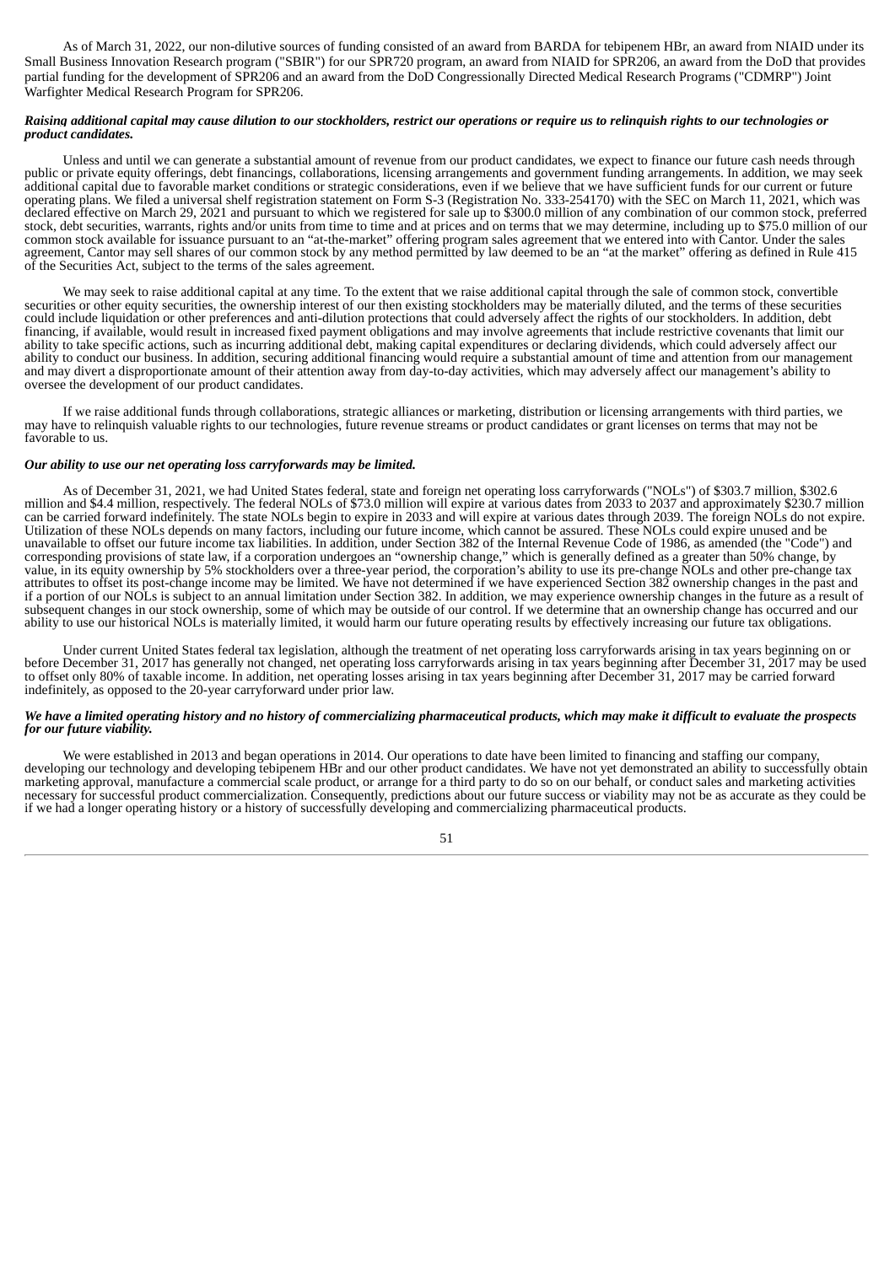As of March 31, 2022, our non-dilutive sources of funding consisted of an award from BARDA for tebipenem HBr, an award from NIAID under its Small Business Innovation Research program ("SBIR") for our SPR720 program, an award from NIAID for SPR206, an award from the DoD that provides partial funding for the development of SPR206 and an award from the DoD Congressionally Directed Medical Research Programs ("CDMRP") Joint Warfighter Medical Research Program for SPR206.

#### Raising additional capital may cause dilution to our stockholders, restrict our operations or require us to relinguish rights to our technologies or *product candidates.*

Unless and until we can generate a substantial amount of revenue from our product candidates, we expect to finance our future cash needs through public or private equity offerings, debt financings, collaborations, licensing arrangements and government funding arrangements. In addition, we may seek additional capital due to favorable market conditions or strategic considerations, even if we believe that we have sufficient funds for our current or future operating plans. We filed a universal shelf registration statement on Form S-3 (Registration No. 333-254170) with the SEC on March 11, 2021, which was declared effective on March 29, 2021 and pursuant to which we registered for sale up to \$300.0 million of any combination of our common stock, preferred stock, debt securities, warrants, rights and/or units from time to time and at prices and on terms that we may determine, including up to \$75.0 million of our common stock available for issuance pursuant to an "at-the-market" offering program sales agreement that we entered into with Cantor. Under the sales agreement, Cantor may sell shares of our common stock by any method permitted by law deemed to be an "at the market" offering as defined in Rule 415 of the Securities Act, subject to the terms of the sales agreement.

We may seek to raise additional capital at any time. To the extent that we raise additional capital through the sale of common stock, convertible securities or other equity securities, the ownership interest of our then existing stockholders may be materially diluted, and the terms of these securities could include liquidation or other preferences and anti-dilution protections that could adversely affect the rights of our stockholders. In addition, debt financing, if available, would result in increased fixed payment obligations and may involve agreements that include restrictive covenants that limit our ability to take specific actions, such as incurring additional debt, making capital expenditures or declaring dividends, which could adversely affect our ability to conduct our business. In addition, securing additional financing would require a substantial amount of time and attention from our management and may divert a disproportionate amount of their attention away from day-to-day activities, which may adversely affect our management's ability to oversee the development of our product candidates.

If we raise additional funds through collaborations, strategic alliances or marketing, distribution or licensing arrangements with third parties, we may have to relinquish valuable rights to our technologies, future revenue streams or product candidates or grant licenses on terms that may not be favorable to us.

#### *Our ability to use our net operating loss carryforwards may be limited.*

As of December 31, 2021, we had United States federal, state and foreign net operating loss carryforwards ("NOLs") of \$303.7 million, \$302.6 million and \$4.4 million, respectively. The federal NOLs of \$73.0 million will expire at various dates from 2033 to 2037 and approximately \$230.7 million can be carried forward indefinitely. The state NOLs begin to expire in 2033 and will expire at various dates through 2039. The foreign NOLs do not expire. Utilization of these NOLs depends on many factors, including our future income, which cannot be assured. These NOLs could expire unused and be unavailable to offset our future income tax liabilities. In addition, under Section 382 of the Internal Revenue Code of 1986, as amended (the "Code") and corresponding provisions of state law, if a corporation undergoes an "ownership change," which is generally defined as a greater than 50% change, by value, in its equity ownership by 5% stockholders over a three-year period, the corporation's ability to use its pre-change NOLs and other pre-change tax attributes to offset its post-change income may be limited. We have not determined if we have experienced Section 382 ownership changes in the past and if a portion of our NOLs is subject to an annual limitation under Section 382. In addition, we may experience ownership changes in the future as a result of subsequent changes in our stock ownership, some of which may be outside of our control. If we determine that an ownership change has occurred and our ability to use our historical NOLs is materially limited, it would harm our future operating results by effectively increasing our future tax obligations.

Under current United States federal tax legislation, although the treatment of net operating loss carryforwards arising in tax years beginning on or before December 31, 2017 has generally not changed, net operating loss carryforwards arising in tax years beginning after December 31, 2017 may be used to offset only 80% of taxable income. In addition, net operating losses arising in tax years beginning after December 31, 2017 may be carried forward indefinitely, as opposed to the 20-year carryforward under prior law.

#### We have a limited operating history and no history of commercializing pharmaceutical products, which may make it difficult to evaluate the prospects *for our future viability.*

We were established in 2013 and began operations in 2014. Our operations to date have been limited to financing and staffing our company, developing our technology and developing tebipenem HBr and our other product candidates. We have not yet demonstrated an ability to successfully obtain marketing approval, manufacture a commercial scale product, or arrange for a third party to do so on our behalf, or conduct sales and marketing activities necessary for successful product commercialization. Consequently, predictions about our future success or viability may not be as accurate as they could be if we had a longer operating history or a history of successfully developing and commercializing pharmaceutical products.

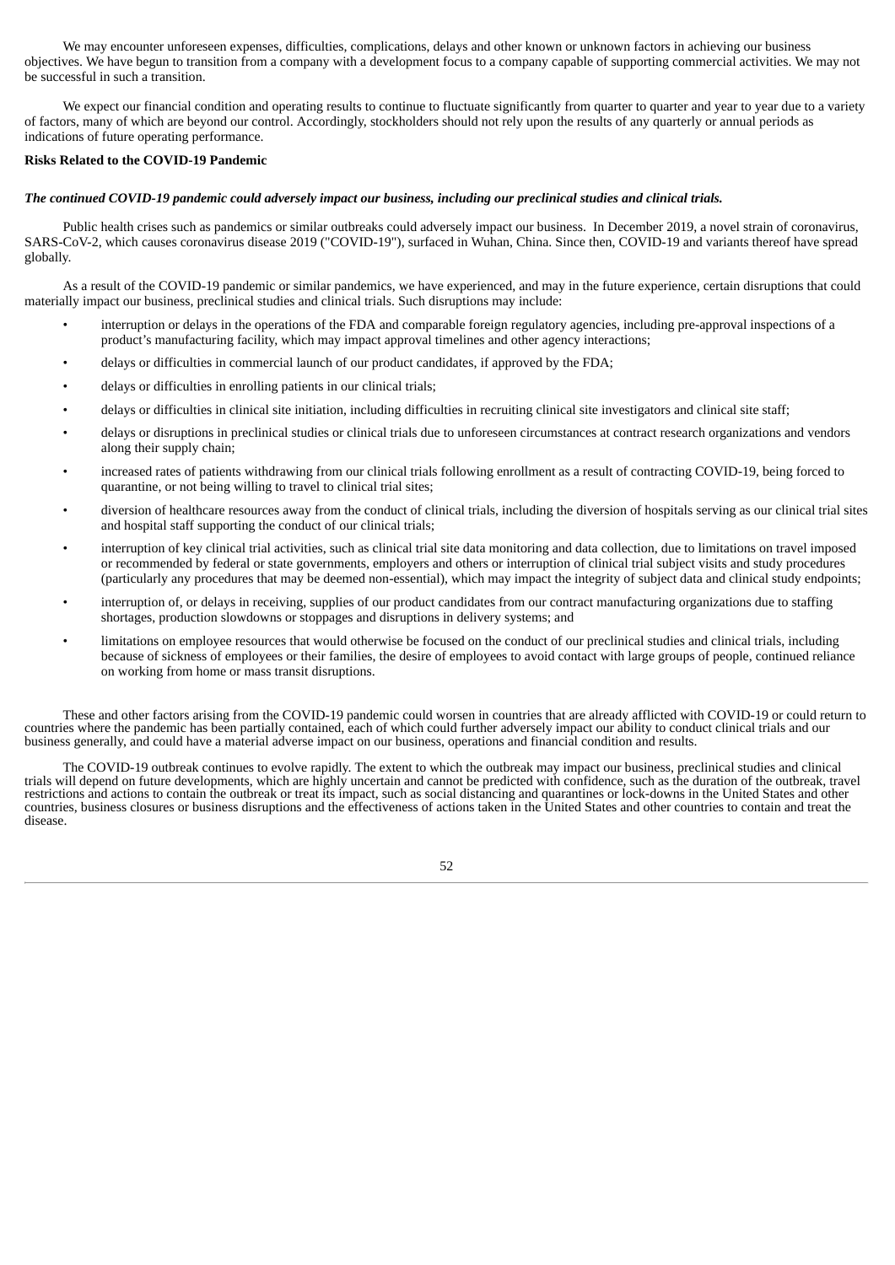We may encounter unforeseen expenses, difficulties, complications, delays and other known or unknown factors in achieving our business objectives. We have begun to transition from a company with a development focus to a company capable of supporting commercial activities. We may not be successful in such a transition.

We expect our financial condition and operating results to continue to fluctuate significantly from quarter to quarter and year to year due to a variety of factors, many of which are beyond our control. Accordingly, stockholders should not rely upon the results of any quarterly or annual periods as indications of future operating performance.

## **Risks Related to the COVID-19 Pandemic**

#### The continued COVID-19 pandemic could adversely impact our business, including our preclinical studies and clinical trials.

Public health crises such as pandemics or similar outbreaks could adversely impact our business. In December 2019, a novel strain of coronavirus, SARS-CoV-2, which causes coronavirus disease 2019 ("COVID-19"), surfaced in Wuhan, China. Since then, COVID-19 and variants thereof have spread globally.

As a result of the COVID-19 pandemic or similar pandemics, we have experienced, and may in the future experience, certain disruptions that could materially impact our business, preclinical studies and clinical trials. Such disruptions may include:

- interruption or delays in the operations of the FDA and comparable foreign regulatory agencies, including pre-approval inspections of a product's manufacturing facility, which may impact approval timelines and other agency interactions;
- delays or difficulties in commercial launch of our product candidates, if approved by the FDA;
- delays or difficulties in enrolling patients in our clinical trials;
- delays or difficulties in clinical site initiation, including difficulties in recruiting clinical site investigators and clinical site staff;
- delays or disruptions in preclinical studies or clinical trials due to unforeseen circumstances at contract research organizations and vendors along their supply chain;
- increased rates of patients withdrawing from our clinical trials following enrollment as a result of contracting COVID-19, being forced to quarantine, or not being willing to travel to clinical trial sites;
- diversion of healthcare resources away from the conduct of clinical trials, including the diversion of hospitals serving as our clinical trial sites and hospital staff supporting the conduct of our clinical trials;
- interruption of key clinical trial activities, such as clinical trial site data monitoring and data collection, due to limitations on travel imposed or recommended by federal or state governments, employers and others or interruption of clinical trial subject visits and study procedures (particularly any procedures that may be deemed non-essential), which may impact the integrity of subject data and clinical study endpoints;
- interruption of, or delays in receiving, supplies of our product candidates from our contract manufacturing organizations due to staffing shortages, production slowdowns or stoppages and disruptions in delivery systems; and
- limitations on employee resources that would otherwise be focused on the conduct of our preclinical studies and clinical trials, including because of sickness of employees or their families, the desire of employees to avoid contact with large groups of people, continued reliance on working from home or mass transit disruptions.

These and other factors arising from the COVID-19 pandemic could worsen in countries that are already afflicted with COVID-19 or could return to countries where the pandemic has been partially contained, each of which could further adversely impact our ability to conduct clinical trials and our business generally, and could have a material adverse impact on our business, operations and financial condition and results.

The COVID-19 outbreak continues to evolve rapidly. The extent to which the outbreak may impact our business, preclinical studies and clinical trials will depend on future developments, which are highly uncertain and cannot be predicted with confidence, such as the duration of the outbreak, travel restrictions and actions to contain the outbreak or treat its impact, such as social distancing and quarantines or lock-downs in the United States and other countries, business closures or business disruptions and the effectiveness of actions taken in the United States and other countries to contain and treat the disease.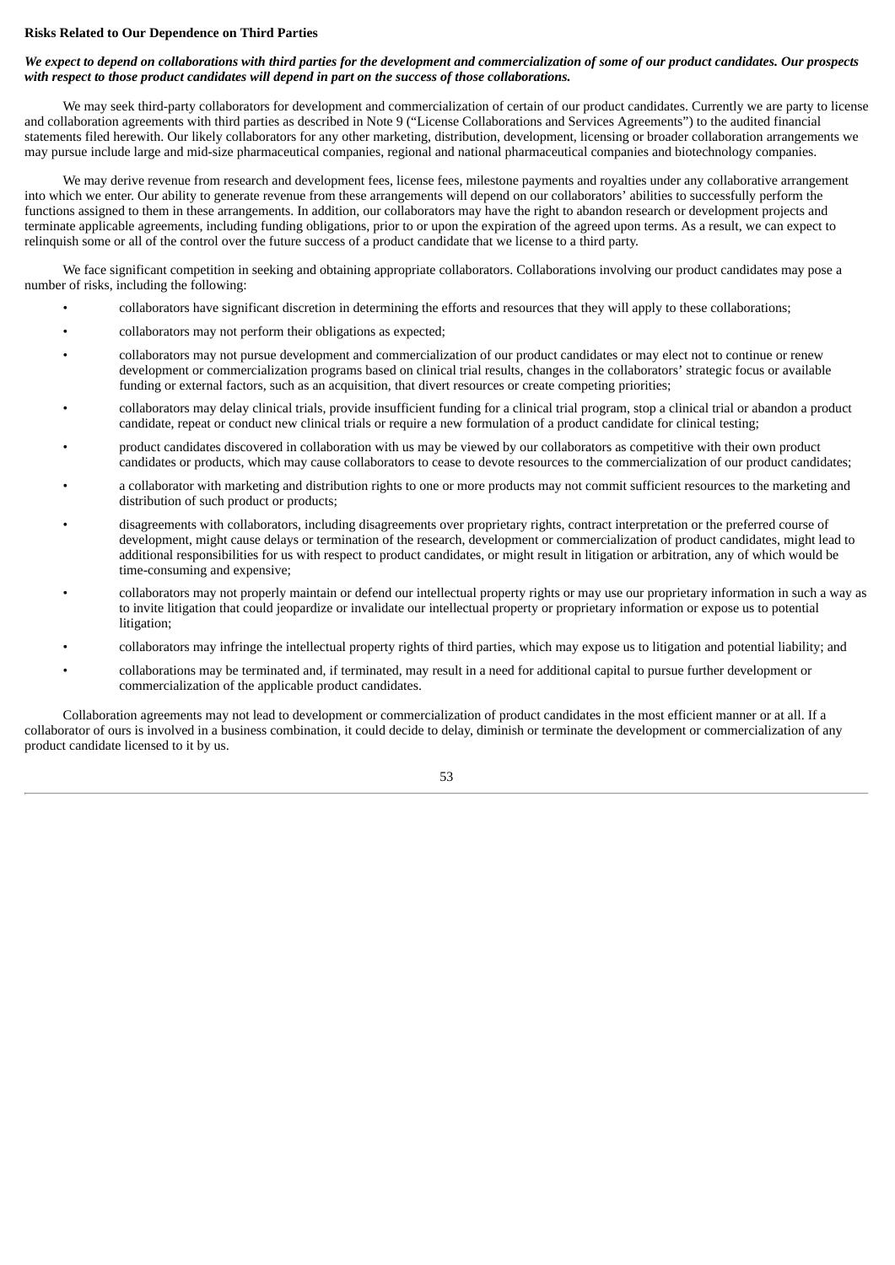### **Risks Related to Our Dependence on Third Parties**

### We expect to depend on collaborations with third parties for the development and commercialization of some of our product candidates. Our prospects *with respect to those product candidates will depend in part on the success of those collaborations.*

We may seek third-party collaborators for development and commercialization of certain of our product candidates. Currently we are party to license and collaboration agreements with third parties as described in Note 9 ("License Collaborations and Services Agreements") to the audited financial statements filed herewith. Our likely collaborators for any other marketing, distribution, development, licensing or broader collaboration arrangements we may pursue include large and mid-size pharmaceutical companies, regional and national pharmaceutical companies and biotechnology companies.

We may derive revenue from research and development fees, license fees, milestone payments and royalties under any collaborative arrangement into which we enter. Our ability to generate revenue from these arrangements will depend on our collaborators' abilities to successfully perform the functions assigned to them in these arrangements. In addition, our collaborators may have the right to abandon research or development projects and terminate applicable agreements, including funding obligations, prior to or upon the expiration of the agreed upon terms. As a result, we can expect to relinquish some or all of the control over the future success of a product candidate that we license to a third party.

We face significant competition in seeking and obtaining appropriate collaborators. Collaborations involving our product candidates may pose a number of risks, including the following:

- collaborators have significant discretion in determining the efforts and resources that they will apply to these collaborations;
- collaborators may not perform their obligations as expected;
- collaborators may not pursue development and commercialization of our product candidates or may elect not to continue or renew development or commercialization programs based on clinical trial results, changes in the collaborators' strategic focus or available funding or external factors, such as an acquisition, that divert resources or create competing priorities;
- collaborators may delay clinical trials, provide insufficient funding for a clinical trial program, stop a clinical trial or abandon a product candidate, repeat or conduct new clinical trials or require a new formulation of a product candidate for clinical testing;
- product candidates discovered in collaboration with us may be viewed by our collaborators as competitive with their own product candidates or products, which may cause collaborators to cease to devote resources to the commercialization of our product candidates;
- a collaborator with marketing and distribution rights to one or more products may not commit sufficient resources to the marketing and distribution of such product or products;
- disagreements with collaborators, including disagreements over proprietary rights, contract interpretation or the preferred course of development, might cause delays or termination of the research, development or commercialization of product candidates, might lead to additional responsibilities for us with respect to product candidates, or might result in litigation or arbitration, any of which would be time-consuming and expensive;
- collaborators may not properly maintain or defend our intellectual property rights or may use our proprietary information in such a way as to invite litigation that could jeopardize or invalidate our intellectual property or proprietary information or expose us to potential litigation;
- collaborators may infringe the intellectual property rights of third parties, which may expose us to litigation and potential liability; and
- collaborations may be terminated and, if terminated, may result in a need for additional capital to pursue further development or commercialization of the applicable product candidates.

Collaboration agreements may not lead to development or commercialization of product candidates in the most efficient manner or at all. If a collaborator of ours is involved in a business combination, it could decide to delay, diminish or terminate the development or commercialization of any product candidate licensed to it by us.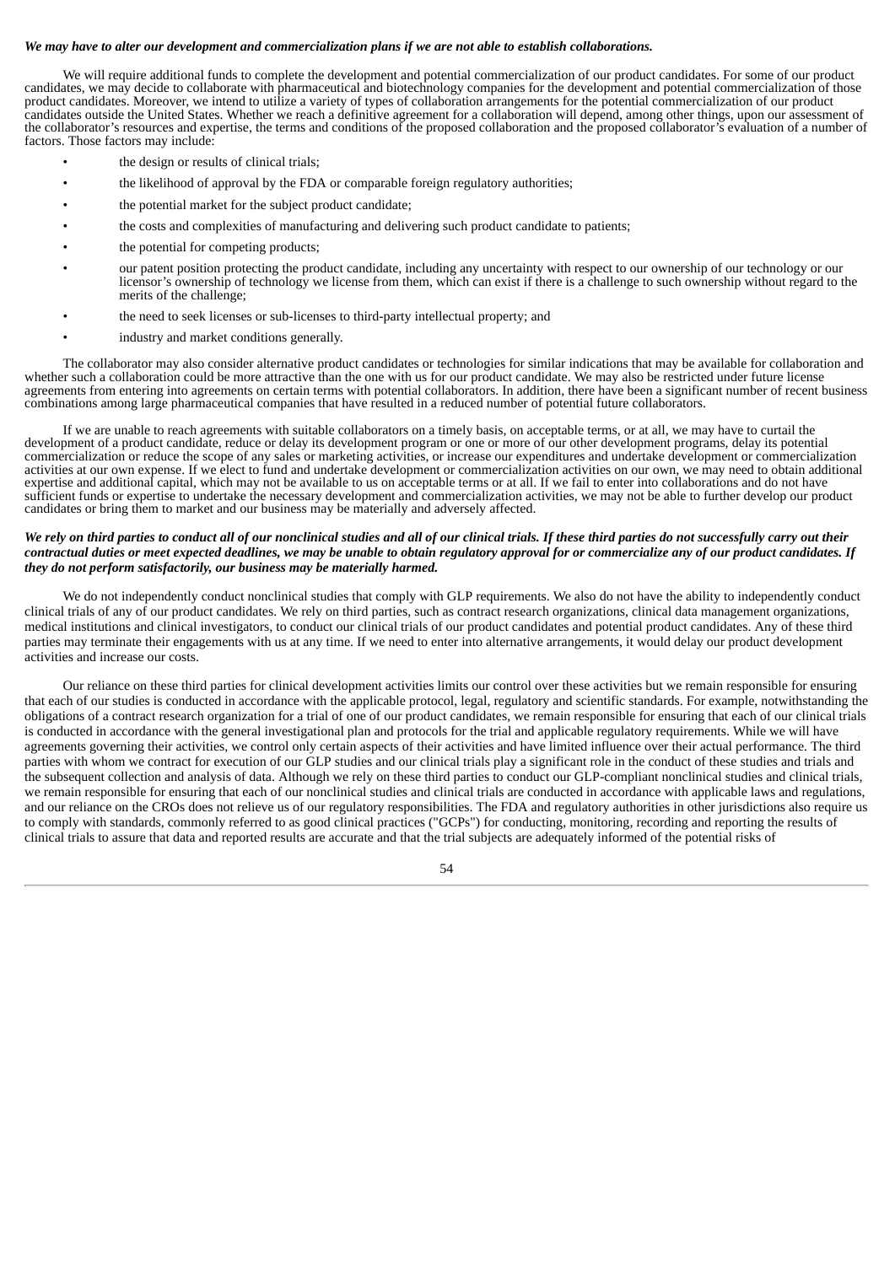### We may have to alter our development and commercialization plans if we are not able to establish collaborations.

We will require additional funds to complete the development and potential commercialization of our product candidates. For some of our product candidates, we may decide to collaborate with pharmaceutical and biotechnology companies for the development and potential commercialization of those product candidates. Moreover, we intend to utilize a variety of types of collaboration arrangements for the potential commercialization of our product candidates outside the United States. Whether we reach a definitive agreement for a collaboration will depend, among other things, upon our assessment of the collaborator's resources and expertise, the terms and conditions of the proposed collaboration and the proposed collaborator's evaluation of a number of factors. Those factors may include:

- the design or results of clinical trials;
- the likelihood of approval by the FDA or comparable foreign regulatory authorities;
- the potential market for the subject product candidate;
- the costs and complexities of manufacturing and delivering such product candidate to patients;
- the potential for competing products;
- our patent position protecting the product candidate, including any uncertainty with respect to our ownership of our technology or our licensor's ownership of technology we license from them, which can exist if there is a challenge to such ownership without regard to the merits of the challenge;
- the need to seek licenses or sub-licenses to third-party intellectual property; and
- industry and market conditions generally.

The collaborator may also consider alternative product candidates or technologies for similar indications that may be available for collaboration and whether such a collaboration could be more attractive than the one with us for our product candidate. We may also be restricted under future license agreements from entering into agreements on certain terms with potential collaborators. In addition, there have been a significant number of recent business combinations among large pharmaceutical companies that have resulted in a reduced number of potential future collaborators.

If we are unable to reach agreements with suitable collaborators on a timely basis, on acceptable terms, or at all, we may have to curtail the development of a product candidate, reduce or delay its development program or one or more of our other development programs, delay its potential commercialization or reduce the scope of any sales or marketing activities, or increase our expenditures and undertake development or commercialization activities at our own expense. If we elect to fund and undertake development or commercialization activities on our own, we may need to obtain additional expertise and additional capital, which may not be available to us on acceptable terms or at all. If we fail to enter into collaborations and do not have sufficient funds or expertise to undertake the necessary development and commercialization activities, we may not be able to further develop our product candidates or bring them to market and our business may be materially and adversely affected.

### We rely on third parties to conduct all of our nonclinical studies and all of our clinical trials. If these third parties do not successfully carry out their contractual duties or meet expected deadlines, we may be unable to obtain regulatory approval for or commercialize any of our product candidates. If *they do not perform satisfactorily, our business may be materially harmed.*

We do not independently conduct nonclinical studies that comply with GLP requirements. We also do not have the ability to independently conduct clinical trials of any of our product candidates. We rely on third parties, such as contract research organizations, clinical data management organizations, medical institutions and clinical investigators, to conduct our clinical trials of our product candidates and potential product candidates. Any of these third parties may terminate their engagements with us at any time. If we need to enter into alternative arrangements, it would delay our product development activities and increase our costs.

Our reliance on these third parties for clinical development activities limits our control over these activities but we remain responsible for ensuring that each of our studies is conducted in accordance with the applicable protocol, legal, regulatory and scientific standards. For example, notwithstanding the obligations of a contract research organization for a trial of one of our product candidates, we remain responsible for ensuring that each of our clinical trials is conducted in accordance with the general investigational plan and protocols for the trial and applicable regulatory requirements. While we will have agreements governing their activities, we control only certain aspects of their activities and have limited influence over their actual performance. The third parties with whom we contract for execution of our GLP studies and our clinical trials play a significant role in the conduct of these studies and trials and the subsequent collection and analysis of data. Although we rely on these third parties to conduct our GLP-compliant nonclinical studies and clinical trials, we remain responsible for ensuring that each of our nonclinical studies and clinical trials are conducted in accordance with applicable laws and regulations, and our reliance on the CROs does not relieve us of our regulatory responsibilities. The FDA and regulatory authorities in other jurisdictions also require us to comply with standards, commonly referred to as good clinical practices ("GCPs") for conducting, monitoring, recording and reporting the results of clinical trials to assure that data and reported results are accurate and that the trial subjects are adequately informed of the potential risks of

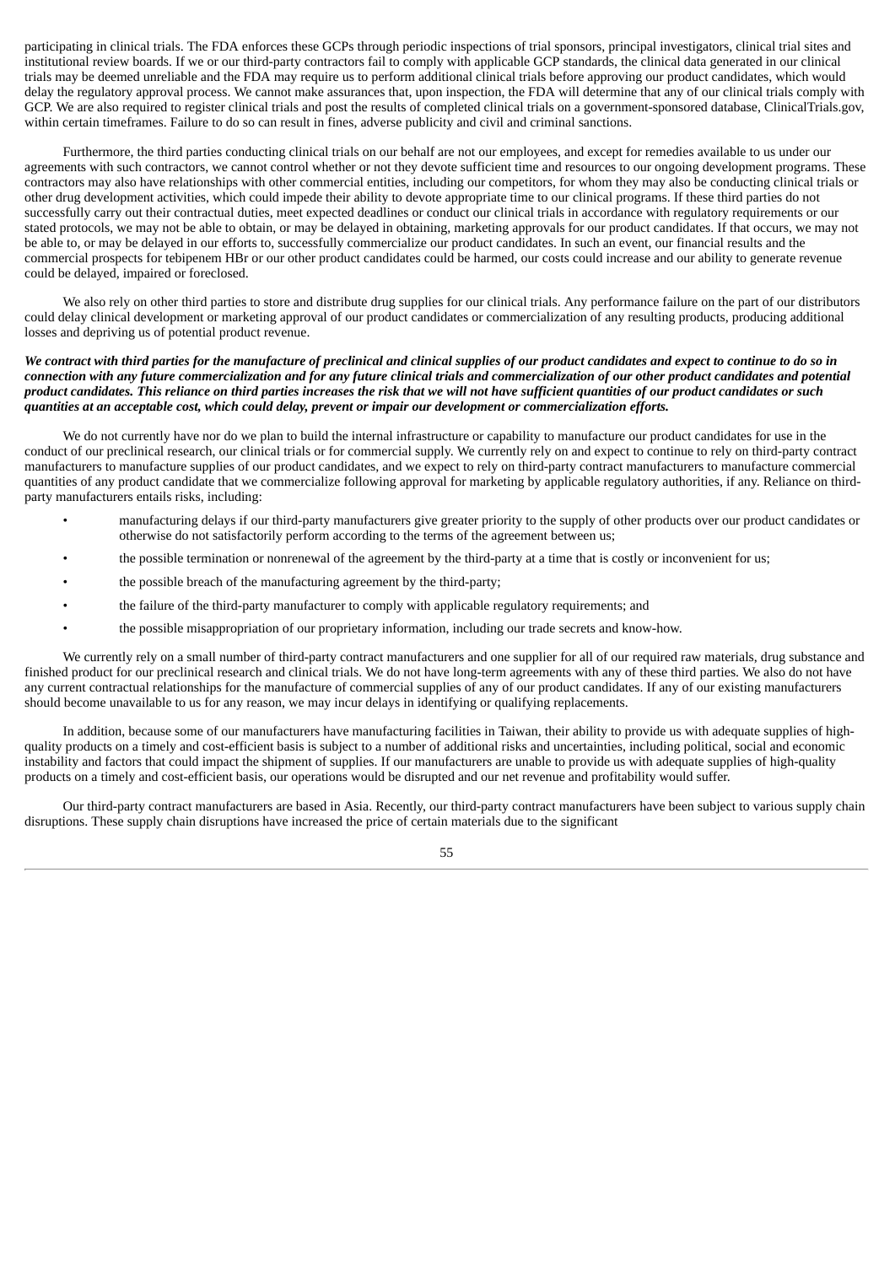participating in clinical trials. The FDA enforces these GCPs through periodic inspections of trial sponsors, principal investigators, clinical trial sites and institutional review boards. If we or our third-party contractors fail to comply with applicable GCP standards, the clinical data generated in our clinical trials may be deemed unreliable and the FDA may require us to perform additional clinical trials before approving our product candidates, which would delay the regulatory approval process. We cannot make assurances that, upon inspection, the FDA will determine that any of our clinical trials comply with GCP. We are also required to register clinical trials and post the results of completed clinical trials on a government-sponsored database, ClinicalTrials.gov, within certain timeframes. Failure to do so can result in fines, adverse publicity and civil and criminal sanctions.

Furthermore, the third parties conducting clinical trials on our behalf are not our employees, and except for remedies available to us under our agreements with such contractors, we cannot control whether or not they devote sufficient time and resources to our ongoing development programs. These contractors may also have relationships with other commercial entities, including our competitors, for whom they may also be conducting clinical trials or other drug development activities, which could impede their ability to devote appropriate time to our clinical programs. If these third parties do not successfully carry out their contractual duties, meet expected deadlines or conduct our clinical trials in accordance with regulatory requirements or our stated protocols, we may not be able to obtain, or may be delayed in obtaining, marketing approvals for our product candidates. If that occurs, we may not be able to, or may be delayed in our efforts to, successfully commercialize our product candidates. In such an event, our financial results and the commercial prospects for tebipenem HBr or our other product candidates could be harmed, our costs could increase and our ability to generate revenue could be delayed, impaired or foreclosed.

We also rely on other third parties to store and distribute drug supplies for our clinical trials. Any performance failure on the part of our distributors could delay clinical development or marketing approval of our product candidates or commercialization of any resulting products, producing additional losses and depriving us of potential product revenue.

## We contract with third parties for the manufacture of preclinical and clinical supplies of our product candidates and expect to continue to do so in connection with any future commercialization and for any future clinical trials and commercialization of our other product candidates and potential product candidates. This reliance on third parties increases the risk that we will not have sufficient quantities of our product candidates or such quantities at an acceptable cost, which could delay, prevent or impair our development or commercialization efforts.

We do not currently have nor do we plan to build the internal infrastructure or capability to manufacture our product candidates for use in the conduct of our preclinical research, our clinical trials or for commercial supply. We currently rely on and expect to continue to rely on third-party contract manufacturers to manufacture supplies of our product candidates, and we expect to rely on third-party contract manufacturers to manufacture commercial quantities of any product candidate that we commercialize following approval for marketing by applicable regulatory authorities, if any. Reliance on thirdparty manufacturers entails risks, including:

- manufacturing delays if our third-party manufacturers give greater priority to the supply of other products over our product candidates or otherwise do not satisfactorily perform according to the terms of the agreement between us;
- the possible termination or nonrenewal of the agreement by the third-party at a time that is costly or inconvenient for us;
- the possible breach of the manufacturing agreement by the third-party;
- the failure of the third-party manufacturer to comply with applicable regulatory requirements; and
- the possible misappropriation of our proprietary information, including our trade secrets and know-how.

We currently rely on a small number of third-party contract manufacturers and one supplier for all of our required raw materials, drug substance and finished product for our preclinical research and clinical trials. We do not have long-term agreements with any of these third parties. We also do not have any current contractual relationships for the manufacture of commercial supplies of any of our product candidates. If any of our existing manufacturers should become unavailable to us for any reason, we may incur delays in identifying or qualifying replacements.

In addition, because some of our manufacturers have manufacturing facilities in Taiwan, their ability to provide us with adequate supplies of highquality products on a timely and cost-efficient basis is subject to a number of additional risks and uncertainties, including political, social and economic instability and factors that could impact the shipment of supplies. If our manufacturers are unable to provide us with adequate supplies of high-quality products on a timely and cost-efficient basis, our operations would be disrupted and our net revenue and profitability would suffer.

Our third-party contract manufacturers are based in Asia. Recently, our third-party contract manufacturers have been subject to various supply chain disruptions. These supply chain disruptions have increased the price of certain materials due to the significant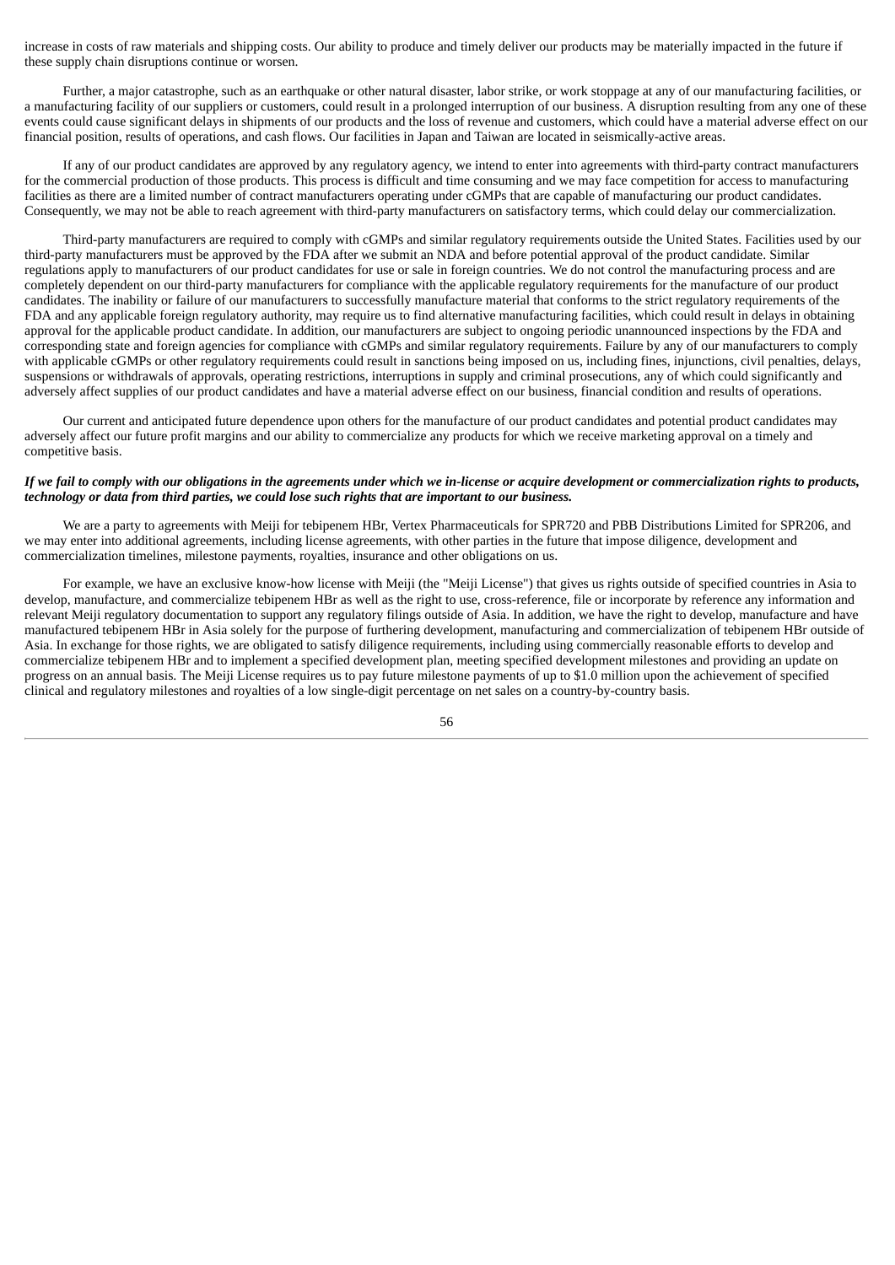increase in costs of raw materials and shipping costs. Our ability to produce and timely deliver our products may be materially impacted in the future if these supply chain disruptions continue or worsen.

Further, a major catastrophe, such as an earthquake or other natural disaster, labor strike, or work stoppage at any of our manufacturing facilities, or a manufacturing facility of our suppliers or customers, could result in a prolonged interruption of our business. A disruption resulting from any one of these events could cause significant delays in shipments of our products and the loss of revenue and customers, which could have a material adverse effect on our financial position, results of operations, and cash flows. Our facilities in Japan and Taiwan are located in seismically-active areas.

If any of our product candidates are approved by any regulatory agency, we intend to enter into agreements with third-party contract manufacturers for the commercial production of those products. This process is difficult and time consuming and we may face competition for access to manufacturing facilities as there are a limited number of contract manufacturers operating under cGMPs that are capable of manufacturing our product candidates. Consequently, we may not be able to reach agreement with third-party manufacturers on satisfactory terms, which could delay our commercialization.

Third-party manufacturers are required to comply with cGMPs and similar regulatory requirements outside the United States. Facilities used by our third-party manufacturers must be approved by the FDA after we submit an NDA and before potential approval of the product candidate. Similar regulations apply to manufacturers of our product candidates for use or sale in foreign countries. We do not control the manufacturing process and are completely dependent on our third-party manufacturers for compliance with the applicable regulatory requirements for the manufacture of our product candidates. The inability or failure of our manufacturers to successfully manufacture material that conforms to the strict regulatory requirements of the FDA and any applicable foreign regulatory authority, may require us to find alternative manufacturing facilities, which could result in delays in obtaining approval for the applicable product candidate. In addition, our manufacturers are subject to ongoing periodic unannounced inspections by the FDA and corresponding state and foreign agencies for compliance with cGMPs and similar regulatory requirements. Failure by any of our manufacturers to comply with applicable cGMPs or other regulatory requirements could result in sanctions being imposed on us, including fines, injunctions, civil penalties, delays, suspensions or withdrawals of approvals, operating restrictions, interruptions in supply and criminal prosecutions, any of which could significantly and adversely affect supplies of our product candidates and have a material adverse effect on our business, financial condition and results of operations.

Our current and anticipated future dependence upon others for the manufacture of our product candidates and potential product candidates may adversely affect our future profit margins and our ability to commercialize any products for which we receive marketing approval on a timely and competitive basis.

## If we fail to comply with our obligations in the agreements under which we in-license or acquire development or commercialization rights to products, *technology or data from third parties, we could lose such rights that are important to our business.*

We are a party to agreements with Meiji for tebipenem HBr, Vertex Pharmaceuticals for SPR720 and PBB Distributions Limited for SPR206, and we may enter into additional agreements, including license agreements, with other parties in the future that impose diligence, development and commercialization timelines, milestone payments, royalties, insurance and other obligations on us.

For example, we have an exclusive know-how license with Meiji (the "Meiji License") that gives us rights outside of specified countries in Asia to develop, manufacture, and commercialize tebipenem HBr as well as the right to use, cross-reference, file or incorporate by reference any information and relevant Meiji regulatory documentation to support any regulatory filings outside of Asia. In addition, we have the right to develop, manufacture and have manufactured tebipenem HBr in Asia solely for the purpose of furthering development, manufacturing and commercialization of tebipenem HBr outside of Asia. In exchange for those rights, we are obligated to satisfy diligence requirements, including using commercially reasonable efforts to develop and commercialize tebipenem HBr and to implement a specified development plan, meeting specified development milestones and providing an update on progress on an annual basis. The Meiji License requires us to pay future milestone payments of up to \$1.0 million upon the achievement of specified clinical and regulatory milestones and royalties of a low single-digit percentage on net sales on a country-by-country basis.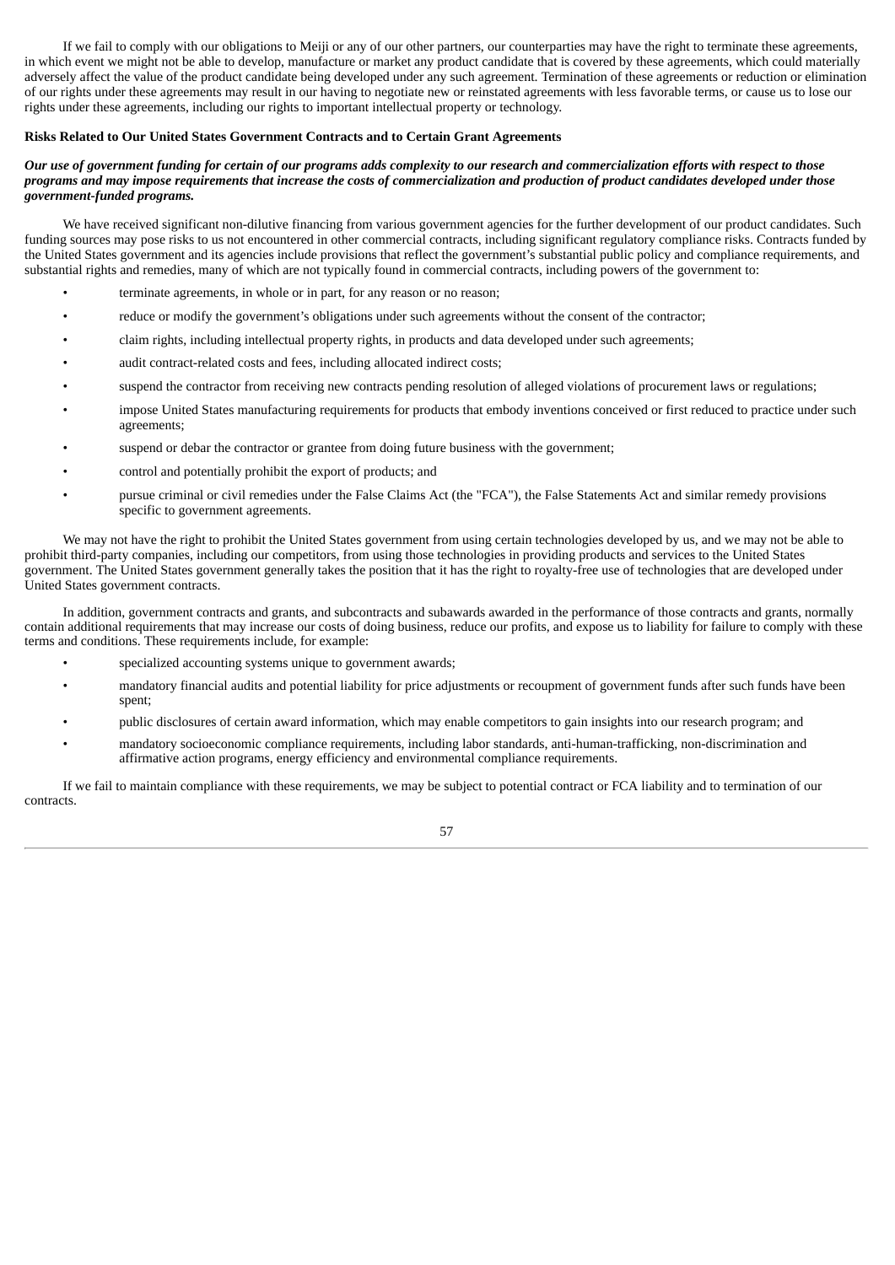If we fail to comply with our obligations to Meiji or any of our other partners, our counterparties may have the right to terminate these agreements, in which event we might not be able to develop, manufacture or market any product candidate that is covered by these agreements, which could materially adversely affect the value of the product candidate being developed under any such agreement. Termination of these agreements or reduction or elimination of our rights under these agreements may result in our having to negotiate new or reinstated agreements with less favorable terms, or cause us to lose our rights under these agreements, including our rights to important intellectual property or technology.

## **Risks Related to Our United States Government Contracts and to Certain Grant Agreements**

# Our use of government funding for certain of our programs adds complexity to our research and commercialization efforts with respect to those programs and may impose requirements that increase the costs of commercialization and production of product candidates developed under those *government-funded programs.*

We have received significant non-dilutive financing from various government agencies for the further development of our product candidates. Such funding sources may pose risks to us not encountered in other commercial contracts, including significant regulatory compliance risks. Contracts funded by the United States government and its agencies include provisions that reflect the government's substantial public policy and compliance requirements, and substantial rights and remedies, many of which are not typically found in commercial contracts, including powers of the government to:

- terminate agreements, in whole or in part, for any reason or no reason;
- reduce or modify the government's obligations under such agreements without the consent of the contractor;
- claim rights, including intellectual property rights, in products and data developed under such agreements;
- audit contract-related costs and fees, including allocated indirect costs;
- suspend the contractor from receiving new contracts pending resolution of alleged violations of procurement laws or regulations;
- impose United States manufacturing requirements for products that embody inventions conceived or first reduced to practice under such agreements;
- suspend or debar the contractor or grantee from doing future business with the government;
- control and potentially prohibit the export of products; and
- pursue criminal or civil remedies under the False Claims Act (the "FCA"), the False Statements Act and similar remedy provisions specific to government agreements.

We may not have the right to prohibit the United States government from using certain technologies developed by us, and we may not be able to prohibit third-party companies, including our competitors, from using those technologies in providing products and services to the United States government. The United States government generally takes the position that it has the right to royalty-free use of technologies that are developed under United States government contracts.

In addition, government contracts and grants, and subcontracts and subawards awarded in the performance of those contracts and grants, normally contain additional requirements that may increase our costs of doing business, reduce our profits, and expose us to liability for failure to comply with these terms and conditions. These requirements include, for example:

- specialized accounting systems unique to government awards;
- mandatory financial audits and potential liability for price adjustments or recoupment of government funds after such funds have been spent;
- public disclosures of certain award information, which may enable competitors to gain insights into our research program; and
- mandatory socioeconomic compliance requirements, including labor standards, anti-human-trafficking, non-discrimination and affirmative action programs, energy efficiency and environmental compliance requirements.

If we fail to maintain compliance with these requirements, we may be subject to potential contract or FCA liability and to termination of our contracts.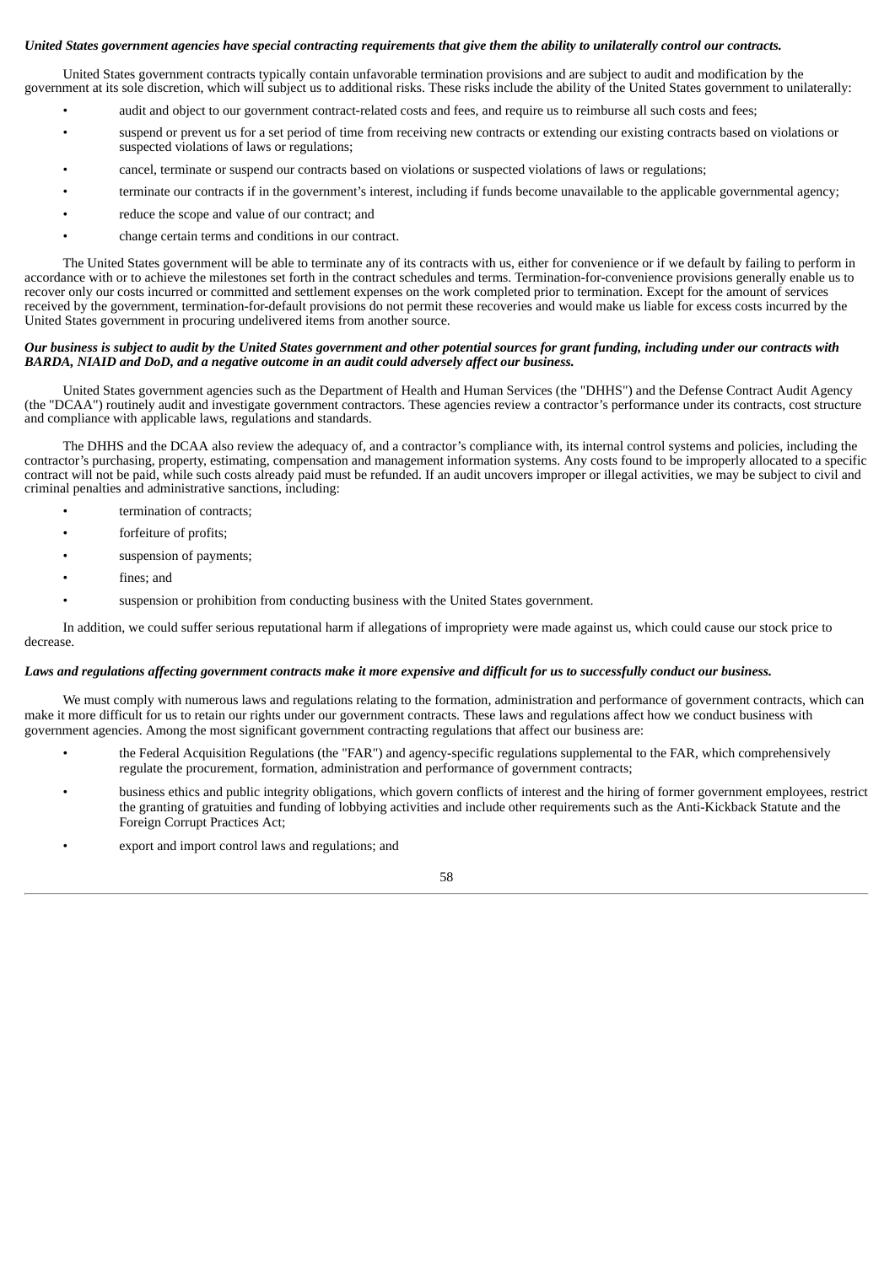### United States aovernment agencies have special contracting requirements that give them the ability to unilaterally control our contracts.

United States government contracts typically contain unfavorable termination provisions and are subject to audit and modification by the government at its sole discretion, which will subject us to additional risks. These risks include the ability of the United States government to unilaterally:

- audit and object to our government contract-related costs and fees, and require us to reimburse all such costs and fees;
- suspend or prevent us for a set period of time from receiving new contracts or extending our existing contracts based on violations or suspected violations of laws or regulations;
- cancel, terminate or suspend our contracts based on violations or suspected violations of laws or regulations;
- terminate our contracts if in the government's interest, including if funds become unavailable to the applicable governmental agency;
- reduce the scope and value of our contract; and
- change certain terms and conditions in our contract.

The United States government will be able to terminate any of its contracts with us, either for convenience or if we default by failing to perform in accordance with or to achieve the milestones set forth in the contract schedules and terms. Termination-for-convenience provisions generally enable us to recover only our costs incurred or committed and settlement expenses on the work completed prior to termination. Except for the amount of services received by the government, termination-for-default provisions do not permit these recoveries and would make us liable for excess costs incurred by the United States government in procuring undelivered items from another source.

### Our business is subject to audit by the United States government and other potential sources for grant funding, including under our contracts with *BARDA, NIAID and DoD, and a negative outcome in an audit could adversely affect our business.*

United States government agencies such as the Department of Health and Human Services (the "DHHS") and the Defense Contract Audit Agency (the "DCAA") routinely audit and investigate government contractors. These agencies review a contractor's performance under its contracts, cost structure and compliance with applicable laws, regulations and standards.

The DHHS and the DCAA also review the adequacy of, and a contractor's compliance with, its internal control systems and policies, including the contractor's purchasing, property, estimating, compensation and management information systems. Any costs found to be improperly allocated to a specific contract will not be paid, while such costs already paid must be refunded. If an audit uncovers improper or illegal activities, we may be subject to civil and criminal penalties and administrative sanctions, including:

- termination of contracts;
- forfeiture of profits;
- suspension of payments;
- fines; and
- suspension or prohibition from conducting business with the United States government.

In addition, we could suffer serious reputational harm if allegations of impropriety were made against us, which could cause our stock price to decrease.

# Laws and regulations affecting government contracts make it more expensive and difficult for us to successfully conduct our business.

We must comply with numerous laws and regulations relating to the formation, administration and performance of government contracts, which can make it more difficult for us to retain our rights under our government contracts. These laws and regulations affect how we conduct business with government agencies. Among the most significant government contracting regulations that affect our business are:

- the Federal Acquisition Regulations (the "FAR") and agency-specific regulations supplemental to the FAR, which comprehensively regulate the procurement, formation, administration and performance of government contracts;
- business ethics and public integrity obligations, which govern conflicts of interest and the hiring of former government employees, restrict the granting of gratuities and funding of lobbying activities and include other requirements such as the Anti-Kickback Statute and the Foreign Corrupt Practices Act;
- export and import control laws and regulations; and

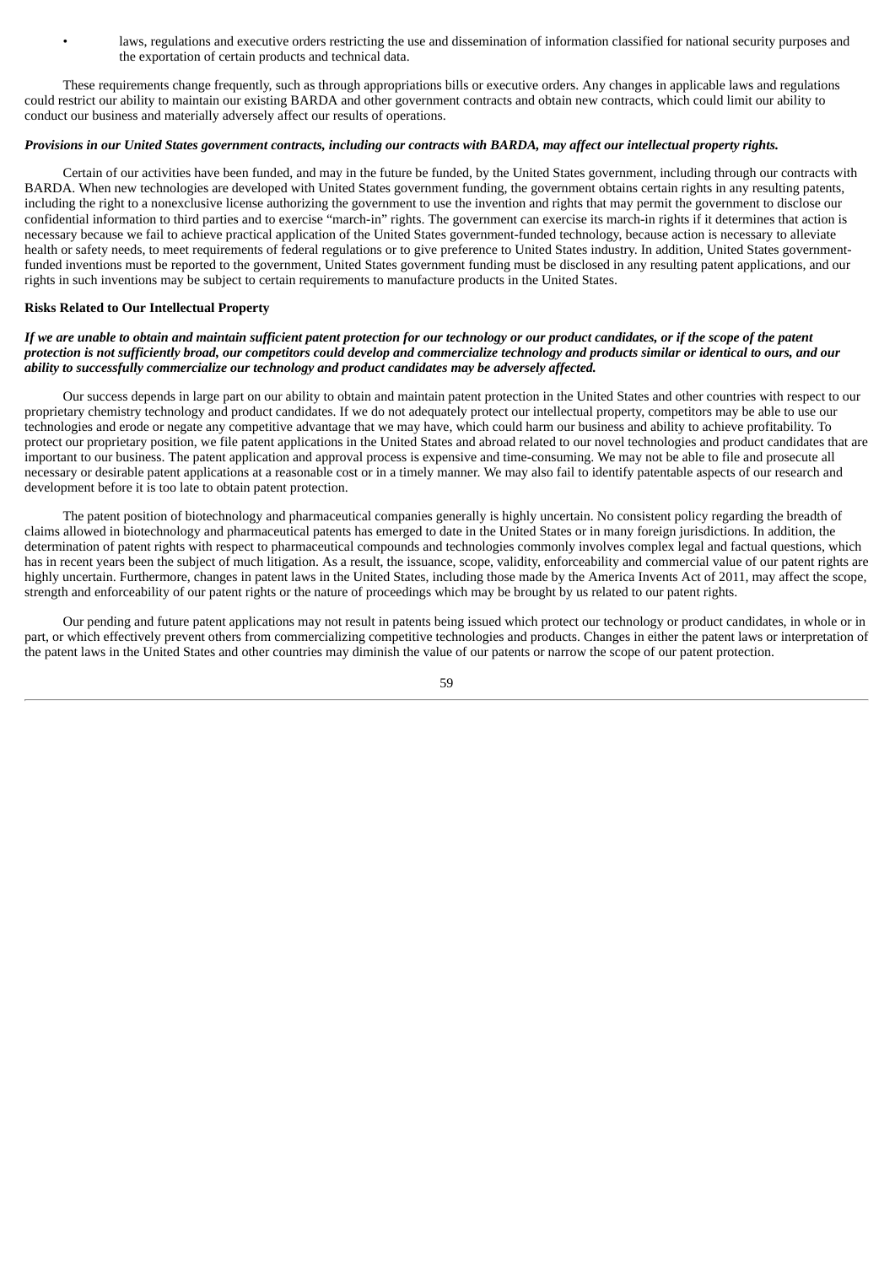laws, regulations and executive orders restricting the use and dissemination of information classified for national security purposes and the exportation of certain products and technical data.

These requirements change frequently, such as through appropriations bills or executive orders. Any changes in applicable laws and regulations could restrict our ability to maintain our existing BARDA and other government contracts and obtain new contracts, which could limit our ability to conduct our business and materially adversely affect our results of operations.

# Provisions in our United States government contracts, including our contracts with BARDA, may affect our intellectual property rights.

Certain of our activities have been funded, and may in the future be funded, by the United States government, including through our contracts with BARDA. When new technologies are developed with United States government funding, the government obtains certain rights in any resulting patents, including the right to a nonexclusive license authorizing the government to use the invention and rights that may permit the government to disclose our confidential information to third parties and to exercise "march-in" rights. The government can exercise its march-in rights if it determines that action is necessary because we fail to achieve practical application of the United States government-funded technology, because action is necessary to alleviate health or safety needs, to meet requirements of federal regulations or to give preference to United States industry. In addition, United States governmentfunded inventions must be reported to the government, United States government funding must be disclosed in any resulting patent applications, and our rights in such inventions may be subject to certain requirements to manufacture products in the United States.

### **Risks Related to Our Intellectual Property**

## If we are unable to obtain and maintain sufficient patent protection for our technology or our product candidates, or if the scope of the patent protection is not sufficiently broad, our competitors could develop and commercialize technology and products similar or identical to ours, and our *ability to successfully commercialize our technology and product candidates may be adversely affected.*

Our success depends in large part on our ability to obtain and maintain patent protection in the United States and other countries with respect to our proprietary chemistry technology and product candidates. If we do not adequately protect our intellectual property, competitors may be able to use our technologies and erode or negate any competitive advantage that we may have, which could harm our business and ability to achieve profitability. To protect our proprietary position, we file patent applications in the United States and abroad related to our novel technologies and product candidates that are important to our business. The patent application and approval process is expensive and time-consuming. We may not be able to file and prosecute all necessary or desirable patent applications at a reasonable cost or in a timely manner. We may also fail to identify patentable aspects of our research and development before it is too late to obtain patent protection.

The patent position of biotechnology and pharmaceutical companies generally is highly uncertain. No consistent policy regarding the breadth of claims allowed in biotechnology and pharmaceutical patents has emerged to date in the United States or in many foreign jurisdictions. In addition, the determination of patent rights with respect to pharmaceutical compounds and technologies commonly involves complex legal and factual questions, which has in recent years been the subject of much litigation. As a result, the issuance, scope, validity, enforceability and commercial value of our patent rights are highly uncertain. Furthermore, changes in patent laws in the United States, including those made by the America Invents Act of 2011, may affect the scope, strength and enforceability of our patent rights or the nature of proceedings which may be brought by us related to our patent rights.

Our pending and future patent applications may not result in patents being issued which protect our technology or product candidates, in whole or in part, or which effectively prevent others from commercializing competitive technologies and products. Changes in either the patent laws or interpretation of the patent laws in the United States and other countries may diminish the value of our patents or narrow the scope of our patent protection.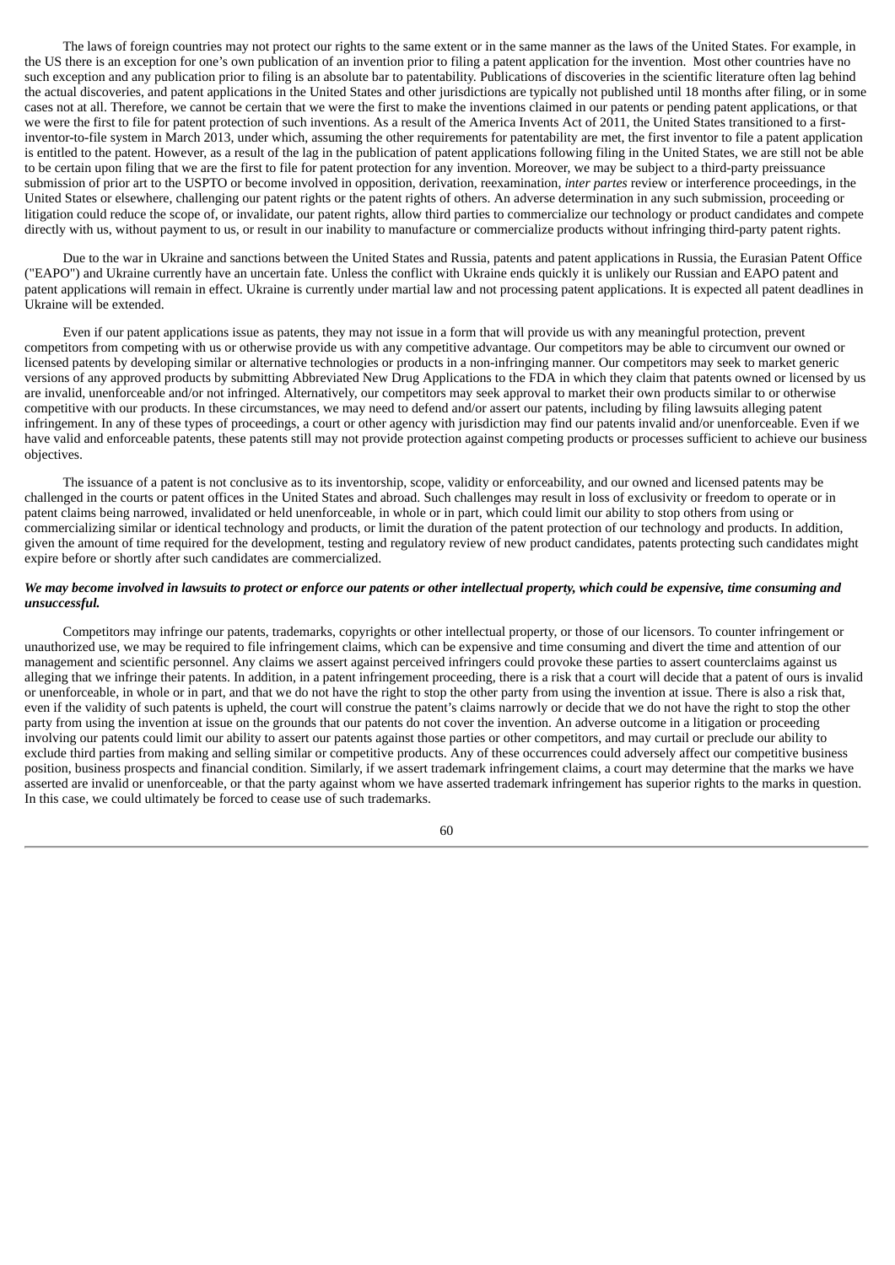The laws of foreign countries may not protect our rights to the same extent or in the same manner as the laws of the United States. For example, in the US there is an exception for one's own publication of an invention prior to filing a patent application for the invention. Most other countries have no such exception and any publication prior to filing is an absolute bar to patentability. Publications of discoveries in the scientific literature often lag behind the actual discoveries, and patent applications in the United States and other jurisdictions are typically not published until 18 months after filing, or in some cases not at all. Therefore, we cannot be certain that we were the first to make the inventions claimed in our patents or pending patent applications, or that we were the first to file for patent protection of such inventions. As a result of the America Invents Act of 2011, the United States transitioned to a firstinventor-to-file system in March 2013, under which, assuming the other requirements for patentability are met, the first inventor to file a patent application is entitled to the patent. However, as a result of the lag in the publication of patent applications following filing in the United States, we are still not be able to be certain upon filing that we are the first to file for patent protection for any invention. Moreover, we may be subject to a third-party preissuance submission of prior art to the USPTO or become involved in opposition, derivation, reexamination, *inter partes* review or interference proceedings, in the United States or elsewhere, challenging our patent rights or the patent rights of others. An adverse determination in any such submission, proceeding or litigation could reduce the scope of, or invalidate, our patent rights, allow third parties to commercialize our technology or product candidates and compete directly with us, without payment to us, or result in our inability to manufacture or commercialize products without infringing third-party patent rights.

Due to the war in Ukraine and sanctions between the United States and Russia, patents and patent applications in Russia, the Eurasian Patent Office ("EAPO") and Ukraine currently have an uncertain fate. Unless the conflict with Ukraine ends quickly it is unlikely our Russian and EAPO patent and patent applications will remain in effect. Ukraine is currently under martial law and not processing patent applications. It is expected all patent deadlines in Ukraine will be extended.

Even if our patent applications issue as patents, they may not issue in a form that will provide us with any meaningful protection, prevent competitors from competing with us or otherwise provide us with any competitive advantage. Our competitors may be able to circumvent our owned or licensed patents by developing similar or alternative technologies or products in a non-infringing manner. Our competitors may seek to market generic versions of any approved products by submitting Abbreviated New Drug Applications to the FDA in which they claim that patents owned or licensed by us are invalid, unenforceable and/or not infringed. Alternatively, our competitors may seek approval to market their own products similar to or otherwise competitive with our products. In these circumstances, we may need to defend and/or assert our patents, including by filing lawsuits alleging patent infringement. In any of these types of proceedings, a court or other agency with jurisdiction may find our patents invalid and/or unenforceable. Even if we have valid and enforceable patents, these patents still may not provide protection against competing products or processes sufficient to achieve our business objectives.

The issuance of a patent is not conclusive as to its inventorship, scope, validity or enforceability, and our owned and licensed patents may be challenged in the courts or patent offices in the United States and abroad. Such challenges may result in loss of exclusivity or freedom to operate or in patent claims being narrowed, invalidated or held unenforceable, in whole or in part, which could limit our ability to stop others from using or commercializing similar or identical technology and products, or limit the duration of the patent protection of our technology and products. In addition, given the amount of time required for the development, testing and regulatory review of new product candidates, patents protecting such candidates might expire before or shortly after such candidates are commercialized.

## We may become involved in lawsuits to protect or enforce our patents or other intellectual property, which could be expensive, time consuming and *unsuccessful.*

Competitors may infringe our patents, trademarks, copyrights or other intellectual property, or those of our licensors. To counter infringement or unauthorized use, we may be required to file infringement claims, which can be expensive and time consuming and divert the time and attention of our management and scientific personnel. Any claims we assert against perceived infringers could provoke these parties to assert counterclaims against us alleging that we infringe their patents. In addition, in a patent infringement proceeding, there is a risk that a court will decide that a patent of ours is invalid or unenforceable, in whole or in part, and that we do not have the right to stop the other party from using the invention at issue. There is also a risk that, even if the validity of such patents is upheld, the court will construe the patent's claims narrowly or decide that we do not have the right to stop the other party from using the invention at issue on the grounds that our patents do not cover the invention. An adverse outcome in a litigation or proceeding involving our patents could limit our ability to assert our patents against those parties or other competitors, and may curtail or preclude our ability to exclude third parties from making and selling similar or competitive products. Any of these occurrences could adversely affect our competitive business position, business prospects and financial condition. Similarly, if we assert trademark infringement claims, a court may determine that the marks we have asserted are invalid or unenforceable, or that the party against whom we have asserted trademark infringement has superior rights to the marks in question. In this case, we could ultimately be forced to cease use of such trademarks.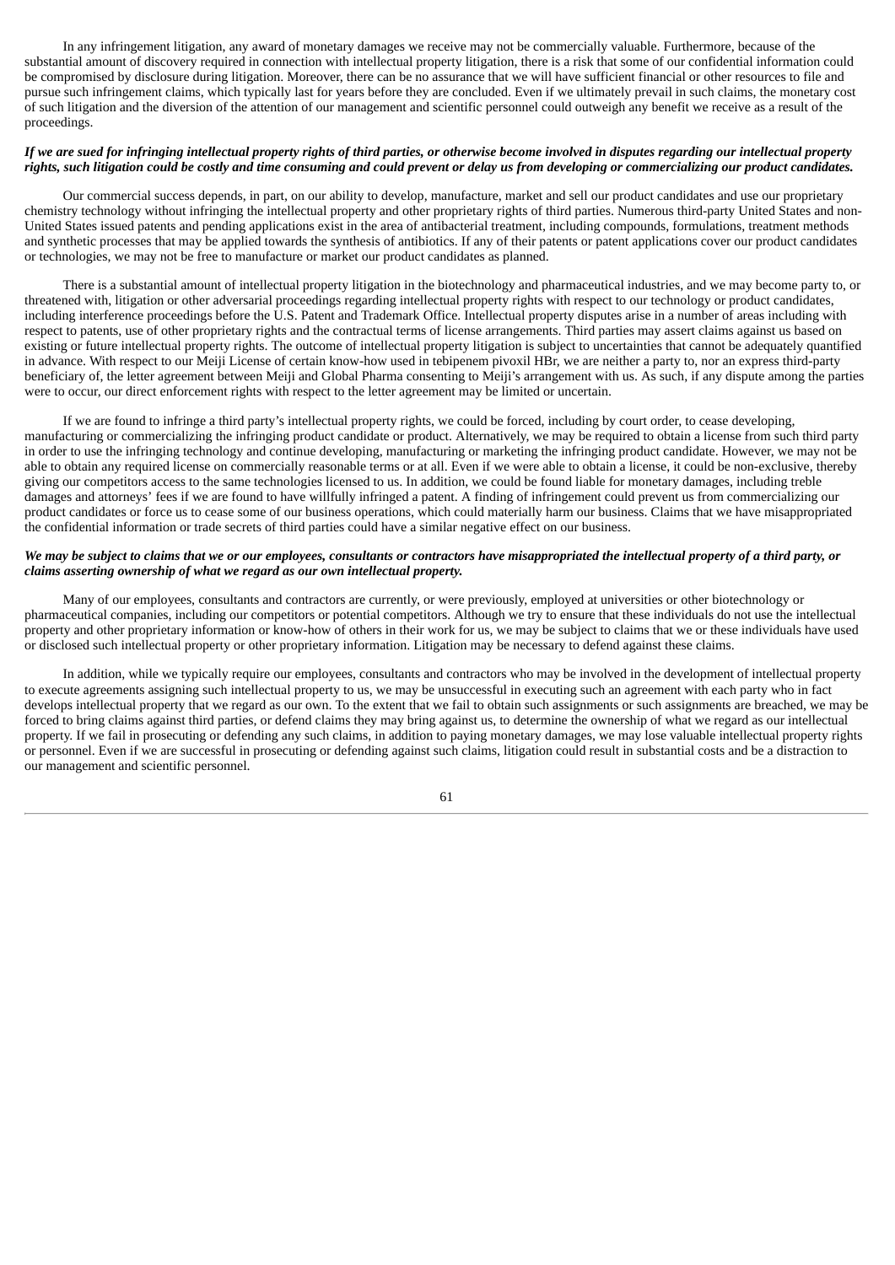In any infringement litigation, any award of monetary damages we receive may not be commercially valuable. Furthermore, because of the substantial amount of discovery required in connection with intellectual property litigation, there is a risk that some of our confidential information could be compromised by disclosure during litigation. Moreover, there can be no assurance that we will have sufficient financial or other resources to file and pursue such infringement claims, which typically last for years before they are concluded. Even if we ultimately prevail in such claims, the monetary cost of such litigation and the diversion of the attention of our management and scientific personnel could outweigh any benefit we receive as a result of the proceedings.

## If we are sued for infringing intellectual property rights of third parties, or otherwise become involved in disputes regarding our intellectual property rights, such litigation could be costly and time consuming and could prevent or delay us from developing or commercializing our product candidates.

Our commercial success depends, in part, on our ability to develop, manufacture, market and sell our product candidates and use our proprietary chemistry technology without infringing the intellectual property and other proprietary rights of third parties. Numerous third-party United States and non-United States issued patents and pending applications exist in the area of antibacterial treatment, including compounds, formulations, treatment methods and synthetic processes that may be applied towards the synthesis of antibiotics. If any of their patents or patent applications cover our product candidates or technologies, we may not be free to manufacture or market our product candidates as planned.

There is a substantial amount of intellectual property litigation in the biotechnology and pharmaceutical industries, and we may become party to, or threatened with, litigation or other adversarial proceedings regarding intellectual property rights with respect to our technology or product candidates, including interference proceedings before the U.S. Patent and Trademark Office. Intellectual property disputes arise in a number of areas including with respect to patents, use of other proprietary rights and the contractual terms of license arrangements. Third parties may assert claims against us based on existing or future intellectual property rights. The outcome of intellectual property litigation is subject to uncertainties that cannot be adequately quantified in advance. With respect to our Meiji License of certain know-how used in tebipenem pivoxil HBr, we are neither a party to, nor an express third-party beneficiary of, the letter agreement between Meiji and Global Pharma consenting to Meiji's arrangement with us. As such, if any dispute among the parties were to occur, our direct enforcement rights with respect to the letter agreement may be limited or uncertain.

If we are found to infringe a third party's intellectual property rights, we could be forced, including by court order, to cease developing, manufacturing or commercializing the infringing product candidate or product. Alternatively, we may be required to obtain a license from such third party in order to use the infringing technology and continue developing, manufacturing or marketing the infringing product candidate. However, we may not be able to obtain any required license on commercially reasonable terms or at all. Even if we were able to obtain a license, it could be non-exclusive, thereby giving our competitors access to the same technologies licensed to us. In addition, we could be found liable for monetary damages, including treble damages and attorneys' fees if we are found to have willfully infringed a patent. A finding of infringement could prevent us from commercializing our product candidates or force us to cease some of our business operations, which could materially harm our business. Claims that we have misappropriated the confidential information or trade secrets of third parties could have a similar negative effect on our business.

## We may be subject to claims that we or our employees, consultants or contractors have misappropriated the intellectual property of a third party, or *claims asserting ownership of what we regard as our own intellectual property.*

Many of our employees, consultants and contractors are currently, or were previously, employed at universities or other biotechnology or pharmaceutical companies, including our competitors or potential competitors. Although we try to ensure that these individuals do not use the intellectual property and other proprietary information or know-how of others in their work for us, we may be subject to claims that we or these individuals have used or disclosed such intellectual property or other proprietary information. Litigation may be necessary to defend against these claims.

In addition, while we typically require our employees, consultants and contractors who may be involved in the development of intellectual property to execute agreements assigning such intellectual property to us, we may be unsuccessful in executing such an agreement with each party who in fact develops intellectual property that we regard as our own. To the extent that we fail to obtain such assignments or such assignments are breached, we may be forced to bring claims against third parties, or defend claims they may bring against us, to determine the ownership of what we regard as our intellectual property. If we fail in prosecuting or defending any such claims, in addition to paying monetary damages, we may lose valuable intellectual property rights or personnel. Even if we are successful in prosecuting or defending against such claims, litigation could result in substantial costs and be a distraction to our management and scientific personnel.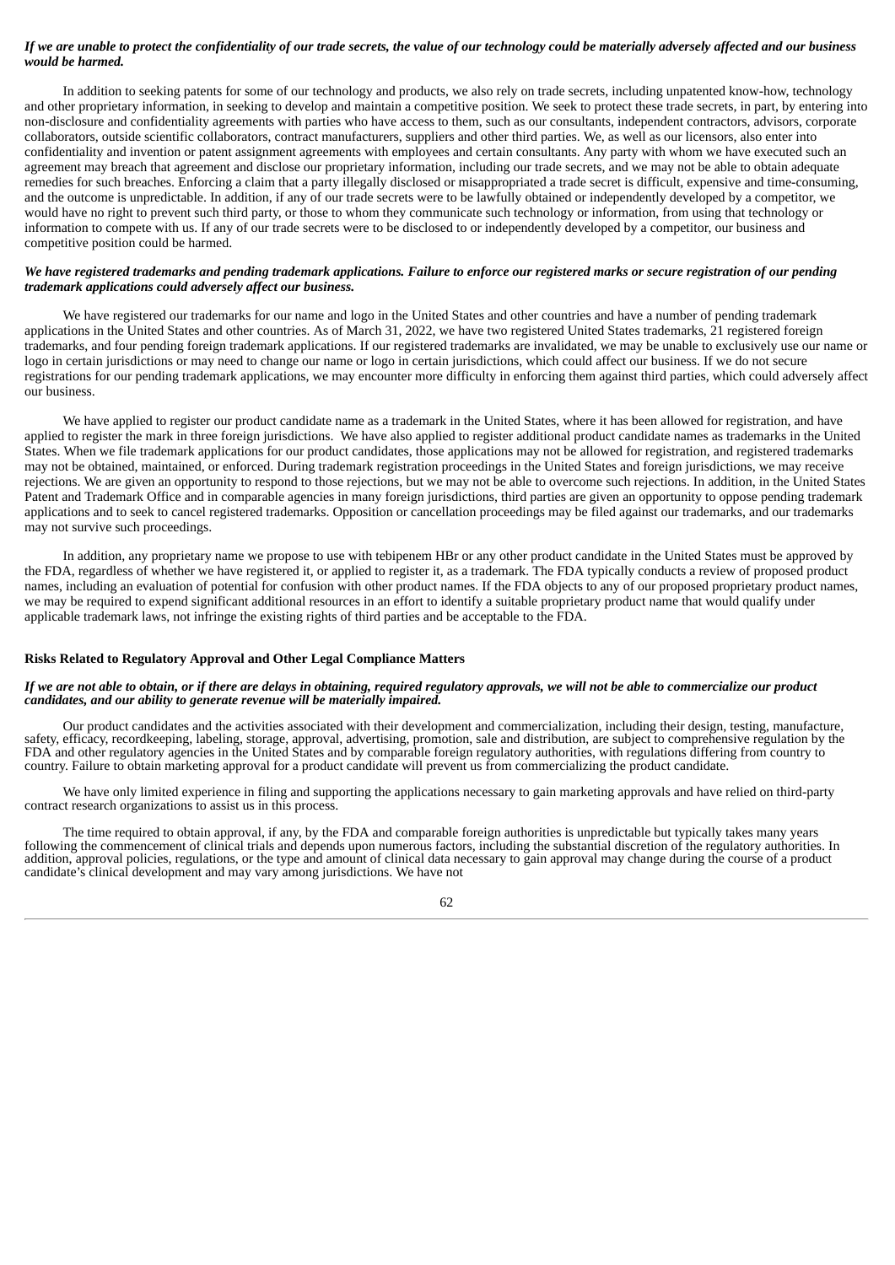# If we are unable to protect the confidentiality of our trade secrets, the value of our technology could be materially adversely affected and our business *would be harmed.*

In addition to seeking patents for some of our technology and products, we also rely on trade secrets, including unpatented know-how, technology and other proprietary information, in seeking to develop and maintain a competitive position. We seek to protect these trade secrets, in part, by entering into non-disclosure and confidentiality agreements with parties who have access to them, such as our consultants, independent contractors, advisors, corporate collaborators, outside scientific collaborators, contract manufacturers, suppliers and other third parties. We, as well as our licensors, also enter into confidentiality and invention or patent assignment agreements with employees and certain consultants. Any party with whom we have executed such an agreement may breach that agreement and disclose our proprietary information, including our trade secrets, and we may not be able to obtain adequate remedies for such breaches. Enforcing a claim that a party illegally disclosed or misappropriated a trade secret is difficult, expensive and time-consuming, and the outcome is unpredictable. In addition, if any of our trade secrets were to be lawfully obtained or independently developed by a competitor, we would have no right to prevent such third party, or those to whom they communicate such technology or information, from using that technology or information to compete with us. If any of our trade secrets were to be disclosed to or independently developed by a competitor, our business and competitive position could be harmed.

# We have registered trademarks and pending trademark applications. Failure to enforce our registered marks or secure registration of our pending *trademark applications could adversely affect our business.*

We have registered our trademarks for our name and logo in the United States and other countries and have a number of pending trademark applications in the United States and other countries. As of March 31, 2022, we have two registered United States trademarks, 21 registered foreign trademarks, and four pending foreign trademark applications. If our registered trademarks are invalidated, we may be unable to exclusively use our name or logo in certain jurisdictions or may need to change our name or logo in certain jurisdictions, which could affect our business. If we do not secure registrations for our pending trademark applications, we may encounter more difficulty in enforcing them against third parties, which could adversely affect our business.

We have applied to register our product candidate name as a trademark in the United States, where it has been allowed for registration, and have applied to register the mark in three foreign jurisdictions. We have also applied to register additional product candidate names as trademarks in the United States. When we file trademark applications for our product candidates, those applications may not be allowed for registration, and registered trademarks may not be obtained, maintained, or enforced. During trademark registration proceedings in the United States and foreign jurisdictions, we may receive rejections. We are given an opportunity to respond to those rejections, but we may not be able to overcome such rejections. In addition, in the United States Patent and Trademark Office and in comparable agencies in many foreign jurisdictions, third parties are given an opportunity to oppose pending trademark applications and to seek to cancel registered trademarks. Opposition or cancellation proceedings may be filed against our trademarks, and our trademarks may not survive such proceedings.

In addition, any proprietary name we propose to use with tebipenem HBr or any other product candidate in the United States must be approved by the FDA, regardless of whether we have registered it, or applied to register it, as a trademark. The FDA typically conducts a review of proposed product names, including an evaluation of potential for confusion with other product names. If the FDA objects to any of our proposed proprietary product names, we may be required to expend significant additional resources in an effort to identify a suitable proprietary product name that would qualify under applicable trademark laws, not infringe the existing rights of third parties and be acceptable to the FDA.

## **Risks Related to Regulatory Approval and Other Legal Compliance Matters**

#### If we are not able to obtain, or if there are delays in obtaining, required regulatory approvals, we will not be able to commercialize our product *candidates, and our ability to generate revenue will be materially impaired.*

Our product candidates and the activities associated with their development and commercialization, including their design, testing, manufacture, safety, efficacy, recordkeeping, labeling, storage, approval, advertising, promotion, sale and distribution, are subject to comprehensive regulation by the FDA and other regulatory agencies in the United States and by comparable foreign regulatory authorities, with regulations differing from country to country. Failure to obtain marketing approval for a product candidate will prevent us from commercializing the product candidate.

We have only limited experience in filing and supporting the applications necessary to gain marketing approvals and have relied on third-party contract research organizations to assist us in this process.

The time required to obtain approval, if any, by the FDA and comparable foreign authorities is unpredictable but typically takes many years following the commencement of clinical trials and depends upon numerous factors, including the substantial discretion of the regulatory authorities. In addition, approval policies, regulations, or the type and amount of clinical data necessary to gain approval may change during the course of a product candidate's clinical development and may vary among jurisdictions. We have not

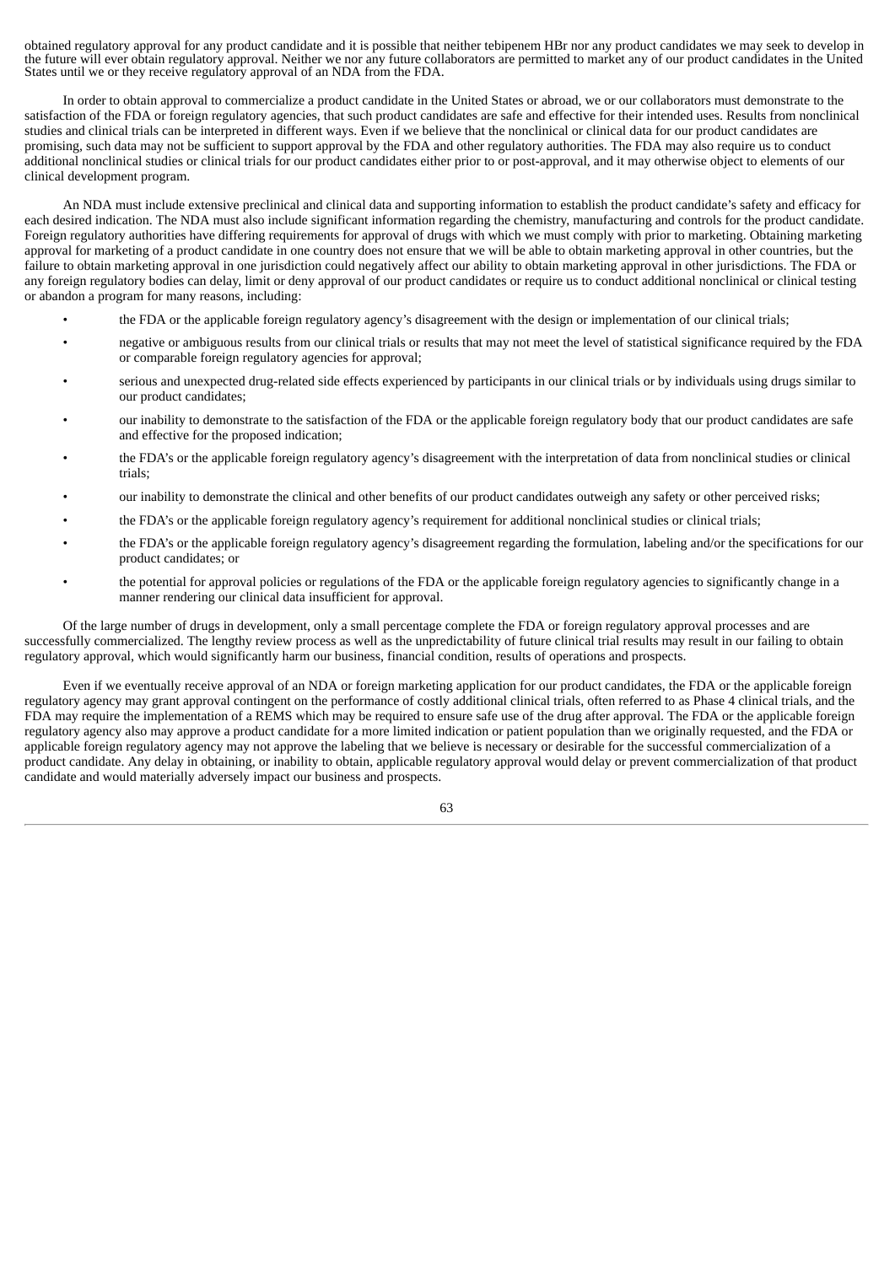obtained regulatory approval for any product candidate and it is possible that neither tebipenem HBr nor any product candidates we may seek to develop in the future will ever obtain regulatory approval. Neither we nor any future collaborators are permitted to market any of our product candidates in the United States until we or they receive regulatory approval of an NDA from the FDA.

In order to obtain approval to commercialize a product candidate in the United States or abroad, we or our collaborators must demonstrate to the satisfaction of the FDA or foreign regulatory agencies, that such product candidates are safe and effective for their intended uses. Results from nonclinical studies and clinical trials can be interpreted in different ways. Even if we believe that the nonclinical or clinical data for our product candidates are promising, such data may not be sufficient to support approval by the FDA and other regulatory authorities. The FDA may also require us to conduct additional nonclinical studies or clinical trials for our product candidates either prior to or post-approval, and it may otherwise object to elements of our clinical development program.

An NDA must include extensive preclinical and clinical data and supporting information to establish the product candidate's safety and efficacy for each desired indication. The NDA must also include significant information regarding the chemistry, manufacturing and controls for the product candidate. Foreign regulatory authorities have differing requirements for approval of drugs with which we must comply with prior to marketing. Obtaining marketing approval for marketing of a product candidate in one country does not ensure that we will be able to obtain marketing approval in other countries, but the failure to obtain marketing approval in one jurisdiction could negatively affect our ability to obtain marketing approval in other jurisdictions. The FDA or any foreign regulatory bodies can delay, limit or deny approval of our product candidates or require us to conduct additional nonclinical or clinical testing or abandon a program for many reasons, including:

- the FDA or the applicable foreign regulatory agency's disagreement with the design or implementation of our clinical trials;
- negative or ambiguous results from our clinical trials or results that may not meet the level of statistical significance required by the FDA or comparable foreign regulatory agencies for approval;
- serious and unexpected drug-related side effects experienced by participants in our clinical trials or by individuals using drugs similar to our product candidates;
- our inability to demonstrate to the satisfaction of the FDA or the applicable foreign regulatory body that our product candidates are safe and effective for the proposed indication;
- the FDA's or the applicable foreign regulatory agency's disagreement with the interpretation of data from nonclinical studies or clinical trials;
- our inability to demonstrate the clinical and other benefits of our product candidates outweigh any safety or other perceived risks;
- the FDA's or the applicable foreign regulatory agency's requirement for additional nonclinical studies or clinical trials;
- the FDA's or the applicable foreign regulatory agency's disagreement regarding the formulation, labeling and/or the specifications for our product candidates; or
- the potential for approval policies or regulations of the FDA or the applicable foreign regulatory agencies to significantly change in a manner rendering our clinical data insufficient for approval.

Of the large number of drugs in development, only a small percentage complete the FDA or foreign regulatory approval processes and are successfully commercialized. The lengthy review process as well as the unpredictability of future clinical trial results may result in our failing to obtain regulatory approval, which would significantly harm our business, financial condition, results of operations and prospects.

Even if we eventually receive approval of an NDA or foreign marketing application for our product candidates, the FDA or the applicable foreign regulatory agency may grant approval contingent on the performance of costly additional clinical trials, often referred to as Phase 4 clinical trials, and the FDA may require the implementation of a REMS which may be required to ensure safe use of the drug after approval. The FDA or the applicable foreign regulatory agency also may approve a product candidate for a more limited indication or patient population than we originally requested, and the FDA or applicable foreign regulatory agency may not approve the labeling that we believe is necessary or desirable for the successful commercialization of a product candidate. Any delay in obtaining, or inability to obtain, applicable regulatory approval would delay or prevent commercialization of that product candidate and would materially adversely impact our business and prospects.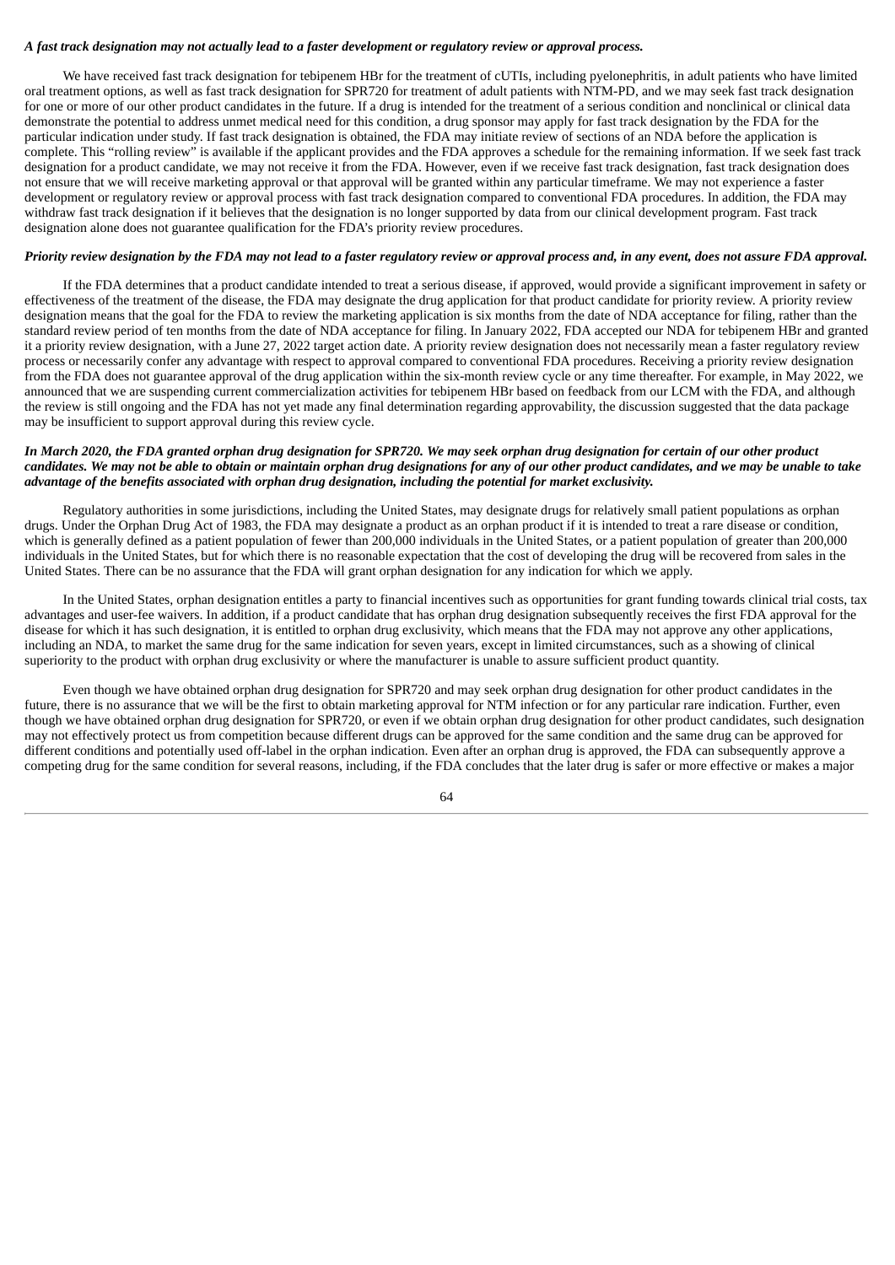## A fast track designation may not actually lead to a faster development or regulatory review or approval process.

We have received fast track designation for tebipenem HBr for the treatment of cUTIs, including pyelonephritis, in adult patients who have limited oral treatment options, as well as fast track designation for SPR720 for treatment of adult patients with NTM-PD, and we may seek fast track designation for one or more of our other product candidates in the future. If a drug is intended for the treatment of a serious condition and nonclinical or clinical data demonstrate the potential to address unmet medical need for this condition, a drug sponsor may apply for fast track designation by the FDA for the particular indication under study. If fast track designation is obtained, the FDA may initiate review of sections of an NDA before the application is complete. This "rolling review" is available if the applicant provides and the FDA approves a schedule for the remaining information. If we seek fast track designation for a product candidate, we may not receive it from the FDA. However, even if we receive fast track designation, fast track designation does not ensure that we will receive marketing approval or that approval will be granted within any particular timeframe. We may not experience a faster development or regulatory review or approval process with fast track designation compared to conventional FDA procedures. In addition, the FDA may withdraw fast track designation if it believes that the designation is no longer supported by data from our clinical development program. Fast track designation alone does not guarantee qualification for the FDA's priority review procedures.

# Priority review designation by the FDA may not lead to a faster regulatory review or approval process and, in any event, does not assure FDA approval.

If the FDA determines that a product candidate intended to treat a serious disease, if approved, would provide a significant improvement in safety or effectiveness of the treatment of the disease, the FDA may designate the drug application for that product candidate for priority review. A priority review designation means that the goal for the FDA to review the marketing application is six months from the date of NDA acceptance for filing, rather than the standard review period of ten months from the date of NDA acceptance for filing. In January 2022, FDA accepted our NDA for tebipenem HBr and granted it a priority review designation, with a June 27, 2022 target action date. A priority review designation does not necessarily mean a faster regulatory review process or necessarily confer any advantage with respect to approval compared to conventional FDA procedures. Receiving a priority review designation from the FDA does not guarantee approval of the drug application within the six-month review cycle or any time thereafter. For example, in May 2022, we announced that we are suspending current commercialization activities for tebipenem HBr based on feedback from our LCM with the FDA, and although the review is still ongoing and the FDA has not yet made any final determination regarding approvability, the discussion suggested that the data package may be insufficient to support approval during this review cycle.

## In March 2020, the FDA granted orphan drug designation for SPR720. We may seek orphan drug designation for certain of our other product candidates. We may not be able to obtain or maintain orphan drug designations for any of our other product candidates, and we may be unable to take *advantage of the benefits associated with orphan drug designation, including the potential for market exclusivity.*

Regulatory authorities in some jurisdictions, including the United States, may designate drugs for relatively small patient populations as orphan drugs. Under the Orphan Drug Act of 1983, the FDA may designate a product as an orphan product if it is intended to treat a rare disease or condition, which is generally defined as a patient population of fewer than 200,000 individuals in the United States, or a patient population of greater than 200,000 individuals in the United States, but for which there is no reasonable expectation that the cost of developing the drug will be recovered from sales in the United States. There can be no assurance that the FDA will grant orphan designation for any indication for which we apply.

In the United States, orphan designation entitles a party to financial incentives such as opportunities for grant funding towards clinical trial costs, tax advantages and user-fee waivers. In addition, if a product candidate that has orphan drug designation subsequently receives the first FDA approval for the disease for which it has such designation, it is entitled to orphan drug exclusivity, which means that the FDA may not approve any other applications, including an NDA, to market the same drug for the same indication for seven years, except in limited circumstances, such as a showing of clinical superiority to the product with orphan drug exclusivity or where the manufacturer is unable to assure sufficient product quantity.

Even though we have obtained orphan drug designation for SPR720 and may seek orphan drug designation for other product candidates in the future, there is no assurance that we will be the first to obtain marketing approval for NTM infection or for any particular rare indication. Further, even though we have obtained orphan drug designation for SPR720, or even if we obtain orphan drug designation for other product candidates, such designation may not effectively protect us from competition because different drugs can be approved for the same condition and the same drug can be approved for different conditions and potentially used off-label in the orphan indication. Even after an orphan drug is approved, the FDA can subsequently approve a competing drug for the same condition for several reasons, including, if the FDA concludes that the later drug is safer or more effective or makes a major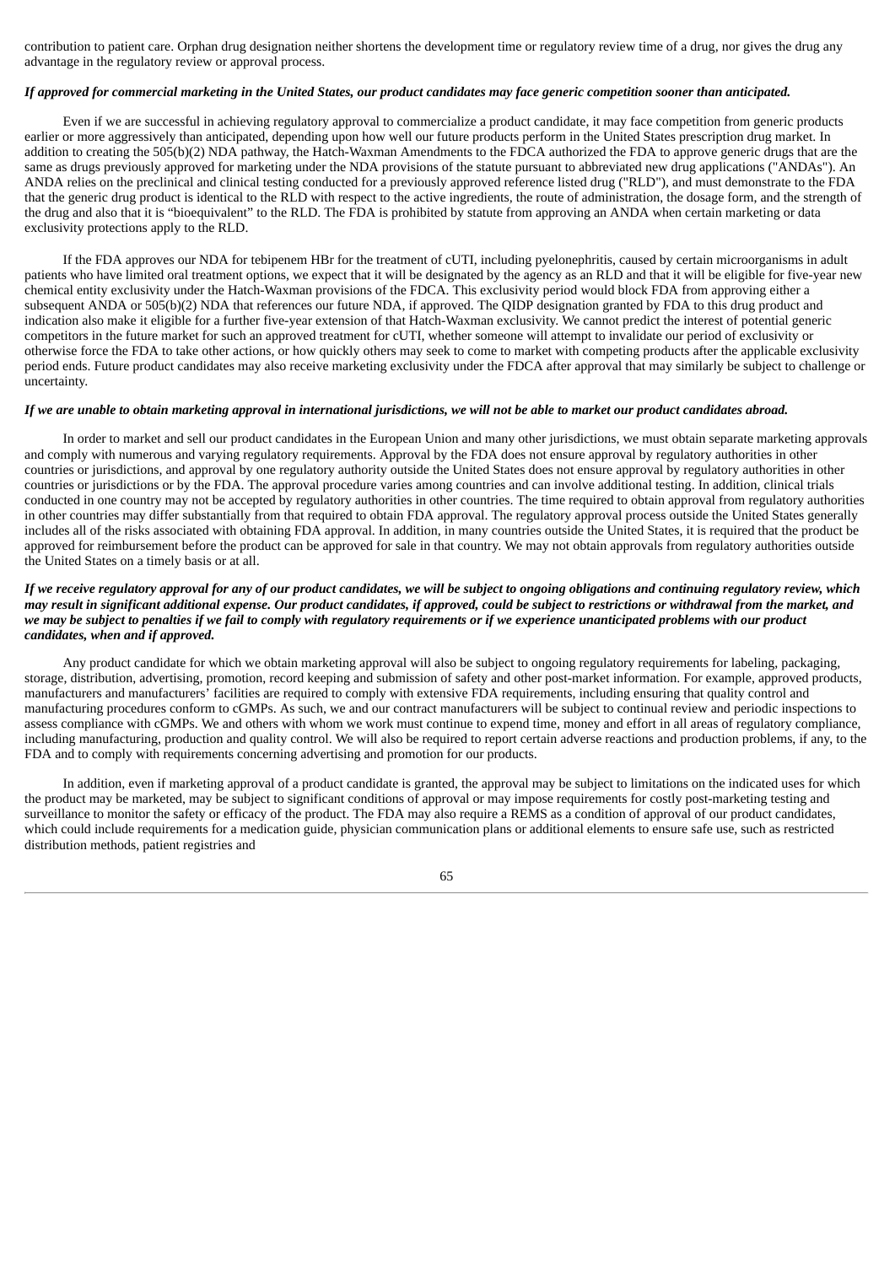contribution to patient care. Orphan drug designation neither shortens the development time or regulatory review time of a drug, nor gives the drug any advantage in the regulatory review or approval process.

## If approved for commercial marketing in the United States, our product candidates may face generic competition sooner than anticipated.

Even if we are successful in achieving regulatory approval to commercialize a product candidate, it may face competition from generic products earlier or more aggressively than anticipated, depending upon how well our future products perform in the United States prescription drug market. In addition to creating the 505(b)(2) NDA pathway, the Hatch-Waxman Amendments to the FDCA authorized the FDA to approve generic drugs that are the same as drugs previously approved for marketing under the NDA provisions of the statute pursuant to abbreviated new drug applications ("ANDAs"). An ANDA relies on the preclinical and clinical testing conducted for a previously approved reference listed drug ("RLD"), and must demonstrate to the FDA that the generic drug product is identical to the RLD with respect to the active ingredients, the route of administration, the dosage form, and the strength of the drug and also that it is "bioequivalent" to the RLD. The FDA is prohibited by statute from approving an ANDA when certain marketing or data exclusivity protections apply to the RLD.

If the FDA approves our NDA for tebipenem HBr for the treatment of cUTI, including pyelonephritis, caused by certain microorganisms in adult patients who have limited oral treatment options, we expect that it will be designated by the agency as an RLD and that it will be eligible for five-year new chemical entity exclusivity under the Hatch-Waxman provisions of the FDCA. This exclusivity period would block FDA from approving either a subsequent ANDA or 505(b)(2) NDA that references our future NDA, if approved. The QIDP designation granted by FDA to this drug product and indication also make it eligible for a further five-year extension of that Hatch-Waxman exclusivity. We cannot predict the interest of potential generic competitors in the future market for such an approved treatment for cUTI, whether someone will attempt to invalidate our period of exclusivity or otherwise force the FDA to take other actions, or how quickly others may seek to come to market with competing products after the applicable exclusivity period ends. Future product candidates may also receive marketing exclusivity under the FDCA after approval that may similarly be subject to challenge or uncertainty.

# If we are unable to obtain marketing approval in international jurisdictions, we will not be able to market our product candidates abroad.

In order to market and sell our product candidates in the European Union and many other jurisdictions, we must obtain separate marketing approvals and comply with numerous and varying regulatory requirements. Approval by the FDA does not ensure approval by regulatory authorities in other countries or jurisdictions, and approval by one regulatory authority outside the United States does not ensure approval by regulatory authorities in other countries or jurisdictions or by the FDA. The approval procedure varies among countries and can involve additional testing. In addition, clinical trials conducted in one country may not be accepted by regulatory authorities in other countries. The time required to obtain approval from regulatory authorities in other countries may differ substantially from that required to obtain FDA approval. The regulatory approval process outside the United States generally includes all of the risks associated with obtaining FDA approval. In addition, in many countries outside the United States, it is required that the product be approved for reimbursement before the product can be approved for sale in that country. We may not obtain approvals from regulatory authorities outside the United States on a timely basis or at all.

## If we receive regulatory approval for any of our product candidates, we will be subject to ongoing obligations and continuing regulatory review, which may result in significant additional expense. Our product candidates, if approved, could be subject to restrictions or withdrawal from the market, and we may be subject to penalties if we fail to comply with regulatory requirements or if we experience unanticipated problems with our product *candidates, when and if approved.*

Any product candidate for which we obtain marketing approval will also be subject to ongoing regulatory requirements for labeling, packaging, storage, distribution, advertising, promotion, record keeping and submission of safety and other post-market information. For example, approved products, manufacturers and manufacturers' facilities are required to comply with extensive FDA requirements, including ensuring that quality control and manufacturing procedures conform to cGMPs. As such, we and our contract manufacturers will be subject to continual review and periodic inspections to assess compliance with cGMPs. We and others with whom we work must continue to expend time, money and effort in all areas of regulatory compliance, including manufacturing, production and quality control. We will also be required to report certain adverse reactions and production problems, if any, to the FDA and to comply with requirements concerning advertising and promotion for our products.

In addition, even if marketing approval of a product candidate is granted, the approval may be subject to limitations on the indicated uses for which the product may be marketed, may be subject to significant conditions of approval or may impose requirements for costly post-marketing testing and surveillance to monitor the safety or efficacy of the product. The FDA may also require a REMS as a condition of approval of our product candidates, which could include requirements for a medication guide, physician communication plans or additional elements to ensure safe use, such as restricted distribution methods, patient registries and

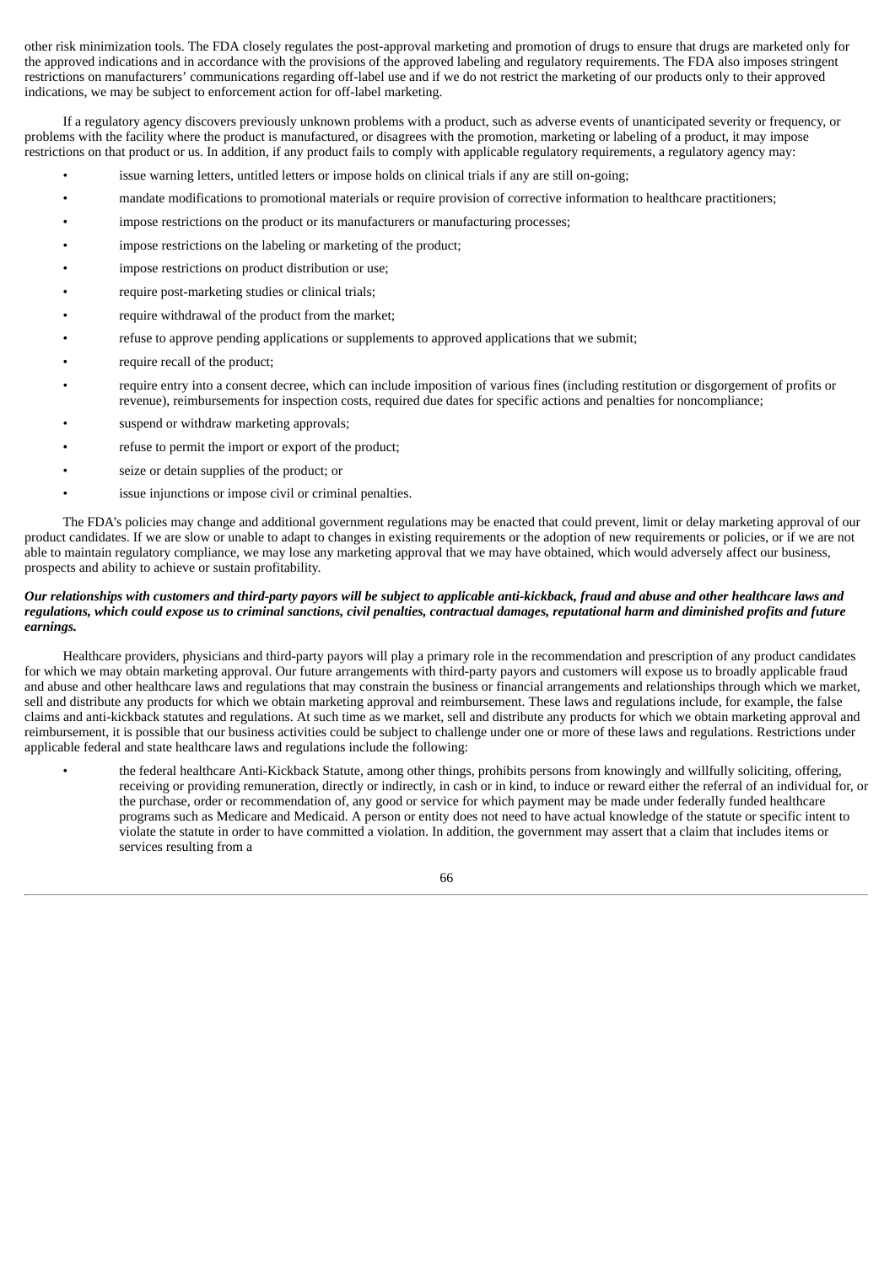other risk minimization tools. The FDA closely regulates the post-approval marketing and promotion of drugs to ensure that drugs are marketed only for the approved indications and in accordance with the provisions of the approved labeling and regulatory requirements. The FDA also imposes stringent restrictions on manufacturers' communications regarding off-label use and if we do not restrict the marketing of our products only to their approved indications, we may be subject to enforcement action for off-label marketing.

If a regulatory agency discovers previously unknown problems with a product, such as adverse events of unanticipated severity or frequency, or problems with the facility where the product is manufactured, or disagrees with the promotion, marketing or labeling of a product, it may impose restrictions on that product or us. In addition, if any product fails to comply with applicable regulatory requirements, a regulatory agency may:

- issue warning letters, untitled letters or impose holds on clinical trials if any are still on-going;
- mandate modifications to promotional materials or require provision of corrective information to healthcare practitioners;
- impose restrictions on the product or its manufacturers or manufacturing processes;
- impose restrictions on the labeling or marketing of the product;
- impose restrictions on product distribution or use;
- require post-marketing studies or clinical trials;
- require withdrawal of the product from the market;
- refuse to approve pending applications or supplements to approved applications that we submit;
- require recall of the product:
- require entry into a consent decree, which can include imposition of various fines (including restitution or disgorgement of profits or revenue), reimbursements for inspection costs, required due dates for specific actions and penalties for noncompliance;
- suspend or withdraw marketing approvals;
- refuse to permit the import or export of the product;
- seize or detain supplies of the product; or
- issue injunctions or impose civil or criminal penalties.

The FDA's policies may change and additional government regulations may be enacted that could prevent, limit or delay marketing approval of our product candidates. If we are slow or unable to adapt to changes in existing requirements or the adoption of new requirements or policies, or if we are not able to maintain regulatory compliance, we may lose any marketing approval that we may have obtained, which would adversely affect our business, prospects and ability to achieve or sustain profitability.

## Our relationships with customers and third-party payors will be subject to applicable anti-kickback, fraud and abuse and other healthcare laws and regulations, which could expose us to criminal sanctions, civil penalties, contractual damages, reputational harm and diminished profits and future *earnings.*

Healthcare providers, physicians and third-party payors will play a primary role in the recommendation and prescription of any product candidates for which we may obtain marketing approval. Our future arrangements with third-party payors and customers will expose us to broadly applicable fraud and abuse and other healthcare laws and regulations that may constrain the business or financial arrangements and relationships through which we market, sell and distribute any products for which we obtain marketing approval and reimbursement. These laws and regulations include, for example, the false claims and anti-kickback statutes and regulations. At such time as we market, sell and distribute any products for which we obtain marketing approval and reimbursement, it is possible that our business activities could be subject to challenge under one or more of these laws and regulations. Restrictions under applicable federal and state healthcare laws and regulations include the following:

• the federal healthcare Anti-Kickback Statute, among other things, prohibits persons from knowingly and willfully soliciting, offering, receiving or providing remuneration, directly or indirectly, in cash or in kind, to induce or reward either the referral of an individual for, or the purchase, order or recommendation of, any good or service for which payment may be made under federally funded healthcare programs such as Medicare and Medicaid. A person or entity does not need to have actual knowledge of the statute or specific intent to violate the statute in order to have committed a violation. In addition, the government may assert that a claim that includes items or services resulting from a

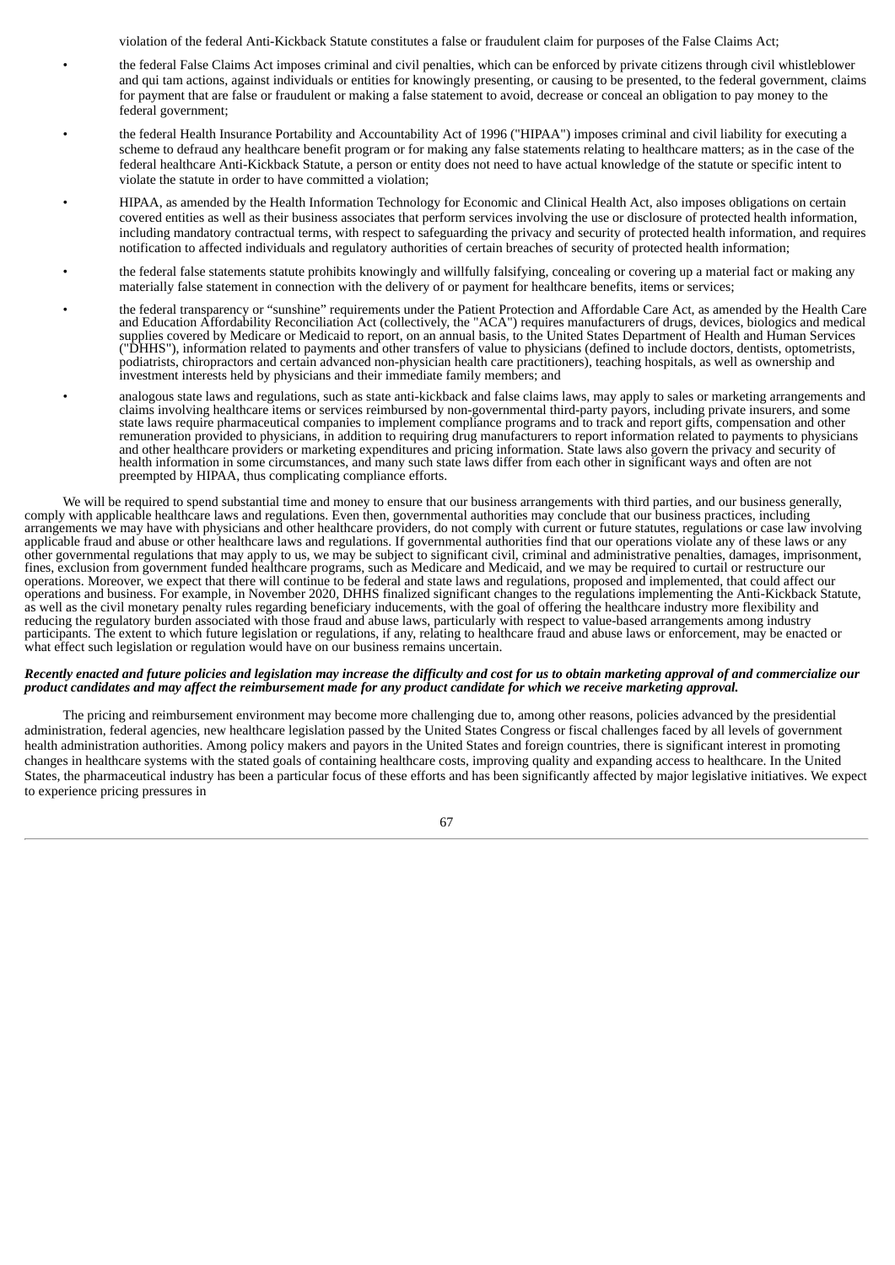violation of the federal Anti-Kickback Statute constitutes a false or fraudulent claim for purposes of the False Claims Act;

- the federal False Claims Act imposes criminal and civil penalties, which can be enforced by private citizens through civil whistleblower and qui tam actions, against individuals or entities for knowingly presenting, or causing to be presented, to the federal government, claims for payment that are false or fraudulent or making a false statement to avoid, decrease or conceal an obligation to pay money to the federal government;
- the federal Health Insurance Portability and Accountability Act of 1996 ("HIPAA") imposes criminal and civil liability for executing a scheme to defraud any healthcare benefit program or for making any false statements relating to healthcare matters; as in the case of the federal healthcare Anti-Kickback Statute, a person or entity does not need to have actual knowledge of the statute or specific intent to violate the statute in order to have committed a violation;
- HIPAA, as amended by the Health Information Technology for Economic and Clinical Health Act, also imposes obligations on certain covered entities as well as their business associates that perform services involving the use or disclosure of protected health information, including mandatory contractual terms, with respect to safeguarding the privacy and security of protected health information, and requires notification to affected individuals and regulatory authorities of certain breaches of security of protected health information;
- the federal false statements statute prohibits knowingly and willfully falsifying, concealing or covering up a material fact or making any materially false statement in connection with the delivery of or payment for healthcare benefits, items or services;
- the federal transparency or "sunshine" requirements under the Patient Protection and Affordable Care Act, as amended by the Health Care and Education Affordability Reconciliation Act (collectively, the "ACA") requires manufacturers of drugs, devices, biologics and medical supplies covered by Medicare or Medicaid to report, on an annual basis, to the United States Department of Health and Human Services ("DHHS"), information related to payments and other transfers of value to physicians (defined to include doctors, dentists, optometrists, podiatrists, chiropractors and certain advanced non-physician health care practitioners), teaching hospitals, as well as ownership and investment interests held by physicians and their immediate family members; and
	- analogous state laws and regulations, such as state anti-kickback and false claims laws, may apply to sales or marketing arrangements and claims involving healthcare items or services reimbursed by non-governmental third-party payors, including private insurers, and some state laws require pharmaceutical companies to implement compliance programs and to track and report gifts, compensation and other remuneration provided to physicians, in addition to requiring drug manufacturers to report information related to payments to physicians and other healthcare providers or marketing expenditures and pricing information. State laws also govern the privacy and security of health information in some circumstances, and many such state laws differ from each other in significant ways and often are not preempted by HIPAA, thus complicating compliance efforts.

We will be required to spend substantial time and money to ensure that our business arrangements with third parties, and our business generally, comply with applicable healthcare laws and regulations. Even then, governmental authorities may conclude that our business practices, including arrangements we may have with physicians and other healthcare providers, do not comply with current or future statutes, regulations or case law involving applicable fraud and abuse or other healthcare laws and regulations. If governmental authorities find that our operations violate any of these laws or any other governmental regulations that may apply to us, we may be subject to significant civil, criminal and administrative penalties, damages, imprisonment, fines, exclusion from government funded healthcare programs, such as Medicare and Medicaid, and we may be required to curtail or restructure our operations. Moreover, we expect that there will continue to be federal and state laws and regulations, proposed and implemented, that could affect our operations and business. For example, in November 2020, DHHS finalized significant changes to the regulations implementing the Anti-Kickback Statute, as well as the civil monetary penalty rules regarding beneficiary inducements, with the goal of offering the healthcare industry more flexibility and reducing the regulatory burden associated with those fraud and abuse laws, particularly with respect to value-based arrangements among industry participants. The extent to which future legislation or regulations, if any, relating to healthcare fraud and abuse laws or enforcement, may be enacted or what effect such legislation or regulation would have on our business remains uncertain.

#### Recently enacted and future policies and legislation may increase the difficulty and cost for us to obtain marketing approval of and commercialize our product candidates and may affect the reimbursement made for any product candidate for which we receive marketing approval.

The pricing and reimbursement environment may become more challenging due to, among other reasons, policies advanced by the presidential administration, federal agencies, new healthcare legislation passed by the United States Congress or fiscal challenges faced by all levels of government health administration authorities. Among policy makers and payors in the United States and foreign countries, there is significant interest in promoting changes in healthcare systems with the stated goals of containing healthcare costs, improving quality and expanding access to healthcare. In the United States, the pharmaceutical industry has been a particular focus of these efforts and has been significantly affected by major legislative initiatives. We expect to experience pricing pressures in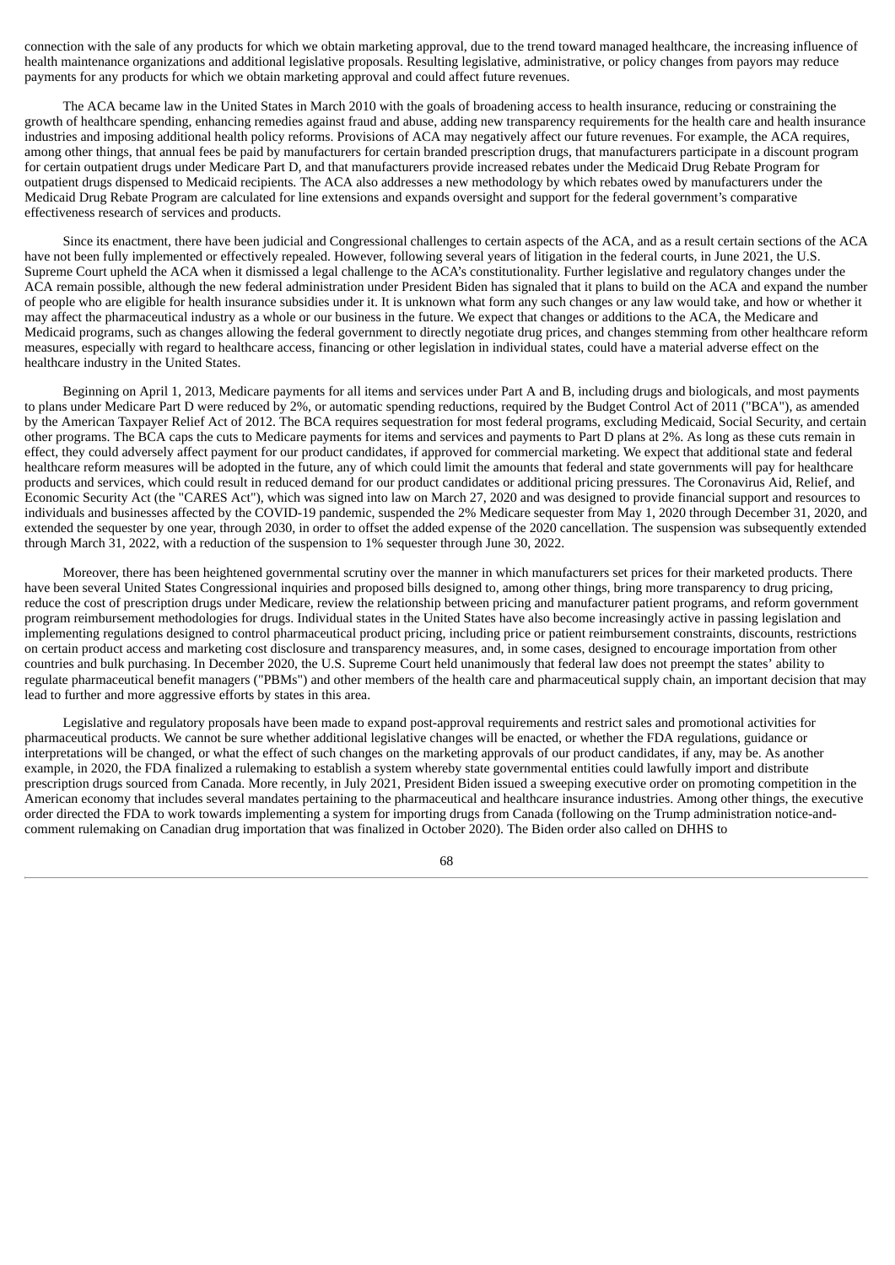connection with the sale of any products for which we obtain marketing approval, due to the trend toward managed healthcare, the increasing influence of health maintenance organizations and additional legislative proposals. Resulting legislative, administrative, or policy changes from payors may reduce payments for any products for which we obtain marketing approval and could affect future revenues.

The ACA became law in the United States in March 2010 with the goals of broadening access to health insurance, reducing or constraining the growth of healthcare spending, enhancing remedies against fraud and abuse, adding new transparency requirements for the health care and health insurance industries and imposing additional health policy reforms. Provisions of ACA may negatively affect our future revenues. For example, the ACA requires, among other things, that annual fees be paid by manufacturers for certain branded prescription drugs, that manufacturers participate in a discount program for certain outpatient drugs under Medicare Part D, and that manufacturers provide increased rebates under the Medicaid Drug Rebate Program for outpatient drugs dispensed to Medicaid recipients. The ACA also addresses a new methodology by which rebates owed by manufacturers under the Medicaid Drug Rebate Program are calculated for line extensions and expands oversight and support for the federal government's comparative effectiveness research of services and products.

Since its enactment, there have been judicial and Congressional challenges to certain aspects of the ACA, and as a result certain sections of the ACA have not been fully implemented or effectively repealed. However, following several years of litigation in the federal courts, in June 2021, the U.S. Supreme Court upheld the ACA when it dismissed a legal challenge to the ACA's constitutionality. Further legislative and regulatory changes under the ACA remain possible, although the new federal administration under President Biden has signaled that it plans to build on the ACA and expand the number of people who are eligible for health insurance subsidies under it. It is unknown what form any such changes or any law would take, and how or whether it may affect the pharmaceutical industry as a whole or our business in the future. We expect that changes or additions to the ACA, the Medicare and Medicaid programs, such as changes allowing the federal government to directly negotiate drug prices, and changes stemming from other healthcare reform measures, especially with regard to healthcare access, financing or other legislation in individual states, could have a material adverse effect on the healthcare industry in the United States.

Beginning on April 1, 2013, Medicare payments for all items and services under Part A and B, including drugs and biologicals, and most payments to plans under Medicare Part D were reduced by 2%, or automatic spending reductions, required by the Budget Control Act of 2011 ("BCA"), as amended by the American Taxpayer Relief Act of 2012. The BCA requires sequestration for most federal programs, excluding Medicaid, Social Security, and certain other programs. The BCA caps the cuts to Medicare payments for items and services and payments to Part D plans at 2%. As long as these cuts remain in effect, they could adversely affect payment for our product candidates, if approved for commercial marketing. We expect that additional state and federal healthcare reform measures will be adopted in the future, any of which could limit the amounts that federal and state governments will pay for healthcare products and services, which could result in reduced demand for our product candidates or additional pricing pressures. The Coronavirus Aid, Relief, and Economic Security Act (the "CARES Act"), which was signed into law on March 27, 2020 and was designed to provide financial support and resources to individuals and businesses affected by the COVID-19 pandemic, suspended the 2% Medicare sequester from May 1, 2020 through December 31, 2020, and extended the sequester by one year, through 2030, in order to offset the added expense of the 2020 cancellation. The suspension was subsequently extended through March 31, 2022, with a reduction of the suspension to 1% sequester through June 30, 2022.

Moreover, there has been heightened governmental scrutiny over the manner in which manufacturers set prices for their marketed products. There have been several United States Congressional inquiries and proposed bills designed to, among other things, bring more transparency to drug pricing, reduce the cost of prescription drugs under Medicare, review the relationship between pricing and manufacturer patient programs, and reform government program reimbursement methodologies for drugs. Individual states in the United States have also become increasingly active in passing legislation and implementing regulations designed to control pharmaceutical product pricing, including price or patient reimbursement constraints, discounts, restrictions on certain product access and marketing cost disclosure and transparency measures, and, in some cases, designed to encourage importation from other countries and bulk purchasing. In December 2020, the U.S. Supreme Court held unanimously that federal law does not preempt the states' ability to regulate pharmaceutical benefit managers ("PBMs") and other members of the health care and pharmaceutical supply chain, an important decision that may lead to further and more aggressive efforts by states in this area.

Legislative and regulatory proposals have been made to expand post-approval requirements and restrict sales and promotional activities for pharmaceutical products. We cannot be sure whether additional legislative changes will be enacted, or whether the FDA regulations, guidance or interpretations will be changed, or what the effect of such changes on the marketing approvals of our product candidates, if any, may be. As another example, in 2020, the FDA finalized a rulemaking to establish a system whereby state governmental entities could lawfully import and distribute prescription drugs sourced from Canada. More recently, in July 2021, President Biden issued a sweeping executive order on promoting competition in the American economy that includes several mandates pertaining to the pharmaceutical and healthcare insurance industries. Among other things, the executive order directed the FDA to work towards implementing a system for importing drugs from Canada (following on the Trump administration notice-andcomment rulemaking on Canadian drug importation that was finalized in October 2020). The Biden order also called on DHHS to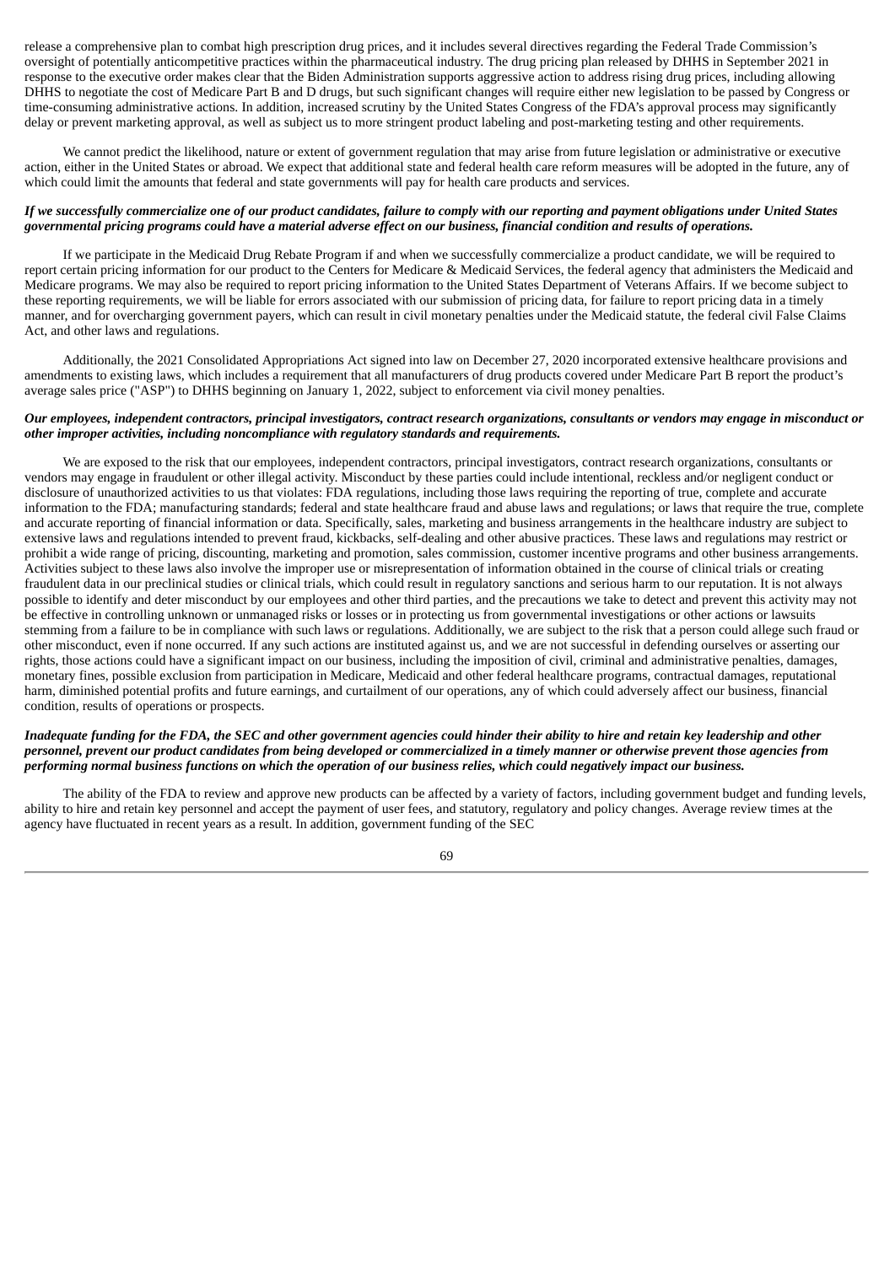release a comprehensive plan to combat high prescription drug prices, and it includes several directives regarding the Federal Trade Commission's oversight of potentially anticompetitive practices within the pharmaceutical industry. The drug pricing plan released by DHHS in September 2021 in response to the executive order makes clear that the Biden Administration supports aggressive action to address rising drug prices, including allowing DHHS to negotiate the cost of Medicare Part B and D drugs, but such significant changes will require either new legislation to be passed by Congress or time-consuming administrative actions. In addition, increased scrutiny by the United States Congress of the FDA's approval process may significantly delay or prevent marketing approval, as well as subject us to more stringent product labeling and post-marketing testing and other requirements.

We cannot predict the likelihood, nature or extent of government regulation that may arise from future legislation or administrative or executive action, either in the United States or abroad. We expect that additional state and federal health care reform measures will be adopted in the future, any of which could limit the amounts that federal and state governments will pay for health care products and services.

## If we successfully commercialize one of our product candidates, failure to comply with our reporting and payment obligations under United States governmental pricing programs could have a material adverse effect on our business, financial condition and results of operations.

If we participate in the Medicaid Drug Rebate Program if and when we successfully commercialize a product candidate, we will be required to report certain pricing information for our product to the Centers for Medicare & Medicaid Services, the federal agency that administers the Medicaid and Medicare programs. We may also be required to report pricing information to the United States Department of Veterans Affairs. If we become subject to these reporting requirements, we will be liable for errors associated with our submission of pricing data, for failure to report pricing data in a timely manner, and for overcharging government payers, which can result in civil monetary penalties under the Medicaid statute, the federal civil False Claims Act, and other laws and regulations.

Additionally, the 2021 Consolidated Appropriations Act signed into law on December 27, 2020 incorporated extensive healthcare provisions and amendments to existing laws, which includes a requirement that all manufacturers of drug products covered under Medicare Part B report the product's average sales price ("ASP") to DHHS beginning on January 1, 2022, subject to enforcement via civil money penalties.

### Our employees, independent contractors, principal investigators, contract research organizations, consultants or vendors may engage in misconduct or *other improper activities, including noncompliance with regulatory standards and requirements.*

We are exposed to the risk that our employees, independent contractors, principal investigators, contract research organizations, consultants or vendors may engage in fraudulent or other illegal activity. Misconduct by these parties could include intentional, reckless and/or negligent conduct or disclosure of unauthorized activities to us that violates: FDA regulations, including those laws requiring the reporting of true, complete and accurate information to the FDA; manufacturing standards; federal and state healthcare fraud and abuse laws and regulations; or laws that require the true, complete and accurate reporting of financial information or data. Specifically, sales, marketing and business arrangements in the healthcare industry are subject to extensive laws and regulations intended to prevent fraud, kickbacks, self-dealing and other abusive practices. These laws and regulations may restrict or prohibit a wide range of pricing, discounting, marketing and promotion, sales commission, customer incentive programs and other business arrangements. Activities subject to these laws also involve the improper use or misrepresentation of information obtained in the course of clinical trials or creating fraudulent data in our preclinical studies or clinical trials, which could result in regulatory sanctions and serious harm to our reputation. It is not always possible to identify and deter misconduct by our employees and other third parties, and the precautions we take to detect and prevent this activity may not be effective in controlling unknown or unmanaged risks or losses or in protecting us from governmental investigations or other actions or lawsuits stemming from a failure to be in compliance with such laws or regulations. Additionally, we are subject to the risk that a person could allege such fraud or other misconduct, even if none occurred. If any such actions are instituted against us, and we are not successful in defending ourselves or asserting our rights, those actions could have a significant impact on our business, including the imposition of civil, criminal and administrative penalties, damages, monetary fines, possible exclusion from participation in Medicare, Medicaid and other federal healthcare programs, contractual damages, reputational harm, diminished potential profits and future earnings, and curtailment of our operations, any of which could adversely affect our business, financial condition, results of operations or prospects.

# Inadequate funding for the FDA, the SEC and other government agencies could hinder their ability to hire and retain key leadership and other personnel, prevent our product candidates from being developed or commercialized in a timely manner or otherwise prevent those agencies from performing normal business functions on which the operation of our business relies, which could negatively impact our business.

The ability of the FDA to review and approve new products can be affected by a variety of factors, including government budget and funding levels, ability to hire and retain key personnel and accept the payment of user fees, and statutory, regulatory and policy changes. Average review times at the agency have fluctuated in recent years as a result. In addition, government funding of the SEC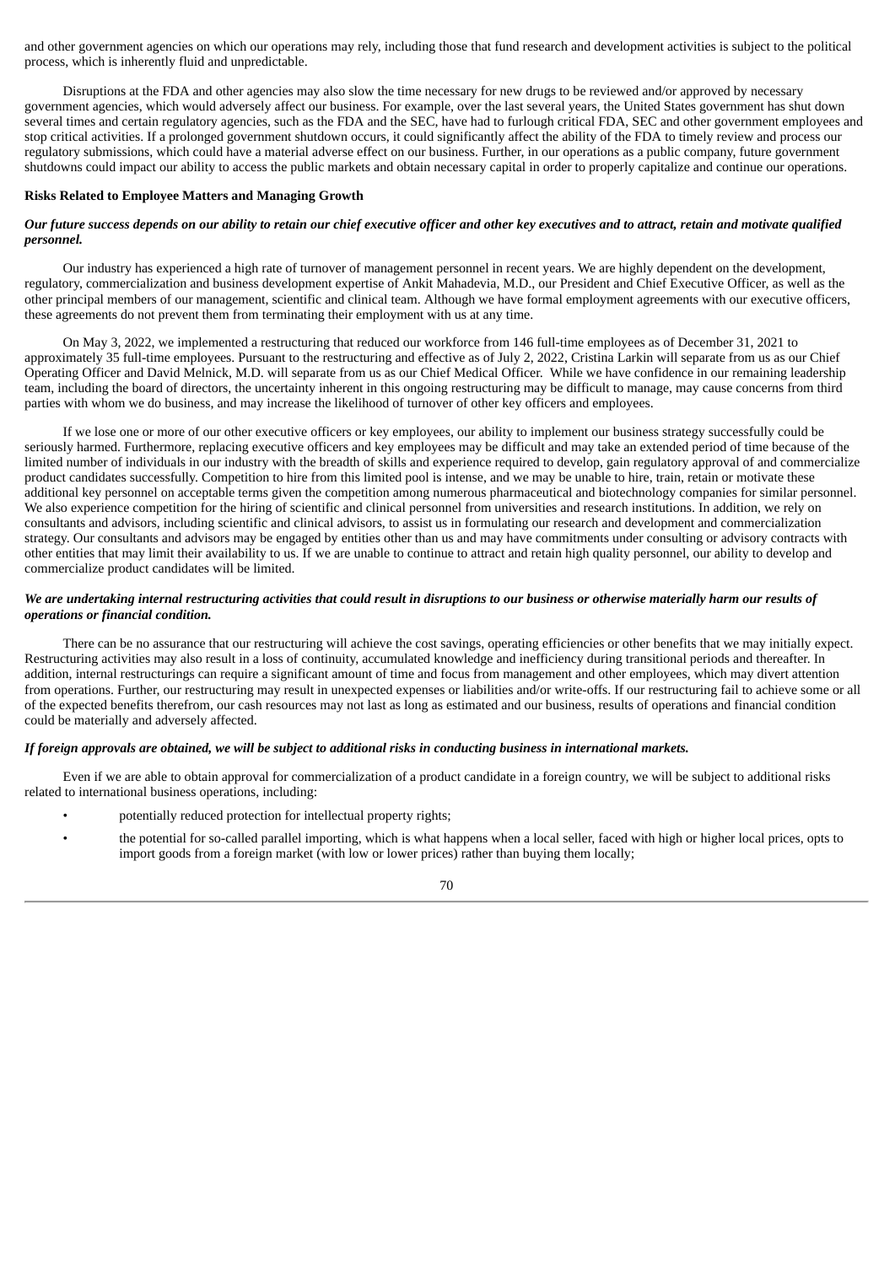and other government agencies on which our operations may rely, including those that fund research and development activities is subject to the political process, which is inherently fluid and unpredictable.

Disruptions at the FDA and other agencies may also slow the time necessary for new drugs to be reviewed and/or approved by necessary government agencies, which would adversely affect our business. For example, over the last several years, the United States government has shut down several times and certain regulatory agencies, such as the FDA and the SEC, have had to furlough critical FDA, SEC and other government employees and stop critical activities. If a prolonged government shutdown occurs, it could significantly affect the ability of the FDA to timely review and process our regulatory submissions, which could have a material adverse effect on our business. Further, in our operations as a public company, future government shutdowns could impact our ability to access the public markets and obtain necessary capital in order to properly capitalize and continue our operations.

#### **Risks Related to Employee Matters and Managing Growth**

## Our future success depends on our ability to retain our chief executive officer and other key executives and to attract, retain and motivate qualified *personnel.*

Our industry has experienced a high rate of turnover of management personnel in recent years. We are highly dependent on the development, regulatory, commercialization and business development expertise of Ankit Mahadevia, M.D., our President and Chief Executive Officer, as well as the other principal members of our management, scientific and clinical team. Although we have formal employment agreements with our executive officers, these agreements do not prevent them from terminating their employment with us at any time.

On May 3, 2022, we implemented a restructuring that reduced our workforce from 146 full-time employees as of December 31, 2021 to approximately 35 full-time employees. Pursuant to the restructuring and effective as of July 2, 2022, Cristina Larkin will separate from us as our Chief Operating Officer and David Melnick, M.D. will separate from us as our Chief Medical Officer. While we have confidence in our remaining leadership team, including the board of directors, the uncertainty inherent in this ongoing restructuring may be difficult to manage, may cause concerns from third parties with whom we do business, and may increase the likelihood of turnover of other key officers and employees.

If we lose one or more of our other executive officers or key employees, our ability to implement our business strategy successfully could be seriously harmed. Furthermore, replacing executive officers and key employees may be difficult and may take an extended period of time because of the limited number of individuals in our industry with the breadth of skills and experience required to develop, gain regulatory approval of and commercialize product candidates successfully. Competition to hire from this limited pool is intense, and we may be unable to hire, train, retain or motivate these additional key personnel on acceptable terms given the competition among numerous pharmaceutical and biotechnology companies for similar personnel. We also experience competition for the hiring of scientific and clinical personnel from universities and research institutions. In addition, we rely on consultants and advisors, including scientific and clinical advisors, to assist us in formulating our research and development and commercialization strategy. Our consultants and advisors may be engaged by entities other than us and may have commitments under consulting or advisory contracts with other entities that may limit their availability to us. If we are unable to continue to attract and retain high quality personnel, our ability to develop and commercialize product candidates will be limited.

## We are undertaking internal restructuring activities that could result in disruptions to our business or otherwise materially harm our results of *operations or financial condition.*

There can be no assurance that our restructuring will achieve the cost savings, operating efficiencies or other benefits that we may initially expect. Restructuring activities may also result in a loss of continuity, accumulated knowledge and inefficiency during transitional periods and thereafter. In addition, internal restructurings can require a significant amount of time and focus from management and other employees, which may divert attention from operations. Further, our restructuring may result in unexpected expenses or liabilities and/or write-offs. If our restructuring fail to achieve some or all of the expected benefits therefrom, our cash resources may not last as long as estimated and our business, results of operations and financial condition could be materially and adversely affected.

# If foreign approvals are obtained, we will be subject to additional risks in conducting business in international markets.

Even if we are able to obtain approval for commercialization of a product candidate in a foreign country, we will be subject to additional risks related to international business operations, including:

- potentially reduced protection for intellectual property rights;
- the potential for so-called parallel importing, which is what happens when a local seller, faced with high or higher local prices, opts to import goods from a foreign market (with low or lower prices) rather than buying them locally;

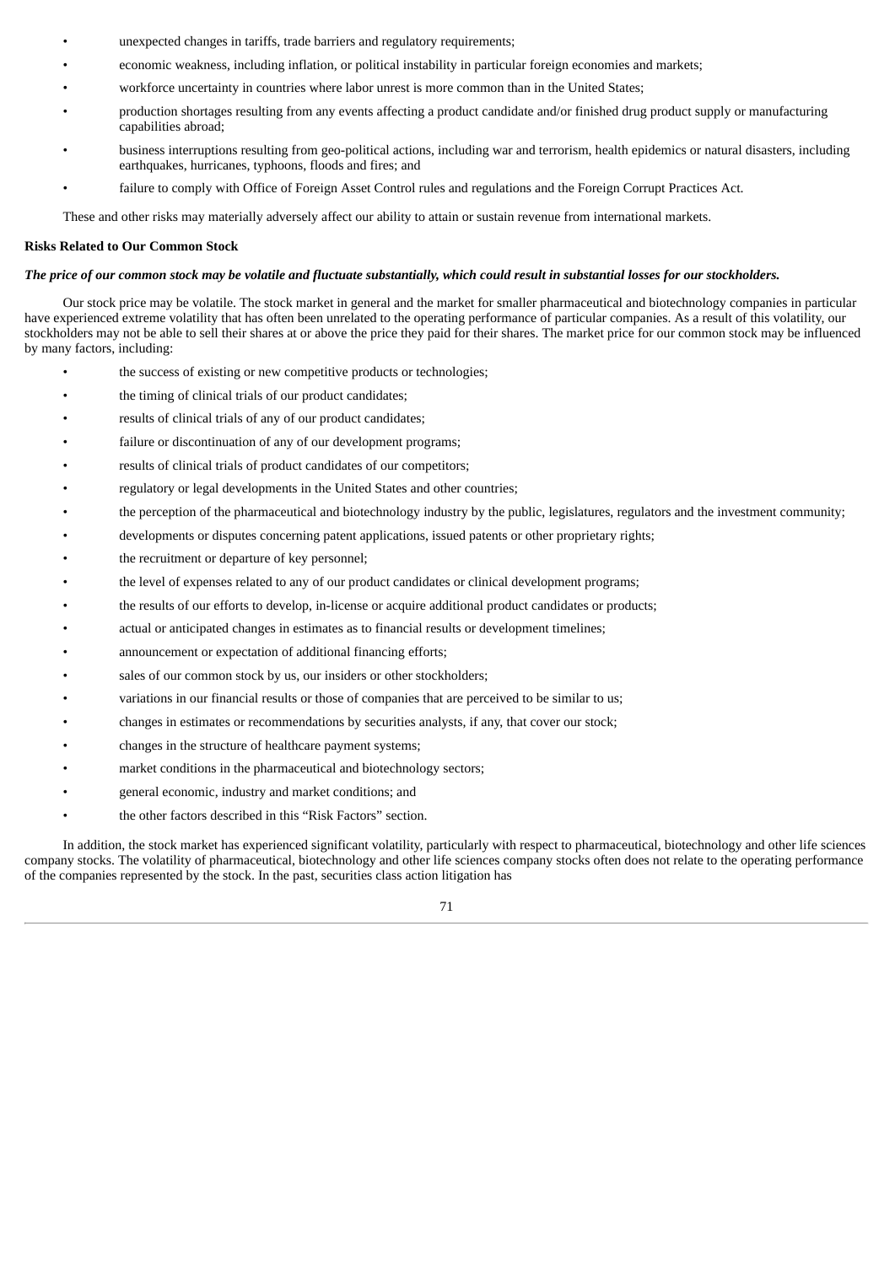- unexpected changes in tariffs, trade barriers and regulatory requirements;
- economic weakness, including inflation, or political instability in particular foreign economies and markets;
- workforce uncertainty in countries where labor unrest is more common than in the United States;
- production shortages resulting from any events affecting a product candidate and/or finished drug product supply or manufacturing capabilities abroad;
- business interruptions resulting from geo-political actions, including war and terrorism, health epidemics or natural disasters, including earthquakes, hurricanes, typhoons, floods and fires; and
- failure to comply with Office of Foreign Asset Control rules and regulations and the Foreign Corrupt Practices Act.

These and other risks may materially adversely affect our ability to attain or sustain revenue from international markets.

## **Risks Related to Our Common Stock**

## The price of our common stock may be volatile and fluctuate substantially, which could result in substantial losses for our stockholders.

Our stock price may be volatile. The stock market in general and the market for smaller pharmaceutical and biotechnology companies in particular have experienced extreme volatility that has often been unrelated to the operating performance of particular companies. As a result of this volatility, our stockholders may not be able to sell their shares at or above the price they paid for their shares. The market price for our common stock may be influenced by many factors, including:

- the success of existing or new competitive products or technologies;
- the timing of clinical trials of our product candidates;
- results of clinical trials of any of our product candidates;
- failure or discontinuation of any of our development programs;
- results of clinical trials of product candidates of our competitors;
- regulatory or legal developments in the United States and other countries;
- the perception of the pharmaceutical and biotechnology industry by the public, legislatures, regulators and the investment community;
- developments or disputes concerning patent applications, issued patents or other proprietary rights;
- the recruitment or departure of key personnel;
- the level of expenses related to any of our product candidates or clinical development programs;
- the results of our efforts to develop, in-license or acquire additional product candidates or products;
- actual or anticipated changes in estimates as to financial results or development timelines;
- announcement or expectation of additional financing efforts;
- sales of our common stock by us, our insiders or other stockholders;
- variations in our financial results or those of companies that are perceived to be similar to us;
- changes in estimates or recommendations by securities analysts, if any, that cover our stock;
- changes in the structure of healthcare payment systems;
- market conditions in the pharmaceutical and biotechnology sectors:
- general economic, industry and market conditions; and
- the other factors described in this "Risk Factors" section.

In addition, the stock market has experienced significant volatility, particularly with respect to pharmaceutical, biotechnology and other life sciences company stocks. The volatility of pharmaceutical, biotechnology and other life sciences company stocks often does not relate to the operating performance of the companies represented by the stock. In the past, securities class action litigation has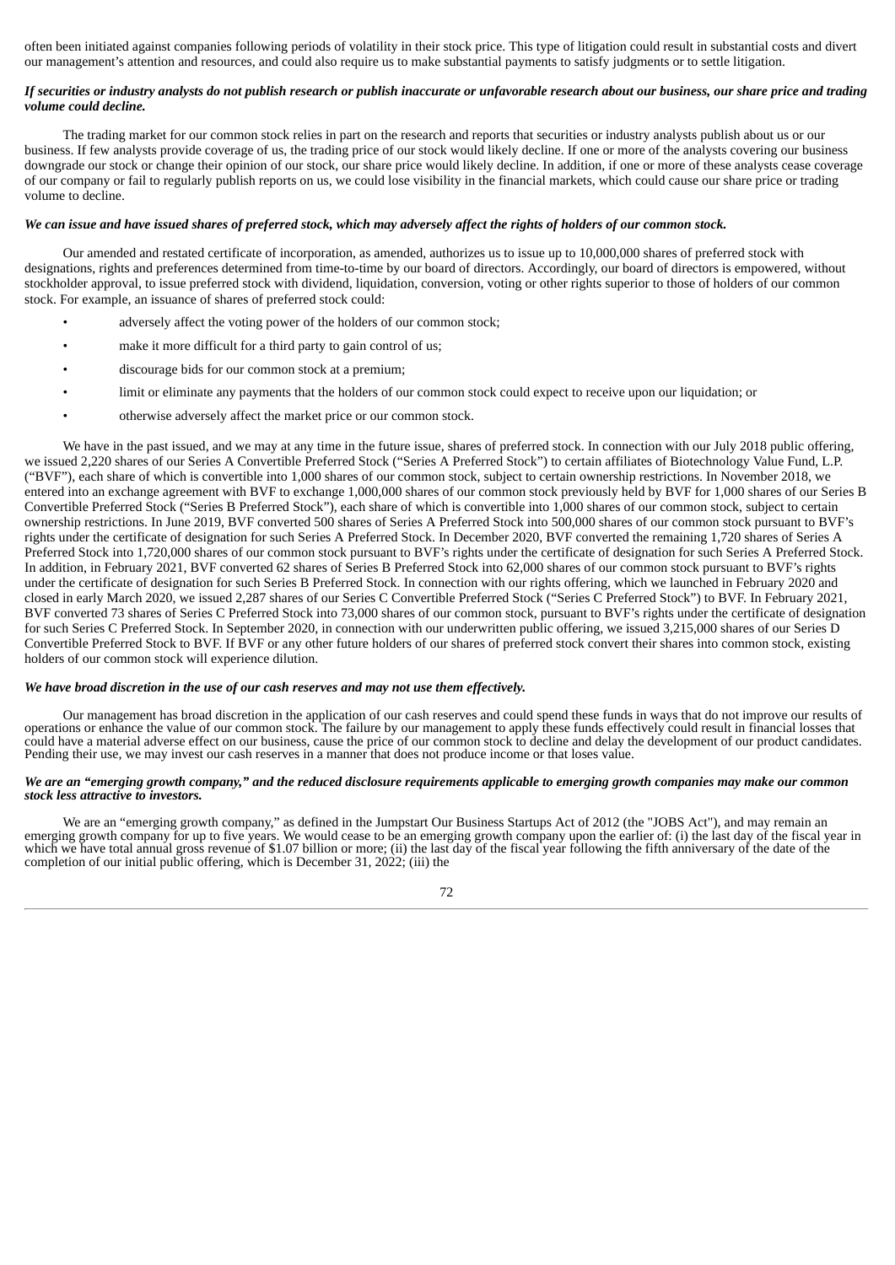often been initiated against companies following periods of volatility in their stock price. This type of litigation could result in substantial costs and divert our management's attention and resources, and could also require us to make substantial payments to satisfy judgments or to settle litigation.

## If securities or industry analysts do not publish research or publish inaccurate or unfavorable research about our business, our share price and trading *volume could decline.*

The trading market for our common stock relies in part on the research and reports that securities or industry analysts publish about us or our business. If few analysts provide coverage of us, the trading price of our stock would likely decline. If one or more of the analysts covering our business downgrade our stock or change their opinion of our stock, our share price would likely decline. In addition, if one or more of these analysts cease coverage of our company or fail to regularly publish reports on us, we could lose visibility in the financial markets, which could cause our share price or trading volume to decline.

### We can issue and have issued shares of preferred stock, which may adversely affect the rights of holders of our common stock.

Our amended and restated certificate of incorporation, as amended, authorizes us to issue up to 10,000,000 shares of preferred stock with designations, rights and preferences determined from time-to-time by our board of directors. Accordingly, our board of directors is empowered, without stockholder approval, to issue preferred stock with dividend, liquidation, conversion, voting or other rights superior to those of holders of our common stock. For example, an issuance of shares of preferred stock could:

- adversely affect the voting power of the holders of our common stock;
- make it more difficult for a third party to gain control of us;
- discourage bids for our common stock at a premium;
- limit or eliminate any payments that the holders of our common stock could expect to receive upon our liquidation; or
- otherwise adversely affect the market price or our common stock.

We have in the past issued, and we may at any time in the future issue, shares of preferred stock. In connection with our July 2018 public offering, we issued 2,220 shares of our Series A Convertible Preferred Stock ("Series A Preferred Stock") to certain affiliates of Biotechnology Value Fund, L.P. ("BVF"), each share of which is convertible into 1,000 shares of our common stock, subject to certain ownership restrictions. In November 2018, we entered into an exchange agreement with BVF to exchange 1,000,000 shares of our common stock previously held by BVF for 1,000 shares of our Series B Convertible Preferred Stock ("Series B Preferred Stock"), each share of which is convertible into 1,000 shares of our common stock, subject to certain ownership restrictions. In June 2019, BVF converted 500 shares of Series A Preferred Stock into 500,000 shares of our common stock pursuant to BVF's rights under the certificate of designation for such Series A Preferred Stock. In December 2020, BVF converted the remaining 1,720 shares of Series A Preferred Stock into 1,720,000 shares of our common stock pursuant to BVF's rights under the certificate of designation for such Series A Preferred Stock. In addition, in February 2021, BVF converted 62 shares of Series B Preferred Stock into 62,000 shares of our common stock pursuant to BVF's rights under the certificate of designation for such Series B Preferred Stock. In connection with our rights offering, which we launched in February 2020 and closed in early March 2020, we issued 2,287 shares of our Series C Convertible Preferred Stock ("Series C Preferred Stock") to BVF. In February 2021, BVF converted 73 shares of Series C Preferred Stock into 73,000 shares of our common stock, pursuant to BVF's rights under the certificate of designation for such Series C Preferred Stock. In September 2020, in connection with our underwritten public offering, we issued 3,215,000 shares of our Series D Convertible Preferred Stock to BVF. If BVF or any other future holders of our shares of preferred stock convert their shares into common stock, existing holders of our common stock will experience dilution.

## *We have broad discretion in the use of our cash reserves and may not use them effectively.*

Our management has broad discretion in the application of our cash reserves and could spend these funds in ways that do not improve our results of operations or enhance the value of our common stock. The failure by our management to apply these funds effectively could result in financial losses that could have a material adverse effect on our business, cause the price of our common stock to decline and delay the development of our product candidates. Pending their use, we may invest our cash reserves in a manner that does not produce income or that loses value.

#### We are an "emerging growth company," and the reduced disclosure requirements applicable to emerging growth companies may make our common *stock less attractive to investors.*

We are an "emerging growth company," as defined in the Jumpstart Our Business Startups Act of 2012 (the "JOBS Act"), and may remain an emerging growth company for up to five years. We would cease to be an emerging growth company upon the earlier of: (i) the last day of the fiscal year in which we have total annual gross revenue of \$1.07 billion or more; (ii) the last day of the fiscal year following the fifth anniversary of the date of the completion of our initial public offering, which is December 31, 2022; (iii) the

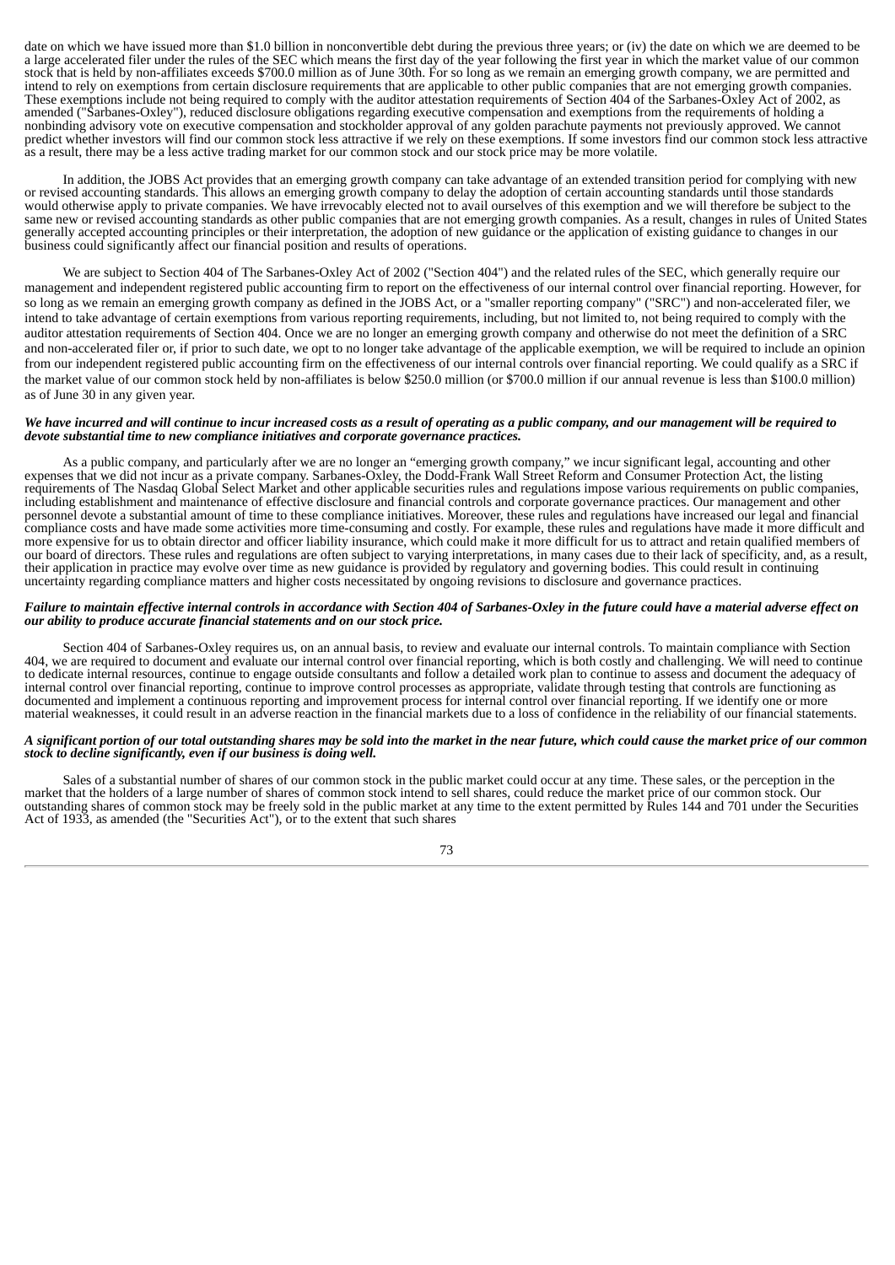date on which we have issued more than \$1.0 billion in nonconvertible debt during the previous three years; or (iv) the date on which we are deemed to be a large accelerated filer under the rules of the SEC which means the first day of the year following the first year in which the market value of our common stock that is held by non-affiliates exceeds \$700.0 million as of June 30th. For so long as we remain an emerging growth company, we are permitted and intend to rely on exemptions from certain disclosure requirements that are applicable to other public companies that are not emerging growth companies. These exemptions include not being required to comply with the auditor attestation requirements of Section 404 of the Sarbanes-Oxley Act of 2002, as amended ("Sarbanes-Oxley"), reduced disclosure obligations regarding executive compensation and exemptions from the requirements of holding a nonbinding advisory vote on executive compensation and stockholder approval of any golden parachute payments not previously approved. We cannot predict whether investors will find our common stock less attractive if we rely on these exemptions. If some investors find our common stock less attractive as a result, there may be a less active trading market for our common stock and our stock price may be more volatile.

In addition, the JOBS Act provides that an emerging growth company can take advantage of an extended transition period for complying with new or revised accounting standards. This allows an emerging growth company to delay the adoption of certain accounting standards until those standards would otherwise apply to private companies. We have irrevocably elected not to avail ourselves of this exemption and we will therefore be subject to the same new or revised accounting standards as other public companies that are not emerging growth companies. As a result, changes in rules of United States generally accepted accounting principles or their interpretation, the adoption of new guidance or the application of existing guidance to changes in our business could significantly affect our financial position and results of operations.

We are subject to Section 404 of The Sarbanes-Oxley Act of 2002 ("Section 404") and the related rules of the SEC, which generally require our management and independent registered public accounting firm to report on the effectiveness of our internal control over financial reporting. However, for so long as we remain an emerging growth company as defined in the JOBS Act, or a "smaller reporting company" ("SRC") and non-accelerated filer, we intend to take advantage of certain exemptions from various reporting requirements, including, but not limited to, not being required to comply with the auditor attestation requirements of Section 404. Once we are no longer an emerging growth company and otherwise do not meet the definition of a SRC and non-accelerated filer or, if prior to such date, we opt to no longer take advantage of the applicable exemption, we will be required to include an opinion from our independent registered public accounting firm on the effectiveness of our internal controls over financial reporting. We could qualify as a SRC if the market value of our common stock held by non-affiliates is below \$250.0 million (or \$700.0 million if our annual revenue is less than \$100.0 million) as of June 30 in any given year.

#### We have incurred and will continue to incur increased costs as a result of operatina as a public company, and our management will be required to *devote substantial time to new compliance initiatives and corporate governance practices.*

As a public company, and particularly after we are no longer an "emerging growth company," we incur significant legal, accounting and other expenses that we did not incur as a private company. Sarbanes-Oxley, the Dodd-Frank Wall Street Reform and Consumer Protection Act, the listing requirements of The Nasdaq Global Select Market and other applicable securities rules and regulations impose various requirements on public companies, including establishment and maintenance of effective disclosure and financial controls and corporate governance practices. Our management and other personnel devote a substantial amount of time to these compliance initiatives. Moreover, these rules and regulations have increased our legal and financial compliance costs and have made some activities more time-consuming and costly. For example, these rules and regulations have made it more difficult and compliance costs and have made some activities more time-consuming and more expensive for us to obtain director and officer liability insurance, which could make it more difficult for us to attract and retain qualified members of our board of directors. These rules and regulations are often subject to varying interpretations, in many cases due to their lack of specificity, and, as a result, their application in practice may evolve over time as new guidance is provided by regulatory and governing bodies. This could result in continuing uncertainty regarding compliance matters and higher costs necessitated by ongoing revisions to disclosure and governance practices.

#### Failure to maintain effective internal controls in accordance with Section 404 of Sarbanes-Oxley in the future could have a material adverse effect on *our ability to produce accurate financial statements and on our stock price.*

Section 404 of Sarbanes-Oxley requires us, on an annual basis, to review and evaluate our internal controls. To maintain compliance with Section 404, we are required to document and evaluate our internal control over financial reporting, which is both costly and challenging. We will need to continue to dedicate internal resources, continue to engage outside consultants and follow a detailed work plan to continue to assess and document the adequacy of internal control over financial reporting, continue to improve control processes as appropriate, validate through testing that controls are functioning as documented and implement a continuous reporting and improvement process for internal control over financial reporting. If we identify one or more material weaknesses, it could result in an adverse reaction in the financial markets due to a loss of confidence in the reliability of our financial statements.

#### A significant portion of our total outstanding shares may be sold into the market in the near future, which could cause the market price of our common *stock to decline significantly, even if our business is doing well.*

Sales of a substantial number of shares of our common stock in the public market could occur at any time. These sales, or the perception in the market that the holders of a large number of shares of common stock intend to sell shares, could reduce the market price of our common stock. Our outstanding shares of common stock may be freely sold in the public market at any time to the extent permitted by Rules 144 and 701 under the Securities Act of 1933, as amended (the "Securities Act"), or to the extent that such shares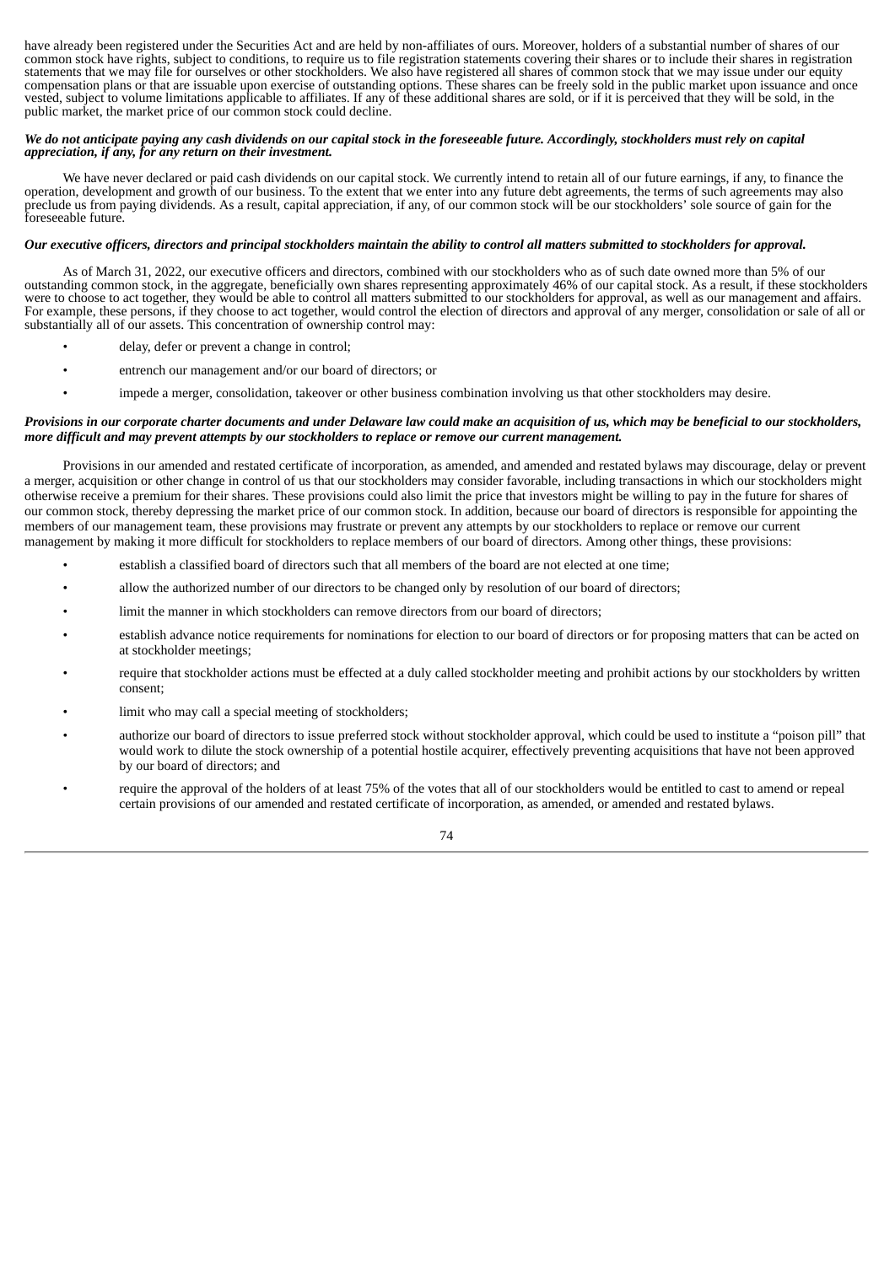have already been registered under the Securities Act and are held by non-affiliates of ours. Moreover, holders of a substantial number of shares of our common stock have rights, subject to conditions, to require us to file registration statements covering their shares or to include their shares in registration statements that we may file for ourselves or other stockholders. We also have registered all shares of common stock that we may issue under our equity compensation plans or that are issuable upon exercise of outstanding options. These shares can be freely sold in the public market upon issuance and once vested, subject to volume limitations applicable to affiliates. If any of these additional shares are sold, or if it is perceived that they will be sold, in the public market, the market price of our common stock could decline.

### We do not anticipate paying any cash dividends on our capital stock in the foreseeable future. Accordingly, stockholders must rely on capital *appreciation, if any, for any return on their investment.*

We have never declared or paid cash dividends on our capital stock. We currently intend to retain all of our future earnings, if any, to finance the operation, development and growth of our business. To the extent that we enter into any future debt agreements, the terms of such agreements may also preclude us from paying dividends. As a result, capital appreciation, if any, of our common stock will be our stockholders' sole source of gain for the foreseeable future.

## Our executive officers, directors and principal stockholders maintain the ability to control all matters submitted to stockholders for approval.

As of March 31, 2022, our executive officers and directors, combined with our stockholders who as of such date owned more than 5% of our outstanding common stock, in the aggregate, beneficially own shares representing approximately 46% of our capital stock. As a result, if these stockholders were to choose to act together, they would be able to control all matters submitted to our stockholders for approval, as well as our management and affairs. For example, these persons, if they choose to act together, would control the election of directors and approval of any merger, consolidation or sale of all or substantially all of our assets. This concentration of ownership control may:

- delay, defer or prevent a change in control;
- entrench our management and/or our board of directors; or
- impede a merger, consolidation, takeover or other business combination involving us that other stockholders may desire.

## Provisions in our corporate charter documents and under Delaware law could make an acquisition of us, which may be beneficial to our stockholders. *more difficult and may prevent attempts by our stockholders to replace or remove our current management.*

Provisions in our amended and restated certificate of incorporation, as amended, and amended and restated bylaws may discourage, delay or prevent a merger, acquisition or other change in control of us that our stockholders may consider favorable, including transactions in which our stockholders might otherwise receive a premium for their shares. These provisions could also limit the price that investors might be willing to pay in the future for shares of our common stock, thereby depressing the market price of our common stock. In addition, because our board of directors is responsible for appointing the members of our management team, these provisions may frustrate or prevent any attempts by our stockholders to replace or remove our current management by making it more difficult for stockholders to replace members of our board of directors. Among other things, these provisions:

- establish a classified board of directors such that all members of the board are not elected at one time;
- allow the authorized number of our directors to be changed only by resolution of our board of directors;
- limit the manner in which stockholders can remove directors from our board of directors;
- establish advance notice requirements for nominations for election to our board of directors or for proposing matters that can be acted on at stockholder meetings;
- require that stockholder actions must be effected at a duly called stockholder meeting and prohibit actions by our stockholders by written consent;
- limit who may call a special meeting of stockholders;
- authorize our board of directors to issue preferred stock without stockholder approval, which could be used to institute a "poison pill" that would work to dilute the stock ownership of a potential hostile acquirer, effectively preventing acquisitions that have not been approved by our board of directors; and
- require the approval of the holders of at least 75% of the votes that all of our stockholders would be entitled to cast to amend or repeal certain provisions of our amended and restated certificate of incorporation, as amended, or amended and restated bylaws.

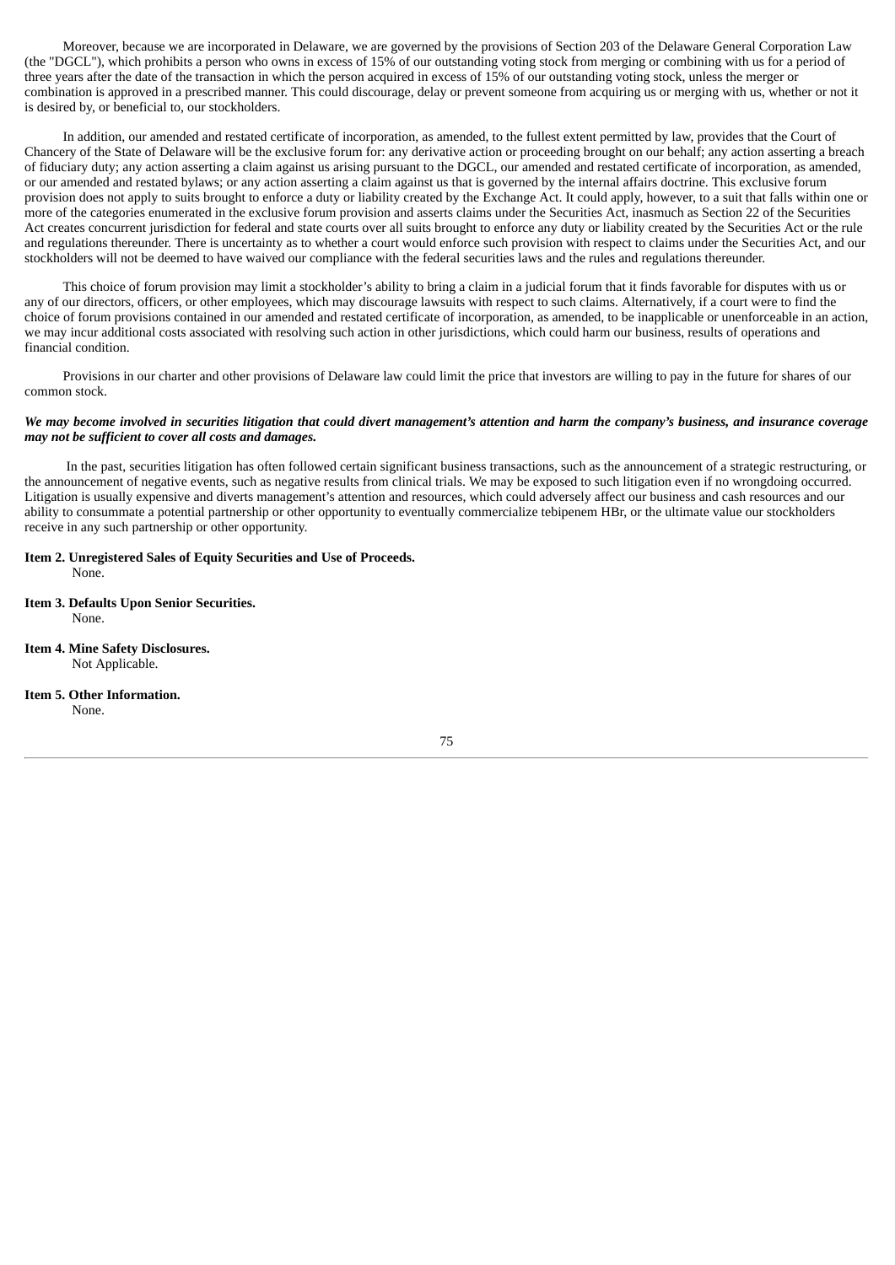Moreover, because we are incorporated in Delaware, we are governed by the provisions of Section 203 of the Delaware General Corporation Law (the "DGCL"), which prohibits a person who owns in excess of 15% of our outstanding voting stock from merging or combining with us for a period of three years after the date of the transaction in which the person acquired in excess of 15% of our outstanding voting stock, unless the merger or combination is approved in a prescribed manner. This could discourage, delay or prevent someone from acquiring us or merging with us, whether or not it is desired by, or beneficial to, our stockholders.

In addition, our amended and restated certificate of incorporation, as amended, to the fullest extent permitted by law, provides that the Court of Chancery of the State of Delaware will be the exclusive forum for: any derivative action or proceeding brought on our behalf; any action asserting a breach of fiduciary duty; any action asserting a claim against us arising pursuant to the DGCL, our amended and restated certificate of incorporation, as amended, or our amended and restated bylaws; or any action asserting a claim against us that is governed by the internal affairs doctrine. This exclusive forum provision does not apply to suits brought to enforce a duty or liability created by the Exchange Act. It could apply, however, to a suit that falls within one or more of the categories enumerated in the exclusive forum provision and asserts claims under the Securities Act, inasmuch as Section 22 of the Securities Act creates concurrent jurisdiction for federal and state courts over all suits brought to enforce any duty or liability created by the Securities Act or the rule and regulations thereunder. There is uncertainty as to whether a court would enforce such provision with respect to claims under the Securities Act, and our stockholders will not be deemed to have waived our compliance with the federal securities laws and the rules and regulations thereunder.

This choice of forum provision may limit a stockholder's ability to bring a claim in a judicial forum that it finds favorable for disputes with us or any of our directors, officers, or other employees, which may discourage lawsuits with respect to such claims. Alternatively, if a court were to find the choice of forum provisions contained in our amended and restated certificate of incorporation, as amended, to be inapplicable or unenforceable in an action, we may incur additional costs associated with resolving such action in other jurisdictions, which could harm our business, results of operations and financial condition.

Provisions in our charter and other provisions of Delaware law could limit the price that investors are willing to pay in the future for shares of our common stock.

## We may become involved in securities litigation that could divert management's attention and harm the company's business, and insurance coverage *may not be sufficient to cover all costs and damages.*

In the past, securities litigation has often followed certain significant business transactions, such as the announcement of a strategic restructuring, or the announcement of negative events, such as negative results from clinical trials. We may be exposed to such litigation even if no wrongdoing occurred. Litigation is usually expensive and diverts management's attention and resources, which could adversely affect our business and cash resources and our ability to consummate a potential partnership or other opportunity to eventually commercialize tebipenem HBr, or the ultimate value our stockholders receive in any such partnership or other opportunity.

#### **Item 2. Unregistered Sales of Equity Securities and Use of Proceeds.** None.

- **Item 3. Defaults Upon Senior Securities.** None.
- **Item 4. Mine Safety Disclosures.**

Not Applicable.

**Item 5. Other Information.**

None.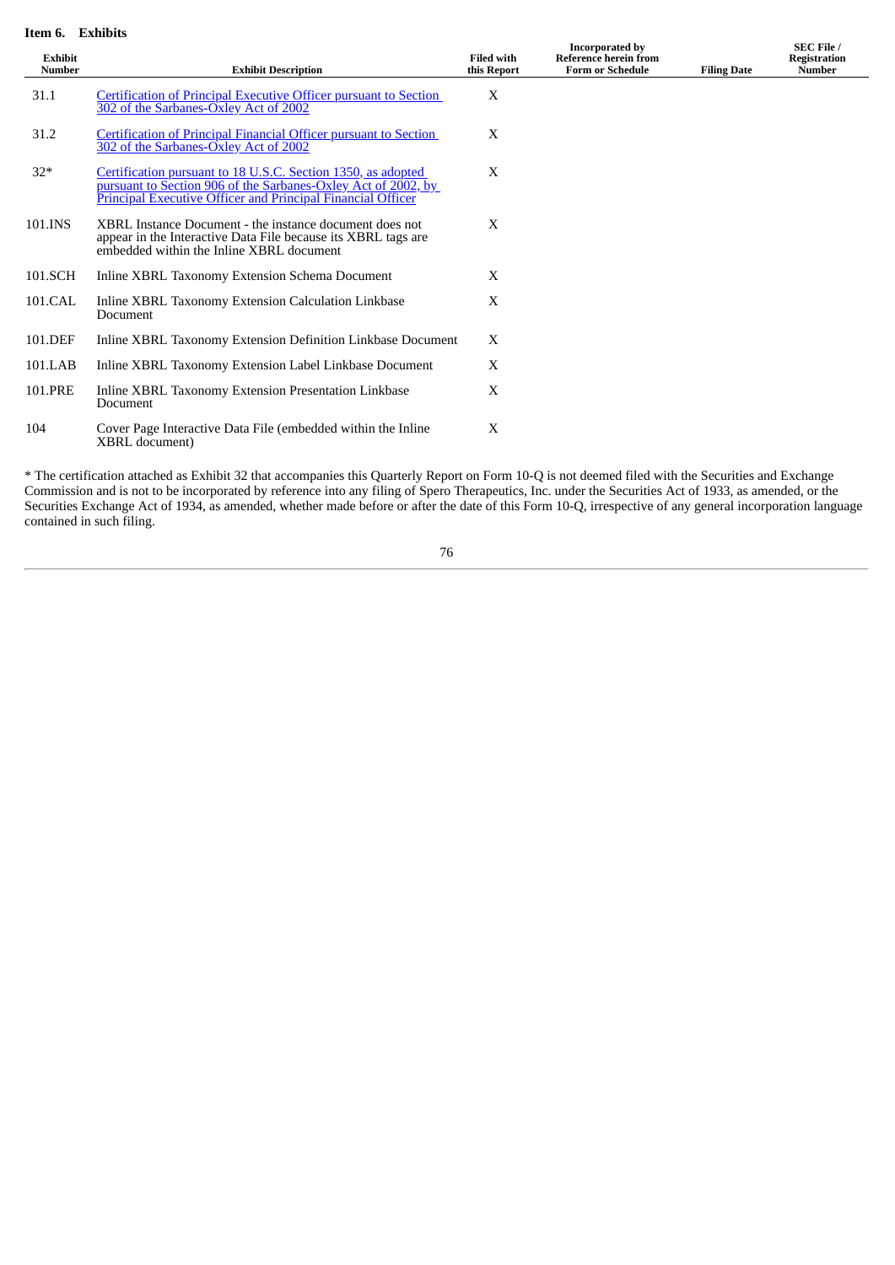# **Item 6. Exhibits**

| IUCIII V. LAIIIDIUS<br>SEC File / |                                                                                                                                                                                                     |                                  |                                                                            |                    |                               |
|-----------------------------------|-----------------------------------------------------------------------------------------------------------------------------------------------------------------------------------------------------|----------------------------------|----------------------------------------------------------------------------|--------------------|-------------------------------|
| <b>Exhibit</b><br><b>Number</b>   | <b>Exhibit Description</b>                                                                                                                                                                          | <b>Filed with</b><br>this Report | <b>Incorporated by</b><br>Reference herein from<br><b>Form or Schedule</b> | <b>Filing Date</b> | <b>Registration</b><br>Number |
| 31.1                              | Certification of Principal Executive Officer pursuant to Section<br>302 of the Sarbanes-Oxley Act of 2002                                                                                           | X                                |                                                                            |                    |                               |
| 31.2                              | <b>Certification of Principal Financial Officer pursuant to Section</b><br>302 of the Sarbanes-Oxley Act of 2002                                                                                    | X                                |                                                                            |                    |                               |
| $32*$                             | Certification pursuant to 18 U.S.C. Section 1350, as adopted<br>pursuant to Section 906 of the Sarbanes-Oxley Act of 2002, by<br><b>Principal Executive Officer and Principal Financial Officer</b> | X                                |                                                                            |                    |                               |
| 101.INS                           | XBRL Instance Document - the instance document does not<br>appear in the Interactive Data File because its XBRL tags are<br>embedded within the Inline XBRL document                                | X                                |                                                                            |                    |                               |
| 101.SCH                           | Inline XBRL Taxonomy Extension Schema Document                                                                                                                                                      | X                                |                                                                            |                    |                               |
| 101.CAL                           | Inline XBRL Taxonomy Extension Calculation Linkbase<br>Document                                                                                                                                     | X                                |                                                                            |                    |                               |
| 101.DEF                           | Inline XBRL Taxonomy Extension Definition Linkbase Document                                                                                                                                         | X                                |                                                                            |                    |                               |
| 101.LAB                           | Inline XBRL Taxonomy Extension Label Linkbase Document                                                                                                                                              | $\mathbf{x}$                     |                                                                            |                    |                               |
| 101.PRE                           | Inline XBRL Taxonomy Extension Presentation Linkbase<br>Document                                                                                                                                    | X                                |                                                                            |                    |                               |
| 104                               | Cover Page Interactive Data File (embedded within the Inline<br>XBRL document)                                                                                                                      | X                                |                                                                            |                    |                               |

\* The certification attached as Exhibit 32 that accompanies this Quarterly Report on Form 10-Q is not deemed filed with the Securities and Exchange Commission and is not to be incorporated by reference into any filing of Spero Therapeutics, Inc. under the Securities Act of 1933, as amended, or the Securities Exchange Act of 1934, as amended, whether made before or after the date of this Form 10-Q, irrespective of any general incorporation language contained in such filing.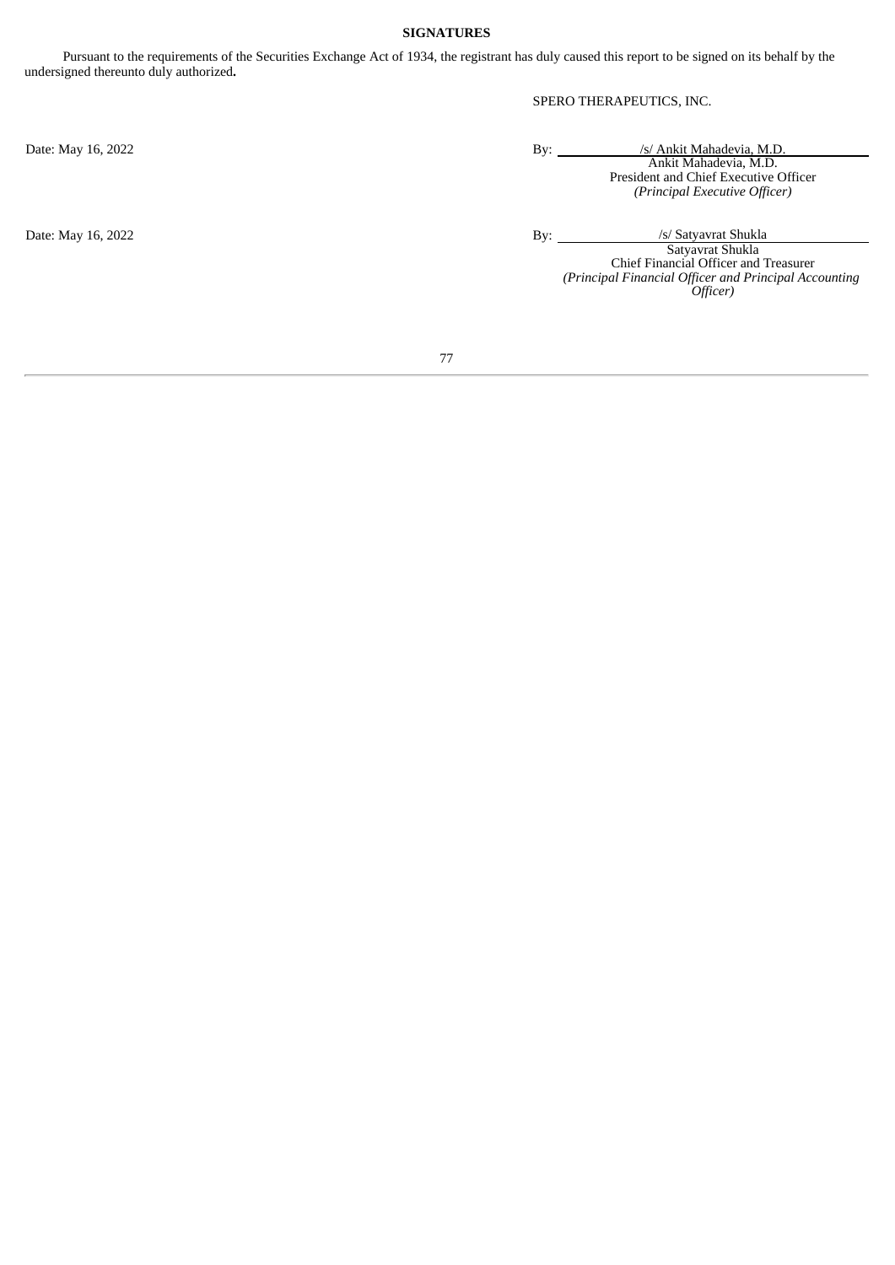# **SIGNATURES**

Pursuant to the requirements of the Securities Exchange Act of 1934, the registrant has duly caused this report to be signed on its behalf by the undersigned thereunto duly authorized**.**

# SPERO THERAPEUTICS, INC.

Date: May 16, 2022 <br>By: /s/ Ankit Mahadevia, M.D. Ankit Mahadevia, M.D. President and Chief Executive Officer *(Principal Executive Officer)*

Date: May 16, 2022 /s/ Satyavrat Shukla Satyavrat Shukla Chief Financial Officer and Treasurer *(Principal Financial Officer and Principal Accounting Officer)*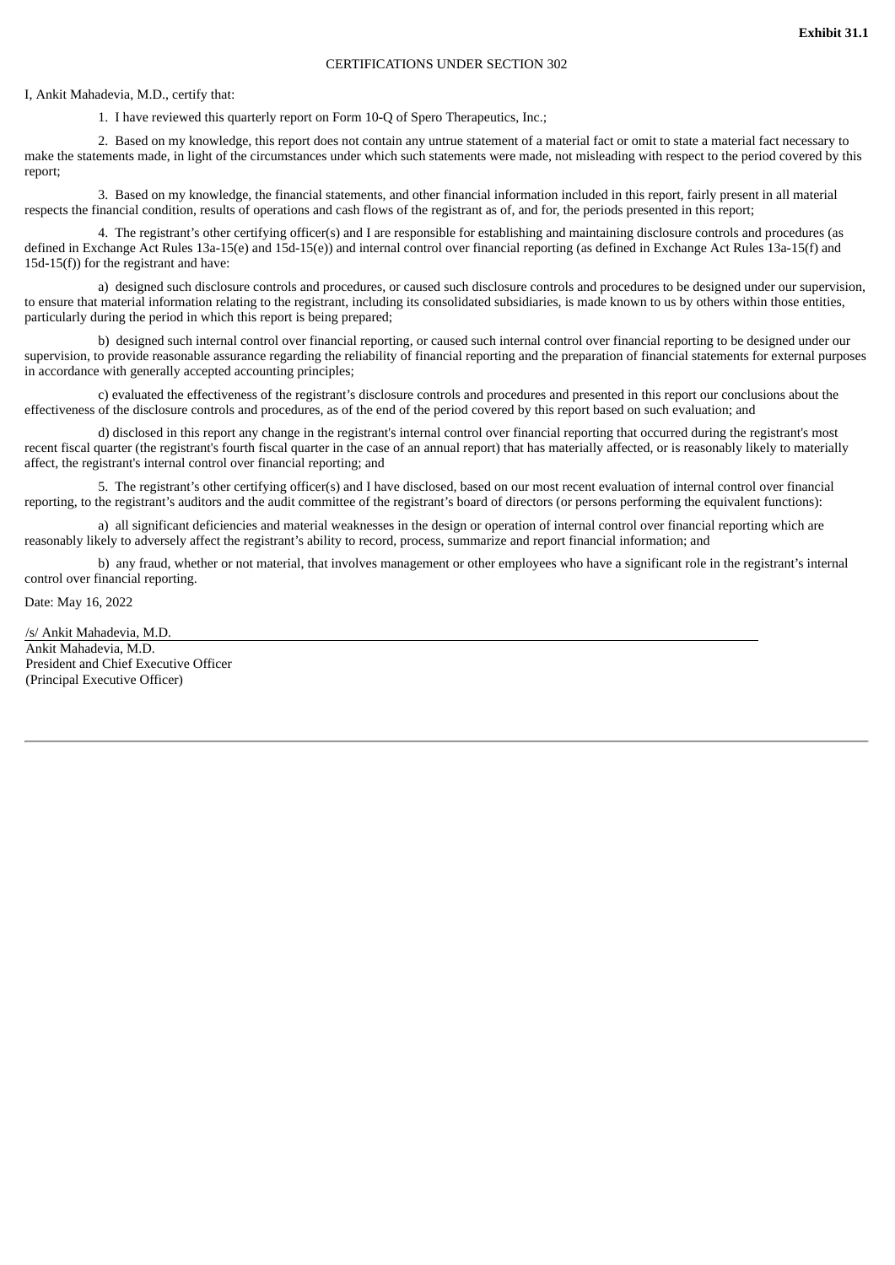# CERTIFICATIONS UNDER SECTION 302

<span id="page-78-0"></span>I, Ankit Mahadevia, M.D., certify that:

1. I have reviewed this quarterly report on Form 10-Q of Spero Therapeutics, Inc.;

2. Based on my knowledge, this report does not contain any untrue statement of a material fact or omit to state a material fact necessary to make the statements made, in light of the circumstances under which such statements were made, not misleading with respect to the period covered by this report;

3. Based on my knowledge, the financial statements, and other financial information included in this report, fairly present in all material respects the financial condition, results of operations and cash flows of the registrant as of, and for, the periods presented in this report;

4. The registrant's other certifying officer(s) and I are responsible for establishing and maintaining disclosure controls and procedures (as defined in Exchange Act Rules 13a-15(e) and 15d-15(e)) and internal control over financial reporting (as defined in Exchange Act Rules 13a-15(f) and 15d-15(f)) for the registrant and have:

a) designed such disclosure controls and procedures, or caused such disclosure controls and procedures to be designed under our supervision, to ensure that material information relating to the registrant, including its consolidated subsidiaries, is made known to us by others within those entities, particularly during the period in which this report is being prepared;

b) designed such internal control over financial reporting, or caused such internal control over financial reporting to be designed under our supervision, to provide reasonable assurance regarding the reliability of financial reporting and the preparation of financial statements for external purposes in accordance with generally accepted accounting principles;

c) evaluated the effectiveness of the registrant's disclosure controls and procedures and presented in this report our conclusions about the effectiveness of the disclosure controls and procedures, as of the end of the period covered by this report based on such evaluation; and

d) disclosed in this report any change in the registrant's internal control over financial reporting that occurred during the registrant's most recent fiscal quarter (the registrant's fourth fiscal quarter in the case of an annual report) that has materially affected, or is reasonably likely to materially affect, the registrant's internal control over financial reporting; and

5. The registrant's other certifying officer(s) and I have disclosed, based on our most recent evaluation of internal control over financial reporting, to the registrant's auditors and the audit committee of the registrant's board of directors (or persons performing the equivalent functions):

a) all significant deficiencies and material weaknesses in the design or operation of internal control over financial reporting which are reasonably likely to adversely affect the registrant's ability to record, process, summarize and report financial information; and

b) any fraud, whether or not material, that involves management or other employees who have a significant role in the registrant's internal control over financial reporting.

Date: May 16, 2022

/s/ Ankit Mahadevia, M.D. Ankit Mahadevia, M.D. President and Chief Executive Officer (Principal Executive Officer)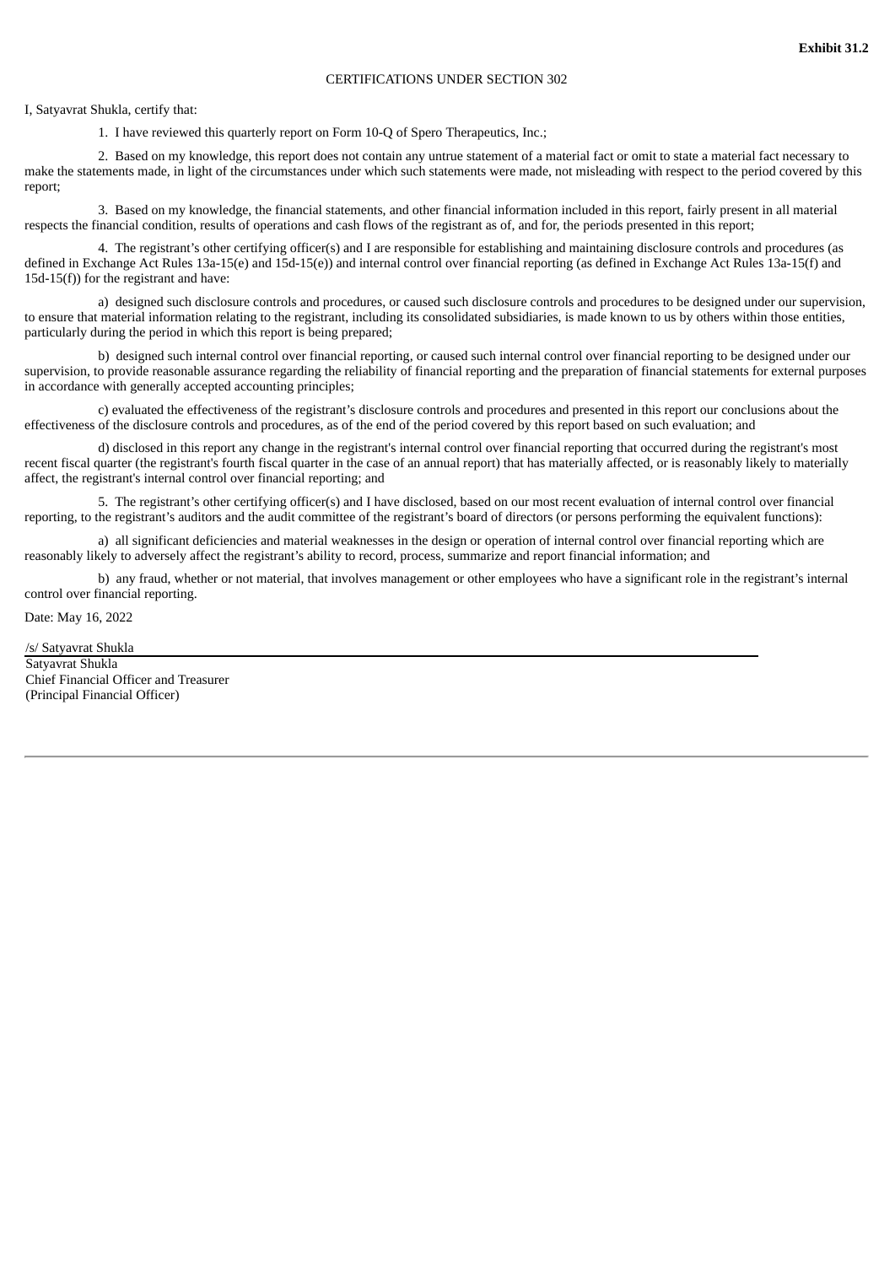# CERTIFICATIONS UNDER SECTION 302

#### <span id="page-79-0"></span>I, Satyavrat Shukla, certify that:

1. I have reviewed this quarterly report on Form 10-Q of Spero Therapeutics, Inc.;

2. Based on my knowledge, this report does not contain any untrue statement of a material fact or omit to state a material fact necessary to make the statements made, in light of the circumstances under which such statements were made, not misleading with respect to the period covered by this report;

3. Based on my knowledge, the financial statements, and other financial information included in this report, fairly present in all material respects the financial condition, results of operations and cash flows of the registrant as of, and for, the periods presented in this report;

4. The registrant's other certifying officer(s) and I are responsible for establishing and maintaining disclosure controls and procedures (as defined in Exchange Act Rules 13a-15(e) and 15d-15(e)) and internal control over financial reporting (as defined in Exchange Act Rules 13a-15(f) and 15d-15(f)) for the registrant and have:

a) designed such disclosure controls and procedures, or caused such disclosure controls and procedures to be designed under our supervision, to ensure that material information relating to the registrant, including its consolidated subsidiaries, is made known to us by others within those entities, particularly during the period in which this report is being prepared;

b) designed such internal control over financial reporting, or caused such internal control over financial reporting to be designed under our supervision, to provide reasonable assurance regarding the reliability of financial reporting and the preparation of financial statements for external purposes in accordance with generally accepted accounting principles;

c) evaluated the effectiveness of the registrant's disclosure controls and procedures and presented in this report our conclusions about the effectiveness of the disclosure controls and procedures, as of the end of the period covered by this report based on such evaluation; and

d) disclosed in this report any change in the registrant's internal control over financial reporting that occurred during the registrant's most recent fiscal quarter (the registrant's fourth fiscal quarter in the case of an annual report) that has materially affected, or is reasonably likely to materially affect, the registrant's internal control over financial reporting; and

5. The registrant's other certifying officer(s) and I have disclosed, based on our most recent evaluation of internal control over financial reporting, to the registrant's auditors and the audit committee of the registrant's board of directors (or persons performing the equivalent functions):

a) all significant deficiencies and material weaknesses in the design or operation of internal control over financial reporting which are reasonably likely to adversely affect the registrant's ability to record, process, summarize and report financial information; and

b) any fraud, whether or not material, that involves management or other employees who have a significant role in the registrant's internal control over financial reporting.

Date: May 16, 2022

/s/ Satyavrat Shukla Satyavrat Shukla Chief Financial Officer and Treasurer (Principal Financial Officer)